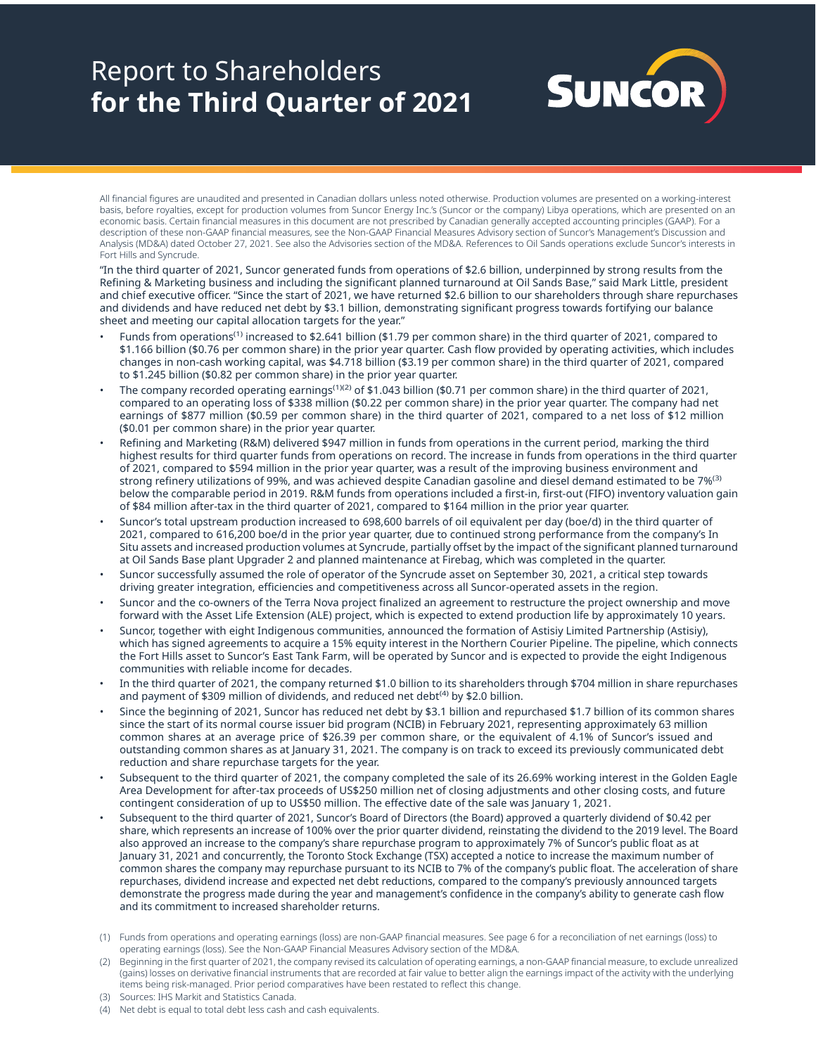# Report to Shareholders **for the Third Quarter of 2021**



All financial figures are unaudited and presented in Canadian dollars unless noted otherwise. Production volumes are presented on a working-interest basis, before royalties, except for production volumes from Suncor Energy Inc.'s (Suncor or the company) Libya operations, which are presented on an economic basis. Certain financial measures in this document are not prescribed by Canadian generally accepted accounting principles (GAAP). For a description of these non-GAAP financial measures, see the Non-GAAP Financial Measures Advisory section of Suncor's Management's Discussion and Analysis (MD&A) dated October 27, 2021. See also the Advisories section of the MD&A. References to Oil Sands operations exclude Suncor's interests in Fort Hills and Syncrude.

"In the third quarter of 2021, Suncor generated funds from operations of \$2.6 billion, underpinned by strong results from the Refining & Marketing business and including the significant planned turnaround at Oil Sands Base," said Mark Little, president and chief executive officer. "Since the start of 2021, we have returned \$2.6 billion to our shareholders through share repurchases and dividends and have reduced net debt by \$3.1 billion, demonstrating significant progress towards fortifying our balance sheet and meeting our capital allocation targets for the year."

- Funds from operations<sup>(1)</sup> increased to \$2.641 billion (\$1.79 per common share) in the third quarter of 2021, compared to \$1.166 billion (\$0.76 per common share) in the prior year quarter. Cash flow provided by operating activities, which includes changes in non-cash working capital, was \$4.718 billion (\$3.19 per common share) in the third quarter of 2021, compared to \$1.245 billion (\$0.82 per common share) in the prior year quarter.
- The company recorded operating earnings<sup>(1)(2)</sup> of \$1.043 billion (\$0.71 per common share) in the third quarter of 2021, compared to an operating loss of \$338 million (\$0.22 per common share) in the prior year quarter. The company had net earnings of \$877 million (\$0.59 per common share) in the third quarter of 2021, compared to a net loss of \$12 million (\$0.01 per common share) in the prior year quarter.
- Refining and Marketing (R&M) delivered \$947 million in funds from operations in the current period, marking the third highest results for third quarter funds from operations on record. The increase in funds from operations in the third quarter of 2021, compared to \$594 million in the prior year quarter, was a result of the improving business environment and strong refinery utilizations of 99%, and was achieved despite Canadian gasoline and diesel demand estimated to be 7%<sup>(3)</sup> below the comparable period in 2019. R&M funds from operations included a first-in, first-out (FIFO) inventory valuation gain of \$84 million after-tax in the third quarter of 2021, compared to \$164 million in the prior year quarter.
- Suncor's total upstream production increased to 698,600 barrels of oil equivalent per day (boe/d) in the third quarter of 2021, compared to 616,200 boe/d in the prior year quarter, due to continued strong performance from the company's In Situ assets and increased production volumes at Syncrude, partially offset by the impact of the significant planned turnaround at Oil Sands Base plant Upgrader 2 and planned maintenance at Firebag, which was completed in the quarter.
- Suncor successfully assumed the role of operator of the Syncrude asset on September 30, 2021, a critical step towards driving greater integration, efficiencies and competitiveness across all Suncor-operated assets in the region.
- Suncor and the co-owners of the Terra Nova project finalized an agreement to restructure the project ownership and move forward with the Asset Life Extension (ALE) project, which is expected to extend production life by approximately 10 years.
- Suncor, together with eight Indigenous communities, announced the formation of Astisiy Limited Partnership (Astisiy), which has signed agreements to acquire a 15% equity interest in the Northern Courier Pipeline. The pipeline, which connects the Fort Hills asset to Suncor's East Tank Farm, will be operated by Suncor and is expected to provide the eight Indigenous communities with reliable income for decades.
- In the third quarter of 2021, the company returned \$1.0 billion to its shareholders through \$704 million in share repurchases and payment of \$309 million of dividends, and reduced net debt<sup>(4)</sup> by \$2.0 billion.
- Since the beginning of 2021, Suncor has reduced net debt by \$3.1 billion and repurchased \$1.7 billion of its common shares since the start of its normal course issuer bid program (NCIB) in February 2021, representing approximately 63 million common shares at an average price of \$26.39 per common share, or the equivalent of 4.1% of Suncor's issued and outstanding common shares as at January 31, 2021. The company is on track to exceed its previously communicated debt reduction and share repurchase targets for the year.
- Subsequent to the third quarter of 2021, the company completed the sale of its 26.69% working interest in the Golden Eagle Area Development for after-tax proceeds of US\$250 million net of closing adjustments and other closing costs, and future contingent consideration of up to US\$50 million. The effective date of the sale was January 1, 2021.
- Subsequent to the third quarter of 2021, Suncor's Board of Directors (the Board) approved a quarterly dividend of \$0.42 per share, which represents an increase of 100% over the prior quarter dividend, reinstating the dividend to the 2019 level. The Board also approved an increase to the company's share repurchase program to approximately 7% of Suncor's public float as at January 31, 2021 and concurrently, the Toronto Stock Exchange (TSX) accepted a notice to increase the maximum number of common shares the company may repurchase pursuant to its NCIB to 7% of the company's public float. The acceleration of share repurchases, dividend increase and expected net debt reductions, compared to the company's previously announced targets demonstrate the progress made during the year and management's confidence in the company's ability to generate cash flow and its commitment to increased shareholder returns.
- (1) Funds from operations and operating earnings (loss) are non-GAAP financial measures. See page 6 for a reconciliation of net earnings (loss) to operating earnings (loss). See the Non-GAAP Financial Measures Advisory section of the MD&A.
- (2) Beginning in the first quarter of 2021, the company revised its calculation of operating earnings, a non-GAAP financial measure, to exclude unrealized (gains) losses on derivative financial instruments that are recorded at fair value to better align the earnings impact of the activity with the underlying items being risk-managed. Prior period comparatives have been restated to reflect this change.
- (3) Sources: IHS Markit and Statistics Canada.
- (4) Net debt is equal to total debt less cash and cash equivalents.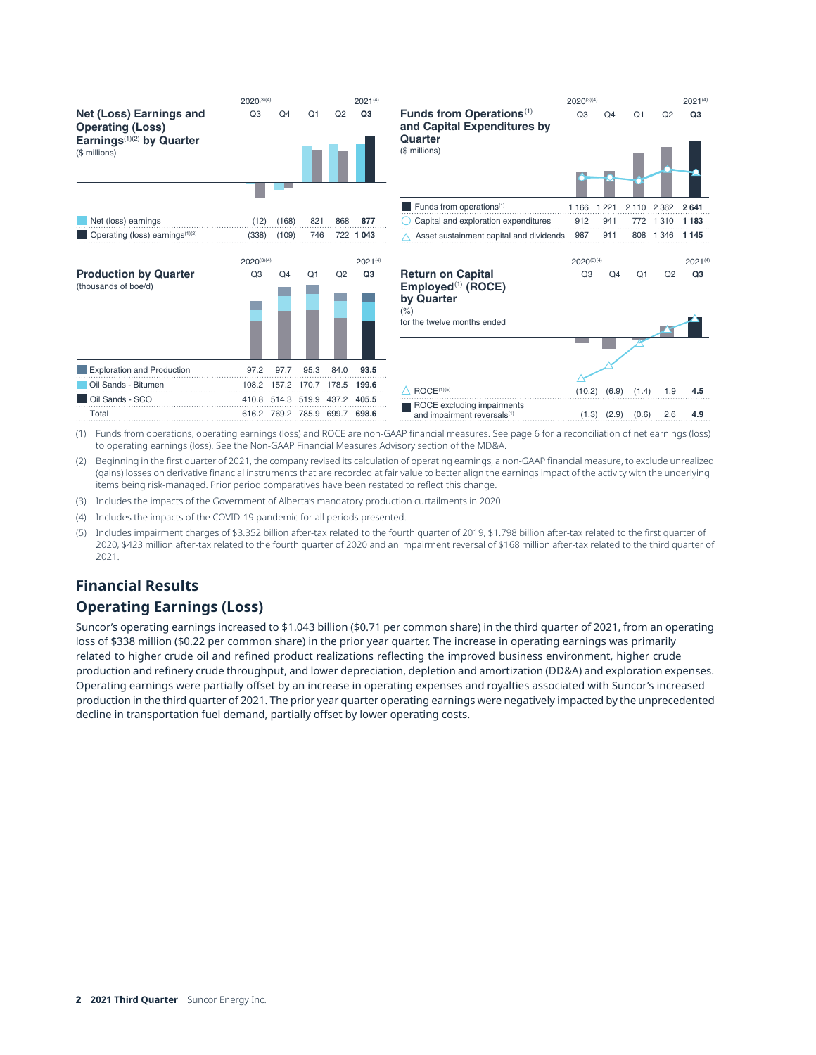

| Q3                                | Q4    | Q1   | Q2                            | Q3                 | <b>Funds from Operations</b><br>and Capital Expenditures by<br>Quarter<br>(\$ millions)                         | Q3                                | Q4              | Q1             | Q2        | Q3                             |
|-----------------------------------|-------|------|-------------------------------|--------------------|-----------------------------------------------------------------------------------------------------------------|-----------------------------------|-----------------|----------------|-----------|--------------------------------|
|                                   |       |      |                               |                    |                                                                                                                 |                                   |                 |                |           |                                |
|                                   |       |      |                               |                    | Funds from operations <sup>(1)</sup>                                                                            | 1 1 6 6                           | 1 2 2 1         | 2 1 1 0        | 2 3 6 2   | 2641                           |
| (12)                              | (168) | 821  | 868                           | 877                | Capital and exploration expenditures                                                                            | 912                               | 941             | 772            | 1 3 1 0   | 1 1 8 3                        |
| (338)                             | (109) | 746  |                               | 722 1 043          | Asset sustainment capital and dividends                                                                         | 987                               | 911             |                | 808 1 346 | 1 1 4 5                        |
| $2020^{(3)(4)}$<br>Q <sub>3</sub> | Q4    | Q1   | Q2                            | $2021^{(4)}$<br>Q3 | <b>Return on Capital</b><br>Employed <sup>(1)</sup> (ROCE)<br>by Quarter<br>(% )<br>for the twelve months ended | $2020^{(3)(4)}$<br>Q <sub>3</sub> | Q4              | Q <sub>1</sub> | Q2        | $2021^{(4)}$<br>Q <sub>3</sub> |
| 97.2                              | 97.7  | 95.3 | 84.0                          | 93.5               |                                                                                                                 |                                   |                 |                |           |                                |
|                                   |       |      | 108.2 157.2 170.7 178.5 199.6 |                    | ROCE <sup>(1)(5)</sup>                                                                                          | (10.2)                            | (6.9)           | (1.4)          | 1.9       | 4.5                            |
| 410.8                             |       |      | 514.3 519.9 437.2 405.5       |                    | ROCE excluding impairments                                                                                      |                                   |                 |                |           |                                |
|                                   |       |      | 616.2 769.2 785.9 699.7 698.6 |                    | and impairment reversals <sup>(1)</sup>                                                                         |                                   | $(1.3)$ $(2.9)$ | (0.6)          | 2.6       | 4.9                            |
|                                   |       |      |                               |                    |                                                                                                                 |                                   |                 |                |           |                                |

- (1) Funds from operations, operating earnings (loss) and ROCE are non-GAAP financial measures. See page 6 for a reconciliation of net earnings (loss) to operating earnings (loss). See the Non-GAAP Financial Measures Advisory section of the MD&A.
- (2) Beginning in the first quarter of 2021, the company revised its calculation of operating earnings, a non-GAAP financial measure, to exclude unrealized (gains) losses on derivative financial instruments that are recorded at fair value to better align the earnings impact of the activity with the underlying items being risk-managed. Prior period comparatives have been restated to reflect this change.
- (3) Includes the impacts of the Government of Alberta's mandatory production curtailments in 2020.
- (4) Includes the impacts of the COVID-19 pandemic for all periods presented.
- (5) Includes impairment charges of \$3.352 billion after-tax related to the fourth quarter of 2019, \$1.798 billion after-tax related to the first quarter of 2020, \$423 million after-tax related to the fourth quarter of 2020 and an impairment reversal of \$168 million after-tax related to the third quarter of 2021.

## **Financial Results**

## **Operating Earnings (Loss)**

Suncor's operating earnings increased to \$1.043 billion (\$0.71 per common share) in the third quarter of 2021, from an operating loss of \$338 million (\$0.22 per common share) in the prior year quarter. The increase in operating earnings was primarily related to higher crude oil and refined product realizations reflecting the improved business environment, higher crude production and refinery crude throughput, and lower depreciation, depletion and amortization (DD&A) and exploration expenses. Operating earnings were partially offset by an increase in operating expenses and royalties associated with Suncor's increased production in the third quarter of 2021. The prior year quarter operating earnings were negatively impacted by the unprecedented decline in transportation fuel demand, partially offset by lower operating costs.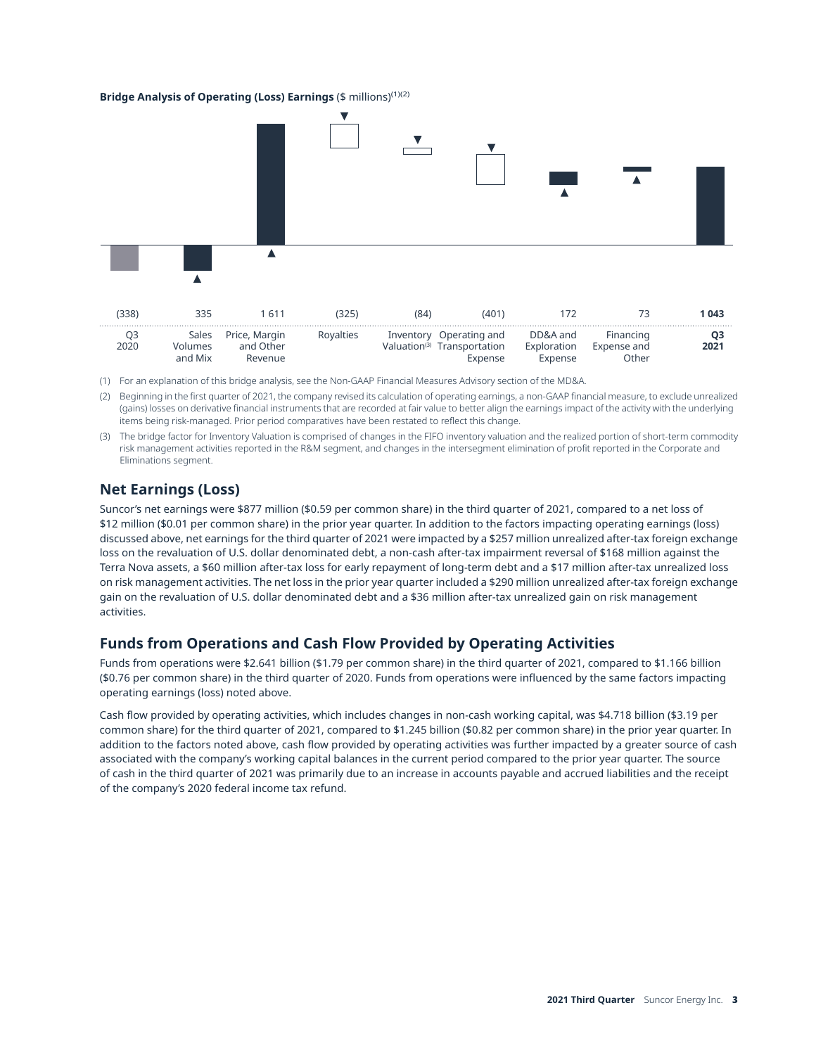#### **Bridge Analysis of Operating (Loss) Earnings** (\$ millions)(1)(2)



(1) For an explanation of this bridge analysis, see the Non-GAAP Financial Measures Advisory section of the MD&A.

(2) Beginning in the first quarter of 2021, the company revised its calculation of operating earnings, a non-GAAP financial measure, to exclude unrealized (gains) losses on derivative financial instruments that are recorded at fair value to better align the earnings impact of the activity with the underlying items being risk-managed. Prior period comparatives have been restated to reflect this change.

(3) The bridge factor for Inventory Valuation is comprised of changes in the FIFO inventory valuation and the realized portion of short-term commodity risk management activities reported in the R&M segment, and changes in the intersegment elimination of profit reported in the Corporate and Eliminations segment.

## **Net Earnings (Loss)**

Suncor's net earnings were \$877 million (\$0.59 per common share) in the third quarter of 2021, compared to a net loss of \$12 million (\$0.01 per common share) in the prior year quarter. In addition to the factors impacting operating earnings (loss) discussed above, net earnings for the third quarter of 2021 were impacted by a \$257 million unrealized after-tax foreign exchange loss on the revaluation of U.S. dollar denominated debt, a non-cash after-tax impairment reversal of \$168 million against the Terra Nova assets, a \$60 million after-tax loss for early repayment of long-term debt and a \$17 million after-tax unrealized loss on risk management activities. The net loss in the prior year quarter included a \$290 million unrealized after-tax foreign exchange gain on the revaluation of U.S. dollar denominated debt and a \$36 million after-tax unrealized gain on risk management activities.

## **Funds from Operations and Cash Flow Provided by Operating Activities**

Funds from operations were \$2.641 billion (\$1.79 per common share) in the third quarter of 2021, compared to \$1.166 billion (\$0.76 per common share) in the third quarter of 2020. Funds from operations were influenced by the same factors impacting operating earnings (loss) noted above.

Cash flow provided by operating activities, which includes changes in non-cash working capital, was \$4.718 billion (\$3.19 per common share) for the third quarter of 2021, compared to \$1.245 billion (\$0.82 per common share) in the prior year quarter. In addition to the factors noted above, cash flow provided by operating activities was further impacted by a greater source of cash associated with the company's working capital balances in the current period compared to the prior year quarter. The source of cash in the third quarter of 2021 was primarily due to an increase in accounts payable and accrued liabilities and the receipt of the company's 2020 federal income tax refund.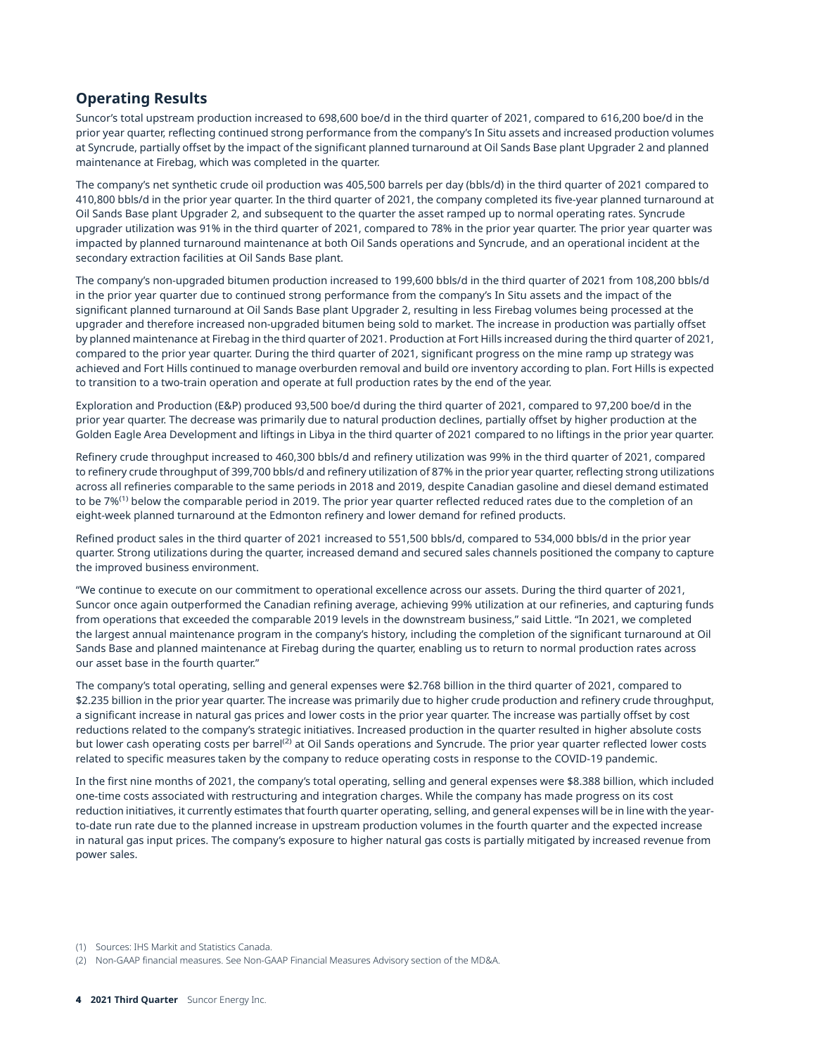## **Operating Results**

Suncor's total upstream production increased to 698,600 boe/d in the third quarter of 2021, compared to 616,200 boe/d in the prior year quarter, reflecting continued strong performance from the company's In Situ assets and increased production volumes at Syncrude, partially offset by the impact of the significant planned turnaround at Oil Sands Base plant Upgrader 2 and planned maintenance at Firebag, which was completed in the quarter.

The company's net synthetic crude oil production was 405,500 barrels per day (bbls/d) in the third quarter of 2021 compared to 410,800 bbls/d in the prior year quarter. In the third quarter of 2021, the company completed its five-year planned turnaround at Oil Sands Base plant Upgrader 2, and subsequent to the quarter the asset ramped up to normal operating rates. Syncrude upgrader utilization was 91% in the third quarter of 2021, compared to 78% in the prior year quarter. The prior year quarter was impacted by planned turnaround maintenance at both Oil Sands operations and Syncrude, and an operational incident at the secondary extraction facilities at Oil Sands Base plant.

The company's non-upgraded bitumen production increased to 199,600 bbls/d in the third quarter of 2021 from 108,200 bbls/d in the prior year quarter due to continued strong performance from the company's In Situ assets and the impact of the significant planned turnaround at Oil Sands Base plant Upgrader 2, resulting in less Firebag volumes being processed at the upgrader and therefore increased non-upgraded bitumen being sold to market. The increase in production was partially offset by planned maintenance at Firebag in the third quarter of 2021. Production at Fort Hills increased during the third quarter of 2021, compared to the prior year quarter. During the third quarter of 2021, significant progress on the mine ramp up strategy was achieved and Fort Hills continued to manage overburden removal and build ore inventory according to plan. Fort Hills is expected to transition to a two-train operation and operate at full production rates by the end of the year.

Exploration and Production (E&P) produced 93,500 boe/d during the third quarter of 2021, compared to 97,200 boe/d in the prior year quarter. The decrease was primarily due to natural production declines, partially offset by higher production at the Golden Eagle Area Development and liftings in Libya in the third quarter of 2021 compared to no liftings in the prior year quarter.

Refinery crude throughput increased to 460,300 bbls/d and refinery utilization was 99% in the third quarter of 2021, compared to refinery crude throughput of 399,700 bbls/d and refinery utilization of 87% in the prior year quarter, reflecting strong utilizations across all refineries comparable to the same periods in 2018 and 2019, despite Canadian gasoline and diesel demand estimated to be 7%<sup>(1)</sup> below the comparable period in 2019. The prior year quarter reflected reduced rates due to the completion of an eight-week planned turnaround at the Edmonton refinery and lower demand for refined products.

Refined product sales in the third quarter of 2021 increased to 551,500 bbls/d, compared to 534,000 bbls/d in the prior year quarter. Strong utilizations during the quarter, increased demand and secured sales channels positioned the company to capture the improved business environment.

"We continue to execute on our commitment to operational excellence across our assets. During the third quarter of 2021, Suncor once again outperformed the Canadian refining average, achieving 99% utilization at our refineries, and capturing funds from operations that exceeded the comparable 2019 levels in the downstream business," said Little. "In 2021, we completed the largest annual maintenance program in the company's history, including the completion of the significant turnaround at Oil Sands Base and planned maintenance at Firebag during the quarter, enabling us to return to normal production rates across our asset base in the fourth quarter."

The company's total operating, selling and general expenses were \$2.768 billion in the third quarter of 2021, compared to \$2.235 billion in the prior year quarter. The increase was primarily due to higher crude production and refinery crude throughput, a significant increase in natural gas prices and lower costs in the prior year quarter. The increase was partially offset by cost reductions related to the company's strategic initiatives. Increased production in the quarter resulted in higher absolute costs but lower cash operating costs per barrel<sup>(2)</sup> at Oil Sands operations and Syncrude. The prior year quarter reflected lower costs related to specific measures taken by the company to reduce operating costs in response to the COVID-19 pandemic.

In the first nine months of 2021, the company's total operating, selling and general expenses were \$8.388 billion, which included one-time costs associated with restructuring and integration charges. While the company has made progress on its cost reduction initiatives, it currently estimates that fourth quarter operating, selling, and general expenses will be in line with the yearto-date run rate due to the planned increase in upstream production volumes in the fourth quarter and the expected increase in natural gas input prices. The company's exposure to higher natural gas costs is partially mitigated by increased revenue from power sales.

(1) Sources: IHS Markit and Statistics Canada.

(2) Non-GAAP financial measures. See Non-GAAP Financial Measures Advisory section of the MD&A.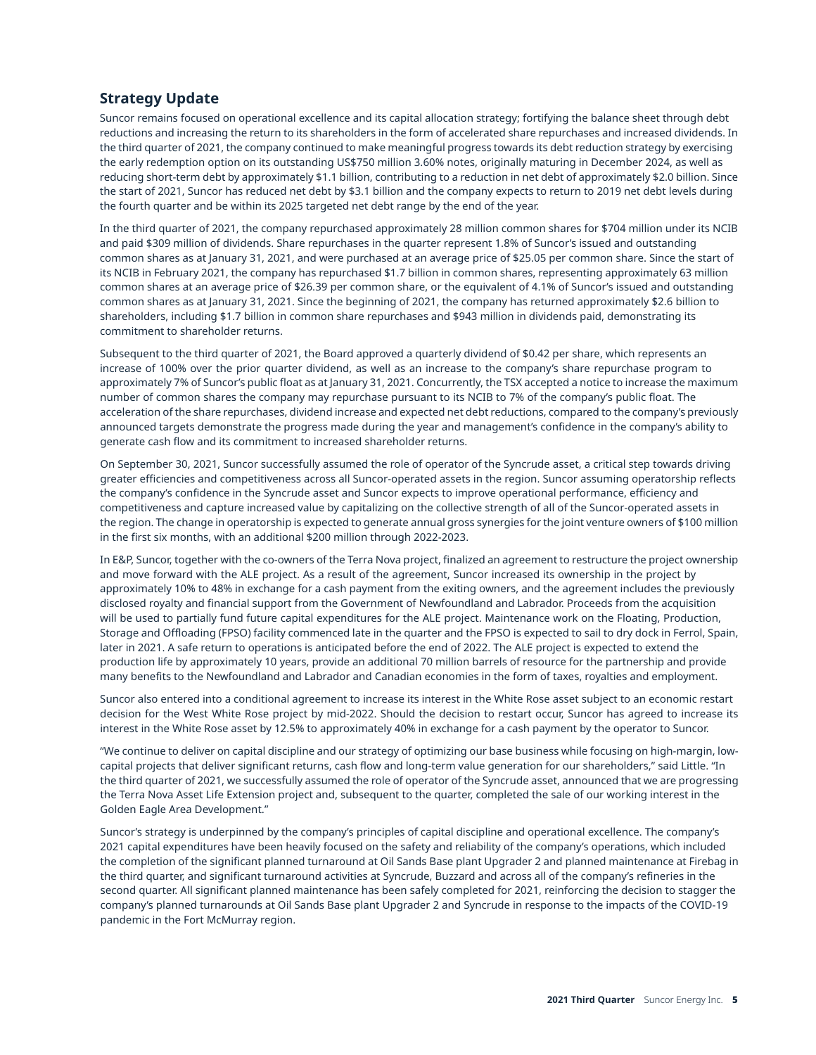## **Strategy Update**

Suncor remains focused on operational excellence and its capital allocation strategy; fortifying the balance sheet through debt reductions and increasing the return to its shareholders in the form of accelerated share repurchases and increased dividends. In the third quarter of 2021, the company continued to make meaningful progress towards its debt reduction strategy by exercising the early redemption option on its outstanding US\$750 million 3.60% notes, originally maturing in December 2024, as well as reducing short-term debt by approximately \$1.1 billion, contributing to a reduction in net debt of approximately \$2.0 billion. Since the start of 2021, Suncor has reduced net debt by \$3.1 billion and the company expects to return to 2019 net debt levels during the fourth quarter and be within its 2025 targeted net debt range by the end of the year.

In the third quarter of 2021, the company repurchased approximately 28 million common shares for \$704 million under its NCIB and paid \$309 million of dividends. Share repurchases in the quarter represent 1.8% of Suncor's issued and outstanding common shares as at January 31, 2021, and were purchased at an average price of \$25.05 per common share. Since the start of its NCIB in February 2021, the company has repurchased \$1.7 billion in common shares, representing approximately 63 million common shares at an average price of \$26.39 per common share, or the equivalent of 4.1% of Suncor's issued and outstanding common shares as at January 31, 2021. Since the beginning of 2021, the company has returned approximately \$2.6 billion to shareholders, including \$1.7 billion in common share repurchases and \$943 million in dividends paid, demonstrating its commitment to shareholder returns.

Subsequent to the third quarter of 2021, the Board approved a quarterly dividend of \$0.42 per share, which represents an increase of 100% over the prior quarter dividend, as well as an increase to the company's share repurchase program to approximately 7% of Suncor's public float as at January 31, 2021. Concurrently, the TSX accepted a notice to increase the maximum number of common shares the company may repurchase pursuant to its NCIB to 7% of the company's public float. The acceleration of the share repurchases, dividend increase and expected net debt reductions, compared to the company's previously announced targets demonstrate the progress made during the year and management's confidence in the company's ability to generate cash flow and its commitment to increased shareholder returns.

On September 30, 2021, Suncor successfully assumed the role of operator of the Syncrude asset, a critical step towards driving greater efficiencies and competitiveness across all Suncor-operated assets in the region. Suncor assuming operatorship reflects the company's confidence in the Syncrude asset and Suncor expects to improve operational performance, efficiency and competitiveness and capture increased value by capitalizing on the collective strength of all of the Suncor-operated assets in the region. The change in operatorship is expected to generate annual gross synergies for the joint venture owners of \$100 million in the first six months, with an additional \$200 million through 2022-2023.

In E&P, Suncor, together with the co-owners of the Terra Nova project, finalized an agreement to restructure the project ownership and move forward with the ALE project. As a result of the agreement, Suncor increased its ownership in the project by approximately 10% to 48% in exchange for a cash payment from the exiting owners, and the agreement includes the previously disclosed royalty and financial support from the Government of Newfoundland and Labrador. Proceeds from the acquisition will be used to partially fund future capital expenditures for the ALE project. Maintenance work on the Floating, Production, Storage and Offloading (FPSO) facility commenced late in the quarter and the FPSO is expected to sail to dry dock in Ferrol, Spain, later in 2021. A safe return to operations is anticipated before the end of 2022. The ALE project is expected to extend the production life by approximately 10 years, provide an additional 70 million barrels of resource for the partnership and provide many benefits to the Newfoundland and Labrador and Canadian economies in the form of taxes, royalties and employment.

Suncor also entered into a conditional agreement to increase its interest in the White Rose asset subject to an economic restart decision for the West White Rose project by mid-2022. Should the decision to restart occur, Suncor has agreed to increase its interest in the White Rose asset by 12.5% to approximately 40% in exchange for a cash payment by the operator to Suncor.

"We continue to deliver on capital discipline and our strategy of optimizing our base business while focusing on high-margin, lowcapital projects that deliver significant returns, cash flow and long-term value generation for our shareholders," said Little. "In the third quarter of 2021, we successfully assumed the role of operator of the Syncrude asset, announced that we are progressing the Terra Nova Asset Life Extension project and, subsequent to the quarter, completed the sale of our working interest in the Golden Eagle Area Development."

Suncor's strategy is underpinned by the company's principles of capital discipline and operational excellence. The company's 2021 capital expenditures have been heavily focused on the safety and reliability of the company's operations, which included the completion of the significant planned turnaround at Oil Sands Base plant Upgrader 2 and planned maintenance at Firebag in the third quarter, and significant turnaround activities at Syncrude, Buzzard and across all of the company's refineries in the second quarter. All significant planned maintenance has been safely completed for 2021, reinforcing the decision to stagger the company's planned turnarounds at Oil Sands Base plant Upgrader 2 and Syncrude in response to the impacts of the COVID-19 pandemic in the Fort McMurray region.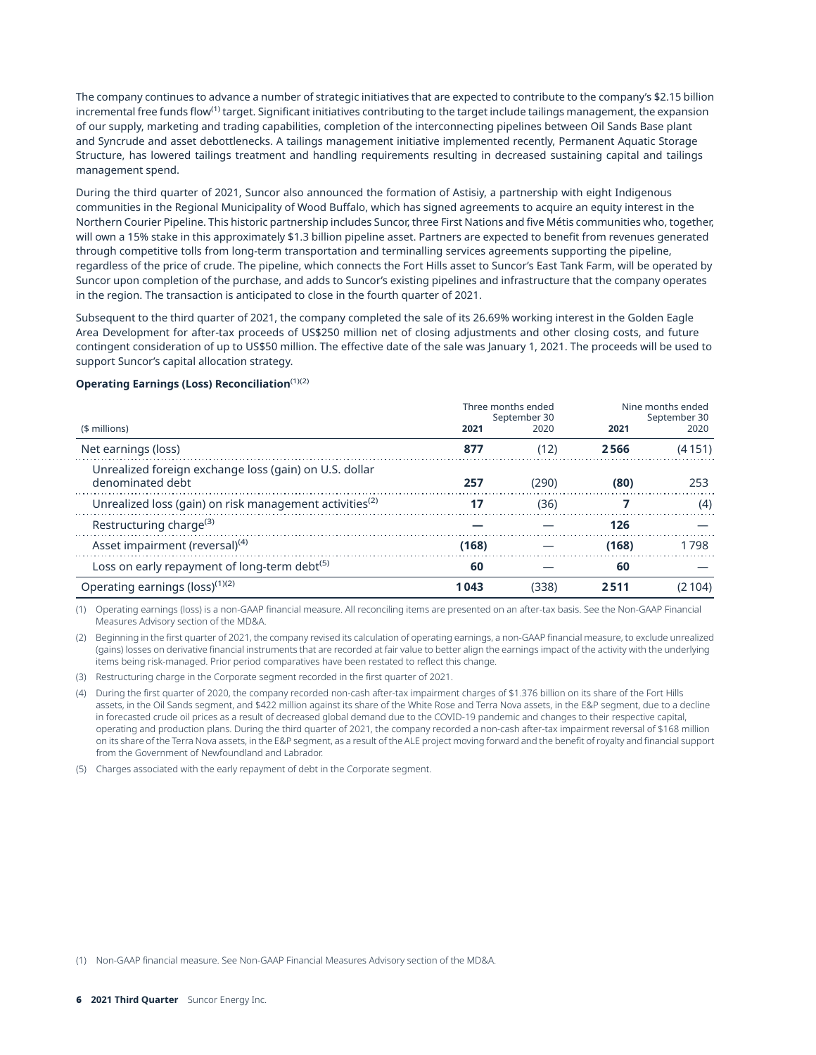The company continues to advance a number of strategic initiatives that are expected to contribute to the company's \$2.15 billion incremental free funds flow<sup>(1)</sup> target. Significant initiatives contributing to the target include tailings management, the expansion of our supply, marketing and trading capabilities, completion of the interconnecting pipelines between Oil Sands Base plant and Syncrude and asset debottlenecks. A tailings management initiative implemented recently, Permanent Aquatic Storage Structure, has lowered tailings treatment and handling requirements resulting in decreased sustaining capital and tailings management spend.

During the third quarter of 2021, Suncor also announced the formation of Astisiy, a partnership with eight Indigenous communities in the Regional Municipality of Wood Buffalo, which has signed agreements to acquire an equity interest in the Northern Courier Pipeline. This historic partnership includes Suncor, three First Nations and five Métis communities who, together, will own a 15% stake in this approximately \$1.3 billion pipeline asset. Partners are expected to benefit from revenues generated through competitive tolls from long-term transportation and terminalling services agreements supporting the pipeline, regardless of the price of crude. The pipeline, which connects the Fort Hills asset to Suncor's East Tank Farm, will be operated by Suncor upon completion of the purchase, and adds to Suncor's existing pipelines and infrastructure that the company operates in the region. The transaction is anticipated to close in the fourth quarter of 2021.

Subsequent to the third quarter of 2021, the company completed the sale of its 26.69% working interest in the Golden Eagle Area Development for after-tax proceeds of US\$250 million net of closing adjustments and other closing costs, and future contingent consideration of up to US\$50 million. The effective date of the sale was January 1, 2021. The proceeds will be used to support Suncor's capital allocation strategy.

#### **Operating Earnings (Loss) Reconciliation**(1)(2)

|                                                                            | Three months ended<br>September 30 |       | Nine months ended<br>September 30 |        |
|----------------------------------------------------------------------------|------------------------------------|-------|-----------------------------------|--------|
| (\$ millions)                                                              | 2021                               | 2020  | 2021                              | 2020   |
| Net earnings (loss)                                                        | 877                                | (12)  | 2566                              | (4151) |
| Unrealized foreign exchange loss (gain) on U.S. dollar<br>denominated debt | 257                                | (290) | (80)                              | 253    |
| Unrealized loss (gain) on risk management activities <sup>(2)</sup>        | 17                                 | (36)  |                                   | (4)    |
| Restructuring charge <sup>(3)</sup>                                        |                                    |       | 126                               |        |
| Asset impairment (reversal) <sup>(4)</sup>                                 | (168)                              |       | (168)                             | 1798   |
| Loss on early repayment of long-term debt <sup>(5)</sup>                   | 60                                 |       | 60                                |        |
| Operating earnings (loss) <sup>(1)(2)</sup>                                | 1 043                              | (338) | 2511                              | 104)   |

(1) Operating earnings (loss) is a non-GAAP financial measure. All reconciling items are presented on an after-tax basis. See the Non-GAAP Financial Measures Advisory section of the MD&A.

(2) Beginning in the first quarter of 2021, the company revised its calculation of operating earnings, a non-GAAP financial measure, to exclude unrealized (gains) losses on derivative financial instruments that are recorded at fair value to better align the earnings impact of the activity with the underlying items being risk-managed. Prior period comparatives have been restated to reflect this change.

(3) Restructuring charge in the Corporate segment recorded in the first quarter of 2021.

- (4) During the first quarter of 2020, the company recorded non-cash after-tax impairment charges of \$1.376 billion on its share of the Fort Hills assets, in the Oil Sands segment, and \$422 million against its share of the White Rose and Terra Nova assets, in the E&P segment, due to a decline in forecasted crude oil prices as a result of decreased global demand due to the COVID-19 pandemic and changes to their respective capital, operating and production plans. During the third quarter of 2021, the company recorded a non-cash after-tax impairment reversal of \$168 million on its share of the Terra Nova assets, in the E&P segment, as a result of the ALE project moving forward and the benefit of royalty and financial support from the Government of Newfoundland and Labrador.
- (5) Charges associated with the early repayment of debt in the Corporate segment.

(1) Non-GAAP financial measure. See Non-GAAP Financial Measures Advisory section of the MD&A.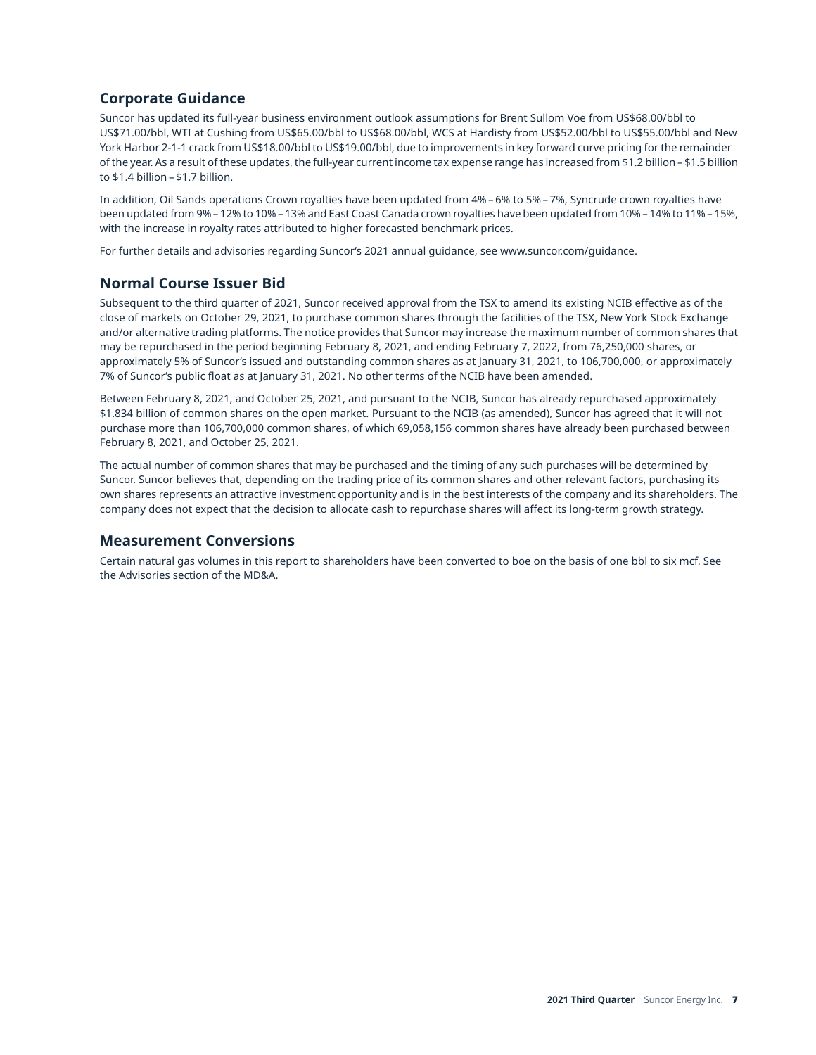## **Corporate Guidance**

Suncor has updated its full-year business environment outlook assumptions for Brent Sullom Voe from US\$68.00/bbl to US\$71.00/bbl, WTI at Cushing from US\$65.00/bbl to US\$68.00/bbl, WCS at Hardisty from US\$52.00/bbl to US\$55.00/bbl and New York Harbor 2-1-1 crack from US\$18.00/bbl to US\$19.00/bbl, due to improvements in key forward curve pricing for the remainder of the year. As a result of these updates, the full-year current income tax expense range has increased from \$1.2 billion – \$1.5 billion to \$1.4 billion – \$1.7 billion.

In addition, Oil Sands operations Crown royalties have been updated from 4% – 6% to 5% – 7%, Syncrude crown royalties have been updated from 9% – 12% to 10% – 13% and East Coast Canada crown royalties have been updated from 10% – 14% to 11% – 15%, with the increase in royalty rates attributed to higher forecasted benchmark prices.

For further details and advisories regarding Suncor's 2021 annual guidance, see [www.suncor.com/guidance.](http://www.suncor.com/guidance)

## **Normal Course Issuer Bid**

Subsequent to the third quarter of 2021, Suncor received approval from the TSX to amend its existing NCIB effective as of the close of markets on October 29, 2021, to purchase common shares through the facilities of the TSX, New York Stock Exchange and/or alternative trading platforms. The notice provides that Suncor may increase the maximum number of common shares that may be repurchased in the period beginning February 8, 2021, and ending February 7, 2022, from 76,250,000 shares, or approximately 5% of Suncor's issued and outstanding common shares as at January 31, 2021, to 106,700,000, or approximately 7% of Suncor's public float as at January 31, 2021. No other terms of the NCIB have been amended.

Between February 8, 2021, and October 25, 2021, and pursuant to the NCIB, Suncor has already repurchased approximately \$1.834 billion of common shares on the open market. Pursuant to the NCIB (as amended), Suncor has agreed that it will not purchase more than 106,700,000 common shares, of which 69,058,156 common shares have already been purchased between February 8, 2021, and October 25, 2021.

The actual number of common shares that may be purchased and the timing of any such purchases will be determined by Suncor. Suncor believes that, depending on the trading price of its common shares and other relevant factors, purchasing its own shares represents an attractive investment opportunity and is in the best interests of the company and its shareholders. The company does not expect that the decision to allocate cash to repurchase shares will affect its long-term growth strategy.

## **Measurement Conversions**

Certain natural gas volumes in this report to shareholders have been converted to boe on the basis of one bbl to six mcf. See the Advisories section of the MD&A.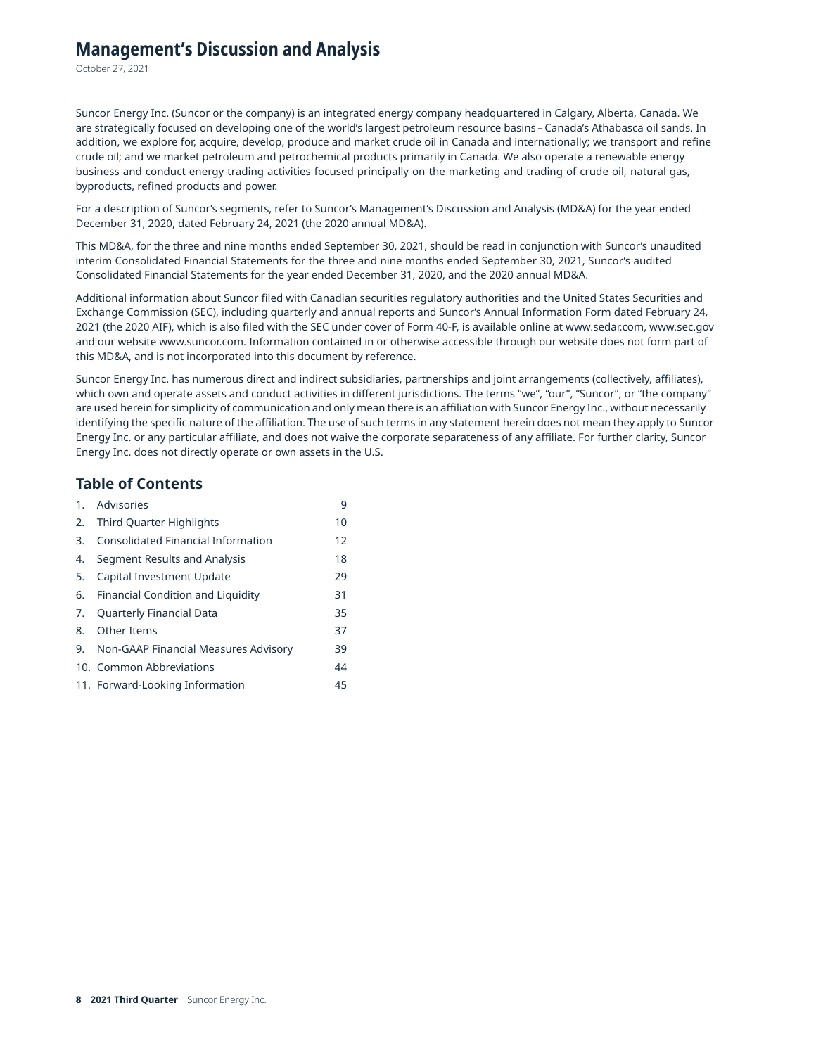## **Management's Discussion and Analysis**

October 27, 2021

Suncor Energy Inc. (Suncor or the company) is an integrated energy company headquartered in Calgary, Alberta, Canada. We are strategically focused on developing one of the world's largest petroleum resource basins – Canada's Athabasca oil sands. In addition, we explore for, acquire, develop, produce and market crude oil in Canada and internationally; we transport and refine crude oil; and we market petroleum and petrochemical products primarily in Canada. We also operate a renewable energy business and conduct energy trading activities focused principally on the marketing and trading of crude oil, natural gas, byproducts, refined products and power.

For a description of Suncor's segments, refer to Suncor's Management's Discussion and Analysis (MD&A) for the year ended December 31, 2020, dated February 24, 2021 (the 2020 annual MD&A).

This MD&A, for the three and nine months ended September 30, 2021, should be read in conjunction with Suncor's unaudited interim Consolidated Financial Statements for the three and nine months ended September 30, 2021, Suncor's audited Consolidated Financial Statements for the year ended December 31, 2020, and the 2020 annual MD&A.

Additional information about Suncor filed with Canadian securities regulatory authorities and the United States Securities and Exchange Commission (SEC), including quarterly and annual reports and Suncor's Annual Information Form dated February 24, 2021 (the 2020 AIF), which is also filed with the SEC under cover of Form 40-F, is available online at [www.sedar.com](http://www.sedar.com), [www.sec.gov](http://www.sec.gov) and our website [www.suncor.com.](http://www.suncor.com) Information contained in or otherwise accessible through our website does not form part of this MD&A, and is not incorporated into this document by reference.

Suncor Energy Inc. has numerous direct and indirect subsidiaries, partnerships and joint arrangements (collectively, affiliates), which own and operate assets and conduct activities in different jurisdictions. The terms "we", "our", "Suncor", or "the company" are used herein for simplicity of communication and only mean there is an affiliation with Suncor Energy Inc., without necessarily identifying the specific nature of the affiliation. The use of such terms in any statement herein does not mean they apply to Suncor Energy Inc. or any particular affiliate, and does not waive the corporate separateness of any affiliate. For further clarity, Suncor Energy Inc. does not directly operate or own assets in the U.S.

## **Table of Contents**

| 1. | Advisories                           | 9  |
|----|--------------------------------------|----|
| 2. | <b>Third Quarter Highlights</b>      | 10 |
| 3. | Consolidated Financial Information   | 12 |
| 4. | Segment Results and Analysis         | 18 |
| 5. | Capital Investment Update            | 29 |
| 6. | Financial Condition and Liquidity    | 31 |
| 7. | Quarterly Financial Data             | 35 |
| 8. | Other Items                          | 37 |
| 9. | Non-GAAP Financial Measures Advisory | 39 |
|    | 10. Common Abbreviations             | 44 |
|    | 11. Forward-Looking Information      | 45 |
|    |                                      |    |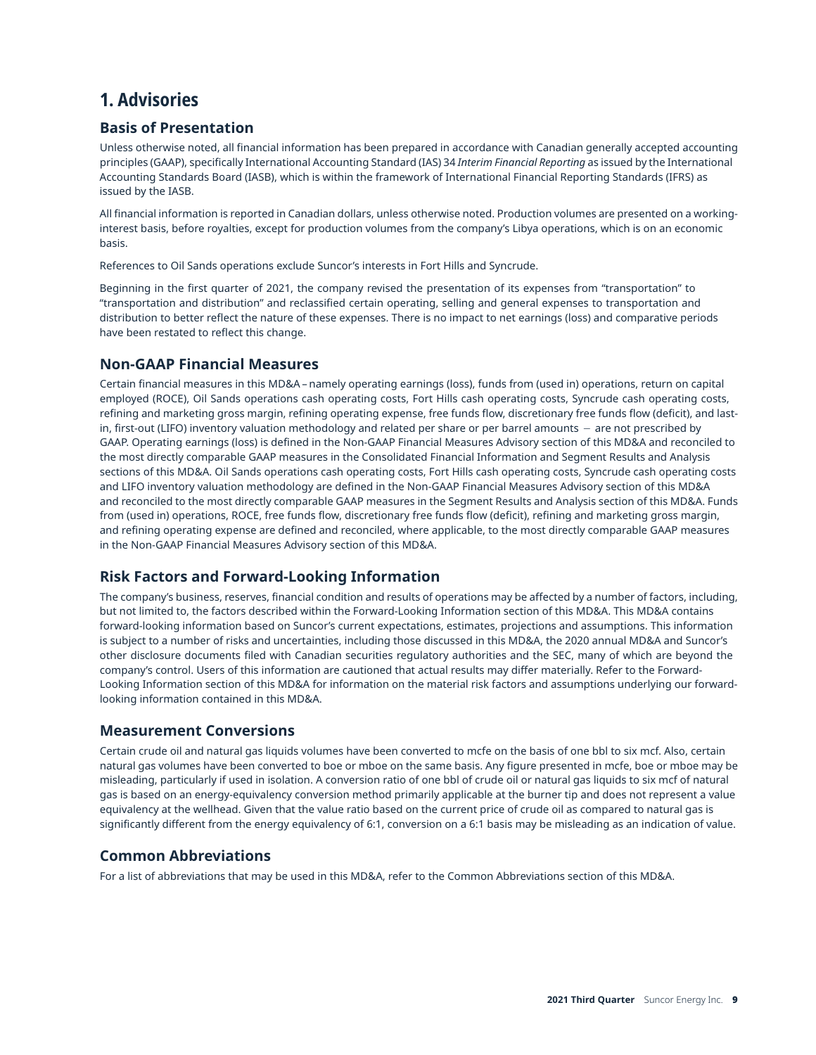# <span id="page-8-0"></span>**1. Advisories**

## **Basis of Presentation**

Unless otherwise noted, all financial information has been prepared in accordance with Canadian generally accepted accounting principles (GAAP), specifically International Accounting Standard (IAS) 34 *Interim Financial Reporting* as issued by the International Accounting Standards Board (IASB), which is within the framework of International Financial Reporting Standards (IFRS) as issued by the IASB.

All financial information is reported in Canadian dollars, unless otherwise noted. Production volumes are presented on a workinginterest basis, before royalties, except for production volumes from the company's Libya operations, which is on an economic basis.

References to Oil Sands operations exclude Suncor's interests in Fort Hills and Syncrude.

Beginning in the first quarter of 2021, the company revised the presentation of its expenses from "transportation" to "transportation and distribution" and reclassified certain operating, selling and general expenses to transportation and distribution to better reflect the nature of these expenses. There is no impact to net earnings (loss) and comparative periods have been restated to reflect this change.

## **Non-GAAP Financial Measures**

Certain financial measures in this MD&A – namely operating earnings (loss), funds from (used in) operations, return on capital employed (ROCE), Oil Sands operations cash operating costs, Fort Hills cash operating costs, Syncrude cash operating costs, refining and marketing gross margin, refining operating expense, free funds flow, discretionary free funds flow (deficit), and lastin, first-out (LIFO) inventory valuation methodology and related per share or per barrel amounts − are not prescribed by GAAP. Operating earnings (loss) is defined in the Non-GAAP Financial Measures Advisory section of this MD&A and reconciled to the most directly comparable GAAP measures in the Consolidated Financial Information and Segment Results and Analysis sections of this MD&A. Oil Sands operations cash operating costs, Fort Hills cash operating costs, Syncrude cash operating costs and LIFO inventory valuation methodology are defined in the Non-GAAP Financial Measures Advisory section of this MD&A and reconciled to the most directly comparable GAAP measures in the Segment Results and Analysis section of this MD&A. Funds from (used in) operations, ROCE, free funds flow, discretionary free funds flow (deficit), refining and marketing gross margin, and refining operating expense are defined and reconciled, where applicable, to the most directly comparable GAAP measures in the Non-GAAP Financial Measures Advisory section of this MD&A.

## **Risk Factors and Forward-Looking Information**

The company's business, reserves, financial condition and results of operations may be affected by a number of factors, including, but not limited to, the factors described within the Forward-Looking Information section of this MD&A. This MD&A contains forward-looking information based on Suncor's current expectations, estimates, projections and assumptions. This information is subject to a number of risks and uncertainties, including those discussed in this MD&A, the 2020 annual MD&A and Suncor's other disclosure documents filed with Canadian securities regulatory authorities and the SEC, many of which are beyond the company's control. Users of this information are cautioned that actual results may differ materially. Refer to the Forward-Looking Information section of this MD&A for information on the material risk factors and assumptions underlying our forwardlooking information contained in this MD&A.

## **Measurement Conversions**

Certain crude oil and natural gas liquids volumes have been converted to mcfe on the basis of one bbl to six mcf. Also, certain natural gas volumes have been converted to boe or mboe on the same basis. Any figure presented in mcfe, boe or mboe may be misleading, particularly if used in isolation. A conversion ratio of one bbl of crude oil or natural gas liquids to six mcf of natural gas is based on an energy-equivalency conversion method primarily applicable at the burner tip and does not represent a value equivalency at the wellhead. Given that the value ratio based on the current price of crude oil as compared to natural gas is significantly different from the energy equivalency of 6:1, conversion on a 6:1 basis may be misleading as an indication of value.

## **Common Abbreviations**

For a list of abbreviations that may be used in this MD&A, refer to the Common Abbreviations section of this MD&A.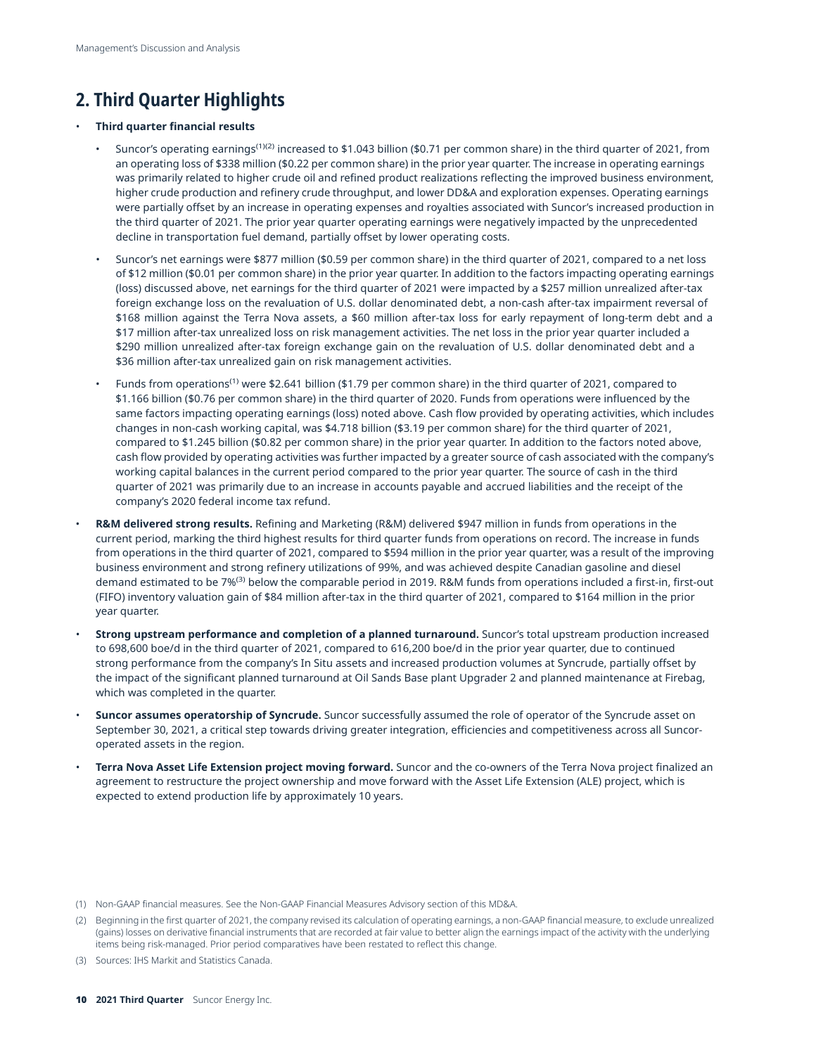# <span id="page-9-0"></span>**2. Third Quarter Highlights**

#### • **Third quarter financial results**

- Suncor's operating earnings<sup>(1)(2)</sup> increased to \$1.043 billion (\$0.71 per common share) in the third quarter of 2021, from an operating loss of \$338 million (\$0.22 per common share) in the prior year quarter. The increase in operating earnings was primarily related to higher crude oil and refined product realizations reflecting the improved business environment, higher crude production and refinery crude throughput, and lower DD&A and exploration expenses. Operating earnings were partially offset by an increase in operating expenses and royalties associated with Suncor's increased production in the third quarter of 2021. The prior year quarter operating earnings were negatively impacted by the unprecedented decline in transportation fuel demand, partially offset by lower operating costs.
- Suncor's net earnings were \$877 million (\$0.59 per common share) in the third quarter of 2021, compared to a net loss of \$12 million (\$0.01 per common share) in the prior year quarter. In addition to the factors impacting operating earnings (loss) discussed above, net earnings for the third quarter of 2021 were impacted by a \$257 million unrealized after-tax foreign exchange loss on the revaluation of U.S. dollar denominated debt, a non-cash after-tax impairment reversal of \$168 million against the Terra Nova assets, a \$60 million after-tax loss for early repayment of long-term debt and a \$17 million after-tax unrealized loss on risk management activities. The net loss in the prior year quarter included a \$290 million unrealized after-tax foreign exchange gain on the revaluation of U.S. dollar denominated debt and a \$36 million after-tax unrealized gain on risk management activities.
- Funds from operations(1) were \$2.641 billion (\$1.79 per common share) in the third quarter of 2021, compared to \$1.166 billion (\$0.76 per common share) in the third quarter of 2020. Funds from operations were influenced by the same factors impacting operating earnings (loss) noted above. Cash flow provided by operating activities, which includes changes in non-cash working capital, was \$4.718 billion (\$3.19 per common share) for the third quarter of 2021, compared to \$1.245 billion (\$0.82 per common share) in the prior year quarter. In addition to the factors noted above, cash flow provided by operating activities was further impacted by a greater source of cash associated with the company's working capital balances in the current period compared to the prior year quarter. The source of cash in the third quarter of 2021 was primarily due to an increase in accounts payable and accrued liabilities and the receipt of the company's 2020 federal income tax refund.
- **R&M delivered strong results.** Refining and Marketing (R&M) delivered \$947 million in funds from operations in the current period, marking the third highest results for third quarter funds from operations on record. The increase in funds from operations in the third quarter of 2021, compared to \$594 million in the prior year quarter, was a result of the improving business environment and strong refinery utilizations of 99%, and was achieved despite Canadian gasoline and diesel demand estimated to be 7%<sup>(3)</sup> below the comparable period in 2019. R&M funds from operations included a first-in, first-out (FIFO) inventory valuation gain of \$84 million after-tax in the third quarter of 2021, compared to \$164 million in the prior year quarter.
- **Strong upstream performance and completion of a planned turnaround.** Suncor's total upstream production increased to 698,600 boe/d in the third quarter of 2021, compared to 616,200 boe/d in the prior year quarter, due to continued strong performance from the company's In Situ assets and increased production volumes at Syncrude, partially offset by the impact of the significant planned turnaround at Oil Sands Base plant Upgrader 2 and planned maintenance at Firebag, which was completed in the quarter.
- **Suncor assumes operatorship of Syncrude.** Suncor successfully assumed the role of operator of the Syncrude asset on September 30, 2021, a critical step towards driving greater integration, efficiencies and competitiveness across all Suncoroperated assets in the region.
- **Terra Nova Asset Life Extension project moving forward.** Suncor and the co-owners of the Terra Nova project finalized an agreement to restructure the project ownership and move forward with the Asset Life Extension (ALE) project, which is expected to extend production life by approximately 10 years.

(3) Sources: IHS Markit and Statistics Canada.

<sup>(1)</sup> Non-GAAP financial measures. See the Non-GAAP Financial Measures Advisory section of this MD&A.

<sup>(2)</sup> Beginning in the first quarter of 2021, the company revised its calculation of operating earnings, a non-GAAP financial measure, to exclude unrealized (gains) losses on derivative financial instruments that are recorded at fair value to better align the earnings impact of the activity with the underlying items being risk-managed. Prior period comparatives have been restated to reflect this change.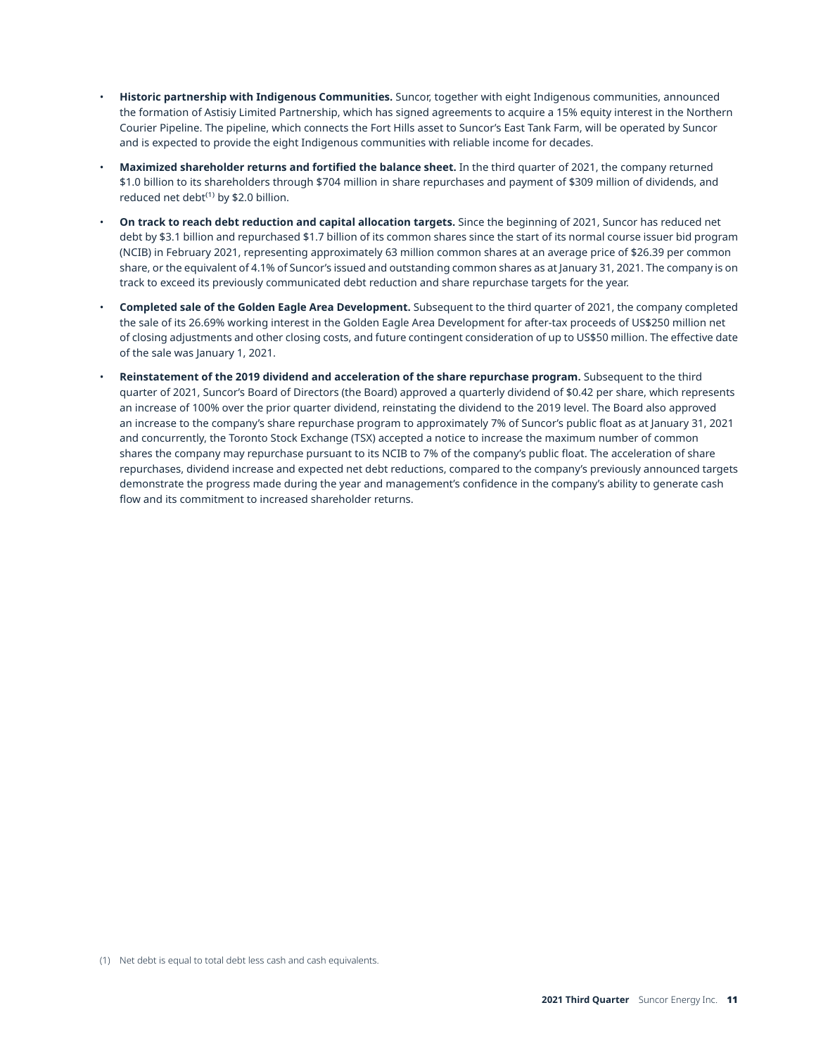- **Historic partnership with Indigenous Communities.** Suncor, together with eight Indigenous communities, announced the formation of Astisiy Limited Partnership, which has signed agreements to acquire a 15% equity interest in the Northern Courier Pipeline. The pipeline, which connects the Fort Hills asset to Suncor's East Tank Farm, will be operated by Suncor and is expected to provide the eight Indigenous communities with reliable income for decades.
- **Maximized shareholder returns and fortified the balance sheet.** In the third quarter of 2021, the company returned \$1.0 billion to its shareholders through \$704 million in share repurchases and payment of \$309 million of dividends, and reduced net debt $^{(1)}$  by \$2.0 billion.
- **On track to reach debt reduction and capital allocation targets.** Since the beginning of 2021, Suncor has reduced net debt by \$3.1 billion and repurchased \$1.7 billion of its common shares since the start of its normal course issuer bid program (NCIB) in February 2021, representing approximately 63 million common shares at an average price of \$26.39 per common share, or the equivalent of 4.1% of Suncor's issued and outstanding common shares as at January 31, 2021. The company is on track to exceed its previously communicated debt reduction and share repurchase targets for the year.
- **Completed sale of the Golden Eagle Area Development.** Subsequent to the third quarter of 2021, the company completed the sale of its 26.69% working interest in the Golden Eagle Area Development for after-tax proceeds of US\$250 million net of closing adjustments and other closing costs, and future contingent consideration of up to US\$50 million. The effective date of the sale was January 1, 2021.
- **Reinstatement of the 2019 dividend and acceleration of the share repurchase program.** Subsequent to the third quarter of 2021, Suncor's Board of Directors (the Board) approved a quarterly dividend of \$0.42 per share, which represents an increase of 100% over the prior quarter dividend, reinstating the dividend to the 2019 level. The Board also approved an increase to the company's share repurchase program to approximately 7% of Suncor's public float as at January 31, 2021 and concurrently, the Toronto Stock Exchange (TSX) accepted a notice to increase the maximum number of common shares the company may repurchase pursuant to its NCIB to 7% of the company's public float. The acceleration of share repurchases, dividend increase and expected net debt reductions, compared to the company's previously announced targets demonstrate the progress made during the year and management's confidence in the company's ability to generate cash flow and its commitment to increased shareholder returns.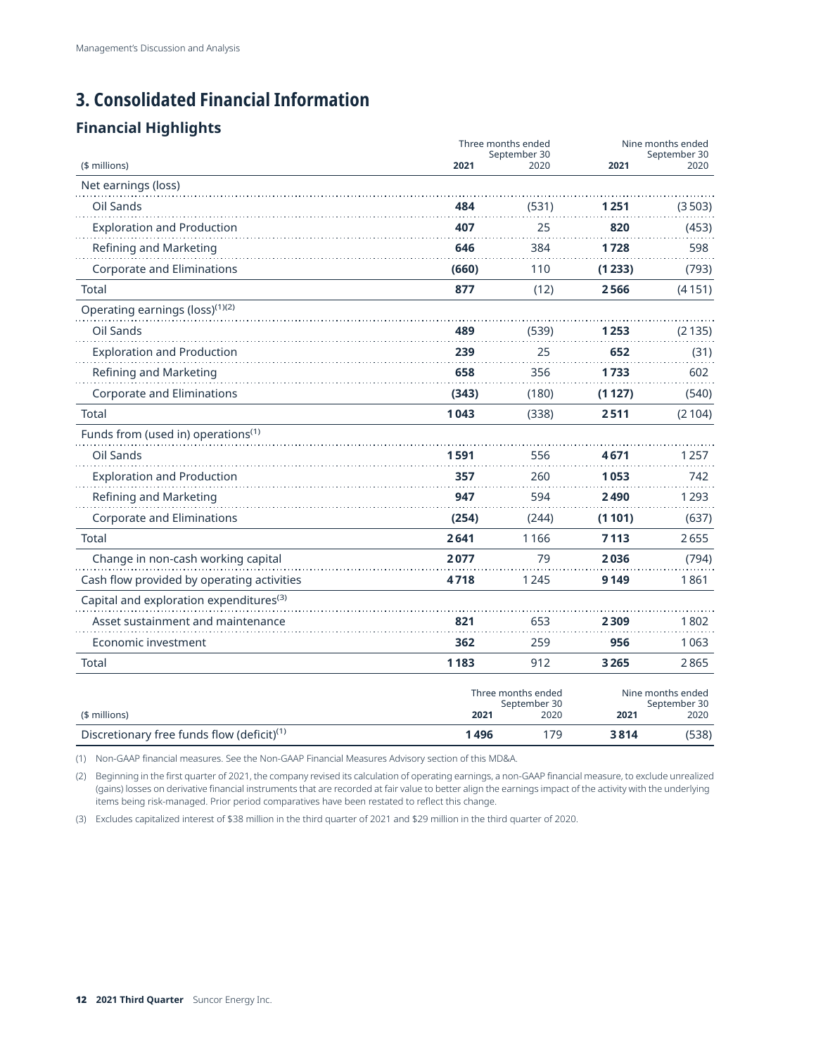# <span id="page-11-0"></span>**3. Consolidated Financial Information**

## **Financial Highlights**

|                                                                         | Three months ended<br>September 30 |             | Nine months ended<br>September 30 |        |
|-------------------------------------------------------------------------|------------------------------------|-------------|-----------------------------------|--------|
| (\$ millions)                                                           | 2021                               | 2020        | 2021                              | 2020   |
| Net earnings (loss)                                                     |                                    |             |                                   |        |
| Oil Sands                                                               | 484                                | (531)       | 1 251                             | (3503) |
| <b>Exploration and Production</b>                                       | 407                                | 25          | 820                               | (453)  |
| Refining and Marketing                                                  | 646                                | 384         | 1728                              | 598    |
| <b>Corporate and Eliminations</b>                                       | (660)                              | 110         | (1233)                            | (793)  |
| Total                                                                   | 877                                | (12)        | 2566                              | (4151) |
| Operating earnings (loss) <sup>(1)(2)</sup>                             |                                    |             |                                   |        |
| Oil Sands                                                               | 489                                | (539)       | 1 253                             | (2135) |
| <b>Exploration and Production</b>                                       | 239                                | 25          | 652                               | (31)   |
| Refining and Marketing                                                  | 658                                | 356         | 1733                              | 602    |
| Corporate and Eliminations                                              | (343)                              | (180)       | (1127)                            | (540)  |
| Total                                                                   | 1043                               | (338)       | 2511                              | (2104) |
| Funds from (used in) operations <sup>(1)</sup>                          |                                    |             |                                   |        |
| Oil Sands                                                               | 1591                               | 556         | 4671                              | 1257   |
| <b>Exploration and Production</b>                                       | 357                                | 260         | 1053                              | 742    |
| Refining and Marketing                                                  | 947                                | 594         | 2490                              | 1293   |
| Corporate and Eliminations                                              | (254)                              | (244)       | (1101)                            | (637)  |
| <b>Total</b>                                                            | 2641                               | 1166        | 7113                              | 2655   |
| Change in non-cash working capital                                      | 2077                               | 79          | 2036                              | (794)  |
| Cash flow provided by operating activities                              | 4718                               | 1245        | 9 1 4 9                           | 1861   |
| Capital and exploration expenditures <sup>(3)</sup>                     |                                    |             |                                   |        |
| Asset sustainment and maintenance                                       | 821                                | 653         | 2309                              | 1802   |
| Economic investment                                                     | 362                                | 259         | 956                               | 1063   |
| Total                                                                   | 1183                               | 912         | 3265                              | 2865   |
|                                                                         | Three months ended<br>September 30 |             | Nine months ended<br>September 30 |        |
| (\$ millions)<br>Discretionary free funds flow (deficit) <sup>(1)</sup> | 2021<br>1496                       | 2020<br>179 | 2021<br>3814                      | 2020   |
|                                                                         |                                    |             |                                   | (538)  |

(1) Non-GAAP financial measures. See the Non-GAAP Financial Measures Advisory section of this MD&A.

(2) Beginning in the first quarter of 2021, the company revised its calculation of operating earnings, a non-GAAP financial measure, to exclude unrealized (gains) losses on derivative financial instruments that are recorded at fair value to better align the earnings impact of the activity with the underlying items being risk-managed. Prior period comparatives have been restated to reflect this change.

(3) Excludes capitalized interest of \$38 million in the third quarter of 2021 and \$29 million in the third quarter of 2020.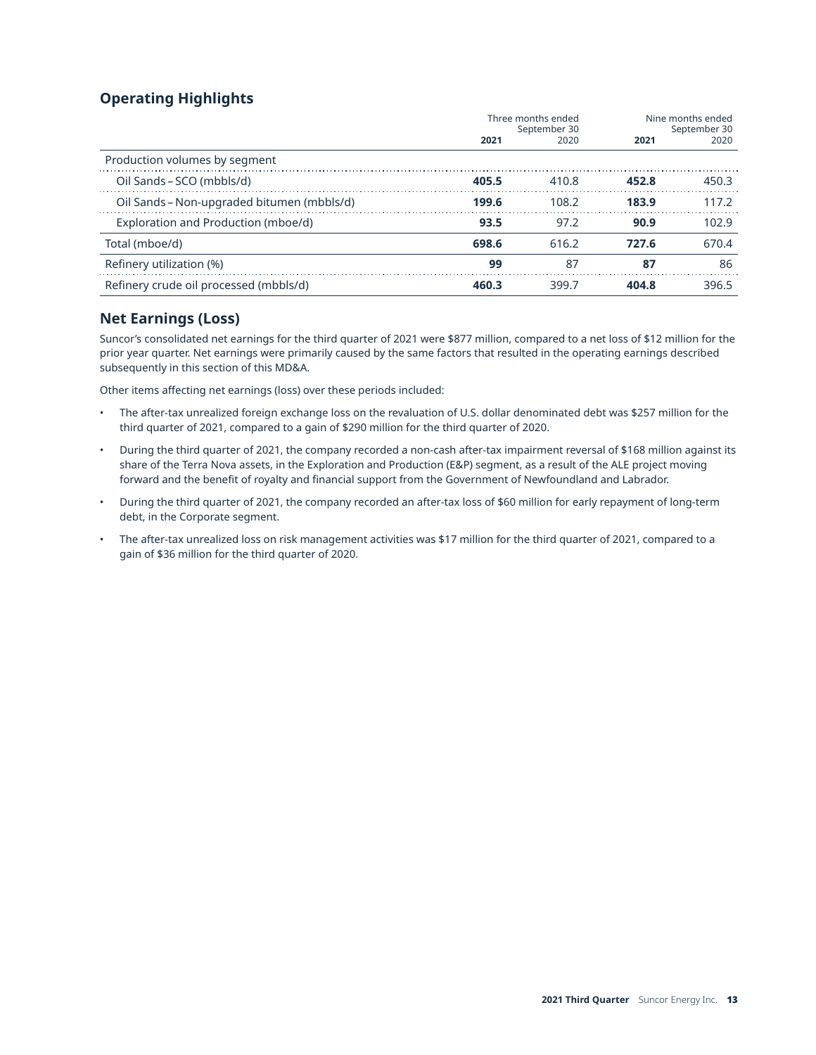## **Operating Highlights**

|                                            | Three months ended<br>September 30 |       | Nine months ended<br>September 30 |       |
|--------------------------------------------|------------------------------------|-------|-----------------------------------|-------|
|                                            | 2021                               | 2020  | 2021                              | 2020  |
| Production volumes by segment              |                                    |       |                                   |       |
| Oil Sands – SCO (mbbls/d)                  | 405.5                              | 410.8 | 452.8                             | 450.3 |
| Oil Sands – Non-upgraded bitumen (mbbls/d) | 199.6                              | 108.2 | 183.9                             | 117.2 |
| Exploration and Production (mboe/d)        | 93.5                               | 97.2  | 90.9                              | 102.9 |
| Total (mboe/d)                             | 698.6                              | 616.2 | 727.6                             | 670.4 |
| Refinery utilization (%)                   | 99                                 | 87    | 87                                | 86    |
| Refinery crude oil processed (mbbls/d)     | 460.3                              | 399.7 | 404.8                             | 396.5 |

## **Net Earnings (Loss)**

Suncor's consolidated net earnings for the third quarter of 2021 were \$877 million, compared to a net loss of \$12 million for the prior year quarter. Net earnings were primarily caused by the same factors that resulted in the operating earnings described subsequently in this section of this MD&A.

Other items affecting net earnings (loss) over these periods included:

- The after-tax unrealized foreign exchange loss on the revaluation of U.S. dollar denominated debt was \$257 million for the third quarter of 2021, compared to a gain of \$290 million for the third quarter of 2020.
- During the third quarter of 2021, the company recorded a non-cash after-tax impairment reversal of \$168 million against its share of the Terra Nova assets, in the Exploration and Production (E&P) segment, as a result of the ALE project moving forward and the benefit of royalty and financial support from the Government of Newfoundland and Labrador.
- During the third quarter of 2021, the company recorded an after-tax loss of \$60 million for early repayment of long-term debt, in the Corporate segment.
- The after-tax unrealized loss on risk management activities was \$17 million for the third quarter of 2021, compared to a gain of \$36 million for the third quarter of 2020.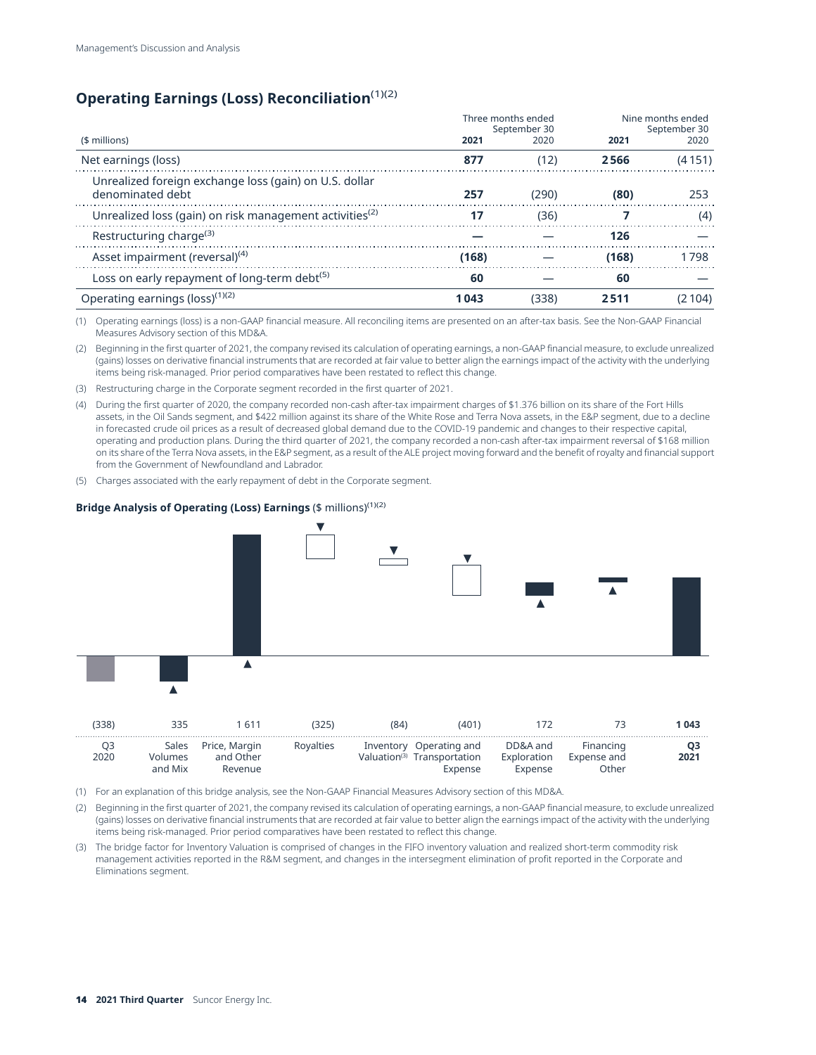## **Operating Earnings (Loss) Reconciliation**(1)(2)

|                                                                            | Three months ended<br>September 30 |       | Nine months ended<br>September 30 |        |
|----------------------------------------------------------------------------|------------------------------------|-------|-----------------------------------|--------|
| (\$ millions)                                                              | 2021                               | 2020  | 2021                              | 2020   |
| Net earnings (loss)                                                        | 877                                | (12)  | 2566                              | (4151) |
| Unrealized foreign exchange loss (gain) on U.S. dollar<br>denominated debt | 257                                | (290) | (80)                              | 253    |
| Unrealized loss (gain) on risk management activities <sup>(2)</sup>        | 17                                 | (36)  |                                   | (4)    |
| Restructuring charge <sup>(3)</sup>                                        |                                    |       | 126                               |        |
| Asset impairment (reversal) <sup>(4)</sup>                                 | (168)                              |       | (168)                             | 1798   |
| Loss on early repayment of long-term debt <sup>(5)</sup>                   | 60                                 |       | 60                                |        |
| Operating earnings (loss) <sup>(1)(2)</sup>                                | 1043                               | (338) | 2511                              | 2 104) |

(1) Operating earnings (loss) is a non-GAAP financial measure. All reconciling items are presented on an after-tax basis. See the Non-GAAP Financial Measures Advisory section of this MD&A.

(2) Beginning in the first quarter of 2021, the company revised its calculation of operating earnings, a non-GAAP financial measure, to exclude unrealized (gains) losses on derivative financial instruments that are recorded at fair value to better align the earnings impact of the activity with the underlying items being risk-managed. Prior period comparatives have been restated to reflect this change.

- (3) Restructuring charge in the Corporate segment recorded in the first quarter of 2021.
- (4) During the first quarter of 2020, the company recorded non-cash after-tax impairment charges of \$1.376 billion on its share of the Fort Hills assets, in the Oil Sands segment, and \$422 million against its share of the White Rose and Terra Nova assets, in the E&P segment, due to a decline in forecasted crude oil prices as a result of decreased global demand due to the COVID-19 pandemic and changes to their respective capital, operating and production plans. During the third quarter of 2021, the company recorded a non-cash after-tax impairment reversal of \$168 million on its share of the Terra Nova assets, in the E&P segment, as a result of the ALE project moving forward and the benefit of royalty and financial support from the Government of Newfoundland and Labrador.
- (5) Charges associated with the early repayment of debt in the Corporate segment.

#### **Bridge Analysis of Operating (Loss) Earnings (\$ millions)<sup>(1)(2)</sup>**



|      |                          |                         | $\cdots$                                                           | . | ------    | .                          |                  |      |
|------|--------------------------|-------------------------|--------------------------------------------------------------------|---|-----------|----------------------------|------------------|------|
| 2021 | Financing<br>Expense and | DD&A and<br>Exploration | Inventory Operating and<br>Valuation <sup>(3)</sup> Transportation |   | Rovalties | Price, Margin<br>and Other | Sales<br>Volumes | 2020 |
|      | Other                    | Expense                 | Expense                                                            |   |           | Revenue                    | and Mix          |      |

(1) For an explanation of this bridge analysis, see the Non-GAAP Financial Measures Advisory section of this MD&A.

(2) Beginning in the first quarter of 2021, the company revised its calculation of operating earnings, a non-GAAP financial measure, to exclude unrealized (gains) losses on derivative financial instruments that are recorded at fair value to better align the earnings impact of the activity with the underlying items being risk-managed. Prior period comparatives have been restated to reflect this change.

(3) The bridge factor for Inventory Valuation is comprised of changes in the FIFO inventory valuation and realized short-term commodity risk management activities reported in the R&M segment, and changes in the intersegment elimination of profit reported in the Corporate and Eliminations segment.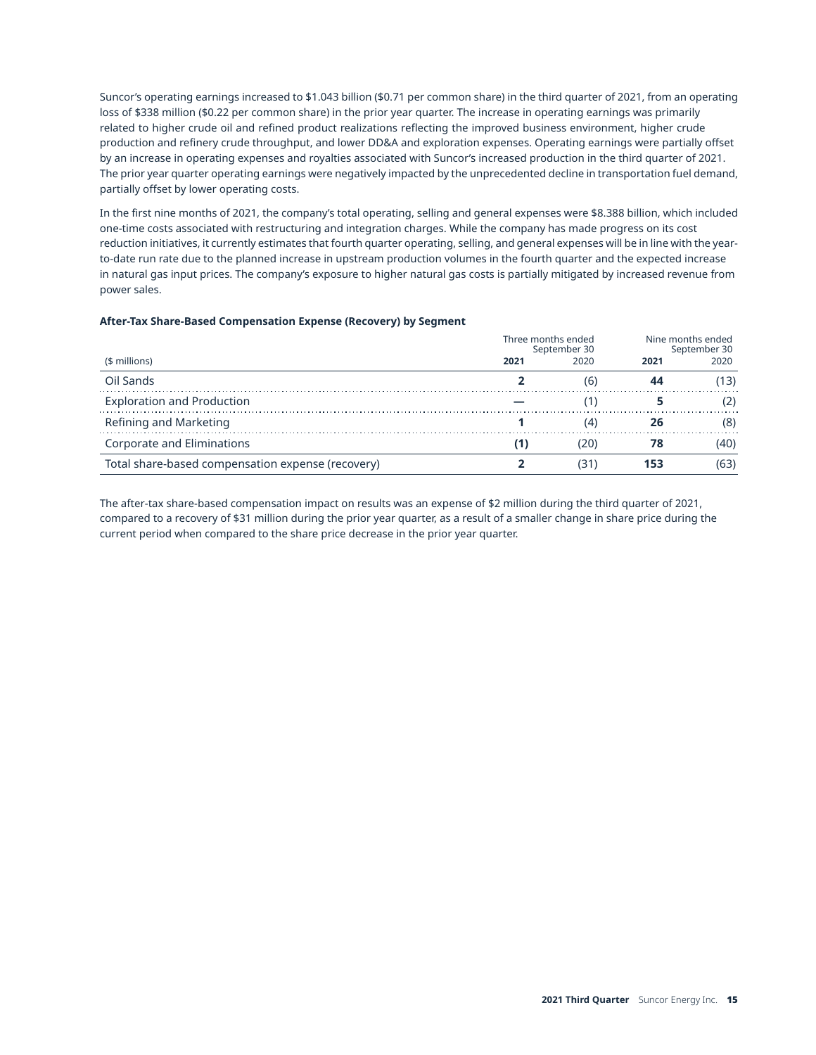Suncor's operating earnings increased to \$1.043 billion (\$0.71 per common share) in the third quarter of 2021, from an operating loss of \$338 million (\$0.22 per common share) in the prior year quarter. The increase in operating earnings was primarily related to higher crude oil and refined product realizations reflecting the improved business environment, higher crude production and refinery crude throughput, and lower DD&A and exploration expenses. Operating earnings were partially offset by an increase in operating expenses and royalties associated with Suncor's increased production in the third quarter of 2021. The prior year quarter operating earnings were negatively impacted by the unprecedented decline in transportation fuel demand, partially offset by lower operating costs.

In the first nine months of 2021, the company's total operating, selling and general expenses were \$8.388 billion, which included one-time costs associated with restructuring and integration charges. While the company has made progress on its cost reduction initiatives, it currently estimates that fourth quarter operating, selling, and general expenses will be in line with the yearto-date run rate due to the planned increase in upstream production volumes in the fourth quarter and the expected increase in natural gas input prices. The company's exposure to higher natural gas costs is partially mitigated by increased revenue from power sales.

#### **After-Tax Share-Based Compensation Expense (Recovery) by Segment**

|                                                   |      | Three months ended<br>September 30 | Nine months ended<br>September 30 |      |
|---------------------------------------------------|------|------------------------------------|-----------------------------------|------|
| (\$ millions)                                     | 2021 | 2020                               | 2021                              | 2020 |
| Oil Sands                                         |      | (6                                 |                                   | 13)  |
| <b>Exploration and Production</b>                 |      |                                    |                                   |      |
| Refining and Marketing                            |      |                                    |                                   | (8)  |
| Corporate and Eliminations                        |      | 20                                 |                                   | 40)  |
| Total share-based compensation expense (recovery) |      | I31                                | 153                               | 631  |

The after-tax share-based compensation impact on results was an expense of \$2 million during the third quarter of 2021, compared to a recovery of \$31 million during the prior year quarter, as a result of a smaller change in share price during the current period when compared to the share price decrease in the prior year quarter.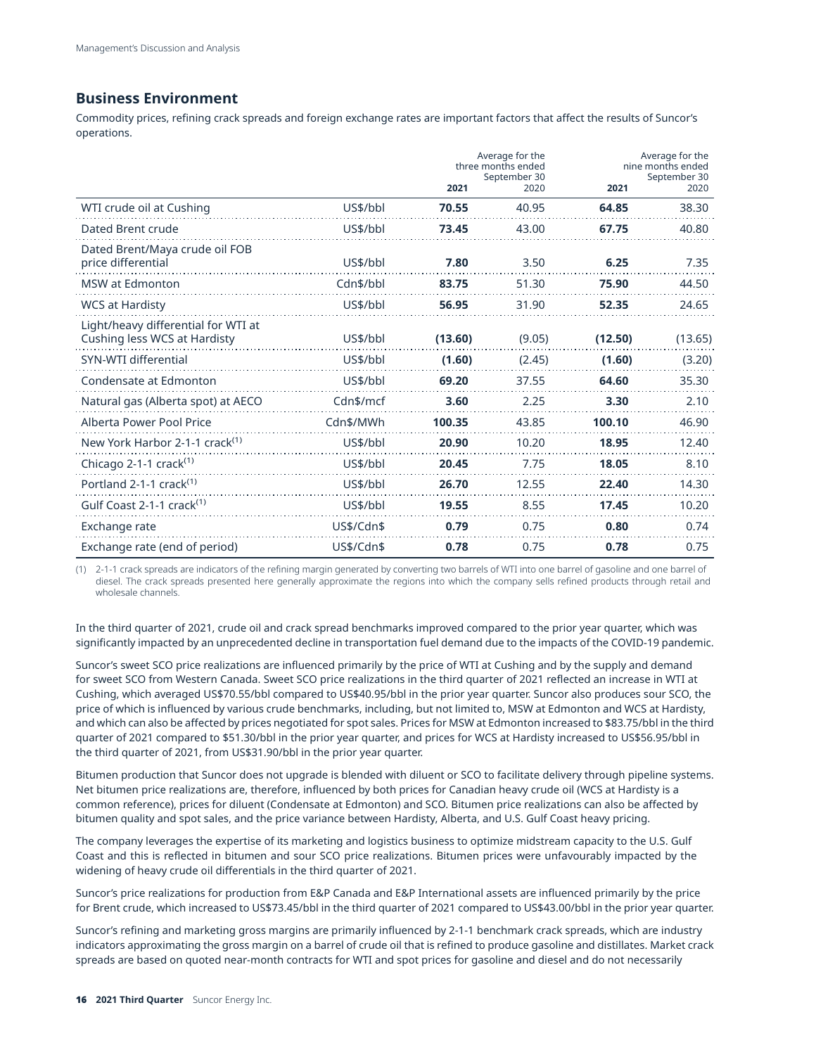### **Business Environment**

Commodity prices, refining crack spreads and foreign exchange rates are important factors that affect the results of Suncor's operations.

|                                                                     |            | Average for the<br>three months ended<br>September 30<br>2021<br>2020 |        | 2021    | Average for the<br>nine months ended<br>September 30<br>2020 |  |
|---------------------------------------------------------------------|------------|-----------------------------------------------------------------------|--------|---------|--------------------------------------------------------------|--|
| WTI crude oil at Cushing                                            | US\$/bbl   | 70.55                                                                 | 40.95  | 64.85   | 38.30                                                        |  |
| Dated Brent crude                                                   | US\$/bbl   | 73.45                                                                 | 43.00  | 67.75   | 40.80                                                        |  |
| Dated Brent/Maya crude oil FOB<br>price differential                | US\$/bbl   | 7.80                                                                  | 3.50   | 6.25    | 7.35                                                         |  |
| <b>MSW</b> at Edmonton                                              | Cdn\$/bbl  | 83.75                                                                 | 51.30  | 75.90   | 44.50                                                        |  |
| <b>WCS at Hardisty</b>                                              | US\$/bbl   | 56.95                                                                 | 31.90  | 52.35   | 24.65                                                        |  |
| Light/heavy differential for WTI at<br>Cushing less WCS at Hardisty | US\$/bbl   | (13.60)                                                               | (9.05) | (12.50) | (13.65)                                                      |  |
| SYN-WTI differential                                                | US\$/bbl   | (1.60)                                                                | (2.45) | (1.60)  | (3.20)                                                       |  |
| Condensate at Edmonton                                              | US\$/bbl   | 69.20                                                                 | 37.55  | 64.60   | 35.30                                                        |  |
| Natural gas (Alberta spot) at AECO                                  | Cdn\$/mcf  | 3.60                                                                  | 2.25   | 3.30    | 2.10                                                         |  |
| Alberta Power Pool Price                                            | Cdn\$/MWh  | 100.35                                                                | 43.85  | 100.10  | 46.90                                                        |  |
| New York Harbor 2-1-1 crack <sup>(1)</sup>                          | US\$/bbl   | 20.90                                                                 | 10.20  | 18.95   | 12.40                                                        |  |
| Chicago 2-1-1 crack $(1)$                                           | US\$/bbl   | 20.45                                                                 | 7.75   | 18.05   | 8.10                                                         |  |
| Portland 2-1-1 crack <sup>(1)</sup>                                 | US\$/bbl   | 26.70                                                                 | 12.55  | 22.40   | 14.30                                                        |  |
| Gulf Coast 2-1-1 crack <sup>(1)</sup>                               | US\$/bbl   | 19.55                                                                 | 8.55   | 17.45   | 10.20                                                        |  |
| Exchange rate                                                       | US\$/Cdn\$ | 0.79                                                                  | 0.75   | 0.80    | 0.74                                                         |  |
| Exchange rate (end of period)                                       | US\$/Cdn\$ | 0.78                                                                  | 0.75   | 0.78    | 0.75                                                         |  |

(1) 2-1-1 crack spreads are indicators of the refining margin generated by converting two barrels of WTI into one barrel of gasoline and one barrel of diesel. The crack spreads presented here generally approximate the regions into which the company sells refined products through retail and wholesale channels.

In the third quarter of 2021, crude oil and crack spread benchmarks improved compared to the prior year quarter, which was significantly impacted by an unprecedented decline in transportation fuel demand due to the impacts of the COVID-19 pandemic.

Suncor's sweet SCO price realizations are influenced primarily by the price of WTI at Cushing and by the supply and demand for sweet SCO from Western Canada. Sweet SCO price realizations in the third quarter of 2021 reflected an increase in WTI at Cushing, which averaged US\$70.55/bbl compared to US\$40.95/bbl in the prior year quarter. Suncor also produces sour SCO, the price of which is influenced by various crude benchmarks, including, but not limited to, MSW at Edmonton and WCS at Hardisty, and which can also be affected by prices negotiated for spot sales. Prices for MSW at Edmonton increased to \$83.75/bbl in the third quarter of 2021 compared to \$51.30/bbl in the prior year quarter, and prices for WCS at Hardisty increased to US\$56.95/bbl in the third quarter of 2021, from US\$31.90/bbl in the prior year quarter.

Bitumen production that Suncor does not upgrade is blended with diluent or SCO to facilitate delivery through pipeline systems. Net bitumen price realizations are, therefore, influenced by both prices for Canadian heavy crude oil (WCS at Hardisty is a common reference), prices for diluent (Condensate at Edmonton) and SCO. Bitumen price realizations can also be affected by bitumen quality and spot sales, and the price variance between Hardisty, Alberta, and U.S. Gulf Coast heavy pricing.

The company leverages the expertise of its marketing and logistics business to optimize midstream capacity to the U.S. Gulf Coast and this is reflected in bitumen and sour SCO price realizations. Bitumen prices were unfavourably impacted by the widening of heavy crude oil differentials in the third quarter of 2021.

Suncor's price realizations for production from E&P Canada and E&P International assets are influenced primarily by the price for Brent crude, which increased to US\$73.45/bbl in the third quarter of 2021 compared to US\$43.00/bbl in the prior year quarter.

Suncor's refining and marketing gross margins are primarily influenced by 2-1-1 benchmark crack spreads, which are industry indicators approximating the gross margin on a barrel of crude oil that is refined to produce gasoline and distillates. Market crack spreads are based on quoted near-month contracts for WTI and spot prices for gasoline and diesel and do not necessarily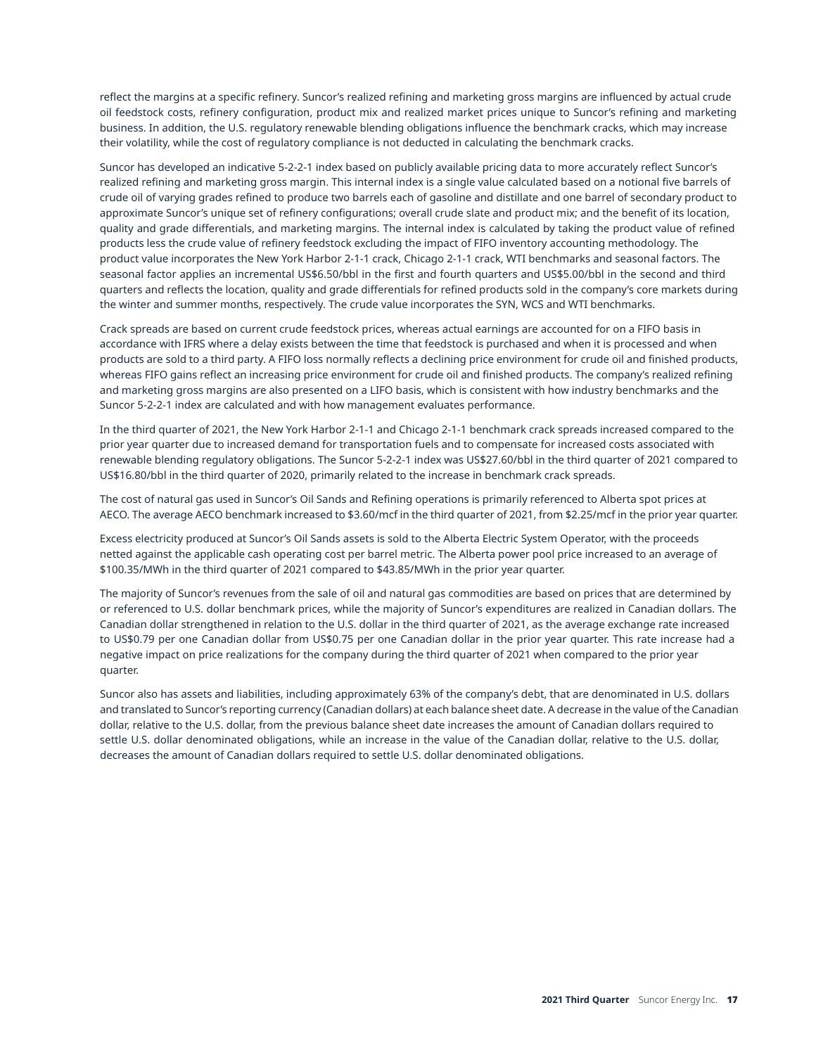reflect the margins at a specific refinery. Suncor's realized refining and marketing gross margins are influenced by actual crude oil feedstock costs, refinery configuration, product mix and realized market prices unique to Suncor's refining and marketing business. In addition, the U.S. regulatory renewable blending obligations influence the benchmark cracks, which may increase their volatility, while the cost of regulatory compliance is not deducted in calculating the benchmark cracks.

Suncor has developed an indicative 5-2-2-1 index based on publicly available pricing data to more accurately reflect Suncor's realized refining and marketing gross margin. This internal index is a single value calculated based on a notional five barrels of crude oil of varying grades refined to produce two barrels each of gasoline and distillate and one barrel of secondary product to approximate Suncor's unique set of refinery configurations; overall crude slate and product mix; and the benefit of its location, quality and grade differentials, and marketing margins. The internal index is calculated by taking the product value of refined products less the crude value of refinery feedstock excluding the impact of FIFO inventory accounting methodology. The product value incorporates the New York Harbor 2-1-1 crack, Chicago 2-1-1 crack, WTI benchmarks and seasonal factors. The seasonal factor applies an incremental US\$6.50/bbl in the first and fourth quarters and US\$5.00/bbl in the second and third quarters and reflects the location, quality and grade differentials for refined products sold in the company's core markets during the winter and summer months, respectively. The crude value incorporates the SYN, WCS and WTI benchmarks.

Crack spreads are based on current crude feedstock prices, whereas actual earnings are accounted for on a FIFO basis in accordance with IFRS where a delay exists between the time that feedstock is purchased and when it is processed and when products are sold to a third party. A FIFO loss normally reflects a declining price environment for crude oil and finished products, whereas FIFO gains reflect an increasing price environment for crude oil and finished products. The company's realized refining and marketing gross margins are also presented on a LIFO basis, which is consistent with how industry benchmarks and the Suncor 5-2-2-1 index are calculated and with how management evaluates performance.

In the third quarter of 2021, the New York Harbor 2-1-1 and Chicago 2-1-1 benchmark crack spreads increased compared to the prior year quarter due to increased demand for transportation fuels and to compensate for increased costs associated with renewable blending regulatory obligations. The Suncor 5-2-2-1 index was US\$27.60/bbl in the third quarter of 2021 compared to US\$16.80/bbl in the third quarter of 2020, primarily related to the increase in benchmark crack spreads.

The cost of natural gas used in Suncor's Oil Sands and Refining operations is primarily referenced to Alberta spot prices at AECO. The average AECO benchmark increased to \$3.60/mcf in the third quarter of 2021, from \$2.25/mcf in the prior year quarter.

Excess electricity produced at Suncor's Oil Sands assets is sold to the Alberta Electric System Operator, with the proceeds netted against the applicable cash operating cost per barrel metric. The Alberta power pool price increased to an average of \$100.35/MWh in the third quarter of 2021 compared to \$43.85/MWh in the prior year quarter.

The majority of Suncor's revenues from the sale of oil and natural gas commodities are based on prices that are determined by or referenced to U.S. dollar benchmark prices, while the majority of Suncor's expenditures are realized in Canadian dollars. The Canadian dollar strengthened in relation to the U.S. dollar in the third quarter of 2021, as the average exchange rate increased to US\$0.79 per one Canadian dollar from US\$0.75 per one Canadian dollar in the prior year quarter. This rate increase had a negative impact on price realizations for the company during the third quarter of 2021 when compared to the prior year quarter.

Suncor also has assets and liabilities, including approximately 63% of the company's debt, that are denominated in U.S. dollars and translated to Suncor's reporting currency (Canadian dollars) at each balance sheet date. A decrease in the value of the Canadian dollar, relative to the U.S. dollar, from the previous balance sheet date increases the amount of Canadian dollars required to settle U.S. dollar denominated obligations, while an increase in the value of the Canadian dollar, relative to the U.S. dollar, decreases the amount of Canadian dollars required to settle U.S. dollar denominated obligations.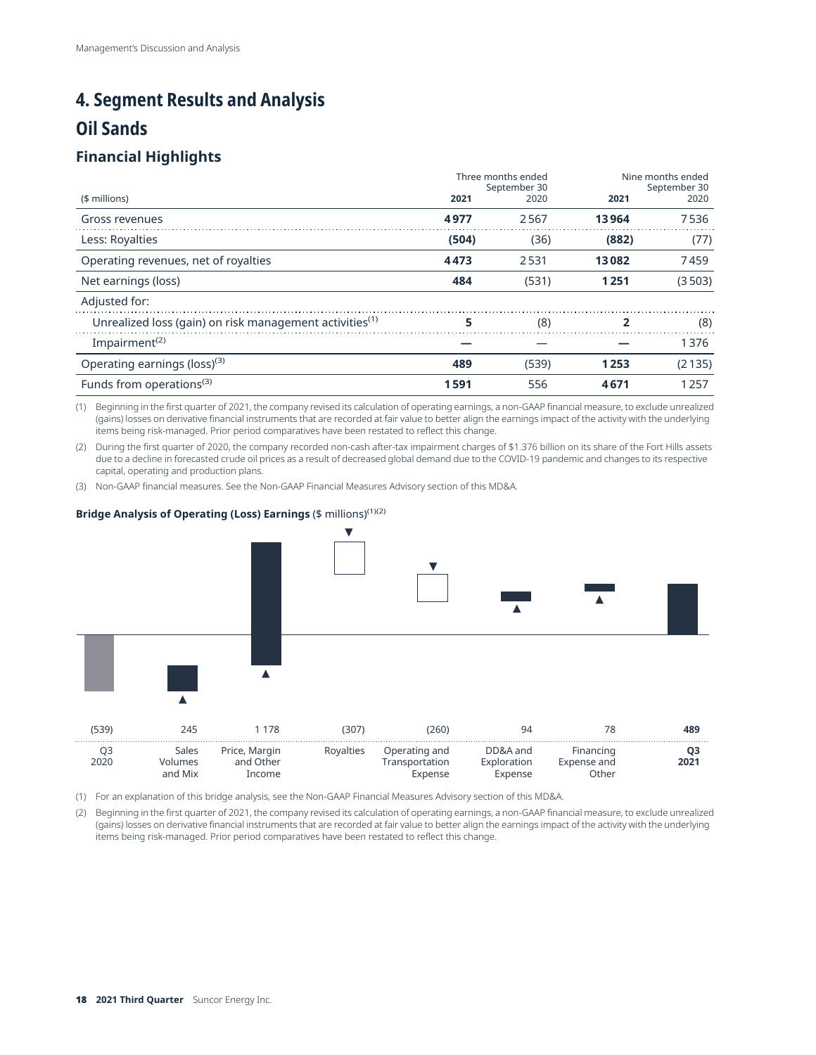# <span id="page-17-0"></span>**4. Segment Results and Analysis**

## **Oil Sands**

## **Financial Highlights**

|                                                                     |       | Three months ended<br>September 30 | Nine months ended<br>September 30 |        |
|---------------------------------------------------------------------|-------|------------------------------------|-----------------------------------|--------|
| (\$ millions)                                                       | 2021  | 2020                               | 2021                              | 2020   |
| Gross revenues                                                      | 4977  | 2567                               | 13964                             | 7536   |
| Less: Royalties                                                     | (504) | (36)                               | (882)                             | (77)   |
| Operating revenues, net of royalties                                | 4473  | 2531                               | 13082                             | 7459   |
| Net earnings (loss)                                                 | 484   | (531)                              | 1251                              | (3503) |
| Adjusted for:                                                       |       |                                    |                                   |        |
| Unrealized loss (gain) on risk management activities <sup>(1)</sup> | 5     | (8)                                |                                   | (8)    |
| Impairment <sup>(2)</sup>                                           |       |                                    |                                   | 1376   |
| Operating earnings (loss) <sup>(3)</sup>                            | 489   | (539)                              | 1253                              | (2135) |
| Funds from operations <sup>(3)</sup>                                | 1591  | 556                                | 4671                              | 1257   |

(1) Beginning in the first quarter of 2021, the company revised its calculation of operating earnings, a non-GAAP financial measure, to exclude unrealized (gains) losses on derivative financial instruments that are recorded at fair value to better align the earnings impact of the activity with the underlying items being risk-managed. Prior period comparatives have been restated to reflect this change.

(2) During the first quarter of 2020, the company recorded non-cash after-tax impairment charges of \$1.376 billion on its share of the Fort Hills assets due to a decline in forecasted crude oil prices as a result of decreased global demand due to the COVID-19 pandemic and changes to its respective capital, operating and production plans.

(3) Non-GAAP financial measures. See the Non-GAAP Financial Measures Advisory section of this MD&A.

#### **Bridge Analysis of Operating (Loss) Earnings** (\$ millions)(1)(2)



(1) For an explanation of this bridge analysis, see the Non-GAAP Financial Measures Advisory section of this MD&A.

(2) Beginning in the first quarter of 2021, the company revised its calculation of operating earnings, a non-GAAP financial measure, to exclude unrealized (gains) losses on derivative financial instruments that are recorded at fair value to better align the earnings impact of the activity with the underlying items being risk-managed. Prior period comparatives have been restated to reflect this change.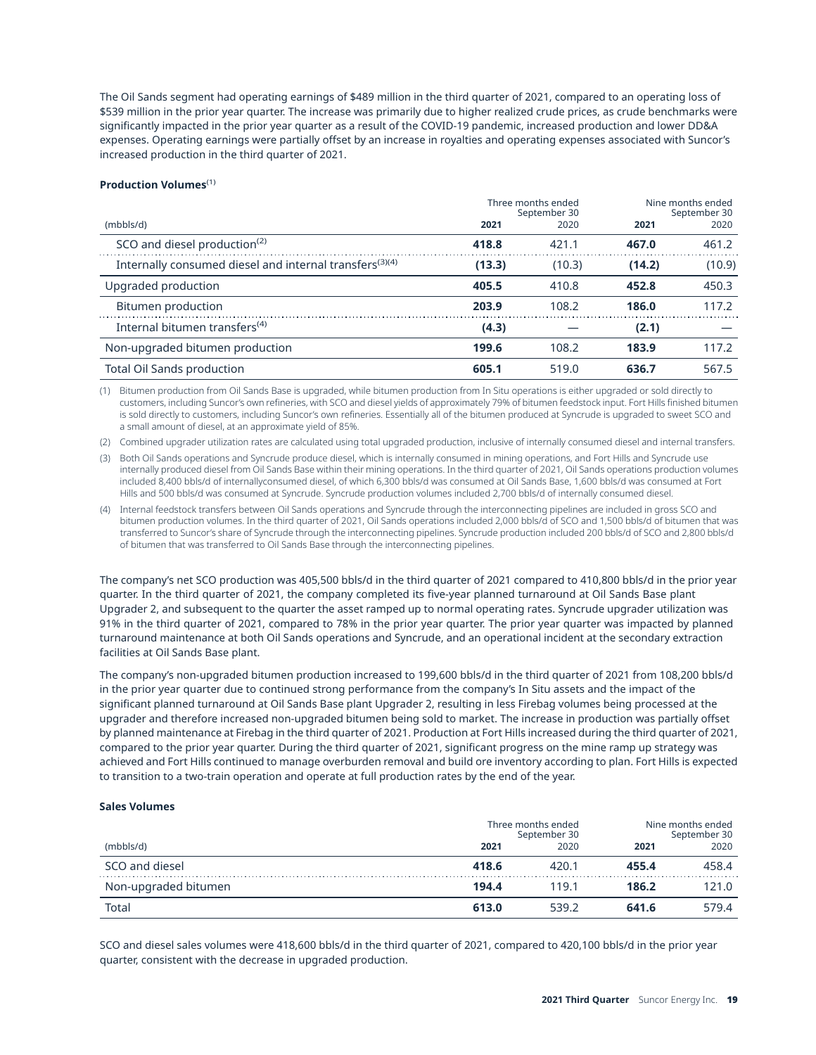The Oil Sands segment had operating earnings of \$489 million in the third quarter of 2021, compared to an operating loss of \$539 million in the prior year quarter. The increase was primarily due to higher realized crude prices, as crude benchmarks were significantly impacted in the prior year quarter as a result of the COVID-19 pandemic, increased production and lower DD&A expenses. Operating earnings were partially offset by an increase in royalties and operating expenses associated with Suncor's increased production in the third quarter of 2021.

#### **Production Volumes**(1)

|                                                                     |        | Three months ended<br>September 30 | Nine months ended<br>September 30 |        |  |
|---------------------------------------------------------------------|--------|------------------------------------|-----------------------------------|--------|--|
| (mbbls/d)                                                           | 2021   | 2020                               | 2021                              | 2020   |  |
| SCO and diesel production <sup>(2)</sup>                            | 418.8  | 421.1                              | 467.0                             | 461.2  |  |
| Internally consumed diesel and internal transfers <sup>(3)(4)</sup> | (13.3) | (10.3)                             | (14.2)                            | (10.9) |  |
| Upgraded production                                                 | 405.5  | 410.8                              | 452.8                             | 450.3  |  |
| Bitumen production                                                  | 203.9  | 108.2                              | 186.0                             | 117.2  |  |
| Internal bitumen transfers <sup>(4)</sup>                           | (4.3)  |                                    | (2.1)                             |        |  |
| Non-upgraded bitumen production                                     | 199.6  | 108.2                              | 183.9                             | 117.2  |  |
| Total Oil Sands production                                          | 605.1  | 519.0                              | 636.7                             | 567.5  |  |

(1) Bitumen production from Oil Sands Base is upgraded, while bitumen production from In Situ operations is either upgraded or sold directly to customers, including Suncor's own refineries, with SCO and diesel yields of approximately 79% of bitumen feedstock input. Fort Hills finished bitumen is sold directly to customers, including Suncor's own refineries. Essentially all of the bitumen produced at Syncrude is upgraded to sweet SCO and a small amount of diesel, at an approximate yield of 85%.

(2) Combined upgrader utilization rates are calculated using total upgraded production, inclusive of internally consumed diesel and internal transfers.

(3) Both Oil Sands operations and Syncrude produce diesel, which is internally consumed in mining operations, and Fort Hills and Syncrude use internally produced diesel from Oil Sands Base within their mining operations. In the third quarter of 2021, Oil Sands operations production volumes included 8,400 bbls/d of internallyconsumed diesel, of which 6,300 bbls/d was consumed at Oil Sands Base, 1,600 bbls/d was consumed at Fort Hills and 500 bbls/d was consumed at Syncrude. Syncrude production volumes included 2,700 bbls/d of internally consumed diesel.

(4) Internal feedstock transfers between Oil Sands operations and Syncrude through the interconnecting pipelines are included in gross SCO and bitumen production volumes. In the third quarter of 2021, Oil Sands operations included 2,000 bbls/d of SCO and 1,500 bbls/d of bitumen that was transferred to Suncor's share of Syncrude through the interconnecting pipelines. Syncrude production included 200 bbls/d of SCO and 2,800 bbls/d of bitumen that was transferred to Oil Sands Base through the interconnecting pipelines.

The company's net SCO production was 405,500 bbls/d in the third quarter of 2021 compared to 410,800 bbls/d in the prior year quarter. In the third quarter of 2021, the company completed its five-year planned turnaround at Oil Sands Base plant Upgrader 2, and subsequent to the quarter the asset ramped up to normal operating rates. Syncrude upgrader utilization was 91% in the third quarter of 2021, compared to 78% in the prior year quarter. The prior year quarter was impacted by planned turnaround maintenance at both Oil Sands operations and Syncrude, and an operational incident at the secondary extraction facilities at Oil Sands Base plant.

The company's non-upgraded bitumen production increased to 199,600 bbls/d in the third quarter of 2021 from 108,200 bbls/d in the prior year quarter due to continued strong performance from the company's In Situ assets and the impact of the significant planned turnaround at Oil Sands Base plant Upgrader 2, resulting in less Firebag volumes being processed at the upgrader and therefore increased non-upgraded bitumen being sold to market. The increase in production was partially offset by planned maintenance at Firebag in the third quarter of 2021. Production at Fort Hills increased during the third quarter of 2021, compared to the prior year quarter. During the third quarter of 2021, significant progress on the mine ramp up strategy was achieved and Fort Hills continued to manage overburden removal and build ore inventory according to plan. Fort Hills is expected to transition to a two-train operation and operate at full production rates by the end of the year.

#### **Sales Volumes**

|                      | Three months ended<br>September 30 |       | Nine months ended<br>September 30 |       |
|----------------------|------------------------------------|-------|-----------------------------------|-------|
| (mbbls/d)            | 2021                               | 2020  | 2021                              | 2020  |
| SCO and diesel       | 418.6                              | 420.1 | 455.4                             | 458.4 |
| Non-upgraded bitumen | 194.4                              | 119.1 | 186.2                             | 121.0 |
| Total                | 613.0                              | 539.2 | 641.6                             | 579.4 |

SCO and diesel sales volumes were 418,600 bbls/d in the third quarter of 2021, compared to 420,100 bbls/d in the prior year quarter, consistent with the decrease in upgraded production.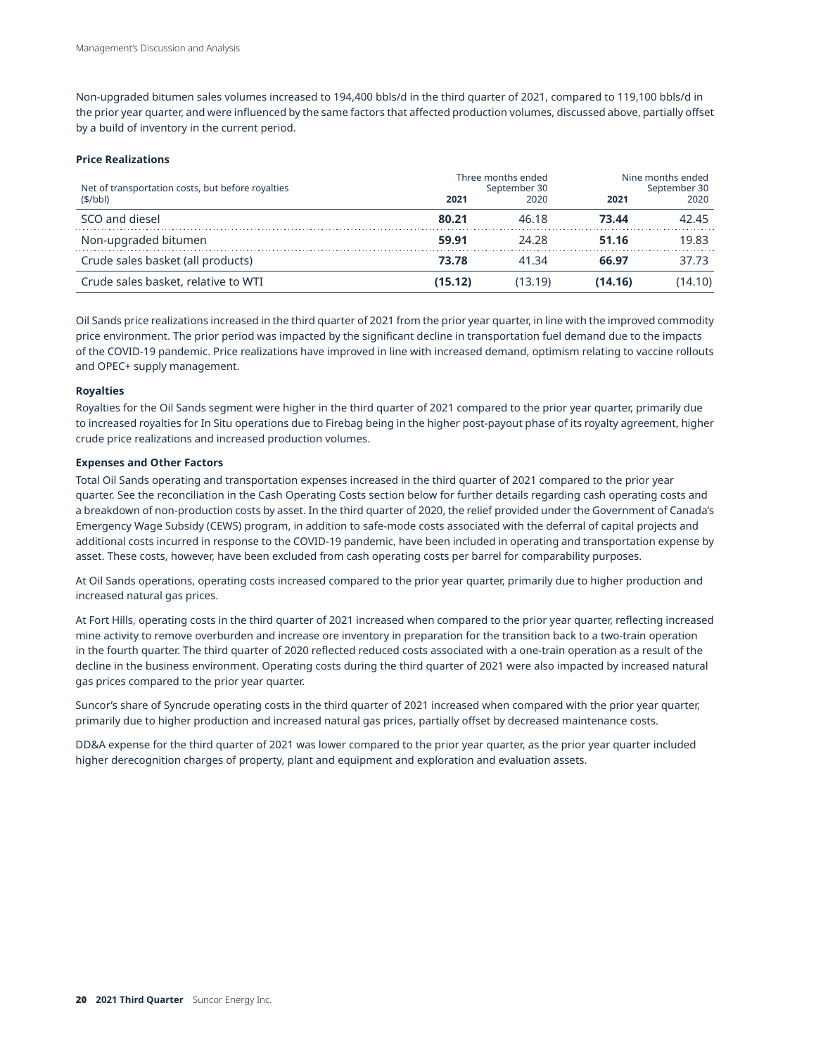Non-upgraded bitumen sales volumes increased to 194,400 bbls/d in the third quarter of 2021, compared to 119,100 bbls/d in the prior year quarter, and were influenced by the same factors that affected production volumes, discussed above, partially offset by a build of inventory in the current period.

#### **Price Realizations**

| Net of transportation costs, but before royalties<br>$($ \$/bbl) | Three months ended<br>September 30<br>2020<br>2021 |         | Nine months ended<br>September 30<br>2020<br>2021 |         |
|------------------------------------------------------------------|----------------------------------------------------|---------|---------------------------------------------------|---------|
| SCO and diesel                                                   | 80.21                                              | 46.18   | 73.44                                             | 42.45   |
| Non-upgraded bitumen                                             | 59.91                                              | 24.28   | 51.16                                             | 19.83   |
| Crude sales basket (all products)                                | 73.78                                              | 41 34   | 66.97                                             | 37.73   |
| Crude sales basket, relative to WTI                              | (15.12)                                            | (13.19) | (14.16)                                           | (14.10) |

Oil Sands price realizations increased in the third quarter of 2021 from the prior year quarter, in line with the improved commodity price environment. The prior period was impacted by the significant decline in transportation fuel demand due to the impacts of the COVID-19 pandemic. Price realizations have improved in line with increased demand, optimism relating to vaccine rollouts and OPEC+ supply management.

#### **Royalties**

Royalties for the Oil Sands segment were higher in the third quarter of 2021 compared to the prior year quarter, primarily due to increased royalties for In Situ operations due to Firebag being in the higher post-payout phase of its royalty agreement, higher crude price realizations and increased production volumes.

#### **Expenses and Other Factors**

Total Oil Sands operating and transportation expenses increased in the third quarter of 2021 compared to the prior year quarter. See the reconciliation in the Cash Operating Costs section below for further details regarding cash operating costs and a breakdown of non-production costs by asset. In the third quarter of 2020, the relief provided under the Government of Canada's Emergency Wage Subsidy (CEWS) program, in addition to safe-mode costs associated with the deferral of capital projects and additional costs incurred in response to the COVID-19 pandemic, have been included in operating and transportation expense by asset. These costs, however, have been excluded from cash operating costs per barrel for comparability purposes.

At Oil Sands operations, operating costs increased compared to the prior year quarter, primarily due to higher production and increased natural gas prices.

At Fort Hills, operating costs in the third quarter of 2021 increased when compared to the prior year quarter, reflecting increased mine activity to remove overburden and increase ore inventory in preparation for the transition back to a two-train operation in the fourth quarter. The third quarter of 2020 reflected reduced costs associated with a one-train operation as a result of the decline in the business environment. Operating costs during the third quarter of 2021 were also impacted by increased natural gas prices compared to the prior year quarter.

Suncor's share of Syncrude operating costs in the third quarter of 2021 increased when compared with the prior year quarter, primarily due to higher production and increased natural gas prices, partially offset by decreased maintenance costs.

DD&A expense for the third quarter of 2021 was lower compared to the prior year quarter, as the prior year quarter included higher derecognition charges of property, plant and equipment and exploration and evaluation assets.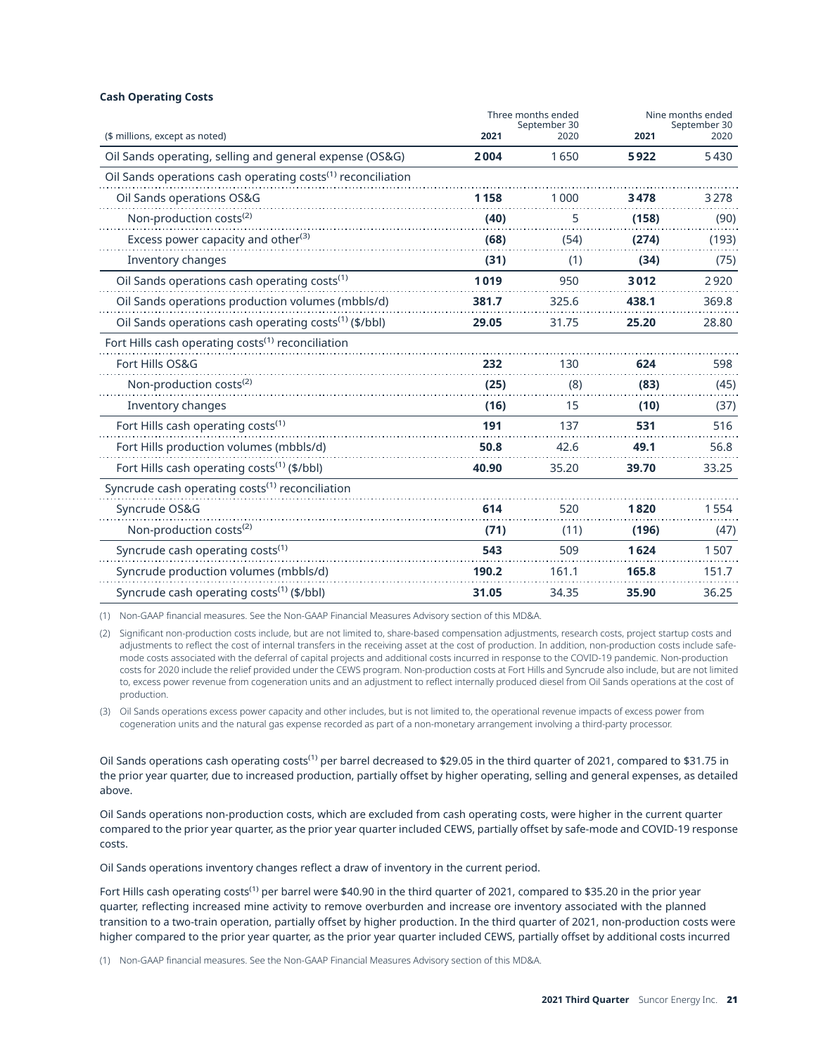#### **Cash Operating Costs**

|                                                                         | Three months ended<br>September 30 |       | Nine months ended<br>September 30 |       |
|-------------------------------------------------------------------------|------------------------------------|-------|-----------------------------------|-------|
| (\$ millions, except as noted)                                          | 2021                               | 2020  | 2021                              | 2020  |
| Oil Sands operating, selling and general expense (OS&G)                 | 2004                               | 1650  | 5922                              | 5430  |
| Oil Sands operations cash operating costs <sup>(1)</sup> reconciliation |                                    |       |                                   |       |
| Oil Sands operations OS&G                                               | 1158                               | 1000  | 3478                              | 3278  |
| Non-production costs <sup>(2)</sup>                                     | (40)                               | 5     | (158)                             | (90)  |
| Excess power capacity and other <sup>(3)</sup>                          | (68)                               | (54)  | (274)                             | (193) |
| Inventory changes                                                       | (31)                               | (1)   | (34)                              | (75)  |
| Oil Sands operations cash operating costs <sup>(1)</sup>                | 1019                               | 950   | 3012                              | 2920  |
| Oil Sands operations production volumes (mbbls/d)                       | 381.7                              | 325.6 | 438.1                             | 369.8 |
| Oil Sands operations cash operating costs <sup>(1)</sup> (\$/bbl)       | 29.05                              | 31.75 | 25.20                             | 28.80 |
| Fort Hills cash operating costs <sup>(1)</sup> reconciliation           |                                    |       |                                   |       |
| Fort Hills OS&G                                                         | 232                                | 130   | 624                               | 598   |
| Non-production costs <sup>(2)</sup>                                     | (25)                               | (8)   | (83)                              | (45)  |
| Inventory changes                                                       | (16)                               | 15    | (10)                              | (37)  |
| Fort Hills cash operating costs <sup>(1)</sup>                          | 191                                | 137   | 531                               | 516   |
| Fort Hills production volumes (mbbls/d)                                 | 50.8                               | 42.6  | 49.1                              | 56.8  |
| Fort Hills cash operating costs <sup>(1)</sup> (\$/bbl)                 | 40.90                              | 35.20 | 39.70                             | 33.25 |
| Syncrude cash operating costs <sup>(1)</sup> reconciliation             |                                    |       |                                   |       |
| Syncrude OS&G                                                           | 614                                | 520   | 1820                              | 1554  |
| Non-production costs <sup>(2)</sup>                                     | (71)                               | (11)  | (196)                             | (47)  |
| Syncrude cash operating costs <sup>(1)</sup>                            | 543                                | 509   | 1624                              | 1507  |
| Syncrude production volumes (mbbls/d)                                   | 190.2                              | 161.1 | 165.8                             | 151.7 |
| Syncrude cash operating costs <sup>(1)</sup> (\$/bbl)                   | 31.05                              | 34.35 | 35.90                             | 36.25 |

(1) Non-GAAP financial measures. See the Non-GAAP Financial Measures Advisory section of this MD&A.

(2) Significant non-production costs include, but are not limited to, share-based compensation adjustments, research costs, project startup costs and adjustments to reflect the cost of internal transfers in the receiving asset at the cost of production. In addition, non-production costs include safemode costs associated with the deferral of capital projects and additional costs incurred in response to the COVID-19 pandemic. Non-production costs for 2020 include the relief provided under the CEWS program. Non-production costs at Fort Hills and Syncrude also include, but are not limited to, excess power revenue from cogeneration units and an adjustment to reflect internally produced diesel from Oil Sands operations at the cost of production.

(3) Oil Sands operations excess power capacity and other includes, but is not limited to, the operational revenue impacts of excess power from cogeneration units and the natural gas expense recorded as part of a non-monetary arrangement involving a third-party processor.

Oil Sands operations cash operating costs<sup>(1)</sup> per barrel decreased to \$29.05 in the third quarter of 2021, compared to \$31.75 in the prior year quarter, due to increased production, partially offset by higher operating, selling and general expenses, as detailed above.

Oil Sands operations non-production costs, which are excluded from cash operating costs, were higher in the current quarter compared to the prior year quarter, as the prior year quarter included CEWS, partially offset by safe-mode and COVID-19 response costs.

Oil Sands operations inventory changes reflect a draw of inventory in the current period.

Fort Hills cash operating costs<sup>(1)</sup> per barrel were \$40.90 in the third quarter of 2021, compared to \$35.20 in the prior year quarter, reflecting increased mine activity to remove overburden and increase ore inventory associated with the planned transition to a two-train operation, partially offset by higher production. In the third quarter of 2021, non-production costs were higher compared to the prior year quarter, as the prior year quarter included CEWS, partially offset by additional costs incurred

(1) Non-GAAP financial measures. See the Non-GAAP Financial Measures Advisory section of this MD&A.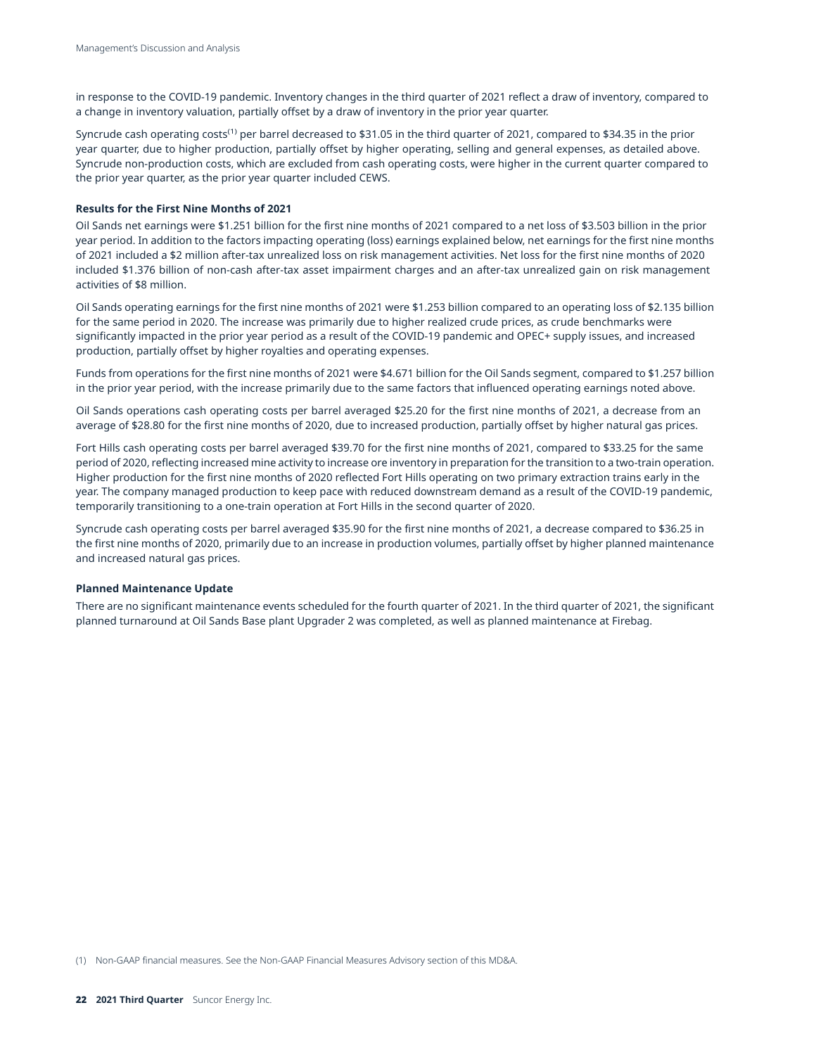in response to the COVID-19 pandemic. Inventory changes in the third quarter of 2021 reflect a draw of inventory, compared to a change in inventory valuation, partially offset by a draw of inventory in the prior year quarter.

Syncrude cash operating costs(1) per barrel decreased to \$31.05 in the third quarter of 2021, compared to \$34.35 in the prior year quarter, due to higher production, partially offset by higher operating, selling and general expenses, as detailed above. Syncrude non-production costs, which are excluded from cash operating costs, were higher in the current quarter compared to the prior year quarter, as the prior year quarter included CEWS.

#### **Results for the First Nine Months of 2021**

Oil Sands net earnings were \$1.251 billion for the first nine months of 2021 compared to a net loss of \$3.503 billion in the prior year period. In addition to the factors impacting operating (loss) earnings explained below, net earnings for the first nine months of 2021 included a \$2 million after-tax unrealized loss on risk management activities. Net loss for the first nine months of 2020 included \$1.376 billion of non-cash after-tax asset impairment charges and an after-tax unrealized gain on risk management activities of \$8 million.

Oil Sands operating earnings for the first nine months of 2021 were \$1.253 billion compared to an operating loss of \$2.135 billion for the same period in 2020. The increase was primarily due to higher realized crude prices, as crude benchmarks were significantly impacted in the prior year period as a result of the COVID-19 pandemic and OPEC+ supply issues, and increased production, partially offset by higher royalties and operating expenses.

Funds from operations for the first nine months of 2021 were \$4.671 billion for the Oil Sands segment, compared to \$1.257 billion in the prior year period, with the increase primarily due to the same factors that influenced operating earnings noted above.

Oil Sands operations cash operating costs per barrel averaged \$25.20 for the first nine months of 2021, a decrease from an average of \$28.80 for the first nine months of 2020, due to increased production, partially offset by higher natural gas prices.

Fort Hills cash operating costs per barrel averaged \$39.70 for the first nine months of 2021, compared to \$33.25 for the same period of 2020, reflecting increased mine activity to increase ore inventory in preparation for the transition to a two-train operation. Higher production for the first nine months of 2020 reflected Fort Hills operating on two primary extraction trains early in the year. The company managed production to keep pace with reduced downstream demand as a result of the COVID-19 pandemic, temporarily transitioning to a one-train operation at Fort Hills in the second quarter of 2020.

Syncrude cash operating costs per barrel averaged \$35.90 for the first nine months of 2021, a decrease compared to \$36.25 in the first nine months of 2020, primarily due to an increase in production volumes, partially offset by higher planned maintenance and increased natural gas prices.

#### **Planned Maintenance Update**

There are no significant maintenance events scheduled for the fourth quarter of 2021. In the third quarter of 2021, the significant planned turnaround at Oil Sands Base plant Upgrader 2 was completed, as well as planned maintenance at Firebag.

(1) Non-GAAP financial measures. See the Non-GAAP Financial Measures Advisory section of this MD&A.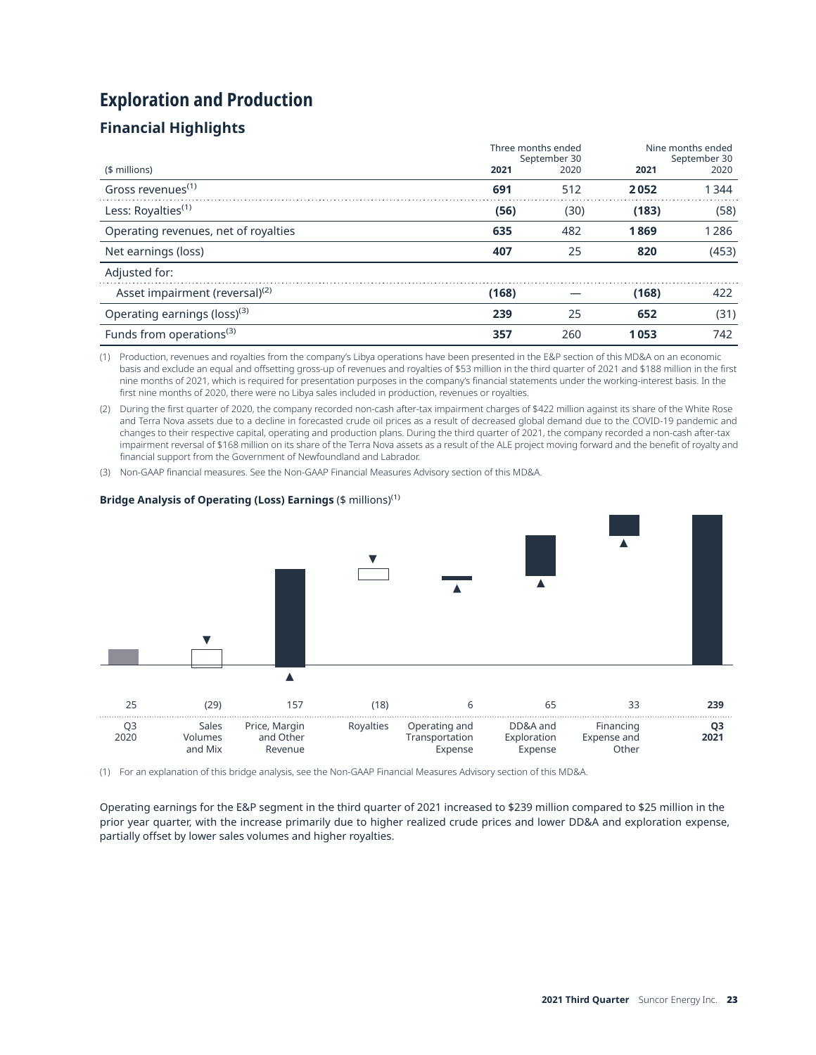# **Exploration and Production**

## **Financial Highlights**

|                                            | Three months ended<br>September 30 |      | Nine months ended<br>September 30 |       |
|--------------------------------------------|------------------------------------|------|-----------------------------------|-------|
| (\$ millions)                              | 2021                               | 2020 | 2021                              | 2020  |
| Gross revenues <sup><math>(1)</math></sup> | 691                                | 512  | 2052                              | 1344  |
| Less: Royalties <sup>(1)</sup>             | (56)                               | (30) | (183)                             | (58)  |
| Operating revenues, net of royalties       | 635                                | 482  | 1869                              | 1286  |
| Net earnings (loss)                        | 407                                | 25   | 820                               | (453) |
| Adjusted for:                              |                                    |      |                                   |       |
| Asset impairment (reversal) <sup>(2)</sup> | (168)                              |      | (168)                             | 422   |
| Operating earnings (loss) <sup>(3)</sup>   | 239                                | 25   | 652                               | (31)  |
| Funds from operations <sup>(3)</sup>       | 357                                | 260  | 1053                              | 742   |

(1) Production, revenues and royalties from the company's Libya operations have been presented in the E&P section of this MD&A on an economic basis and exclude an equal and offsetting gross-up of revenues and royalties of \$53 million in the third quarter of 2021 and \$188 million in the first nine months of 2021, which is required for presentation purposes in the company's financial statements under the working-interest basis. In the first nine months of 2020, there were no Libya sales included in production, revenues or royalties.

(2) During the first quarter of 2020, the company recorded non-cash after-tax impairment charges of \$422 million against its share of the White Rose and Terra Nova assets due to a decline in forecasted crude oil prices as a result of decreased global demand due to the COVID-19 pandemic and changes to their respective capital, operating and production plans. During the third quarter of 2021, the company recorded a non-cash after-tax impairment reversal of \$168 million on its share of the Terra Nova assets as a result of the ALE project moving forward and the benefit of royalty and financial support from the Government of Newfoundland and Labrador.

(3) Non-GAAP financial measures. See the Non-GAAP Financial Measures Advisory section of this MD&A.

# $\blacktriangle$ 25 (29) 157 (18) 6 65 33 **239**  Q3 Sales Price, Margin Royalties Operating and DD&A and Financing **Q3**  2020 Volumes and Other Transportation Exploration Expense and **2021**  and Mix Revenue Expense Expense Other

#### **Bridge Analysis of Operating (Loss) Earnings (\$ millions)<sup>(1)</sup>**

(1) For an explanation of this bridge analysis, see the Non-GAAP Financial Measures Advisory section of this MD&A.

Operating earnings for the E&P segment in the third quarter of 2021 increased to \$239 million compared to \$25 million in the prior year quarter, with the increase primarily due to higher realized crude prices and lower DD&A and exploration expense, partially offset by lower sales volumes and higher royalties.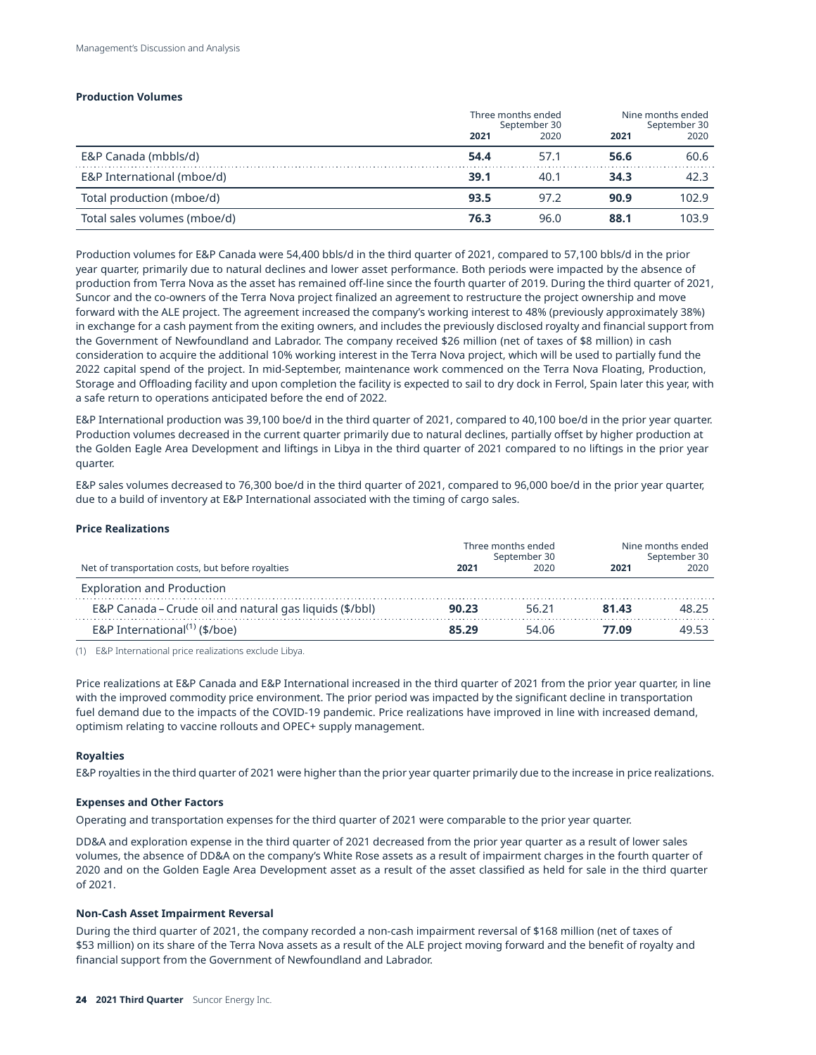#### **Production Volumes**

|                              | Three months ended<br>September 30 |      | Nine months ended<br>September 30 |       |
|------------------------------|------------------------------------|------|-----------------------------------|-------|
|                              | 2021                               | 2020 | 2021                              | 2020  |
| E&P Canada (mbbls/d)         | 54.4                               | 57.1 | 56.6                              | 60.6  |
| E&P International (mboe/d)   | 39.1                               | 40.1 | 34.3                              | 42.3  |
| Total production (mboe/d)    | 93.5                               | 97.2 | 90.9                              | 102.9 |
| Total sales volumes (mboe/d) | 76.3                               | 96.0 | 88.1                              | 103.9 |

Production volumes for E&P Canada were 54,400 bbls/d in the third quarter of 2021, compared to 57,100 bbls/d in the prior year quarter, primarily due to natural declines and lower asset performance. Both periods were impacted by the absence of production from Terra Nova as the asset has remained off-line since the fourth quarter of 2019. During the third quarter of 2021, Suncor and the co-owners of the Terra Nova project finalized an agreement to restructure the project ownership and move forward with the ALE project. The agreement increased the company's working interest to 48% (previously approximately 38%) in exchange for a cash payment from the exiting owners, and includes the previously disclosed royalty and financial support from the Government of Newfoundland and Labrador. The company received \$26 million (net of taxes of \$8 million) in cash consideration to acquire the additional 10% working interest in the Terra Nova project, which will be used to partially fund the 2022 capital spend of the project. In mid-September, maintenance work commenced on the Terra Nova Floating, Production, Storage and Offloading facility and upon completion the facility is expected to sail to dry dock in Ferrol, Spain later this year, with a safe return to operations anticipated before the end of 2022.

E&P International production was 39,100 boe/d in the third quarter of 2021, compared to 40,100 boe/d in the prior year quarter. Production volumes decreased in the current quarter primarily due to natural declines, partially offset by higher production at the Golden Eagle Area Development and liftings in Libya in the third quarter of 2021 compared to no liftings in the prior year quarter.

E&P sales volumes decreased to 76,300 boe/d in the third quarter of 2021, compared to 96,000 boe/d in the prior year quarter, due to a build of inventory at E&P International associated with the timing of cargo sales.

#### **Price Realizations**

|                                                         | Three months ended<br>September 30 |       | Nine months ended<br>September 30 |       |
|---------------------------------------------------------|------------------------------------|-------|-----------------------------------|-------|
| Net of transportation costs, but before royalties       | 2021                               | 2020  | 2021                              | 2020  |
| <b>Exploration and Production</b>                       |                                    |       |                                   |       |
| E&P Canada – Crude oil and natural gas liquids (\$/bbl) | 90.23                              | 56.21 | 81.43                             | 48.25 |
| E&P International $(1)$ (\$/boe)                        | 85.29                              | 54.06 | 77 N9                             | 49.53 |

(1) E&P International price realizations exclude Libya.

Price realizations at E&P Canada and E&P International increased in the third quarter of 2021 from the prior year quarter, in line with the improved commodity price environment. The prior period was impacted by the significant decline in transportation fuel demand due to the impacts of the COVID-19 pandemic. Price realizations have improved in line with increased demand, optimism relating to vaccine rollouts and OPEC+ supply management.

#### **Royalties**

E&P royalties in the third quarter of 2021 were higher than the prior year quarter primarily due to the increase in price realizations.

#### **Expenses and Other Factors**

Operating and transportation expenses for the third quarter of 2021 were comparable to the prior year quarter.

DD&A and exploration expense in the third quarter of 2021 decreased from the prior year quarter as a result of lower sales volumes, the absence of DD&A on the company's White Rose assets as a result of impairment charges in the fourth quarter of 2020 and on the Golden Eagle Area Development asset as a result of the asset classified as held for sale in the third quarter of 2021.

#### **Non-Cash Asset Impairment Reversal**

During the third quarter of 2021, the company recorded a non-cash impairment reversal of \$168 million (net of taxes of \$53 million) on its share of the Terra Nova assets as a result of the ALE project moving forward and the benefit of royalty and financial support from the Government of Newfoundland and Labrador.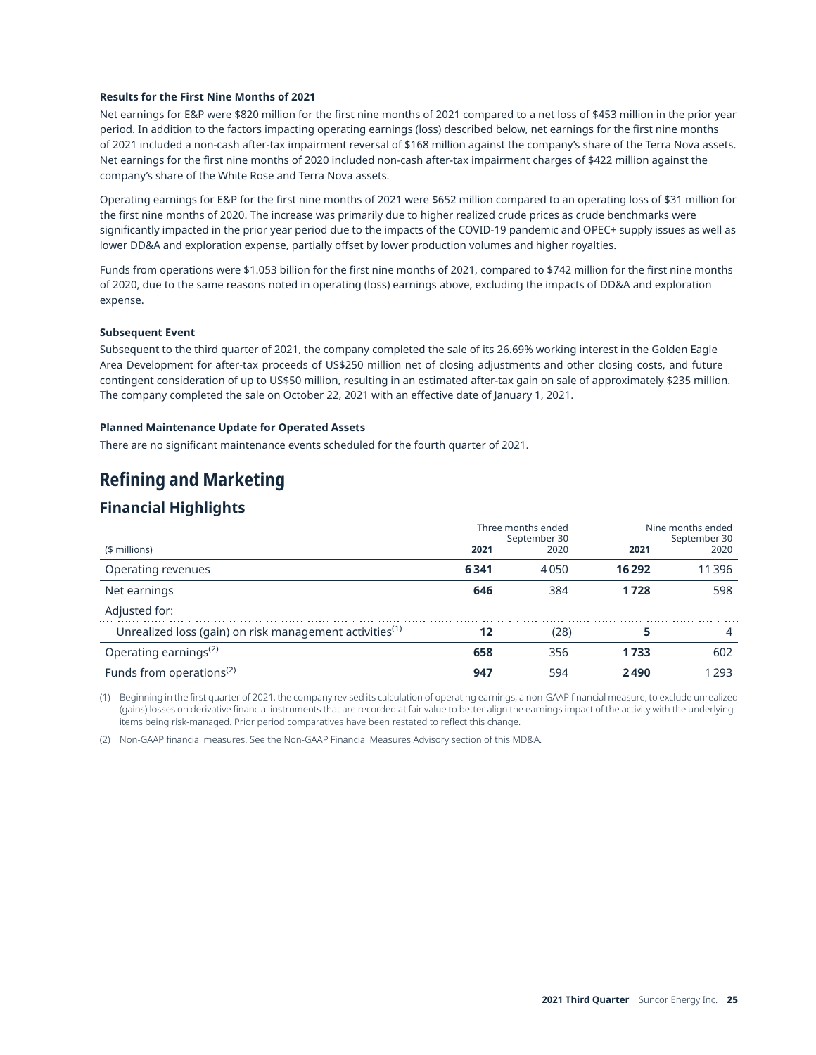#### **Results for the First Nine Months of 2021**

Net earnings for E&P were \$820 million for the first nine months of 2021 compared to a net loss of \$453 million in the prior year period. In addition to the factors impacting operating earnings (loss) described below, net earnings for the first nine months of 2021 included a non-cash after-tax impairment reversal of \$168 million against the company's share of the Terra Nova assets. Net earnings for the first nine months of 2020 included non-cash after-tax impairment charges of \$422 million against the company's share of the White Rose and Terra Nova assets.

Operating earnings for E&P for the first nine months of 2021 were \$652 million compared to an operating loss of \$31 million for the first nine months of 2020. The increase was primarily due to higher realized crude prices as crude benchmarks were significantly impacted in the prior year period due to the impacts of the COVID-19 pandemic and OPEC+ supply issues as well as lower DD&A and exploration expense, partially offset by lower production volumes and higher royalties.

Funds from operations were \$1.053 billion for the first nine months of 2021, compared to \$742 million for the first nine months of 2020, due to the same reasons noted in operating (loss) earnings above, excluding the impacts of DD&A and exploration expense.

#### **Subsequent Event**

Subsequent to the third quarter of 2021, the company completed the sale of its 26.69% working interest in the Golden Eagle Area Development for after-tax proceeds of US\$250 million net of closing adjustments and other closing costs, and future contingent consideration of up to US\$50 million, resulting in an estimated after-tax gain on sale of approximately \$235 million. The company completed the sale on October 22, 2021 with an effective date of January 1, 2021.

#### **Planned Maintenance Update for Operated Assets**

There are no significant maintenance events scheduled for the fourth quarter of 2021.

## **Refining and Marketing**

## **Financial Highlights**

| Three months ended<br>September 30                                  |      |      | Nine months ended<br>September 30 |         |
|---------------------------------------------------------------------|------|------|-----------------------------------|---------|
| (\$ millions)                                                       | 2021 | 2020 | 2021                              | 2020    |
| Operating revenues                                                  | 6341 | 4050 | 16 29 2                           | 11396   |
| Net earnings                                                        | 646  | 384  | 1728                              | 598     |
| Adjusted for:                                                       |      |      |                                   |         |
| Unrealized loss (gain) on risk management activities <sup>(1)</sup> | 12   | (28) |                                   | 4       |
| Operating earnings <sup>(2)</sup>                                   | 658  | 356  | 1733                              | 602     |
| Funds from operations <sup>(2)</sup>                                | 947  | 594  | 2490                              | 1 2 9 3 |

(1) Beginning in the first quarter of 2021, the company revised its calculation of operating earnings, a non-GAAP financial measure, to exclude unrealized (gains) losses on derivative financial instruments that are recorded at fair value to better align the earnings impact of the activity with the underlying items being risk-managed. Prior period comparatives have been restated to reflect this change.

(2) Non-GAAP financial measures. See the Non-GAAP Financial Measures Advisory section of this MD&A.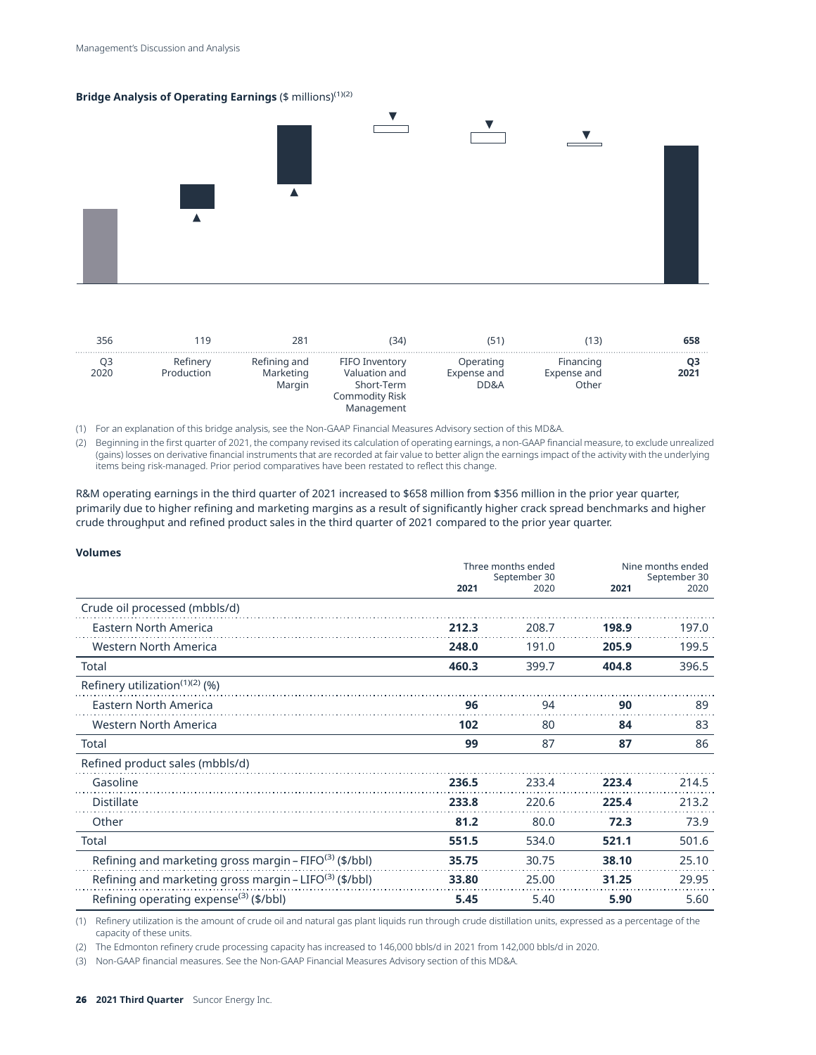#### **Bridge Analysis of Operating Earnings (\$ millions)<sup>(1)(2)</sup>**



| 356  | 19                     | 28′                                 | 34)                                                                           |                                  | 5 ا                               | 658  |
|------|------------------------|-------------------------------------|-------------------------------------------------------------------------------|----------------------------------|-----------------------------------|------|
| 2020 | Refinery<br>Production | Refining and<br>Marketing<br>Margin | FIFO Inventory<br>Valuation and<br>Short-Term<br>Commodity Risk<br>Management | Operating<br>Expense and<br>DD&A | Financing<br>Expense and<br>Other | 2021 |

(1) For an explanation of this bridge analysis, see the Non-GAAP Financial Measures Advisory section of this MD&A.

(2) Beginning in the first quarter of 2021, the company revised its calculation of operating earnings, a non-GAAP financial measure, to exclude unrealized (gains) losses on derivative financial instruments that are recorded at fair value to better align the earnings impact of the activity with the underlying items being risk-managed. Prior period comparatives have been restated to reflect this change.

R&M operating earnings in the third quarter of 2021 increased to \$658 million from \$356 million in the prior year quarter, primarily due to higher refining and marketing margins as a result of significantly higher crack spread benchmarks and higher crude throughput and refined product sales in the third quarter of 2021 compared to the prior year quarter.

#### **Volumes**

|                                                                    | Three months ended<br>September 30 |       | Nine months ended<br>September 30 |       |
|--------------------------------------------------------------------|------------------------------------|-------|-----------------------------------|-------|
|                                                                    | 2021                               | 2020  | 2021                              | 2020  |
| Crude oil processed (mbbls/d)                                      |                                    |       |                                   |       |
| <b>Eastern North America</b>                                       | 212.3                              | 208.7 | 198.9                             | 197.0 |
| Western North America                                              | 248.0                              | 191.0 | 205.9                             | 199.5 |
| Total                                                              | 460.3                              | 399.7 | 404.8                             | 396.5 |
| Refinery utilization $(1)(2)(%$                                    |                                    |       |                                   |       |
| <b>Eastern North America</b>                                       | 96                                 | 94    | 90                                | 89    |
| <b>Western North America</b>                                       | 102                                | 80    | 84                                | 83    |
| Total                                                              | 99                                 | 87    | 87                                | 86    |
| Refined product sales (mbbls/d)                                    |                                    |       |                                   |       |
| Gasoline                                                           | 236.5                              | 233.4 | 223.4                             | 214.5 |
| <b>Distillate</b>                                                  | 233.8                              | 220.6 | 225.4                             | 213.2 |
| Other                                                              | 81.2                               | 80.0  | 72.3                              | 73.9  |
| Total                                                              | 551.5                              | 534.0 | 521.1                             | 501.6 |
| Refining and marketing gross margin - FIFO <sup>(3)</sup> (\$/bbl) | 35.75                              | 30.75 | 38.10                             | 25.10 |
| Refining and marketing gross margin - LIFO <sup>(3)</sup> (\$/bbl) | 33.80                              | 25.00 | 31.25                             | 29.95 |
| Refining operating expense <sup>(3)</sup> (\$/bbl)                 | 5.45                               | 5.40  | 5.90                              | 5.60  |

(1) Refinery utilization is the amount of crude oil and natural gas plant liquids run through crude distillation units, expressed as a percentage of the capacity of these units.

(2) The Edmonton refinery crude processing capacity has increased to 146,000 bbls/d in 2021 from 142,000 bbls/d in 2020.

(3) Non-GAAP financial measures. See the Non-GAAP Financial Measures Advisory section of this MD&A.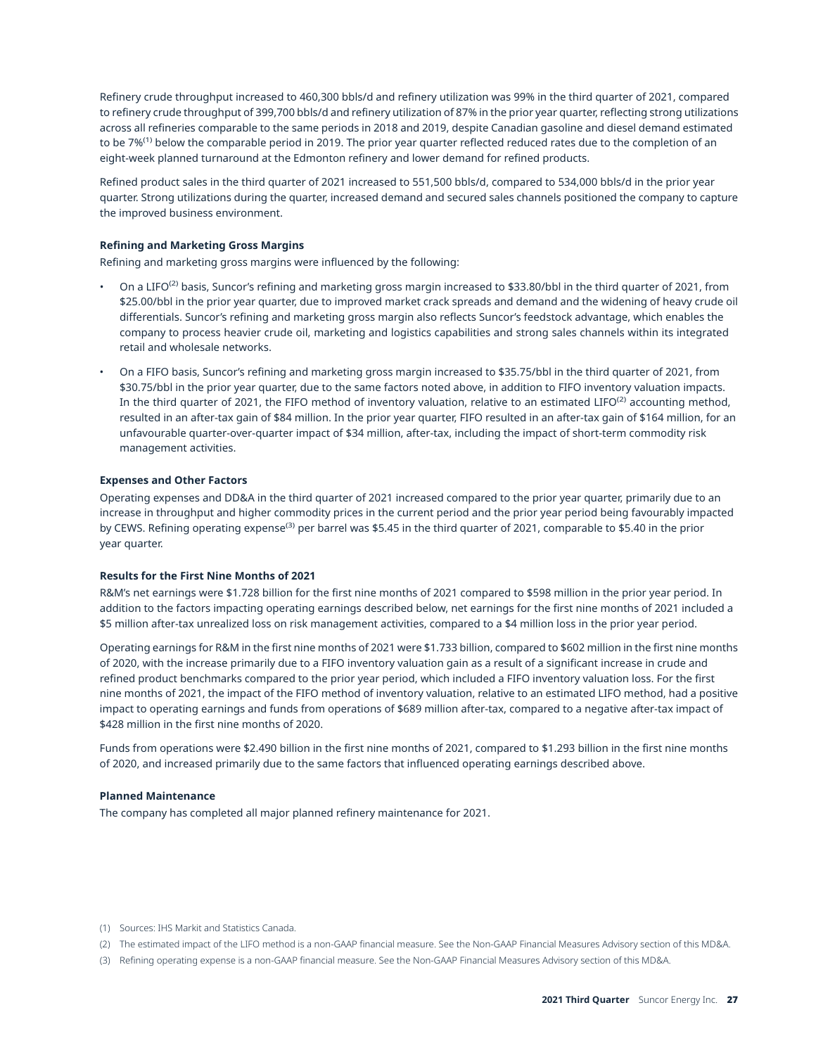Refinery crude throughput increased to 460,300 bbls/d and refinery utilization was 99% in the third quarter of 2021, compared to refinery crude throughput of 399,700 bbls/d and refinery utilization of 87% in the prior year quarter, reflecting strong utilizations across all refineries comparable to the same periods in 2018 and 2019, despite Canadian gasoline and diesel demand estimated to be 7%<sup>(1)</sup> below the comparable period in 2019. The prior year quarter reflected reduced rates due to the completion of an eight-week planned turnaround at the Edmonton refinery and lower demand for refined products.

Refined product sales in the third quarter of 2021 increased to 551,500 bbls/d, compared to 534,000 bbls/d in the prior year quarter. Strong utilizations during the quarter, increased demand and secured sales channels positioned the company to capture the improved business environment.

#### **Refining and Marketing Gross Margins**

Refining and marketing gross margins were influenced by the following:

- On a LIFO<sup>(2)</sup> basis, Suncor's refining and marketing gross margin increased to \$33.80/bbl in the third quarter of 2021, from \$25.00/bbl in the prior year quarter, due to improved market crack spreads and demand and the widening of heavy crude oil differentials. Suncor's refining and marketing gross margin also reflects Suncor's feedstock advantage, which enables the company to process heavier crude oil, marketing and logistics capabilities and strong sales channels within its integrated retail and wholesale networks.
- On a FIFO basis, Suncor's refining and marketing gross margin increased to \$35.75/bbl in the third quarter of 2021, from \$30.75/bbl in the prior year quarter, due to the same factors noted above, in addition to FIFO inventory valuation impacts. In the third quarter of 2021, the FIFO method of inventory valuation, relative to an estimated LIFO $^{(2)}$  accounting method, resulted in an after-tax gain of \$84 million. In the prior year quarter, FIFO resulted in an after-tax gain of \$164 million, for an unfavourable quarter-over-quarter impact of \$34 million, after-tax, including the impact of short-term commodity risk management activities.

#### **Expenses and Other Factors**

Operating expenses and DD&A in the third quarter of 2021 increased compared to the prior year quarter, primarily due to an increase in throughput and higher commodity prices in the current period and the prior year period being favourably impacted by CEWS. Refining operating expense<sup>(3)</sup> per barrel was \$5.45 in the third quarter of 2021, comparable to \$5.40 in the prior year quarter.

#### **Results for the First Nine Months of 2021**

R&M's net earnings were \$1.728 billion for the first nine months of 2021 compared to \$598 million in the prior year period. In addition to the factors impacting operating earnings described below, net earnings for the first nine months of 2021 included a \$5 million after-tax unrealized loss on risk management activities, compared to a \$4 million loss in the prior year period.

Operating earnings for R&M in the first nine months of 2021 were \$1.733 billion, compared to \$602 million in the first nine months of 2020, with the increase primarily due to a FIFO inventory valuation gain as a result of a significant increase in crude and refined product benchmarks compared to the prior year period, which included a FIFO inventory valuation loss. For the first nine months of 2021, the impact of the FIFO method of inventory valuation, relative to an estimated LIFO method, had a positive impact to operating earnings and funds from operations of \$689 million after-tax, compared to a negative after-tax impact of \$428 million in the first nine months of 2020.

Funds from operations were \$2.490 billion in the first nine months of 2021, compared to \$1.293 billion in the first nine months of 2020, and increased primarily due to the same factors that influenced operating earnings described above.

#### **Planned Maintenance**

The company has completed all major planned refinery maintenance for 2021.

- (1) Sources: IHS Markit and Statistics Canada.
- (2) The estimated impact of the LIFO method is a non-GAAP financial measure. See the Non-GAAP Financial Measures Advisory section of this MD&A.
- (3) Refining operating expense is a non-GAAP financial measure. See the Non-GAAP Financial Measures Advisory section of this MD&A.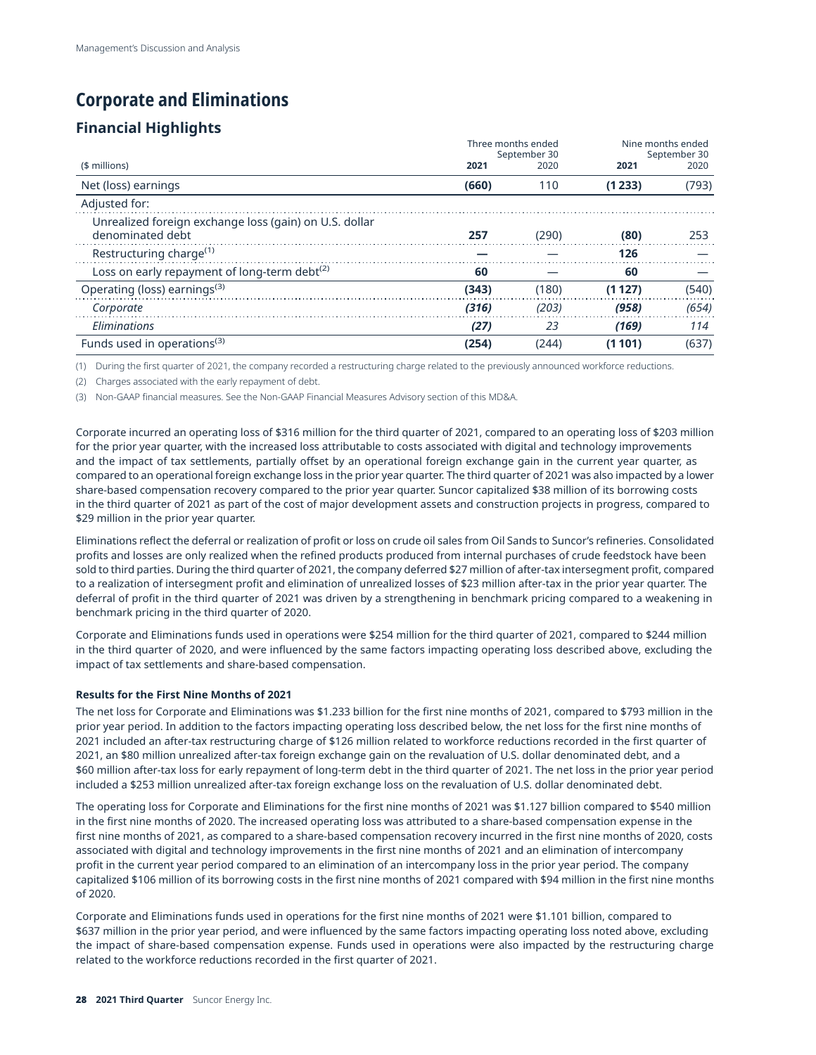# **Corporate and Eliminations**

## **Financial Highlights**

|                                                                            | Three months ended<br>September 30 |       | Nine months ended<br>September 30 |       |
|----------------------------------------------------------------------------|------------------------------------|-------|-----------------------------------|-------|
| (\$ millions)                                                              | 2021                               | 2020  | 2021                              | 2020  |
| Net (loss) earnings                                                        | (660)                              | 110   | (1233)                            | (793) |
| Adjusted for:                                                              |                                    |       |                                   |       |
| Unrealized foreign exchange loss (gain) on U.S. dollar<br>denominated debt | 257                                | (290) | (80)                              | 253   |
| Restructuring charge <sup>(1)</sup>                                        |                                    |       | 126                               |       |
| Loss on early repayment of long-term debt <sup>(2)</sup>                   | 60                                 |       | 60                                |       |
| Operating (loss) earnings <sup>(3)</sup>                                   | (343)                              | (180) | (1 1 2 7 )                        | (540) |
| Corporate                                                                  | (316)                              | (203) | (958)                             | (654) |
| Eliminations                                                               | (27)                               | 23    | (169)                             | 114   |
| Funds used in operations <sup>(3)</sup>                                    | (254)                              | (244) | (1 101)                           | (637) |

(1) During the first quarter of 2021, the company recorded a restructuring charge related to the previously announced workforce reductions.

(2) Charges associated with the early repayment of debt.

(3) Non-GAAP financial measures. See the Non-GAAP Financial Measures Advisory section of this MD&A.

Corporate incurred an operating loss of \$316 million for the third quarter of 2021, compared to an operating loss of \$203 million for the prior year quarter, with the increased loss attributable to costs associated with digital and technology improvements and the impact of tax settlements, partially offset by an operational foreign exchange gain in the current year quarter, as compared to an operational foreign exchange loss in the prior year quarter. The third quarter of 2021 was also impacted by a lower share-based compensation recovery compared to the prior year quarter. Suncor capitalized \$38 million of its borrowing costs in the third quarter of 2021 as part of the cost of major development assets and construction projects in progress, compared to \$29 million in the prior year quarter.

Eliminations reflect the deferral or realization of profit or loss on crude oil sales from Oil Sands to Suncor's refineries. Consolidated profits and losses are only realized when the refined products produced from internal purchases of crude feedstock have been sold to third parties. During the third quarter of 2021, the company deferred \$27 million of after-tax intersegment profit, compared to a realization of intersegment profit and elimination of unrealized losses of \$23 million after-tax in the prior year quarter. The deferral of profit in the third quarter of 2021 was driven by a strengthening in benchmark pricing compared to a weakening in benchmark pricing in the third quarter of 2020.

Corporate and Eliminations funds used in operations were \$254 million for the third quarter of 2021, compared to \$244 million in the third quarter of 2020, and were influenced by the same factors impacting operating loss described above, excluding the impact of tax settlements and share-based compensation.

#### **Results for the First Nine Months of 2021**

The net loss for Corporate and Eliminations was \$1.233 billion for the first nine months of 2021, compared to \$793 million in the prior year period. In addition to the factors impacting operating loss described below, the net loss for the first nine months of 2021 included an after-tax restructuring charge of \$126 million related to workforce reductions recorded in the first quarter of 2021, an \$80 million unrealized after-tax foreign exchange gain on the revaluation of U.S. dollar denominated debt, and a \$60 million after-tax loss for early repayment of long-term debt in the third quarter of 2021. The net loss in the prior year period included a \$253 million unrealized after-tax foreign exchange loss on the revaluation of U.S. dollar denominated debt.

The operating loss for Corporate and Eliminations for the first nine months of 2021 was \$1.127 billion compared to \$540 million in the first nine months of 2020. The increased operating loss was attributed to a share-based compensation expense in the first nine months of 2021, as compared to a share-based compensation recovery incurred in the first nine months of 2020, costs associated with digital and technology improvements in the first nine months of 2021 and an elimination of intercompany profit in the current year period compared to an elimination of an intercompany loss in the prior year period. The company capitalized \$106 million of its borrowing costs in the first nine months of 2021 compared with \$94 million in the first nine months of 2020.

Corporate and Eliminations funds used in operations for the first nine months of 2021 were \$1.101 billion, compared to \$637 million in the prior year period, and were influenced by the same factors impacting operating loss noted above, excluding the impact of share-based compensation expense. Funds used in operations were also impacted by the restructuring charge related to the workforce reductions recorded in the first quarter of 2021.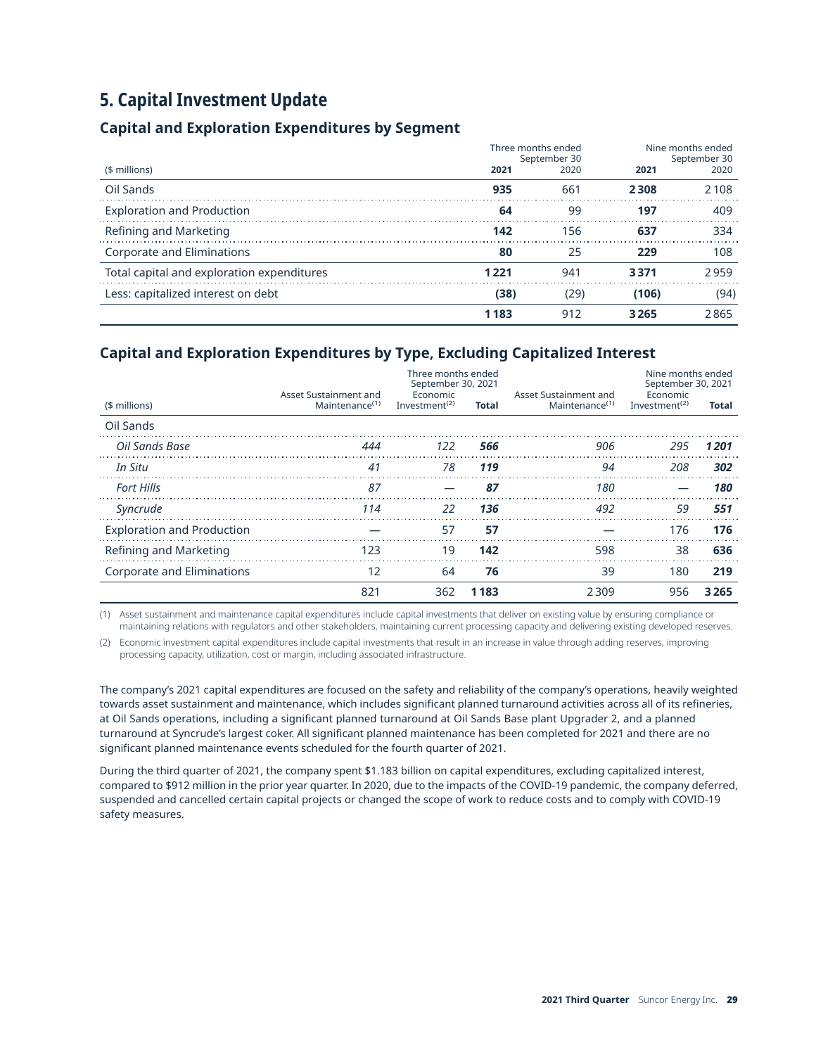# <span id="page-28-0"></span>**5. Capital Investment Update**

## **Capital and Exploration Expenditures by Segment**

|                                            | Three months ended<br>September 30 |      | Nine months ended<br>September 30 |         |
|--------------------------------------------|------------------------------------|------|-----------------------------------|---------|
| (\$ millions)                              | 2021                               | 2020 | 2021                              | 2020    |
| Oil Sands                                  | 935                                | 661  | 2308                              | 2 1 0 8 |
| <b>Exploration and Production</b>          | 64                                 | 99   | 197                               | 409     |
| Refining and Marketing                     | 142                                | 156  | 637                               | 334     |
| Corporate and Eliminations                 | 80                                 | 25   | 229                               | 108     |
| Total capital and exploration expenditures | 1 221                              | 941  | 3371                              | 2959    |
| Less: capitalized interest on debt         | (38)                               | (29) | (106)                             | (94)    |
|                                            | 1183                               | 912  | 3265                              | 2865    |

## **Capital and Exploration Expenditures by Type, Excluding Capitalized Interest**

|                                   |                                                     | Three months ended<br>September 30, 2021           |       |                                                     | Nine months ended<br>September 30, 2021            |         |
|-----------------------------------|-----------------------------------------------------|----------------------------------------------------|-------|-----------------------------------------------------|----------------------------------------------------|---------|
| (\$ millions)                     | Asset Sustainment and<br>Maintenance <sup>(1)</sup> | Economic<br>Investment <sup><math>(2)</math></sup> | Total | Asset Sustainment and<br>Maintenance <sup>(1)</sup> | Economic<br>Investment <sup><math>(2)</math></sup> | Total   |
| Oil Sands                         |                                                     |                                                    |       |                                                     |                                                    |         |
| Oil Sands Base                    | 444                                                 | 122                                                | 566   | 906                                                 | 295                                                | 1201    |
| In Situ                           | 41                                                  | 78                                                 | 119   | 94                                                  | 208                                                | 302     |
| <b>Fort Hills</b>                 | 87                                                  |                                                    | 87    | 180                                                 |                                                    | 180     |
| Syncrude                          | 114                                                 | <b>22</b>                                          | 136   | 492                                                 | 59                                                 | 551     |
| <b>Exploration and Production</b> |                                                     | 57                                                 | 57    |                                                     | 176                                                | 176     |
| Refining and Marketing            | 123                                                 | 19                                                 | 142   | 598                                                 | 38                                                 | 636     |
| Corporate and Eliminations        | 12                                                  | 64                                                 | 76    | 39                                                  | 180                                                | 219     |
|                                   | 821                                                 | 362                                                | 1183  | 2309                                                | 956                                                | 3 2 6 5 |

(1) Asset sustainment and maintenance capital expenditures include capital investments that deliver on existing value by ensuring compliance or maintaining relations with regulators and other stakeholders, maintaining current processing capacity and delivering existing developed reserves.

(2) Economic investment capital expenditures include capital investments that result in an increase in value through adding reserves, improving processing capacity, utilization, cost or margin, including associated infrastructure.

The company's 2021 capital expenditures are focused on the safety and reliability of the company's operations, heavily weighted towards asset sustainment and maintenance, which includes significant planned turnaround activities across all of its refineries, at Oil Sands operations, including a significant planned turnaround at Oil Sands Base plant Upgrader 2, and a planned turnaround at Syncrude's largest coker. All significant planned maintenance has been completed for 2021 and there are no significant planned maintenance events scheduled for the fourth quarter of 2021.

During the third quarter of 2021, the company spent \$1.183 billion on capital expenditures, excluding capitalized interest, compared to \$912 million in the prior year quarter. In 2020, due to the impacts of the COVID-19 pandemic, the company deferred, suspended and cancelled certain capital projects or changed the scope of work to reduce costs and to comply with COVID-19 safety measures.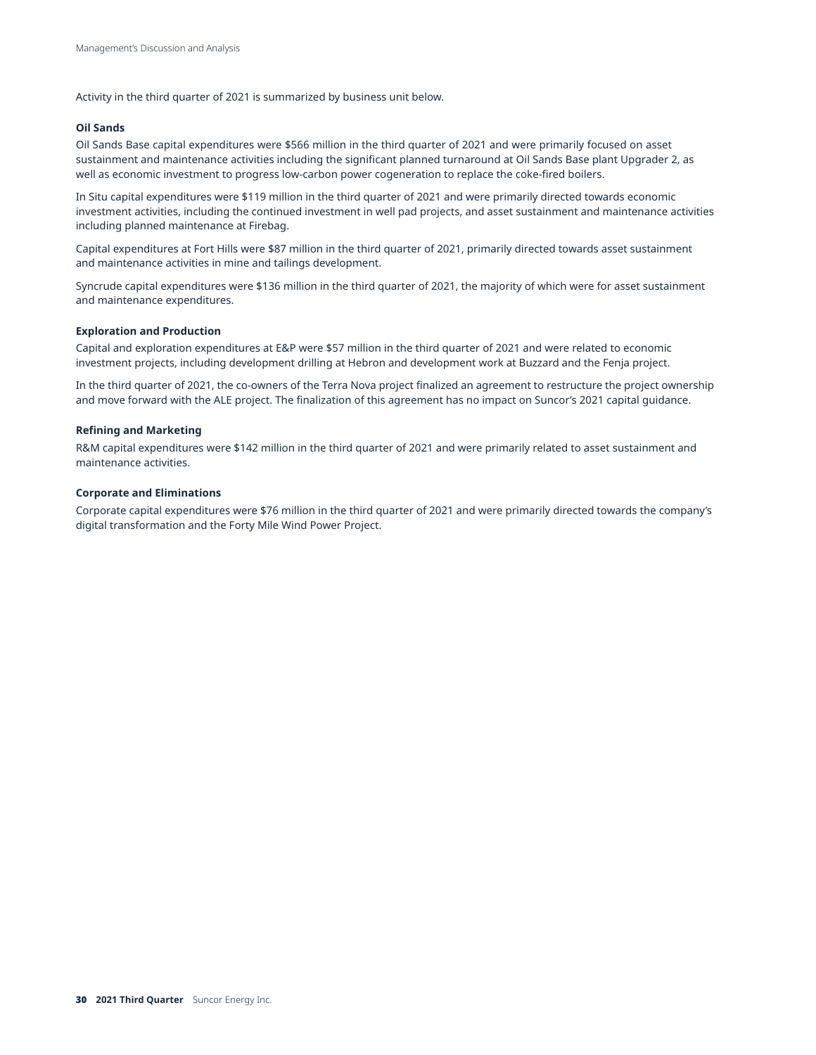Activity in the third quarter of 2021 is summarized by business unit below.

#### **Oil Sands**

Oil Sands Base capital expenditures were \$566 million in the third quarter of 2021 and were primarily focused on asset sustainment and maintenance activities including the significant planned turnaround at Oil Sands Base plant Upgrader 2, as well as economic investment to progress low-carbon power cogeneration to replace the coke-fired boilers.

In Situ capital expenditures were \$119 million in the third quarter of 2021 and were primarily directed towards economic investment activities, including the continued investment in well pad projects, and asset sustainment and maintenance activities including planned maintenance at Firebag.

Capital expenditures at Fort Hills were \$87 million in the third quarter of 2021, primarily directed towards asset sustainment and maintenance activities in mine and tailings development.

Syncrude capital expenditures were \$136 million in the third quarter of 2021, the majority of which were for asset sustainment and maintenance expenditures.

#### **Exploration and Production**

Capital and exploration expenditures at E&P were \$57 million in the third quarter of 2021 and were related to economic investment projects, including development drilling at Hebron and development work at Buzzard and the Fenja project.

In the third quarter of 2021, the co-owners of the Terra Nova project finalized an agreement to restructure the project ownership and move forward with the ALE project. The finalization of this agreement has no impact on Suncor's 2021 capital guidance.

#### **Refining and Marketing**

R&M capital expenditures were \$142 million in the third quarter of 2021 and were primarily related to asset sustainment and maintenance activities.

#### **Corporate and Eliminations**

Corporate capital expenditures were \$76 million in the third quarter of 2021 and were primarily directed towards the company's digital transformation and the Forty Mile Wind Power Project.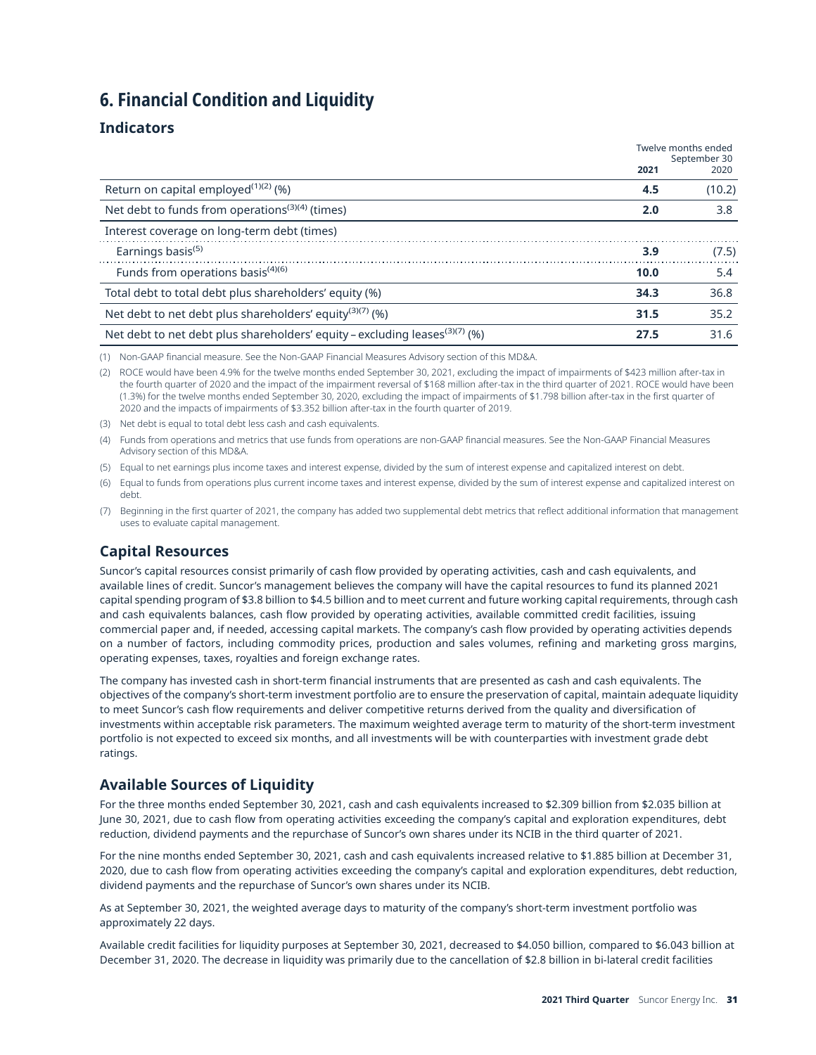## <span id="page-30-0"></span>**6. Financial Condition and Liquidity**

## **Indicators**

|                                                                                         | Twelve months ended<br>September 30 |        |
|-----------------------------------------------------------------------------------------|-------------------------------------|--------|
|                                                                                         | 2021                                | 2020   |
| Return on capital employed $(1)(2)$ (%)                                                 | 4.5                                 | (10.2) |
| Net debt to funds from operations <sup>(3)(4)</sup> (times)                             | 2.0                                 | 3.8    |
| Interest coverage on long-term debt (times)                                             |                                     |        |
| Earnings basis <sup>(5)</sup>                                                           | 3.9                                 | (7.5)  |
| Funds from operations basis <sup>(4)(6)</sup>                                           | 10.0                                | 5.4    |
| Total debt to total debt plus shareholders' equity (%)                                  | 34.3                                | 36.8   |
| Net debt to net debt plus shareholders' equity <sup>(3)(7)</sup> (%)                    | 31.5                                | 35.2   |
| Net debt to net debt plus shareholders' equity - excluding leases <sup>(3)(7)</sup> (%) | 27.5                                | 31.6   |

(1) Non-GAAP financial measure. See the Non-GAAP Financial Measures Advisory section of this MD&A.

(2) ROCE would have been 4.9% for the twelve months ended September 30, 2021, excluding the impact of impairments of \$423 million after-tax in the fourth quarter of 2020 and the impact of the impairment reversal of \$168 million after-tax in the third quarter of 2021. ROCE would have been (1.3%) for the twelve months ended September 30, 2020, excluding the impact of impairments of \$1.798 billion after-tax in the first quarter of 2020 and the impacts of impairments of \$3.352 billion after-tax in the fourth quarter of 2019.

(3) Net debt is equal to total debt less cash and cash equivalents.

(4) Funds from operations and metrics that use funds from operations are non-GAAP financial measures. See the Non-GAAP Financial Measures Advisory section of this MD&A.

(5) Equal to net earnings plus income taxes and interest expense, divided by the sum of interest expense and capitalized interest on debt.

(6) Equal to funds from operations plus current income taxes and interest expense, divided by the sum of interest expense and capitalized interest on debt.

(7) Beginning in the first quarter of 2021, the company has added two supplemental debt metrics that reflect additional information that management uses to evaluate capital management.

## **Capital Resources**

Suncor's capital resources consist primarily of cash flow provided by operating activities, cash and cash equivalents, and available lines of credit. Suncor's management believes the company will have the capital resources to fund its planned 2021 capital spending program of \$3.8 billion to \$4.5 billion and to meet current and future working capital requirements, through cash and cash equivalents balances, cash flow provided by operating activities, available committed credit facilities, issuing commercial paper and, if needed, accessing capital markets. The company's cash flow provided by operating activities depends on a number of factors, including commodity prices, production and sales volumes, refining and marketing gross margins, operating expenses, taxes, royalties and foreign exchange rates.

The company has invested cash in short-term financial instruments that are presented as cash and cash equivalents. The objectives of the company's short-term investment portfolio are to ensure the preservation of capital, maintain adequate liquidity to meet Suncor's cash flow requirements and deliver competitive returns derived from the quality and diversification of investments within acceptable risk parameters. The maximum weighted average term to maturity of the short-term investment portfolio is not expected to exceed six months, and all investments will be with counterparties with investment grade debt ratings.

## **Available Sources of Liquidity**

For the three months ended September 30, 2021, cash and cash equivalents increased to \$2.309 billion from \$2.035 billion at June 30, 2021, due to cash flow from operating activities exceeding the company's capital and exploration expenditures, debt reduction, dividend payments and the repurchase of Suncor's own shares under its NCIB in the third quarter of 2021.

For the nine months ended September 30, 2021, cash and cash equivalents increased relative to \$1.885 billion at December 31, 2020, due to cash flow from operating activities exceeding the company's capital and exploration expenditures, debt reduction, dividend payments and the repurchase of Suncor's own shares under its NCIB.

As at September 30, 2021, the weighted average days to maturity of the company's short-term investment portfolio was approximately 22 days.

Available credit facilities for liquidity purposes at September 30, 2021, decreased to \$4.050 billion, compared to \$6.043 billion at December 31, 2020. The decrease in liquidity was primarily due to the cancellation of \$2.8 billion in bi-lateral credit facilities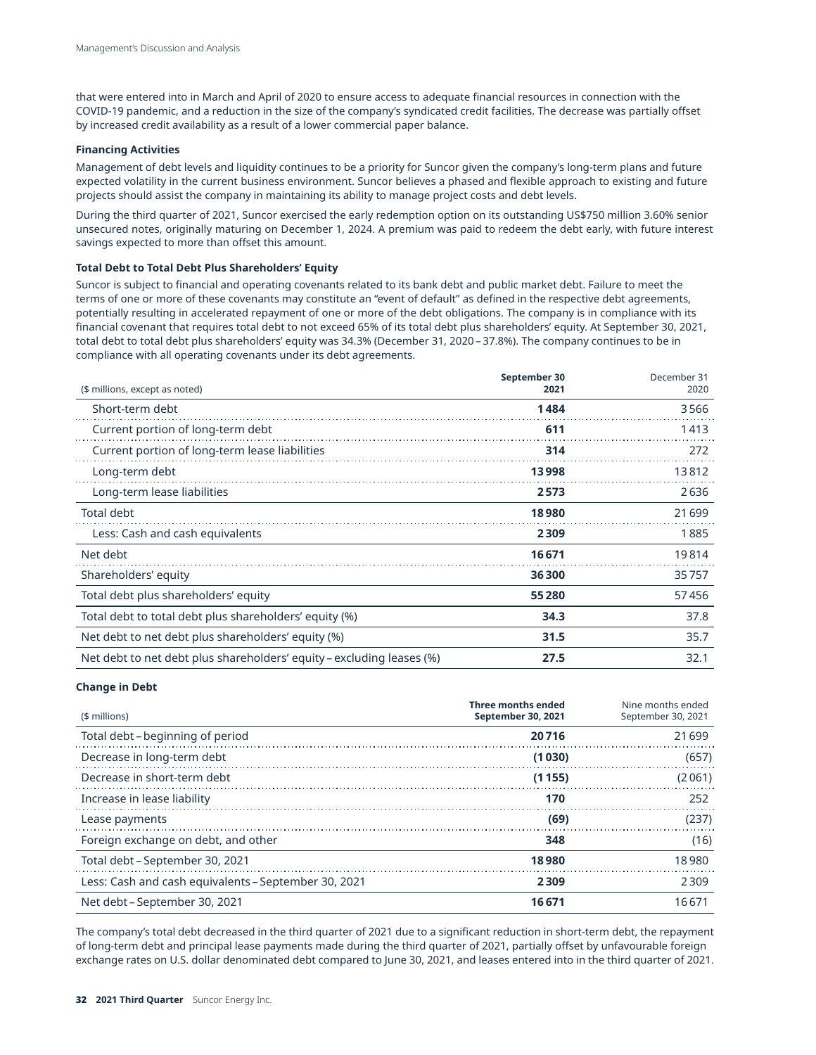that were entered into in March and April of 2020 to ensure access to adequate financial resources in connection with the COVID-19 pandemic, and a reduction in the size of the company's syndicated credit facilities. The decrease was partially offset by increased credit availability as a result of a lower commercial paper balance.

#### **Financing Activities**

Management of debt levels and liquidity continues to be a priority for Suncor given the company's long-term plans and future expected volatility in the current business environment. Suncor believes a phased and flexible approach to existing and future projects should assist the company in maintaining its ability to manage project costs and debt levels.

During the third quarter of 2021, Suncor exercised the early redemption option on its outstanding US\$750 million 3.60% senior unsecured notes, originally maturing on December 1, 2024. A premium was paid to redeem the debt early, with future interest savings expected to more than offset this amount.

#### **Total Debt to Total Debt Plus Shareholders' Equity**

Suncor is subject to financial and operating covenants related to its bank debt and public market debt. Failure to meet the terms of one or more of these covenants may constitute an "event of default" as defined in the respective debt agreements, potentially resulting in accelerated repayment of one or more of the debt obligations. The company is in compliance with its financial covenant that requires total debt to not exceed 65% of its total debt plus shareholders' equity. At September 30, 2021, total debt to total debt plus shareholders' equity was 34.3% (December 31, 2020 – 37.8%). The company continues to be in compliance with all operating covenants under its debt agreements.

| (\$ millions, except as noted)                                        | September 30<br>2021 | December 31<br>2020 |
|-----------------------------------------------------------------------|----------------------|---------------------|
| Short-term debt                                                       | 1484                 | 3566                |
| Current portion of long-term debt                                     | 611                  | 1413                |
| Current portion of long-term lease liabilities                        | 314                  | 272                 |
| Long-term debt                                                        | 13998                | 13812               |
| Long-term lease liabilities                                           | 2573                 | 2636                |
| Total debt                                                            | 18980                | 21699               |
| Less: Cash and cash equivalents                                       | 2309                 | 1885                |
| Net debt                                                              | 16671                | 19814               |
| Shareholders' equity                                                  | 36300                | 35757               |
| Total debt plus shareholders' equity                                  | 55280                | 57456               |
| Total debt to total debt plus shareholders' equity (%)                | 34.3                 | 37.8                |
| Net debt to net debt plus shareholders' equity (%)                    | 31.5                 | 35.7                |
| Net debt to net debt plus shareholders' equity – excluding leases (%) | 27.5                 | 32.1                |

#### **Change in Debt**

| (\$ millions)                                        | <b>Three months ended</b><br><b>September 30, 2021</b> | Nine months ended<br>September 30, 2021 |
|------------------------------------------------------|--------------------------------------------------------|-----------------------------------------|
| Total debt – beginning of period                     | 20716                                                  | 21699                                   |
| Decrease in long-term debt                           | (1030)                                                 | (657)                                   |
| Decrease in short-term debt                          | (1155)                                                 | (2061)                                  |
| Increase in lease liability                          | 170                                                    | 252                                     |
| Lease payments                                       | (69)                                                   | (237)                                   |
| Foreign exchange on debt, and other                  | 348                                                    | (16)                                    |
| Total debt – September 30, 2021                      | 18980                                                  | 18980                                   |
| Less: Cash and cash equivalents – September 30, 2021 | 2309                                                   | 2309                                    |
| Net debt – September 30, 2021                        | 16 671                                                 | 16671                                   |

The company's total debt decreased in the third quarter of 2021 due to a significant reduction in short-term debt, the repayment of long-term debt and principal lease payments made during the third quarter of 2021, partially offset by unfavourable foreign exchange rates on U.S. dollar denominated debt compared to June 30, 2021, and leases entered into in the third quarter of 2021.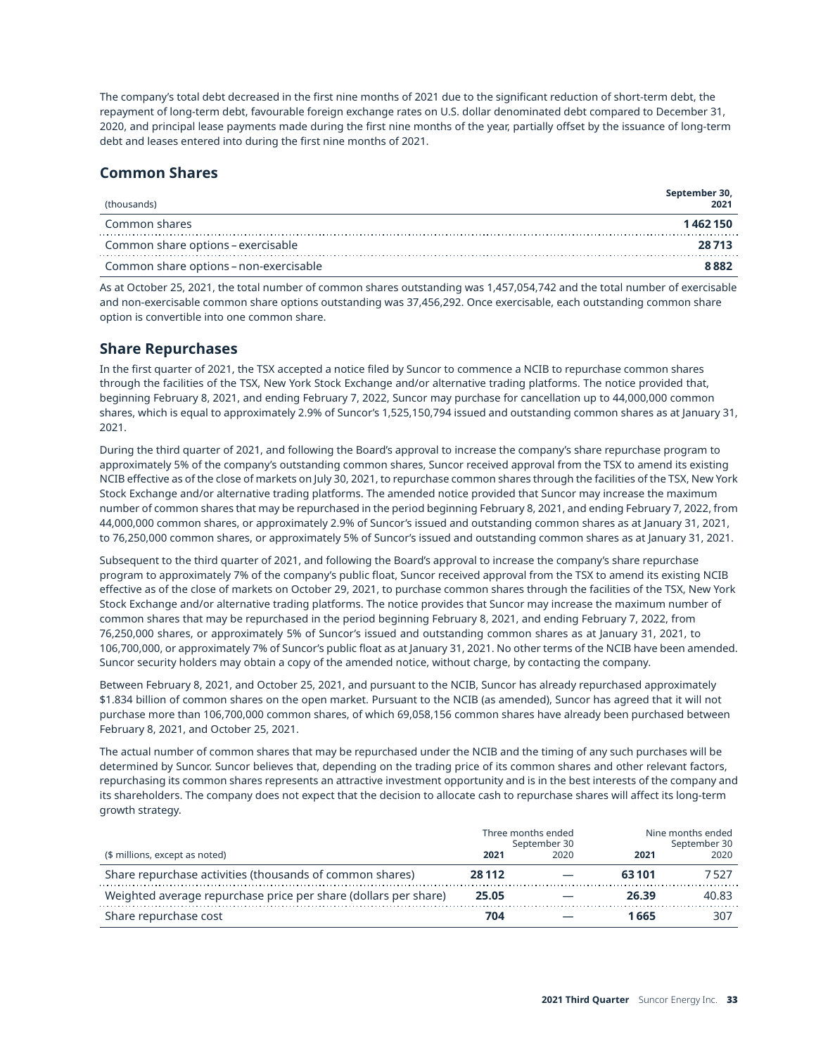The company's total debt decreased in the first nine months of 2021 due to the significant reduction of short-term debt, the repayment of long-term debt, favourable foreign exchange rates on U.S. dollar denominated debt compared to December 31, 2020, and principal lease payments made during the first nine months of the year, partially offset by the issuance of long-term debt and leases entered into during the first nine months of 2021.

## **Common Shares**

| (thousands)                            | September 30,<br>2021 |
|----------------------------------------|-----------------------|
| Common shares                          | 1462150               |
| Common share options – exercisable     | 28.713                |
| Common share options – non-exercisable | 8882                  |

As at October 25, 2021, the total number of common shares outstanding was 1,457,054,742 and the total number of exercisable and non-exercisable common share options outstanding was 37,456,292. Once exercisable, each outstanding common share option is convertible into one common share.

## **Share Repurchases**

In the first quarter of 2021, the TSX accepted a notice filed by Suncor to commence a NCIB to repurchase common shares through the facilities of the TSX, New York Stock Exchange and/or alternative trading platforms. The notice provided that, beginning February 8, 2021, and ending February 7, 2022, Suncor may purchase for cancellation up to 44,000,000 common shares, which is equal to approximately 2.9% of Suncor's 1,525,150,794 issued and outstanding common shares as at January 31, 2021.

During the third quarter of 2021, and following the Board's approval to increase the company's share repurchase program to approximately 5% of the company's outstanding common shares, Suncor received approval from the TSX to amend its existing NCIB effective as of the close of markets on July 30, 2021, to repurchase common shares through the facilities of the TSX, New York Stock Exchange and/or alternative trading platforms. The amended notice provided that Suncor may increase the maximum number of common shares that may be repurchased in the period beginning February 8, 2021, and ending February 7, 2022, from 44,000,000 common shares, or approximately 2.9% of Suncor's issued and outstanding common shares as at January 31, 2021, to 76,250,000 common shares, or approximately 5% of Suncor's issued and outstanding common shares as at January 31, 2021.

Subsequent to the third quarter of 2021, and following the Board's approval to increase the company's share repurchase program to approximately 7% of the company's public float, Suncor received approval from the TSX to amend its existing NCIB effective as of the close of markets on October 29, 2021, to purchase common shares through the facilities of the TSX, New York Stock Exchange and/or alternative trading platforms. The notice provides that Suncor may increase the maximum number of common shares that may be repurchased in the period beginning February 8, 2021, and ending February 7, 2022, from 76,250,000 shares, or approximately 5% of Suncor's issued and outstanding common shares as at January 31, 2021, to 106,700,000, or approximately 7% of Suncor's public float as at January 31, 2021. No other terms of the NCIB have been amended. Suncor security holders may obtain a copy of the amended notice, without charge, by contacting the company.

Between February 8, 2021, and October 25, 2021, and pursuant to the NCIB, Suncor has already repurchased approximately \$1.834 billion of common shares on the open market. Pursuant to the NCIB (as amended), Suncor has agreed that it will not purchase more than 106,700,000 common shares, of which 69,058,156 common shares have already been purchased between February 8, 2021, and October 25, 2021.

The actual number of common shares that may be repurchased under the NCIB and the timing of any such purchases will be determined by Suncor. Suncor believes that, depending on the trading price of its common shares and other relevant factors, repurchasing its common shares represents an attractive investment opportunity and is in the best interests of the company and its shareholders. The company does not expect that the decision to allocate cash to repurchase shares will affect its long-term growth strategy.

|                                                                 |              | Three months ended<br>September 30 | Nine months ended<br>September 30 |       |  |
|-----------------------------------------------------------------|--------------|------------------------------------|-----------------------------------|-------|--|
| (\$ millions, except as noted)                                  | 2021<br>2020 |                                    | 2021                              | 2020  |  |
| Share repurchase activities (thousands of common shares)        | 28 1 12      |                                    | 63101                             | 7527  |  |
| Weighted average repurchase price per share (dollars per share) | 25.05        |                                    | 26.39                             | 40.83 |  |
| Share repurchase cost                                           | 704          |                                    | 1 665                             | 307   |  |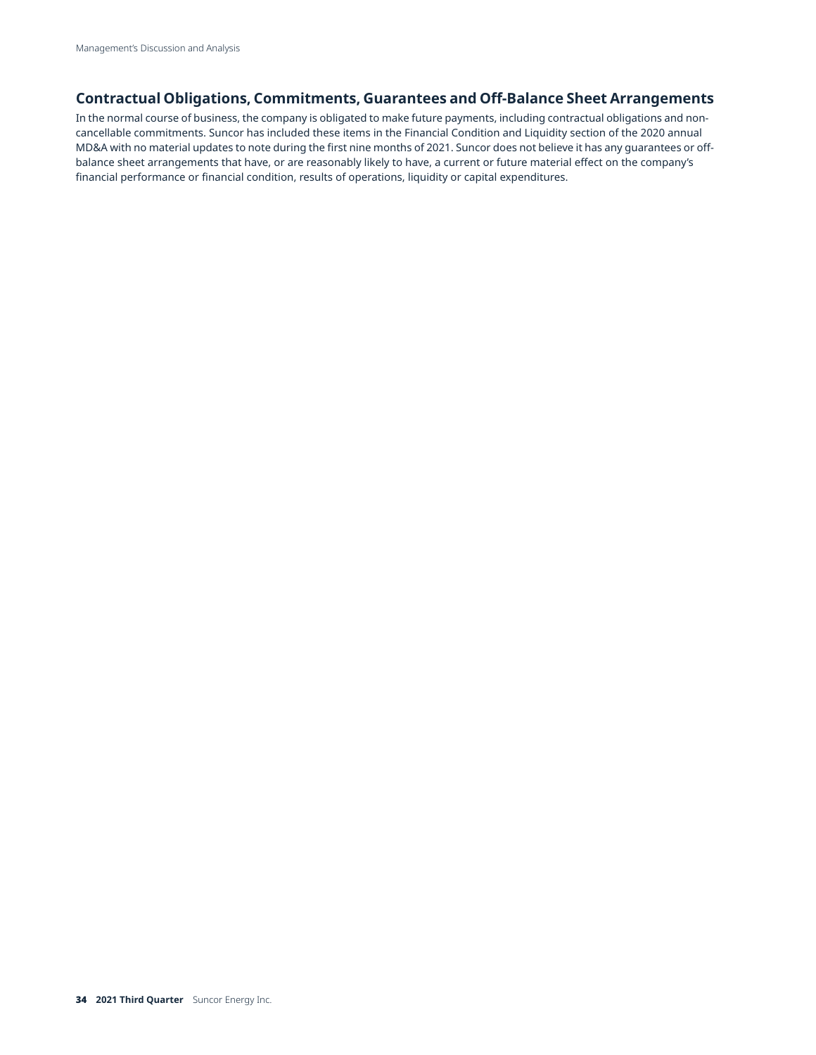## **Contractual Obligations, Commitments, Guarantees and Off-Balance Sheet Arrangements**

In the normal course of business, the company is obligated to make future payments, including contractual obligations and noncancellable commitments. Suncor has included these items in the Financial Condition and Liquidity section of the 2020 annual MD&A with no material updates to note during the first nine months of 2021. Suncor does not believe it has any guarantees or offbalance sheet arrangements that have, or are reasonably likely to have, a current or future material effect on the company's financial performance or financial condition, results of operations, liquidity or capital expenditures.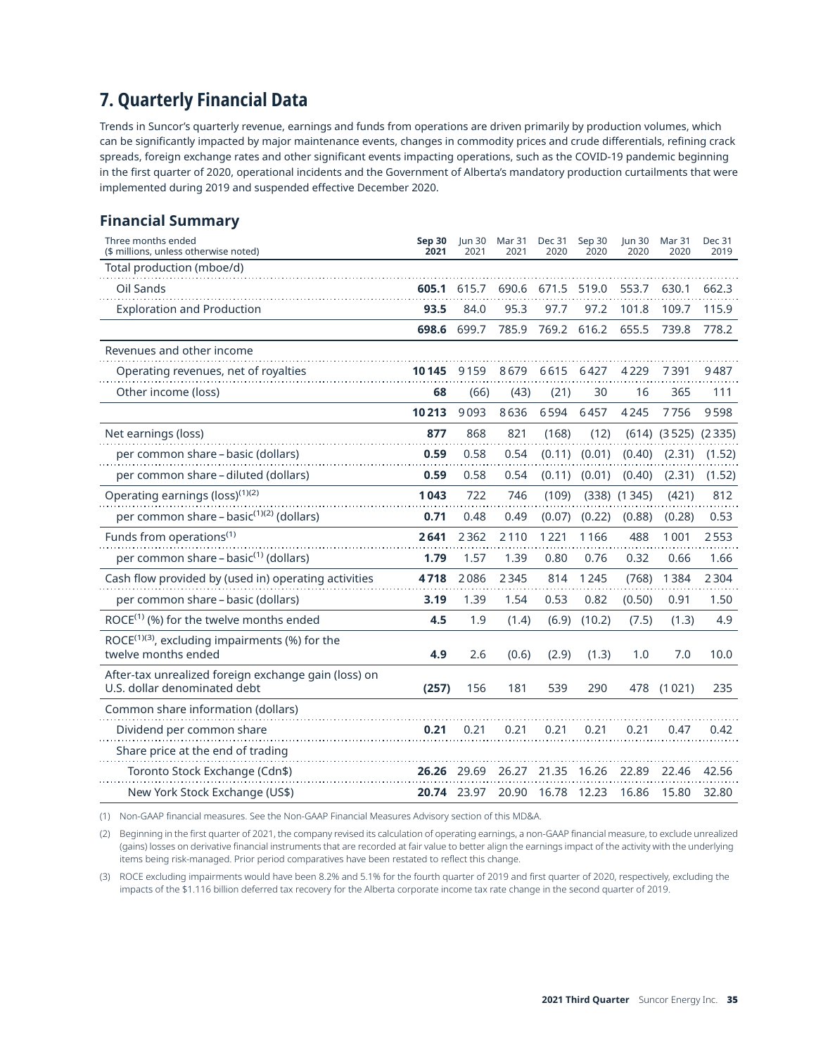# <span id="page-34-0"></span>**7. Quarterly Financial Data**

Trends in Suncor's quarterly revenue, earnings and funds from operations are driven primarily by production volumes, which can be significantly impacted by major maintenance events, changes in commodity prices and crude differentials, refining crack spreads, foreign exchange rates and other significant events impacting operations, such as the COVID-19 pandemic beginning in the first quarter of 2020, operational incidents and the Government of Alberta's mandatory production curtailments that were implemented during 2019 and suspended effective December 2020.

## **Financial Summary**

| Three months ended<br>(\$ millions, unless otherwise noted)                          | Sep 30<br>2021     | Jun $30$<br>2021 | Mar 31<br>2021 | Dec 31<br>2020 | Sep 30<br>2020 | Jun 30<br>2020   | Mar 31<br>2020            | Dec 31<br>2019 |
|--------------------------------------------------------------------------------------|--------------------|------------------|----------------|----------------|----------------|------------------|---------------------------|----------------|
| Total production (mboe/d)                                                            |                    |                  |                |                |                |                  |                           |                |
| Oil Sands                                                                            | 605.1              | 615.7            | 690.6          | 671.5          | 519.0          | 553.7            | 630.1                     | 662.3          |
| <b>Exploration and Production</b>                                                    | 93.5               | 84.0             | 95.3           | 97.7           | 97.2           | 101.8            | 109.7                     | 115.9          |
|                                                                                      | 698.6              | 699.7            | 785.9          | 769.2 616.2    |                | 655.5            | 739.8                     | 778.2          |
| Revenues and other income                                                            |                    |                  |                |                |                |                  |                           |                |
| Operating revenues, net of royalties                                                 | 10145              | 9159             | 8679           | 6615           | 6427           | 4229             | 7391                      | 9487           |
| Other income (loss)                                                                  | 68                 | (66)             | (43)           | (21)           | 30             | 16               | 365                       | 111            |
|                                                                                      | 10213              | 9093             | 8636           | 6594           | 6457           | 4245             | 7756                      | 9598           |
| Net earnings (loss)                                                                  | 877                | 868              | 821            | (168)          | (12)           |                  | $(614)$ $(3525)$ $(2335)$ |                |
| per common share - basic (dollars)                                                   | 0.59               | 0.58             | 0.54           | (0.11)         | (0.01)         | (0.40)           | (2.31)                    | (1.52)         |
| per common share – diluted (dollars)                                                 | 0.59               | 0.58             | 0.54           | (0.11)         | (0.01)         | (0.40)           | (2.31)                    | (1.52)         |
| Operating earnings (loss) <sup>(1)(2)</sup>                                          | 1043               | 722              | 746            | (109)          |                | $(338)$ $(1345)$ | (421)                     | 812            |
| per common share - basic <sup>(1)(2)</sup> (dollars)                                 | 0.71               | 0.48             | 0.49           | (0.07)         | (0.22)         | (0.88)           | (0.28)                    | 0.53           |
| Funds from operations <sup>(1)</sup>                                                 | 2641               | 2362             | 2110           | 1221           | 1166           | 488              | 1001                      | 2553           |
| per common share - basic <sup>(1)</sup> (dollars)                                    | 1.79               | 1.57             | 1.39           | 0.80           | 0.76           | 0.32             | 0.66                      | 1.66           |
| Cash flow provided by (used in) operating activities                                 | 4718               | 2086             | 2345           | 814            | 1245           | (768)            | 1384                      | 2304           |
| per common share – basic (dollars)                                                   | 3.19               | 1.39             | 1.54           | 0.53           | 0.82           | (0.50)           | 0.91                      | 1.50           |
| ROCE $(1)$ (%) for the twelve months ended                                           | 4.5                | 1.9              | (1.4)          | (6.9)          | (10.2)         | (7.5)            | (1.3)                     | 4.9            |
| ROCE $(1)(3)$ , excluding impairments (%) for the<br>twelve months ended             | 4.9                | 2.6              | (0.6)          | (2.9)          | (1.3)          | 1.0              | 7.0                       | 10.0           |
| After-tax unrealized foreign exchange gain (loss) on<br>U.S. dollar denominated debt | (257)              | 156              | 181            | 539            | 290            | 478              | (1021)                    | 235            |
| Common share information (dollars)                                                   |                    |                  |                |                |                |                  |                           |                |
| Dividend per common share                                                            | 0.21               | 0.21             | 0.21           | 0.21           | 0.21           | 0.21             | 0.47                      | 0.42           |
| Share price at the end of trading                                                    |                    |                  |                |                |                |                  |                           |                |
| Toronto Stock Exchange (Cdn\$)                                                       | 26.26 29.69        |                  | 26.27          | 21.35          | 16.26          | 22.89            | 22.46                     | 42.56          |
| New York Stock Exchange (US\$)                                                       | <b>20.74</b> 23.97 |                  | 20.90          | 16.78          | 12.23          | 16.86            | 15.80                     | 32.80          |

(1) Non-GAAP financial measures. See the Non-GAAP Financial Measures Advisory section of this MD&A.

(2) Beginning in the first quarter of 2021, the company revised its calculation of operating earnings, a non-GAAP financial measure, to exclude unrealized (gains) losses on derivative financial instruments that are recorded at fair value to better align the earnings impact of the activity with the underlying items being risk-managed. Prior period comparatives have been restated to reflect this change.

(3) ROCE excluding impairments would have been 8.2% and 5.1% for the fourth quarter of 2019 and first quarter of 2020, respectively, excluding the impacts of the \$1.116 billion deferred tax recovery for the Alberta corporate income tax rate change in the second quarter of 2019.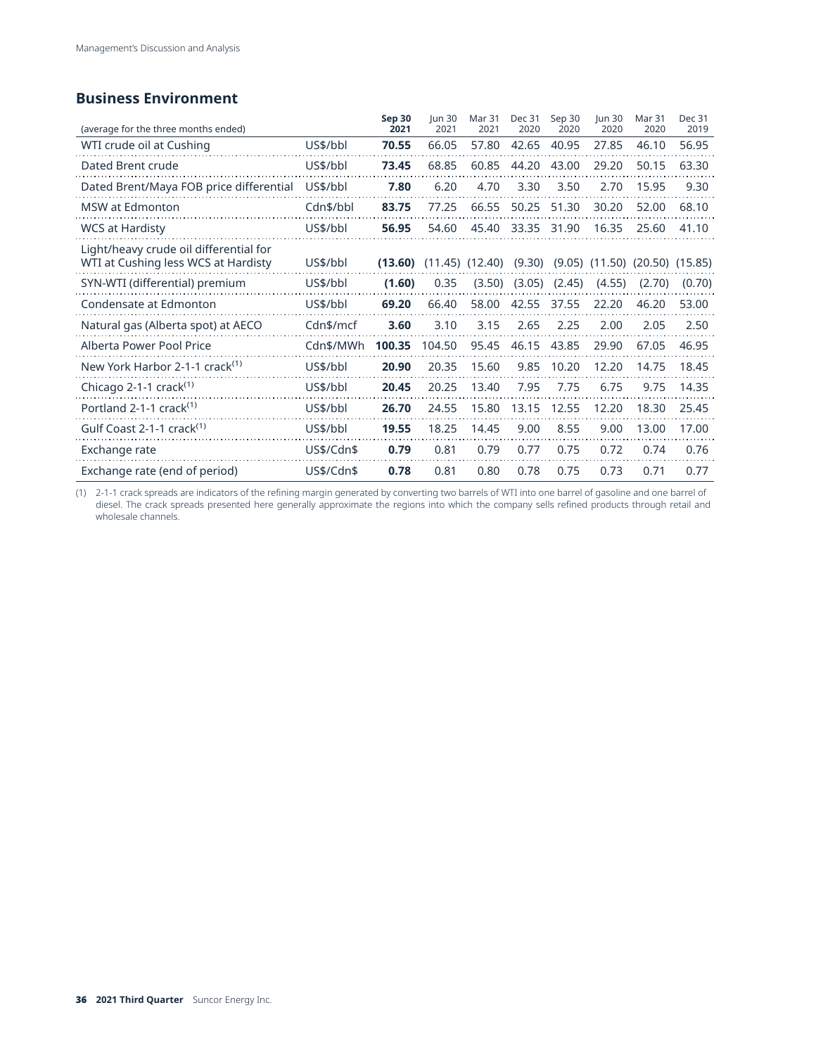## **Business Environment**

| (average for the three months ended)                                          |            | Sep 30<br>2021 | <b>lun 30</b><br>2021 | <b>Mar 31</b><br>2021 | <b>Dec 31</b><br>2020 | Sep 30<br>2020 | <b>Iun 30</b><br>2020                  | <b>Mar 31</b><br>2020 | Dec 31<br>2019 |
|-------------------------------------------------------------------------------|------------|----------------|-----------------------|-----------------------|-----------------------|----------------|----------------------------------------|-----------------------|----------------|
| WTI crude oil at Cushing                                                      | US\$/bbl   | 70.55          | 66.05                 | 57.80                 | 42.65                 | 40.95          | 27.85                                  | 46.10                 | 56.95          |
| Dated Brent crude                                                             | US\$/bbl   | 73.45          | 68.85                 | 60.85                 | 44.20                 | 43.00          | 29.20                                  | 50.15                 | 63.30          |
| Dated Brent/Maya FOB price differential                                       | US\$/bbl   | 7.80           | 6.20                  | 4.70                  | 3.30                  | 3.50           | 2.70                                   | 15.95                 | 9.30           |
| MSW at Edmonton                                                               | Cdn\$/bbl  | 83.75          | 77.25                 | 66.55                 | 50.25                 | 51.30          | 30.20                                  | 52.00                 | 68.10          |
| <b>WCS at Hardisty</b>                                                        | US\$/bbl   | 56.95          | 54.60                 | 45.40                 | 33.35                 | 31.90          | 16.35                                  | 25.60                 | 41.10          |
| Light/heavy crude oil differential for<br>WTI at Cushing less WCS at Hardisty | US\$/bbl   | (13.60)        |                       | $(11.45)$ $(12.40)$   | (9.30)                |                | $(9.05)$ $(11.50)$ $(20.50)$ $(15.85)$ |                       |                |
| SYN-WTI (differential) premium                                                | US\$/bbl   | (1.60)         | 0.35                  | (3.50)                | (3.05)                | (2.45)         | (4.55)                                 | (2.70)                | (0.70)         |
| Condensate at Edmonton                                                        | US\$/bbl   | 69.20          | 66.40                 | 58.00                 | 42.55                 | 37.55          | 22.20                                  | 46.20                 | 53.00          |
| Natural gas (Alberta spot) at AECO                                            | Cdn\$/mcf  | 3.60           | 3.10                  | 3.15                  | 2.65                  | 2.25           | 2.00                                   | 2.05                  | 2.50           |
| Alberta Power Pool Price                                                      | Cdn\$/MWh  | 100.35         | 104.50                | 95.45                 | 46.15                 | 43.85          | 29.90                                  | 67.05                 | 46.95          |
| New York Harbor 2-1-1 crack <sup>(1)</sup>                                    | US\$/bbl   | 20.90          | 20.35                 | 15.60                 | 9.85                  | 10.20          | 12.20                                  | 14.75                 | 18.45          |
| Chicago 2-1-1 crack $(1)$                                                     | US\$/bbl   | 20.45          | 20.25                 | 13.40                 | 7.95                  | 7.75           | 6.75                                   | 9.75                  | 14.35          |
| Portland 2-1-1 crack <sup>(1)</sup>                                           | US\$/bbl   | 26.70          | 24.55                 | 15.80                 | 13.15                 | 12.55          | 12.20                                  | 18.30                 | 25.45          |
| Gulf Coast 2-1-1 crack <sup>(1)</sup>                                         | US\$/bbl   | 19.55          | 18.25                 | 14.45                 | 9.00                  | 8.55           | 9.00                                   | 13.00                 | 17.00          |
| Exchange rate                                                                 | US\$/Cdn\$ | 0.79           | 0.81                  | 0.79                  | 0.77                  | 0.75           | 0.72                                   | 0.74                  | 0.76           |
| Exchange rate (end of period)                                                 | US\$/Cdn\$ | 0.78           | 0.81                  | 0.80                  | 0.78                  | 0.75           | 0.73                                   | 0.71                  | 0.77           |

(1) 2-1-1 crack spreads are indicators of the refining margin generated by converting two barrels of WTI into one barrel of gasoline and one barrel of diesel. The crack spreads presented here generally approximate the regions into which the company sells refined products through retail and wholesale channels.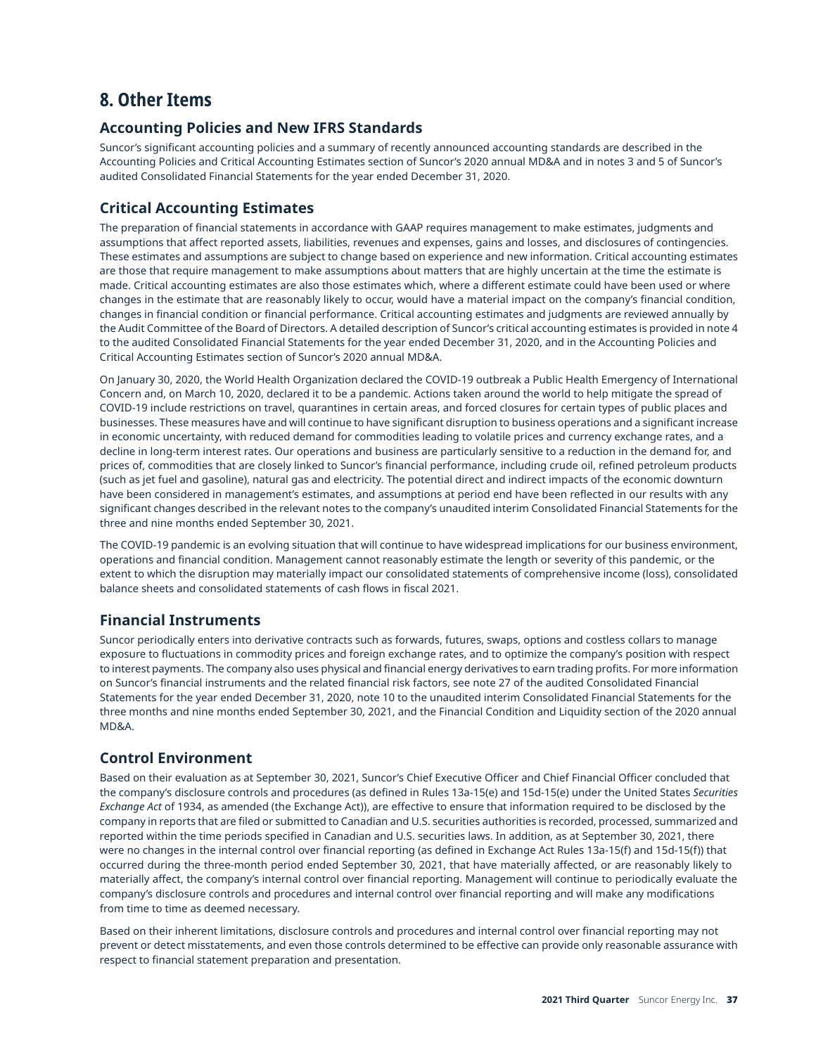## **8. Other Items**

#### **Accounting Policies and New IFRS Standards**

Suncor's significant accounting policies and a summary of recently announced accounting standards are described in the Accounting Policies and Critical Accounting Estimates section of Suncor's 2020 annual MD&A and in notes 3 and 5 of Suncor's audited Consolidated Financial Statements for the year ended December 31, 2020.

### **Critical Accounting Estimates**

The preparation of financial statements in accordance with GAAP requires management to make estimates, judgments and assumptions that affect reported assets, liabilities, revenues and expenses, gains and losses, and disclosures of contingencies. These estimates and assumptions are subject to change based on experience and new information. Critical accounting estimates are those that require management to make assumptions about matters that are highly uncertain at the time the estimate is made. Critical accounting estimates are also those estimates which, where a different estimate could have been used or where changes in the estimate that are reasonably likely to occur, would have a material impact on the company's financial condition, changes in financial condition or financial performance. Critical accounting estimates and judgments are reviewed annually by the Audit Committee of the Board of Directors. A detailed description of Suncor's critical accounting estimates is provided in note 4 to the audited Consolidated Financial Statements for the year ended December 31, 2020, and in the Accounting Policies and Critical Accounting Estimates section of Suncor's 2020 annual MD&A.

On January 30, 2020, the World Health Organization declared the COVID-19 outbreak a Public Health Emergency of International Concern and, on March 10, 2020, declared it to be a pandemic. Actions taken around the world to help mitigate the spread of COVID-19 include restrictions on travel, quarantines in certain areas, and forced closures for certain types of public places and businesses. These measures have and will continue to have significant disruption to business operations and a significant increase in economic uncertainty, with reduced demand for commodities leading to volatile prices and currency exchange rates, and a decline in long-term interest rates. Our operations and business are particularly sensitive to a reduction in the demand for, and prices of, commodities that are closely linked to Suncor's financial performance, including crude oil, refined petroleum products (such as jet fuel and gasoline), natural gas and electricity. The potential direct and indirect impacts of the economic downturn have been considered in management's estimates, and assumptions at period end have been reflected in our results with any significant changes described in the relevant notes to the company's unaudited interim Consolidated Financial Statements for the three and nine months ended September 30, 2021.

The COVID-19 pandemic is an evolving situation that will continue to have widespread implications for our business environment, operations and financial condition. Management cannot reasonably estimate the length or severity of this pandemic, or the extent to which the disruption may materially impact our consolidated statements of comprehensive income (loss), consolidated balance sheets and consolidated statements of cash flows in fiscal 2021.

### **Financial Instruments**

Suncor periodically enters into derivative contracts such as forwards, futures, swaps, options and costless collars to manage exposure to fluctuations in commodity prices and foreign exchange rates, and to optimize the company's position with respect to interest payments. The company also uses physical and financial energy derivatives to earn trading profits. For more information on Suncor's financial instruments and the related financial risk factors, see note 27 of the audited Consolidated Financial Statements for the year ended December 31, 2020, note 10 to the unaudited interim Consolidated Financial Statements for the three months and nine months ended September 30, 2021, and the Financial Condition and Liquidity section of the 2020 annual MD&A.

### **Control Environment**

Based on their evaluation as at September 30, 2021, Suncor's Chief Executive Officer and Chief Financial Officer concluded that the company's disclosure controls and procedures (as defined in Rules 13a-15(e) and 15d-15(e) under the United States *Securities Exchange Act* of 1934, as amended (the Exchange Act)), are effective to ensure that information required to be disclosed by the company in reports that are filed or submitted to Canadian and U.S. securities authorities is recorded, processed, summarized and reported within the time periods specified in Canadian and U.S. securities laws. In addition, as at September 30, 2021, there were no changes in the internal control over financial reporting (as defined in Exchange Act Rules 13a-15(f) and 15d-15(f)) that occurred during the three-month period ended September 30, 2021, that have materially affected, or are reasonably likely to materially affect, the company's internal control over financial reporting. Management will continue to periodically evaluate the company's disclosure controls and procedures and internal control over financial reporting and will make any modifications from time to time as deemed necessary.

Based on their inherent limitations, disclosure controls and procedures and internal control over financial reporting may not prevent or detect misstatements, and even those controls determined to be effective can provide only reasonable assurance with respect to financial statement preparation and presentation.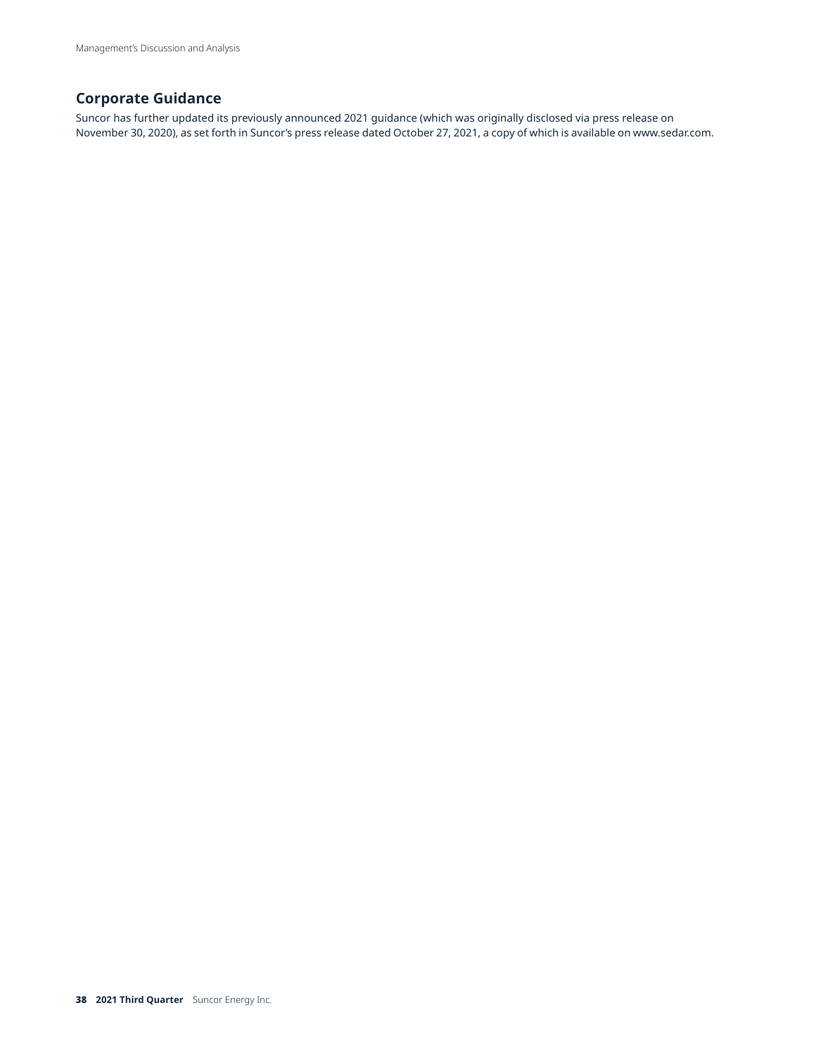### **Corporate Guidance**

Suncor has further updated its previously announced 2021 guidance (which was originally disclosed via press release on November 30, 2020), as set forth in Suncor's press release dated October 27, 2021, a copy of which is available on [www.sedar.com.](http://www.sedar.com)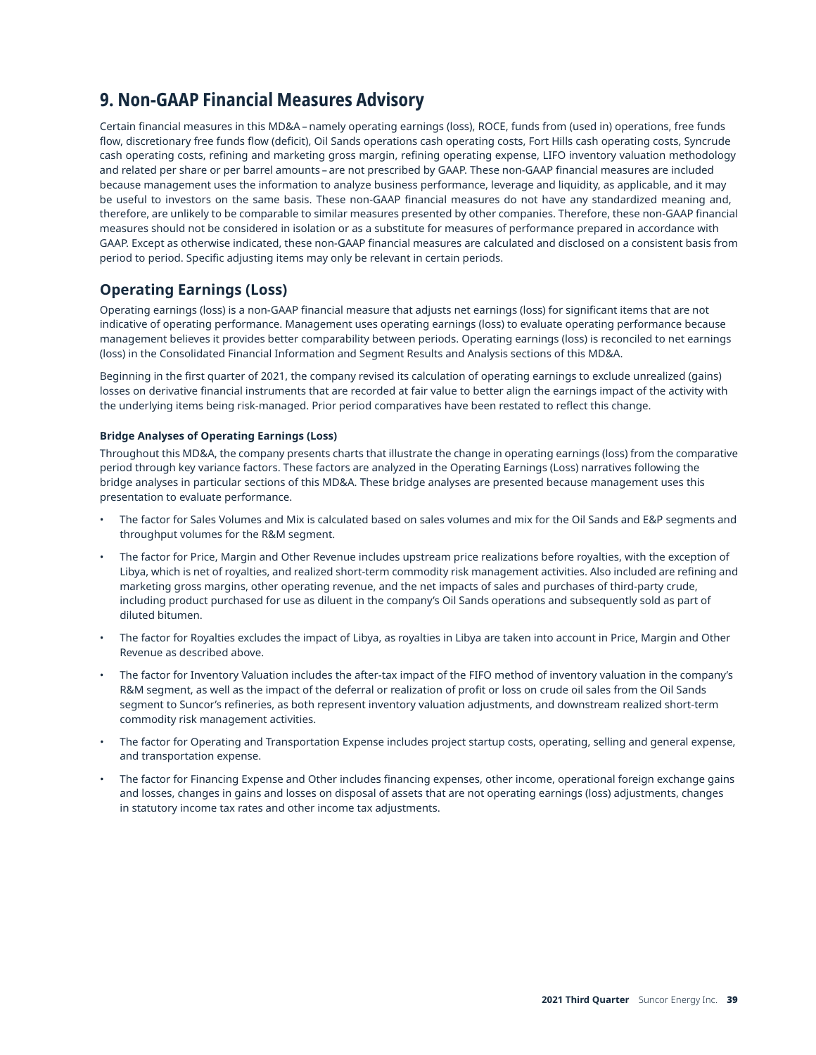## **9. Non-GAAP Financial Measures Advisory**

Certain financial measures in this MD&A – namely operating earnings (loss), ROCE, funds from (used in) operations, free funds flow, discretionary free funds flow (deficit), Oil Sands operations cash operating costs, Fort Hills cash operating costs, Syncrude cash operating costs, refining and marketing gross margin, refining operating expense, LIFO inventory valuation methodology and related per share or per barrel amounts – are not prescribed by GAAP. These non-GAAP financial measures are included because management uses the information to analyze business performance, leverage and liquidity, as applicable, and it may be useful to investors on the same basis. These non-GAAP financial measures do not have any standardized meaning and, therefore, are unlikely to be comparable to similar measures presented by other companies. Therefore, these non-GAAP financial measures should not be considered in isolation or as a substitute for measures of performance prepared in accordance with GAAP. Except as otherwise indicated, these non-GAAP financial measures are calculated and disclosed on a consistent basis from period to period. Specific adjusting items may only be relevant in certain periods.

### **Operating Earnings (Loss)**

Operating earnings (loss) is a non-GAAP financial measure that adjusts net earnings (loss) for significant items that are not indicative of operating performance. Management uses operating earnings (loss) to evaluate operating performance because management believes it provides better comparability between periods. Operating earnings (loss) is reconciled to net earnings (loss) in the Consolidated Financial Information and Segment Results and Analysis sections of this MD&A.

Beginning in the first quarter of 2021, the company revised its calculation of operating earnings to exclude unrealized (gains) losses on derivative financial instruments that are recorded at fair value to better align the earnings impact of the activity with the underlying items being risk-managed. Prior period comparatives have been restated to reflect this change.

#### **Bridge Analyses of Operating Earnings (Loss)**

Throughout this MD&A, the company presents charts that illustrate the change in operating earnings (loss) from the comparative period through key variance factors. These factors are analyzed in the Operating Earnings (Loss) narratives following the bridge analyses in particular sections of this MD&A. These bridge analyses are presented because management uses this presentation to evaluate performance.

- The factor for Sales Volumes and Mix is calculated based on sales volumes and mix for the Oil Sands and E&P segments and throughput volumes for the R&M segment.
- The factor for Price, Margin and Other Revenue includes upstream price realizations before royalties, with the exception of Libya, which is net of royalties, and realized short-term commodity risk management activities. Also included are refining and marketing gross margins, other operating revenue, and the net impacts of sales and purchases of third-party crude, including product purchased for use as diluent in the company's Oil Sands operations and subsequently sold as part of diluted bitumen.
- The factor for Royalties excludes the impact of Libya, as royalties in Libya are taken into account in Price, Margin and Other Revenue as described above.
- The factor for Inventory Valuation includes the after-tax impact of the FIFO method of inventory valuation in the company's R&M segment, as well as the impact of the deferral or realization of profit or loss on crude oil sales from the Oil Sands segment to Suncor's refineries, as both represent inventory valuation adjustments, and downstream realized short-term commodity risk management activities.
- The factor for Operating and Transportation Expense includes project startup costs, operating, selling and general expense, and transportation expense.
- The factor for Financing Expense and Other includes financing expenses, other income, operational foreign exchange gains and losses, changes in gains and losses on disposal of assets that are not operating earnings (loss) adjustments, changes in statutory income tax rates and other income tax adjustments.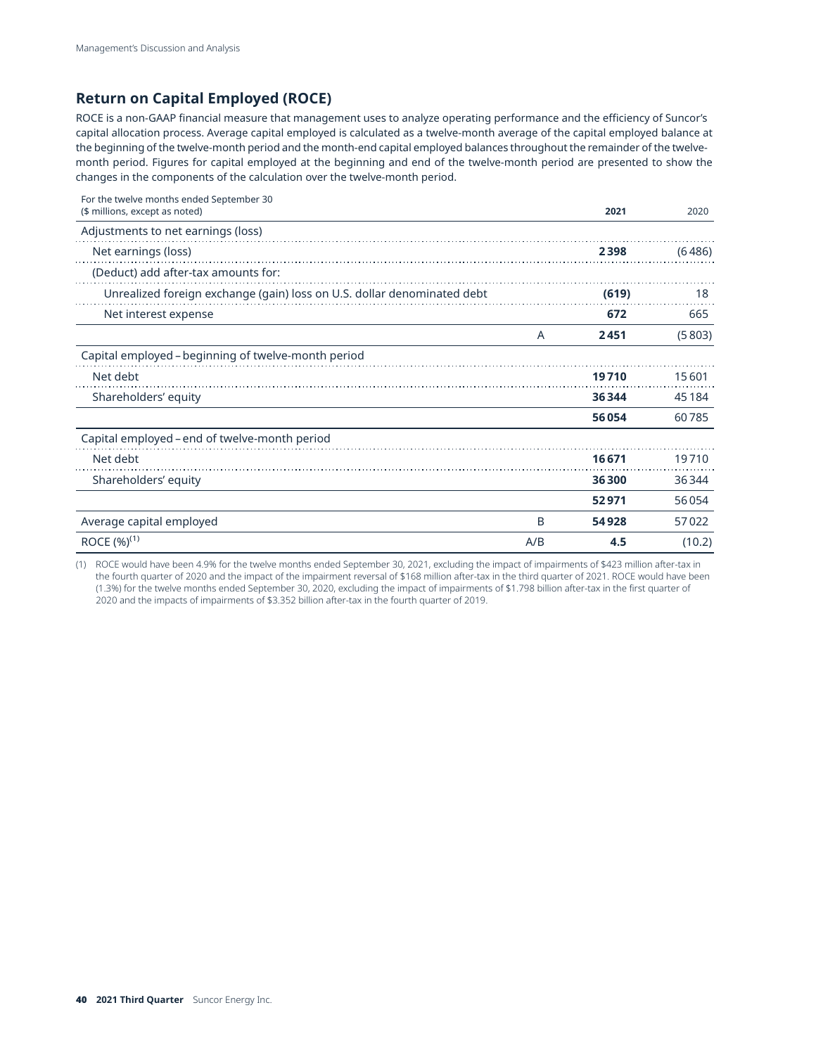### **Return on Capital Employed (ROCE)**

ROCE is a non-GAAP financial measure that management uses to analyze operating performance and the efficiency of Suncor's capital allocation process. Average capital employed is calculated as a twelve-month average of the capital employed balance at the beginning of the twelve-month period and the month-end capital employed balances throughout the remainder of the twelvemonth period. Figures for capital employed at the beginning and end of the twelve-month period are presented to show the changes in the components of the calculation over the twelve-month period.

| For the twelve months ended September 30<br>(\$ millions, except as noted) |     | 2021  | 2020   |
|----------------------------------------------------------------------------|-----|-------|--------|
| Adjustments to net earnings (loss)                                         |     |       |        |
| Net earnings (loss)                                                        |     | 2398  | (6486) |
| (Deduct) add after-tax amounts for:                                        |     |       |        |
| Unrealized foreign exchange (gain) loss on U.S. dollar denominated debt    |     | (619) | 18     |
| Net interest expense                                                       |     | 672   | 665    |
|                                                                            | A   | 2451  | (5803) |
| Capital employed - beginning of twelve-month period                        |     |       |        |
| Net debt                                                                   |     | 19710 | 15601  |
| Shareholders' equity                                                       |     | 36344 | 45184  |
|                                                                            |     | 56054 | 60785  |
| Capital employed - end of twelve-month period                              |     |       |        |
| Net debt                                                                   |     | 16671 | 19710  |
| Shareholders' equity                                                       |     | 36300 | 36344  |
|                                                                            |     | 52971 | 56054  |
| Average capital employed                                                   | B   | 54928 | 57022  |
| ROCE (%) <sup>(1)</sup>                                                    | A/B | 4.5   | (10.2) |

(1) ROCE would have been 4.9% for the twelve months ended September 30, 2021, excluding the impact of impairments of \$423 million after-tax in the fourth quarter of 2020 and the impact of the impairment reversal of \$168 million after-tax in the third quarter of 2021. ROCE would have been (1.3%) for the twelve months ended September 30, 2020, excluding the impact of impairments of \$1.798 billion after-tax in the first quarter of 2020 and the impacts of impairments of \$3.352 billion after-tax in the fourth quarter of 2019.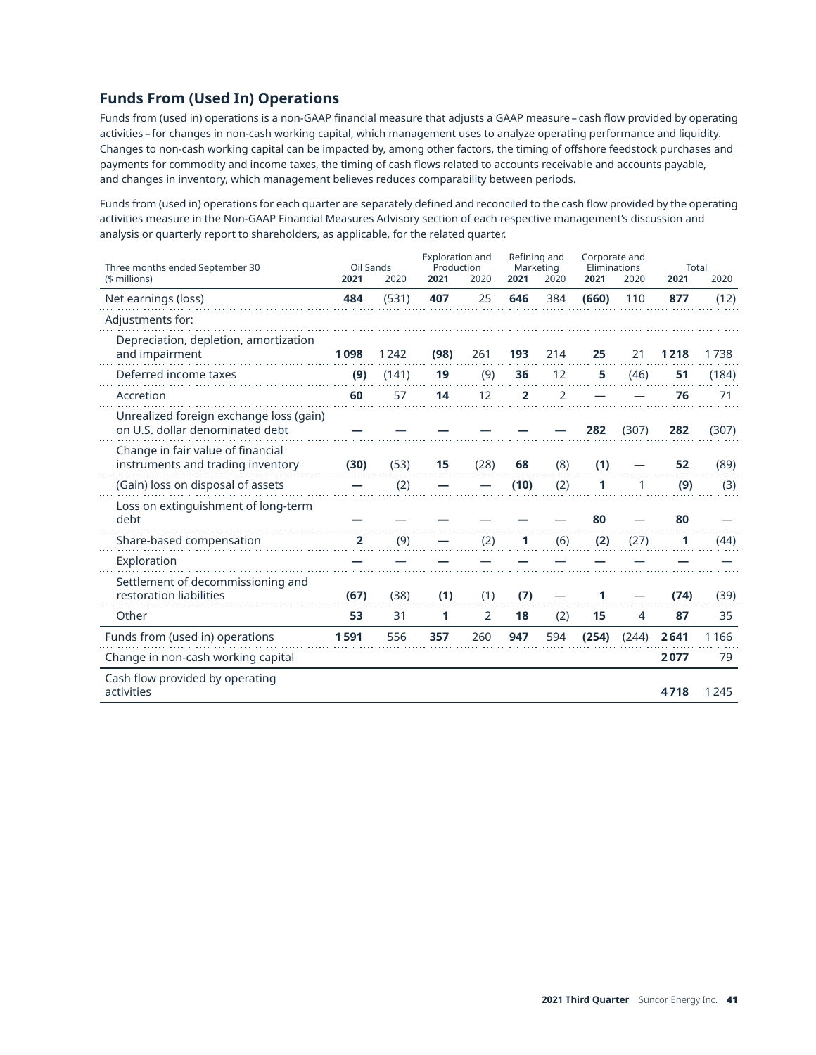### **Funds From (Used In) Operations**

Funds from (used in) operations is a non-GAAP financial measure that adjusts a GAAP measure – cash flow provided by operating activities – for changes in non-cash working capital, which management uses to analyze operating performance and liquidity. Changes to non-cash working capital can be impacted by, among other factors, the timing of offshore feedstock purchases and payments for commodity and income taxes, the timing of cash flows related to accounts receivable and accounts payable, and changes in inventory, which management believes reduces comparability between periods.

Funds from (used in) operations for each quarter are separately defined and reconciled to the cash flow provided by the operating activities measure in the Non-GAAP Financial Measures Advisory section of each respective management's discussion and analysis or quarterly report to shareholders, as applicable, for the related quarter.

| Three months ended September 30                                            | Oil Sands      |       | <b>Exploration and</b><br>Production |      | Refining and<br>Marketing |      | Corporate and<br>Eliminations |       | <b>Total</b> |       |
|----------------------------------------------------------------------------|----------------|-------|--------------------------------------|------|---------------------------|------|-------------------------------|-------|--------------|-------|
| (\$ millions)                                                              | 2021           | 2020  | 2021                                 | 2020 | 2021                      | 2020 | 2021                          | 2020  | 2021         | 2020  |
| Net earnings (loss)                                                        | 484            | (531) | 407                                  | 25   | 646                       | 384  | (660)                         | 110   | 877          | (12)  |
| Adjustments for:                                                           |                |       |                                      |      |                           |      |                               |       |              |       |
| Depreciation, depletion, amortization<br>and impairment                    | 1098           | 1242  | (98)                                 | 261  | 193                       | 214  | 25                            | 21    | 1218         | 1738  |
| Deferred income taxes                                                      | (9)            | (141) | 19                                   | (9)  | 36                        | 12   | 5                             | (46)  | 51           | (184) |
| Accretion                                                                  | 60             | 57    | 14                                   | 12   | $\overline{2}$            | 2    |                               |       | 76           | 71    |
| Unrealized foreign exchange loss (gain)<br>on U.S. dollar denominated debt |                |       |                                      |      |                           |      | 282                           | (307) | 282          | (307) |
| Change in fair value of financial<br>instruments and trading inventory     | (30)           | (53)  | 15                                   | (28) | 68                        | (8)  | (1)                           |       | 52           | (89)  |
| (Gain) loss on disposal of assets                                          |                | (2)   |                                      |      | (10)                      | (2)  | 1                             | 1     | (9)          | (3)   |
| Loss on extinguishment of long-term<br>debt                                |                |       |                                      |      |                           |      | 80                            |       | 80           |       |
| Share-based compensation                                                   | $\overline{2}$ | (9)   |                                      | (2)  | 1                         | (6)  | (2)                           | (27)  | 1            | (44)  |
| Exploration                                                                |                |       |                                      |      |                           |      |                               |       |              |       |
| Settlement of decommissioning and<br>restoration liabilities               | (67)           | (38)  | (1)                                  | (1)  | (7)                       |      |                               |       | (74)         | (39)  |
| Other                                                                      | 53             | 31    | 1                                    | 2    | 18                        | (2)  | 15                            | 4     | 87           | 35    |
| Funds from (used in) operations                                            | 1591           | 556   | 357                                  | 260  | 947                       | 594  | (254)                         | (244) | 2641         | 1166  |
| Change in non-cash working capital                                         |                |       |                                      |      |                           |      |                               |       | 2077         | 79    |
| Cash flow provided by operating<br>activities                              |                |       |                                      |      |                           |      |                               |       | 4718         | 1245  |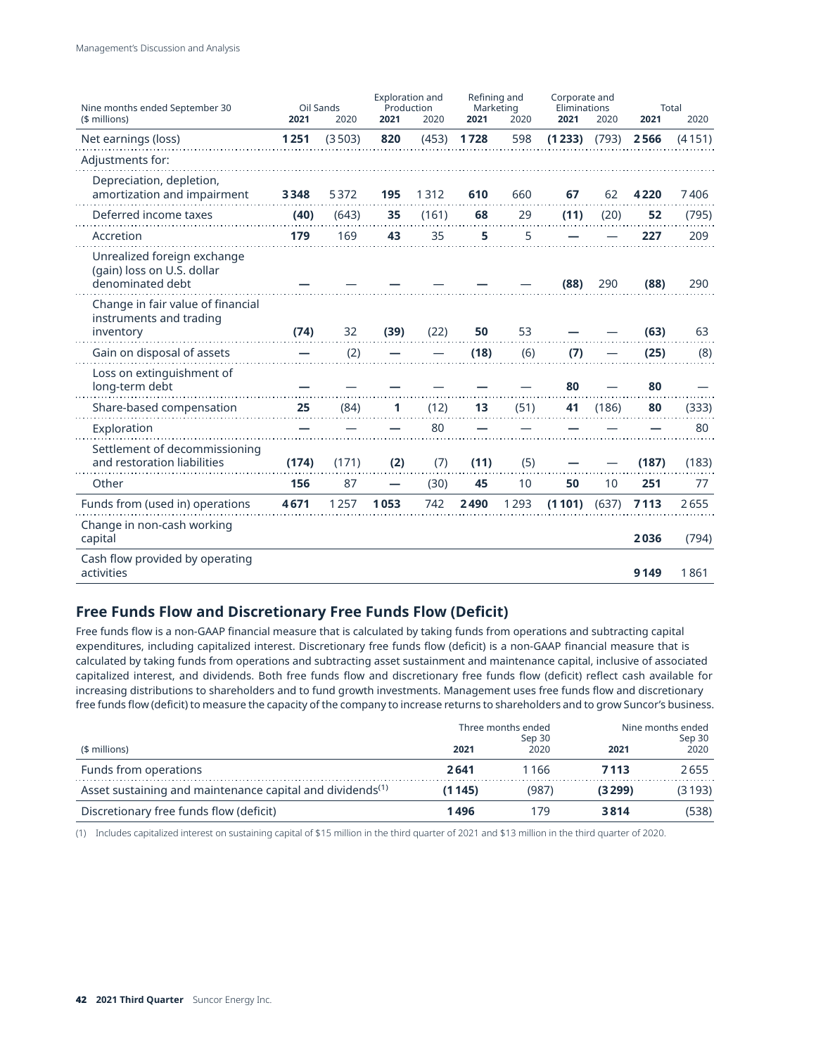| Nine months ended September 30                                                | Oil Sands |        | <b>Exploration and</b><br>Production |       | Refining and<br>Marketing |      | Corporate and<br>Eliminations |       |         | <b>Total</b> |
|-------------------------------------------------------------------------------|-----------|--------|--------------------------------------|-------|---------------------------|------|-------------------------------|-------|---------|--------------|
| (\$ millions)                                                                 | 2021      | 2020   | 2021                                 | 2020  | 2021                      | 2020 | 2021                          | 2020  | 2021    | 2020         |
| Net earnings (loss)                                                           | 1251      | (3503) | 820                                  | (453) | 1728                      | 598  | (1233)                        | (793) | 2566    | (4151)       |
| Adjustments for:                                                              |           |        |                                      |       |                           |      |                               |       |         |              |
| Depreciation, depletion,<br>amortization and impairment                       | 3348      | 5372   | 195                                  | 1312  | 610                       | 660  | 67                            | 62    | 4220    | 7406         |
| Deferred income taxes                                                         | (40)      | (643)  | 35                                   | (161) | 68                        | 29   | (11)                          | (20)  | 52      | (795)        |
| Accretion                                                                     | 179       | 169    | 43                                   | 35    | 5                         | 5    |                               |       | 227     | 209          |
| Unrealized foreign exchange<br>(gain) loss on U.S. dollar<br>denominated debt |           |        |                                      |       |                           |      | (88)                          | 290   | (88)    | 290          |
| Change in fair value of financial<br>instruments and trading<br>inventory     | (74)      | 32     | (39)                                 | (22)  | 50                        | 53   |                               |       | (63)    | 63           |
| Gain on disposal of assets                                                    |           | (2)    |                                      |       | (18)                      | (6)  | (7)                           |       | (25)    | (8)          |
| Loss on extinguishment of<br>long-term debt                                   |           |        |                                      |       |                           |      | 80                            |       | 80      |              |
| Share-based compensation                                                      | 25        | (84)   | 1                                    | (12)  | 13                        | (51) | 41                            | (186) | 80      | (333)        |
| Exploration                                                                   |           |        |                                      | 80    |                           |      |                               |       |         | 80           |
| Settlement of decommissioning<br>and restoration liabilities                  | (174)     | (171)  | (2)                                  | (7)   | (11)                      | (5)  |                               |       | (187)   | (183)        |
| Other                                                                         | 156       | 87     | $\overline{\phantom{0}}$             | (30)  | 45                        | 10   | 50                            | 10    | 251     | 77           |
| Funds from (used in) operations                                               | 4671      | 1257   | 1053                                 | 742   | 2490                      | 1293 | (1101)                        | (637) | 7113    | 2655         |
| Change in non-cash working<br>capital                                         |           |        |                                      |       |                           |      |                               |       | 2036    | (794)        |
| Cash flow provided by operating<br>activities                                 |           |        |                                      |       |                           |      |                               |       | 9 1 4 9 | 1861         |

### **Free Funds Flow and Discretionary Free Funds Flow (Deficit)**

Free funds flow is a non-GAAP financial measure that is calculated by taking funds from operations and subtracting capital expenditures, including capitalized interest. Discretionary free funds flow (deficit) is a non-GAAP financial measure that is calculated by taking funds from operations and subtracting asset sustainment and maintenance capital, inclusive of associated capitalized interest, and dividends. Both free funds flow and discretionary free funds flow (deficit) reflect cash available for increasing distributions to shareholders and to fund growth investments. Management uses free funds flow and discretionary free funds flow (deficit) to measure the capacity of the company to increase returns to shareholders and to grow Suncor's business.

|                                                                       |        | Three months ended<br>Sep 30 | Nine months ended<br>Sep 30 |            |  |
|-----------------------------------------------------------------------|--------|------------------------------|-----------------------------|------------|--|
| (\$ millions)                                                         | 2021   | 2020                         | 2021                        | 2020       |  |
| Funds from operations                                                 | 2641   | l 166                        | 7113                        | 2655       |  |
| Asset sustaining and maintenance capital and dividends <sup>(1)</sup> | (1145) | (987)                        | (3 2 9 9 )                  | (3 1 9 3 ) |  |
| Discretionary free funds flow (deficit)                               | 1496   | 179                          | 3814                        | (538)      |  |

(1) Includes capitalized interest on sustaining capital of \$15 million in the third quarter of 2021 and \$13 million in the third quarter of 2020.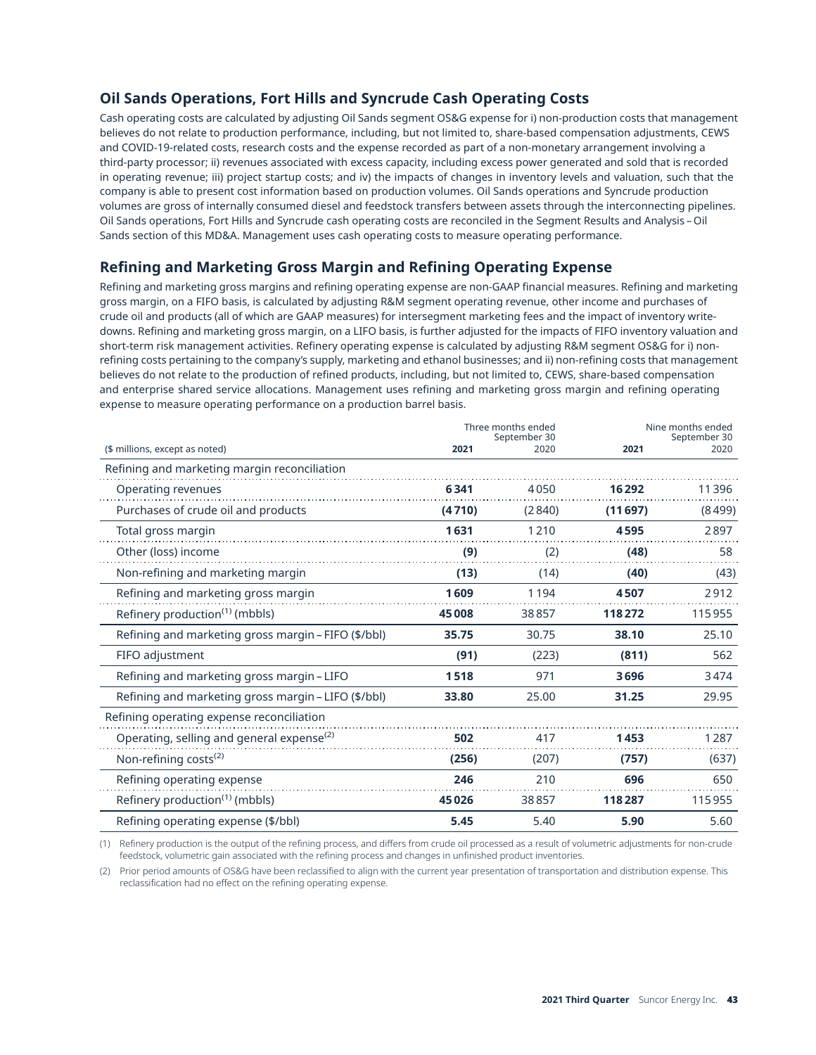### **Oil Sands Operations, Fort Hills and Syncrude Cash Operating Costs**

Cash operating costs are calculated by adjusting Oil Sands segment OS&G expense for i) non-production costs that management believes do not relate to production performance, including, but not limited to, share-based compensation adjustments, CEWS and COVID-19-related costs, research costs and the expense recorded as part of a non-monetary arrangement involving a third-party processor; ii) revenues associated with excess capacity, including excess power generated and sold that is recorded in operating revenue; iii) project startup costs; and iv) the impacts of changes in inventory levels and valuation, such that the company is able to present cost information based on production volumes. Oil Sands operations and Syncrude production volumes are gross of internally consumed diesel and feedstock transfers between assets through the interconnecting pipelines. Oil Sands operations, Fort Hills and Syncrude cash operating costs are reconciled in the Segment Results and Analysis – Oil Sands section of this MD&A. Management uses cash operating costs to measure operating performance.

### **Refining and Marketing Gross Margin and Refining Operating Expense**

Refining and marketing gross margins and refining operating expense are non-GAAP financial measures. Refining and marketing gross margin, on a FIFO basis, is calculated by adjusting R&M segment operating revenue, other income and purchases of crude oil and products (all of which are GAAP measures) for intersegment marketing fees and the impact of inventory writedowns. Refining and marketing gross margin, on a LIFO basis, is further adjusted for the impacts of FIFO inventory valuation and short-term risk management activities. Refinery operating expense is calculated by adjusting R&M segment OS&G for i) nonrefining costs pertaining to the company's supply, marketing and ethanol businesses; and ii) non-refining costs that management believes do not relate to the production of refined products, including, but not limited to, CEWS, share-based compensation and enterprise shared service allocations. Management uses refining and marketing gross margin and refining operating expense to measure operating performance on a production barrel basis.

|                                                       |        | Three months ended<br>September 30 | Nine months ended<br>September 30 |        |  |
|-------------------------------------------------------|--------|------------------------------------|-----------------------------------|--------|--|
| (\$ millions, except as noted)                        | 2021   | 2020                               | 2021                              | 2020   |  |
| Refining and marketing margin reconciliation          |        |                                    |                                   |        |  |
| Operating revenues                                    | 6341   | 4050                               | 16292                             | 11396  |  |
| Purchases of crude oil and products                   | (4710) | (2840)                             | (11697)                           | (8499) |  |
| Total gross margin                                    | 1631   | 1210                               | 4595                              | 2897   |  |
| Other (loss) income                                   | (9)    | (2)                                | (48)                              | 58     |  |
| Non-refining and marketing margin                     | (13)   | (14)                               | (40)                              | (43)   |  |
| Refining and marketing gross margin                   | 1609   | 1194                               | 4507                              | 2912   |  |
| Refinery production <sup>(1)</sup> (mbbls)            | 45008  | 38857                              | 118272                            | 115955 |  |
| Refining and marketing gross margin – FIFO (\$/bbl)   | 35.75  | 30.75                              | 38.10                             | 25.10  |  |
| FIFO adjustment                                       | (91)   | (223)                              | (811)                             | 562    |  |
| Refining and marketing gross margin – LIFO            | 1518   | 971                                | 3696                              | 3474   |  |
| Refining and marketing gross margin – LIFO (\$/bbl)   | 33.80  | 25.00                              | 31.25                             | 29.95  |  |
| Refining operating expense reconciliation             |        |                                    |                                   |        |  |
| Operating, selling and general expense <sup>(2)</sup> | 502    | 417                                | 1453                              | 1287   |  |
| Non-refining costs <sup>(2)</sup>                     | (256)  | (207)                              | (757)                             | (637)  |  |
| Refining operating expense                            | 246    | 210                                | 696                               | 650    |  |
| Refinery production <sup>(1)</sup> (mbbls)            | 45026  | 38857                              | 118287                            | 115955 |  |
| Refining operating expense (\$/bbl)                   | 5.45   | 5.40                               | 5.90                              | 5.60   |  |

(1) Refinery production is the output of the refining process, and differs from crude oil processed as a result of volumetric adjustments for non-crude feedstock, volumetric gain associated with the refining process and changes in unfinished product inventories.

(2) Prior period amounts of OS&G have been reclassified to align with the current year presentation of transportation and distribution expense. This reclassification had no effect on the refining operating expense.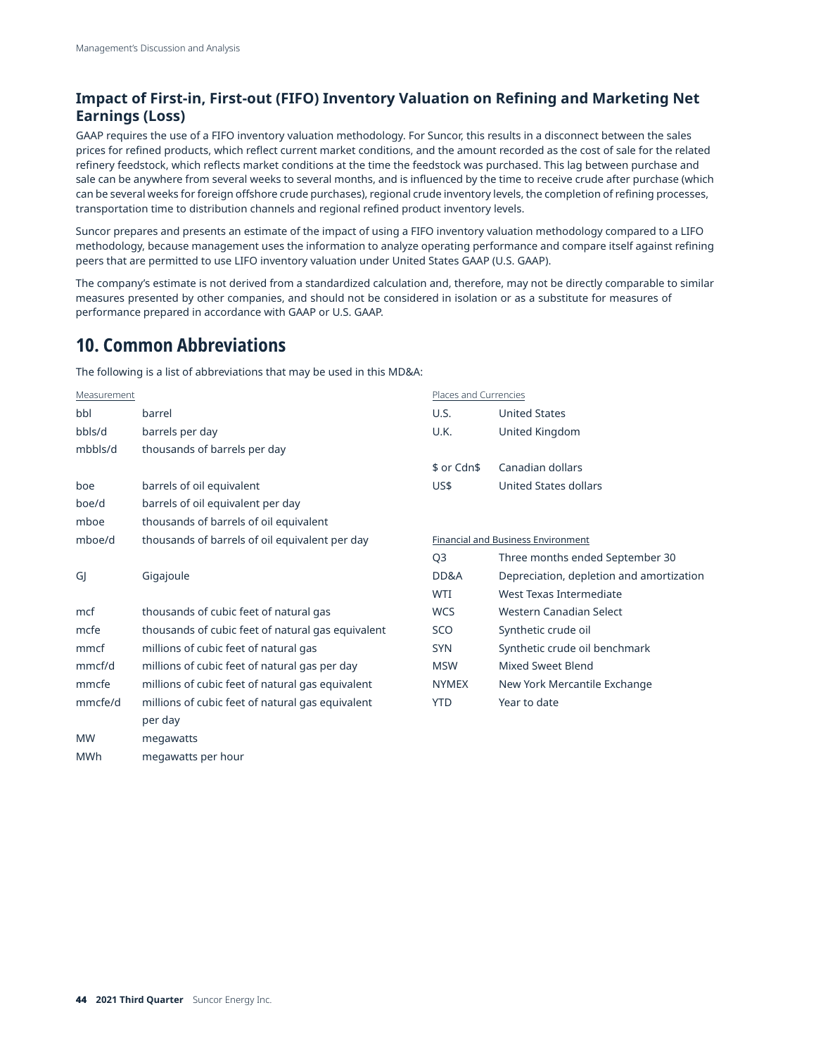### **Impact of First-in, First-out (FIFO) Inventory Valuation on Refining and Marketing Net Earnings (Loss)**

GAAP requires the use of a FIFO inventory valuation methodology. For Suncor, this results in a disconnect between the sales prices for refined products, which reflect current market conditions, and the amount recorded as the cost of sale for the related refinery feedstock, which reflects market conditions at the time the feedstock was purchased. This lag between purchase and sale can be anywhere from several weeks to several months, and is influenced by the time to receive crude after purchase (which can be several weeks for foreign offshore crude purchases), regional crude inventory levels, the completion of refining processes, transportation time to distribution channels and regional refined product inventory levels.

Suncor prepares and presents an estimate of the impact of using a FIFO inventory valuation methodology compared to a LIFO methodology, because management uses the information to analyze operating performance and compare itself against refining peers that are permitted to use LIFO inventory valuation under United States GAAP (U.S. GAAP).

The company's estimate is not derived from a standardized calculation and, therefore, may not be directly comparable to similar measures presented by other companies, and should not be considered in isolation or as a substitute for measures of performance prepared in accordance with GAAP or U.S. GAAP.

## **10. Common Abbreviations**

The following is a list of abbreviations that may be used in this MD&A:

| Measurement |                                                   | Places and Currencies |                                          |
|-------------|---------------------------------------------------|-----------------------|------------------------------------------|
| bbl         | barrel                                            | U.S.                  | <b>United States</b>                     |
| bbls/d      | barrels per day                                   | U.K.                  | United Kingdom                           |
| mbbls/d     | thousands of barrels per day                      |                       |                                          |
|             |                                                   | \$ or Cdn\$           | Canadian dollars                         |
| boe         | barrels of oil equivalent                         | US\$                  | <b>United States dollars</b>             |
| boe/d       | barrels of oil equivalent per day                 |                       |                                          |
| mboe        | thousands of barrels of oil equivalent            |                       |                                          |
| mboe/d      | thousands of barrels of oil equivalent per day    |                       | Financial and Business Environment       |
|             |                                                   | Q <sub>3</sub>        | Three months ended September 30          |
| GJ          | Gigajoule                                         | DD&A                  | Depreciation, depletion and amortization |
|             |                                                   | <b>WTI</b>            | West Texas Intermediate                  |
| mcf         | thousands of cubic feet of natural gas            | <b>WCS</b>            | Western Canadian Select                  |
| mcfe        | thousands of cubic feet of natural gas equivalent | SCO                   | Synthetic crude oil                      |
| mmcf        | millions of cubic feet of natural gas             | <b>SYN</b>            | Synthetic crude oil benchmark            |
| mmcf/d      | millions of cubic feet of natural gas per day     | <b>MSW</b>            | <b>Mixed Sweet Blend</b>                 |
| mmcfe       | millions of cubic feet of natural gas equivalent  | <b>NYMEX</b>          | New York Mercantile Exchange             |
| mmcfe/d     | millions of cubic feet of natural gas equivalent  | <b>YTD</b>            | Year to date                             |
|             | per day                                           |                       |                                          |
| <b>MW</b>   | megawatts                                         |                       |                                          |
| <b>MWh</b>  | megawatts per hour                                |                       |                                          |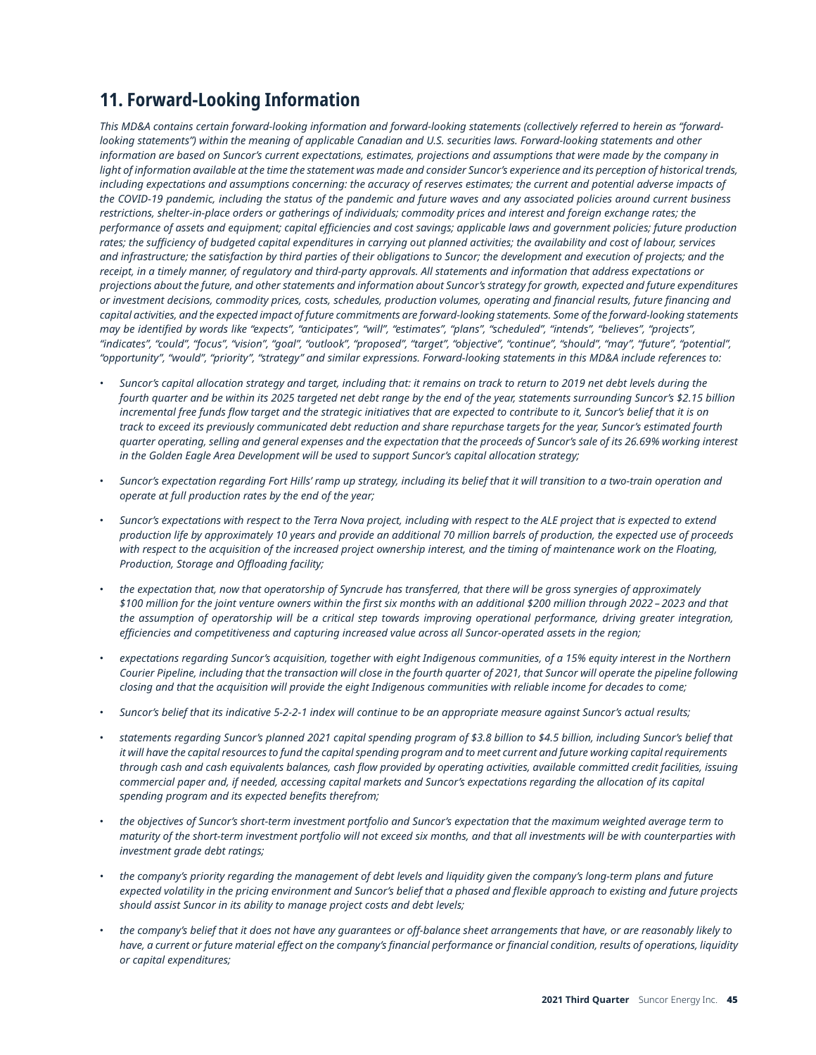# **11. Forward-Looking Information**

This MD&A contains certain forward-looking information and forward-looking statements (collectively referred to herein as "forwardlooking statements") within the meaning of applicable Canadian and U.S. securities laws. Forward-looking statements and other information are based on Suncor's current expectations, estimates, projections and assumptions that were made by the company in light of information available at the time the statement was made and consider Suncor's experience and its perception of historical trends, including expectations and assumptions concerning: the accuracy of reserves estimates; the current and potential adverse impacts of the COVID-19 pandemic, including the status of the pandemic and future waves and any associated policies around current business restrictions, shelter-in-place orders or gatherings of individuals; commodity prices and interest and foreign exchange rates; the performance of assets and equipment; capital efficiencies and cost savings; applicable laws and government policies; future production rates; the sufficiency of budgeted capital expenditures in carrying out planned activities; the availability and cost of labour, services and infrastructure; the satisfaction by third parties of their obligations to Suncor; the development and execution of projects; and the receipt, in a timely manner, of regulatory and third-party approvals. All statements and information that address expectations or projections about the future, and other statements and information about Suncor's strategy for growth, expected and future expenditures or investment decisions, commodity prices, costs, schedules, production volumes, operating and financial results, future financing and capital activities, and the expected impact of future commitments are forward-lookina statements. Some of the forward-lookina statements may be identified by words like "expects", "anticipates", "will", "estimates", "plans", "scheduled", "intends", "believes", "projects", "indicates", "could", "focus", "vision", "qoal", "outlook", "proposed", "target", "objective", "continue", "should", "may", "future", "potential", "opportunity", "would", "priority", "strategy" and similar expressions. Forward-looking statements in this MD&A include references to:

- Suncor's capital allocation strategy and target, including that: it remains on track to return to 2019 net debt levels during the fourth quarter and be within its 2025 targeted net debt range by the end of the year, statements surrounding Suncor's \$2.15 billion incremental free funds flow target and the strategic initiatives that are expected to contribute to it, Suncor's belief that it is on track to exceed its previously communicated debt reduction and share repurchase targets for the year, Suncor's estimated fourth quarter operating, selling and general expenses and the expectation that the proceeds of Suncor's sale of its 26.69% working interest *in the Golden Eagle Area Development will be used to support Suncor's capital allocation strategy;*
- Suncor's expectation regarding Fort Hills' ramp up strategy, including its belief that it will transition to a two-train operation and *operate at full production rates by the end of the year;*
- Suncor's expectations with respect to the Terra Nova project, including with respect to the ALE project that is expected to extend production life by approximately 10 years and provide an additional 70 million barrels of production, the expected use of proceeds with respect to the acquisition of the increased project ownership interest, and the timing of maintenance work on the Floating, *Production, Storage and Offloading facility;*
- the expectation that, now that operatorship of Syncrude has transferred, that there will be gross synergies of approximately \$100 million for the joint venture owners within the first six months with an additional \$200 million through 2022 - 2023 and that the assumption of operatorship will be a critical step towards improving operational performance, driving greater integration, *efficiencies and competitiveness and capturing increased value across all Suncor-operated assets in the region;*
- expectations regarding Suncor's acquisition, together with eight Indigenous communities, of a 15% equity interest in the Northern Courier Pipeline, including that the transaction will close in the fourth quarter of 2021, that Suncor will operate the pipeline following closing and that the acquisition will provide the eight Indigenous communities with reliable income for decades to come;
- Suncor's belief that its indicative 5-2-2-1 index will continue to be an appropriate measure against Suncor's actual results;
- statements regarding Suncor's planned 2021 capital spending program of \$3.8 billion to \$4.5 billion, including Suncor's belief that it will have the capital resources to fund the capital spending program and to meet current and future working capital requirements through cash and cash equivalents balances, cash flow provided by operating activities, available committed credit facilities, issuing commercial paper and, if needed, accessing capital markets and Suncor's expectations regarding the allocation of its capital *spending program and its expected benefits therefrom;*
- the objectives of Suncor's short-term investment portfolio and Suncor's expectation that the maximum weighted average term to maturity of the short-term investment portfolio will not exceed six months, and that all investments will be with counterparties with *investment grade debt ratings;*
- the company's priority regarding the management of debt levels and liquidity given the company's long-term plans and future expected volatility in the pricing environment and Suncor's belief that a phased and flexible approach to existing and future projects *should assist Suncor in its ability to manage project costs and debt levels;*
- the company's belief that it does not have any quarantees or off-balance sheet arrangements that have, or are reasonably likely to have, a current or future material effect on the company's financial performance or financial condition, results of operations, liquidity *or capital expenditures;*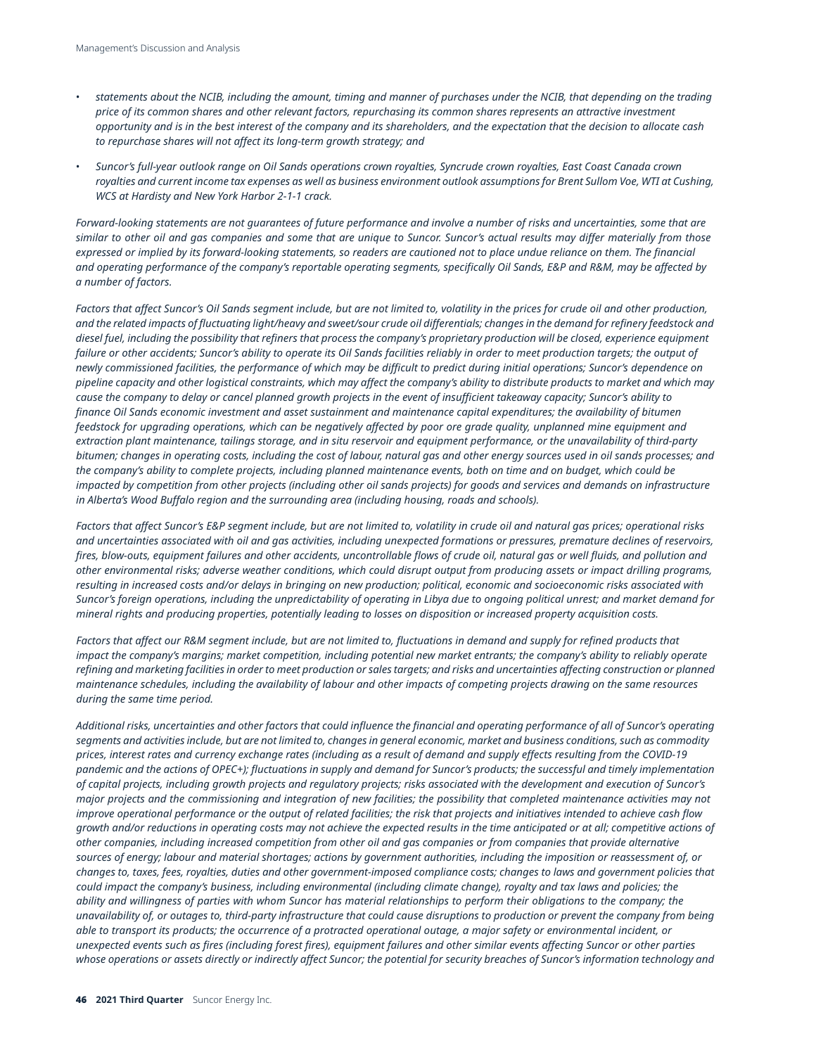- statements about the NCIB, including the amount, timing and manner of purchases under the NCIB, that depending on the trading price of its common shares and other relevant factors, repurchasing its common shares represents an attractive investment opportunity and is in the best interest of the company and its shareholders, and the expectation that the decision to allocate cash *to repurchase shares will not affect its long-term growth strategy; and*
- Suncor's full-year outlook range on Oil Sands operations crown royalties, Syncrude crown royalties, East Coast Canada crown royalties and current income tax expenses as well as business environment outlook assumptions for Brent Sullom Voe, WTI at Cushing, *WCS at Hardisty and New York Harbor 2-1-1 crack.*

Forward-looking statements are not guarantees of future performance and involve a number of risks and uncertainties, some that are similar to other oil and gas companies and some that are unique to Suncor. Suncor's actual results may differ materially from those expressed or implied by its forward-looking statements, so readers are cautioned not to place undue reliance on them. The financial and operating performance of the company's reportable operating segments, specifically Oil Sands, E&P and R&M, may be affected by *a number of factors.*

Factors that affect Suncor's Oil Sands segment include, but are not limited to, volatility in the prices for crude oil and other production, and the related impacts of fluctuating light/heavy and sweet/sour crude oil differentials; changes in the demand for refinery feedstock and diesel fuel, including the possibility that refiners that process the company's proprietary production will be closed, experience equipment failure or other accidents; Suncor's ability to operate its Oil Sands facilities reliably in order to meet production targets; the output of newly commissioned facilities, the performance of which may be difficult to predict during initial operations; Suncor's dependence on pipeline capacity and other logistical constraints, which may affect the company's ability to distribute products to market and which may cause the company to delay or cancel planned growth projects in the event of insufficient takeaway capacity; Suncor's ability to finance Oil Sands economic investment and asset sustainment and maintenance capital expenditures; the availability of bitumen feedstock for upgrading operations, which can be negatively affected by poor ore grade quality, unplanned mine equipment and extraction plant maintenance, tailings storage, and in situ reservoir and equipment performance, or the unavailability of third-party bitumen; changes in operating costs, including the cost of labour, natural gas and other energy sources used in oil sands processes; and the company's ability to complete projects, including planned maintenance events, both on time and on budget, which could be impacted by competition from other projects (including other oil sands projects) for goods and services and demands on infrastructure *in Alberta's Wood Buffalo region and the surrounding area (including housing, roads and schools).*

Factors that affect Suncor's E&P segment include, but are not limited to, volatility in crude oil and natural gas prices; operational risks and uncertainties associated with oil and gas activities, including unexpected formations or pressures, premature declines of reservoirs, fires, blow-outs, equipment failures and other accidents, uncontrollable flows of crude oil, natural gas or well fluids, and pollution and other environmental risks; adverse weather conditions, which could disrupt output from producing assets or impact drilling programs, resulting in increased costs and/or delays in bringing on new production; political, economic and socioeconomic risks associated with Suncor's foreign operations, including the unpredictability of operating in Libya due to ongoing political unrest; and market demand for mineral rights and producing properties, potentially leading to losses on disposition or increased property acquisition costs.

Factors that affect our R&M segment include, but are not limited to, fluctuations in demand and supply for refined products that impact the company's margins; market competition, including potential new market entrants; the company's ability to reliably operate refining and marketing facilities in order to meet production or sales targets; and risks and uncertainties affecting construction or planned maintenance schedules, including the availability of labour and other impacts of competing projects drawing on the same resources *during the same time period.*

Additional risks, uncertainties and other factors that could influence the financial and operating performance of all of Suncor's operating segments and activities include, but are not limited to, changes in general economic, market and business conditions, such as commodity prices, interest rates and currency exchange rates (including as a result of demand and supply effects resulting from the COVID-19 pandemic and the actions of OPEC+); fluctuations in supply and demand for Suncor's products; the successful and timely implementation of capital projects, including growth projects and regulatory projects; risks associated with the development and execution of Suncor's major projects and the commissioning and integration of new facilities; the possibility that completed maintenance activities may not improve operational performance or the output of related facilities; the risk that projects and initiatives intended to achieve cash flow growth and/or reductions in operating costs may not achieve the expected results in the time anticipated or at all; competitive actions of other companies, including increased competition from other oil and gas companies or from companies that provide alternative sources of energy; labour and material shortages; actions by government authorities, including the imposition or reassessment of, or changes to, taxes, fees, royalties, duties and other government-imposed compliance costs; changes to laws and government policies that could impact the company's business, including environmental (including climate change), royalty and tax laws and policies; the ability and willingness of parties with whom Suncor has material relationships to perform their obligations to the company; the unavailability of, or outages to, third-party infrastructure that could cause disruptions to production or prevent the company from being able to transport its products; the occurrence of a protracted operational outage, a major safety or environmental incident, or unexpected events such as fires (including forest fires), equipment failures and other similar events affecting Suncor or other parties whose operations or assets directly or indirectly affect Suncor; the potential for security breaches of Suncor's information technology and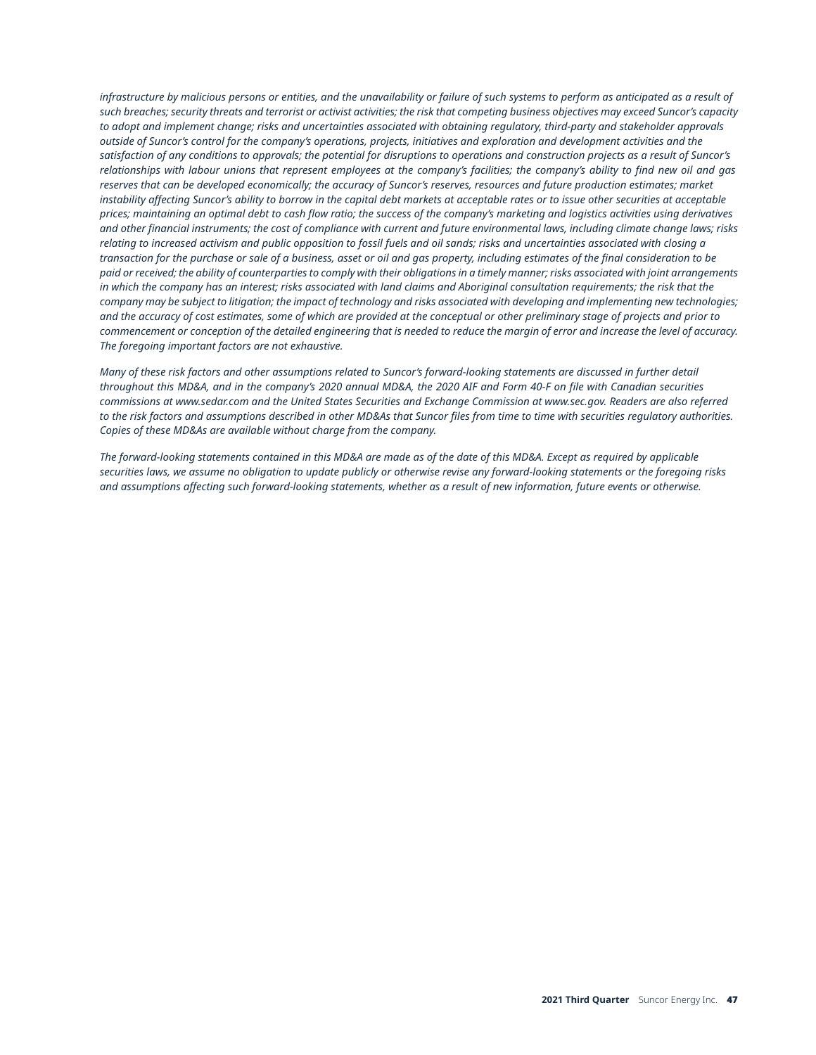infrastructure by malicious persons or entities, and the unavailability or failure of such systems to perform as anticipated as a result of such breaches: security threats and terrorist or activist activities: the risk that competina business objectives may exceed Suncor's capacity to adopt and implement change; risks and uncertainties associated with obtaining regulatory, third-party and stakeholder approvals outside of Suncor's control for the company's operations, projects, initiatives and exploration and development activities and the satisfaction of any conditions to approvals; the potential for disruptions to operations and construction projects as a result of Suncor's relationships with labour unions that represent employees at the company's facilities; the company's ability to find new oil and gas reserves that can be developed economically; the accuracy of Suncor's reserves, resources and future production estimates; market instability affecting Suncor's ability to borrow in the capital debt markets at acceptable rates or to issue other securities at acceptable prices; maintaining an optimal debt to cash flow ratio; the success of the company's marketing and logistics activities using derivatives and other financial instruments: the cost of compliance with current and future environmental laws, includina climate change laws; risks relating to increased activism and public opposition to fossil fuels and oil sands; risks and uncertainties associated with closing a transaction for the purchase or sale of a business, asset or oil and gas property, including estimates of the final consideration to be paid or received; the ability of counterparties to comply with their obligations in a timely manner; risks associated with joint arrangements in which the company has an interest; risks associated with land claims and Aboriginal consultation requirements; the risk that the company may be subject to litigation; the impact of technology and risks associated with developing and implementing new technologies; and the accuracy of cost estimates, some of which are provided at the conceptual or other preliminary stage of projects and prior to commencement or conception of the detailed engineering that is needed to reduce the margin of error and increase the level of accuracy. *The foregoing important factors are not exhaustive.*

Many of these risk factors and other assumptions related to Suncor's forward-looking statements are discussed in further detail throughout this MD&A, and in the company's 2020 annual MD&A, the 2020 AIF and Form 40-F on file with Canadian securities commissions at [www.sedar.com](http://www.sedar.com) and the United States Securities and Exchange Commission at [www.sec.gov.](http://www.sec.gov) Readers are also referred to the risk factors and assumptions described in other MD&As that Suncor files from time to time with securities regulatory authorities. *Copies of these MD&As are available without charge from the company.*

The forward-looking statements contained in this MD&A are made as of the date of this MD&A. Except as required by applicable securities laws, we assume no obligation to update publicly or otherwise revise any forward-looking statements or the foregoing risks and assumptions affecting such forward-looking statements, whether as a result of new information, future events or otherwise.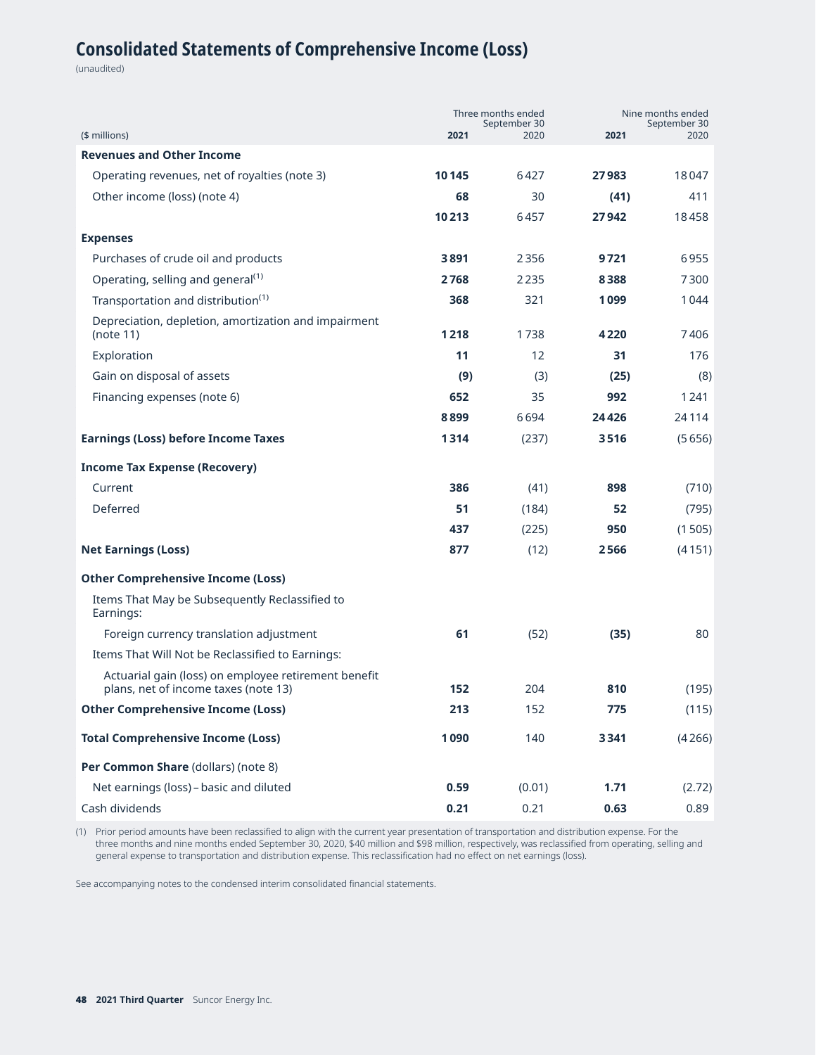# **Consolidated Statements of Comprehensive Income (Loss)**

(unaudited)

| (\$ millions)                                                                                | 2021  | Three months ended<br>September 30<br>2020 | 2021  | Nine months ended<br>September 30<br>2020 |  |
|----------------------------------------------------------------------------------------------|-------|--------------------------------------------|-------|-------------------------------------------|--|
| <b>Revenues and Other Income</b>                                                             |       |                                            |       |                                           |  |
| Operating revenues, net of royalties (note 3)                                                | 10145 | 6427                                       | 27983 | 18047                                     |  |
| Other income (loss) (note 4)                                                                 | 68    | 30                                         | (41)  | 411                                       |  |
|                                                                                              | 10213 | 6457                                       | 27942 | 18458                                     |  |
| <b>Expenses</b>                                                                              |       |                                            |       |                                           |  |
| Purchases of crude oil and products                                                          | 3891  | 2356                                       | 9721  | 6955                                      |  |
| Operating, selling and general <sup>(1)</sup>                                                | 2768  | 2235                                       | 8388  | 7300                                      |  |
| Transportation and distribution <sup>(1)</sup>                                               | 368   | 321                                        | 1099  | 1044                                      |  |
| Depreciation, depletion, amortization and impairment                                         |       |                                            |       |                                           |  |
| (note 11)                                                                                    | 1218  | 1738                                       | 4220  | 7406                                      |  |
| Exploration                                                                                  | 11    | 12                                         | 31    | 176                                       |  |
| Gain on disposal of assets                                                                   | (9)   | (3)                                        | (25)  | (8)                                       |  |
| Financing expenses (note 6)                                                                  | 652   | 35                                         | 992   | 1241                                      |  |
|                                                                                              | 8899  | 6694                                       | 24426 | 24114                                     |  |
| <b>Earnings (Loss) before Income Taxes</b>                                                   | 1314  | (237)                                      | 3516  | (5656)                                    |  |
| <b>Income Tax Expense (Recovery)</b>                                                         |       |                                            |       |                                           |  |
| Current                                                                                      | 386   | (41)                                       | 898   | (710)                                     |  |
| Deferred                                                                                     | 51    | (184)                                      | 52    | (795)                                     |  |
|                                                                                              | 437   | (225)                                      | 950   | (1505)                                    |  |
| <b>Net Earnings (Loss)</b>                                                                   | 877   | (12)                                       | 2566  | (4151)                                    |  |
| <b>Other Comprehensive Income (Loss)</b>                                                     |       |                                            |       |                                           |  |
| Items That May be Subsequently Reclassified to<br>Earnings:                                  |       |                                            |       |                                           |  |
| Foreign currency translation adjustment                                                      | 61    | (52)                                       | (35)  | 80                                        |  |
| Items That Will Not be Reclassified to Earnings:                                             |       |                                            |       |                                           |  |
| Actuarial gain (loss) on employee retirement benefit<br>plans, net of income taxes (note 13) | 152   | 204                                        | 810   | (195)                                     |  |
| <b>Other Comprehensive Income (Loss)</b>                                                     | 213   | 152                                        | 775   | (115)                                     |  |
| <b>Total Comprehensive Income (Loss)</b>                                                     | 1090  | 140                                        | 3341  | (4266)                                    |  |
| Per Common Share (dollars) (note 8)                                                          |       |                                            |       |                                           |  |
| Net earnings (loss) - basic and diluted                                                      | 0.59  | (0.01)                                     | 1.71  | (2.72)                                    |  |
| Cash dividends                                                                               | 0.21  | 0.21                                       | 0.63  | 0.89                                      |  |

(1) Prior period amounts have been reclassified to align with the current year presentation of transportation and distribution expense. For the three months and nine months ended September 30, 2020, \$40 million and \$98 million, respectively, was reclassified from operating, selling and general expense to transportation and distribution expense. This reclassification had no effect on net earnings (loss).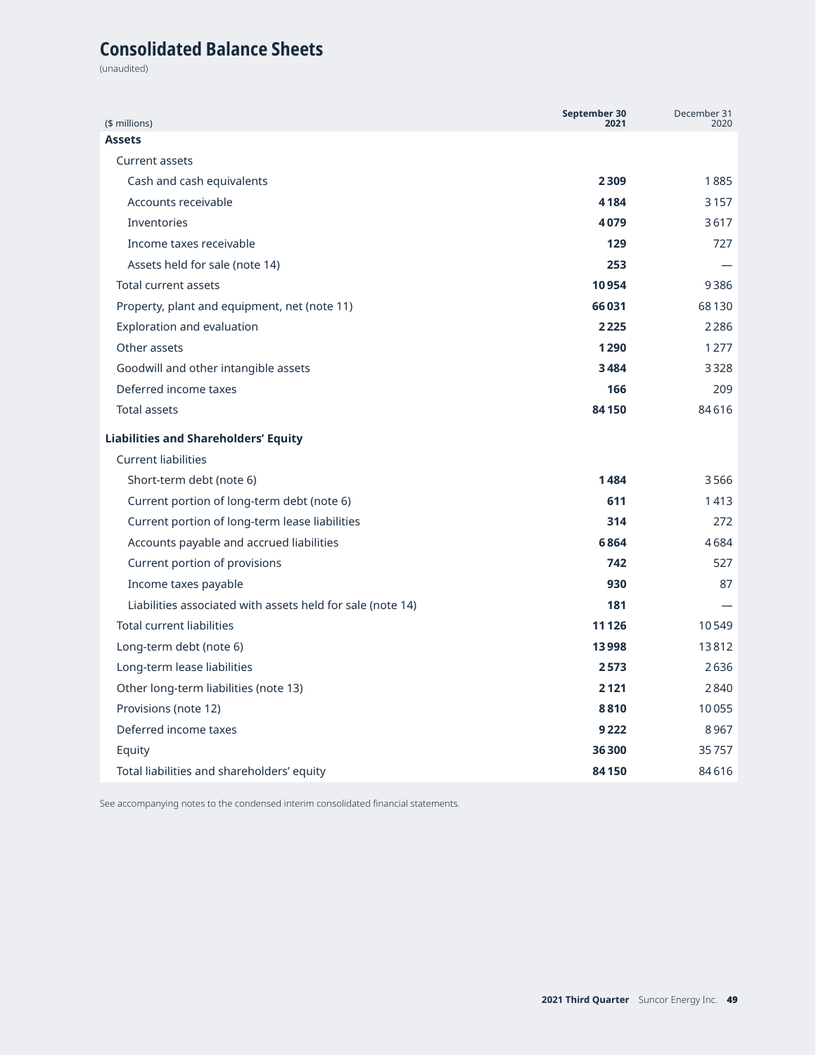# **Consolidated Balance Sheets**

(unaudited)

| (\$ millions)                                              | September 30<br>2021 | December 31<br>2020 |
|------------------------------------------------------------|----------------------|---------------------|
| <b>Assets</b>                                              |                      |                     |
| <b>Current assets</b>                                      |                      |                     |
| Cash and cash equivalents                                  | 2309                 | 1885                |
| Accounts receivable                                        | 4184                 | 3157                |
| <b>Inventories</b>                                         | 4079                 | 3617                |
| Income taxes receivable                                    | 129                  | 727                 |
| Assets held for sale (note 14)                             | 253                  |                     |
| <b>Total current assets</b>                                | 10954                | 9386                |
| Property, plant and equipment, net (note 11)               | 66031                | 68130               |
| Exploration and evaluation                                 | 2225                 | 2286                |
| Other assets                                               | 1290                 | 1277                |
| Goodwill and other intangible assets                       | 3484                 | 3328                |
| Deferred income taxes                                      | 166                  | 209                 |
| <b>Total assets</b>                                        | 84150                | 84616               |
| <b>Liabilities and Shareholders' Equity</b>                |                      |                     |
| <b>Current liabilities</b>                                 |                      |                     |
| Short-term debt (note 6)                                   | 1484                 | 3566                |
| Current portion of long-term debt (note 6)                 | 611                  | 1413                |
| Current portion of long-term lease liabilities             | 314                  | 272                 |
| Accounts payable and accrued liabilities                   | 6864                 | 4684                |
| Current portion of provisions                              | 742                  | 527                 |
| Income taxes payable                                       | 930                  | 87                  |
| Liabilities associated with assets held for sale (note 14) | 181                  |                     |
| <b>Total current liabilities</b>                           | 11 1 26              | 10549               |
| Long-term debt (note 6)                                    | 13998                | 13812               |
| Long-term lease liabilities                                | 2573                 | 2636                |
| Other long-term liabilities (note 13)                      | 2121                 | 2840                |
| Provisions (note 12)                                       | 8810                 | 10055               |
| Deferred income taxes                                      | 9222                 | 8967                |
| Equity                                                     | 36300                | 35757               |
| Total liabilities and shareholders' equity                 | 84150                | 84616               |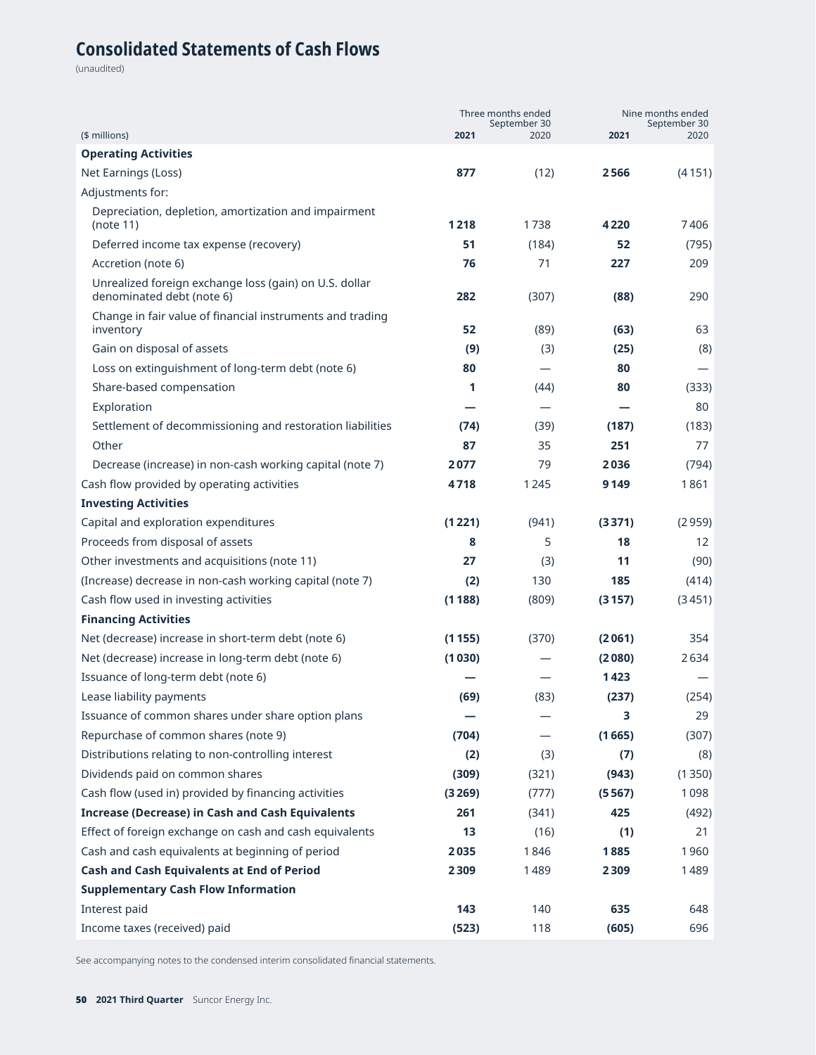# **Consolidated Statements of Cash Flows**

(unaudited)

|                                                                                     |        | Three months ended   | Nine months ended |                      |  |
|-------------------------------------------------------------------------------------|--------|----------------------|-------------------|----------------------|--|
| (\$ millions)                                                                       | 2021   | September 30<br>2020 | 2021              | September 30<br>2020 |  |
| <b>Operating Activities</b>                                                         |        |                      |                   |                      |  |
| Net Earnings (Loss)                                                                 | 877    | (12)                 | 2566              | (4151)               |  |
| Adjustments for:                                                                    |        |                      |                   |                      |  |
| Depreciation, depletion, amortization and impairment                                | 1218   | 1738                 | 4220              | 7406                 |  |
| (note 11)                                                                           |        |                      |                   |                      |  |
| Deferred income tax expense (recovery)                                              | 51     | (184)                | 52                | (795)                |  |
| Accretion (note 6)                                                                  | 76     | 71                   | 227               | 209                  |  |
| Unrealized foreign exchange loss (gain) on U.S. dollar<br>denominated debt (note 6) | 282    | (307)                | (88)              | 290                  |  |
| Change in fair value of financial instruments and trading<br>inventory              | 52     | (89)                 | (63)              | 63                   |  |
| Gain on disposal of assets                                                          | (9)    | (3)                  | (25)              | (8)                  |  |
| Loss on extinguishment of long-term debt (note 6)                                   | 80     |                      | 80                |                      |  |
| Share-based compensation                                                            | 1      | (44)                 | 80                | (333)                |  |
| Exploration                                                                         |        |                      |                   | 80                   |  |
| Settlement of decommissioning and restoration liabilities                           | (74)   | (39)                 | (187)             | (183)                |  |
| Other                                                                               | 87     | 35                   | 251               | 77                   |  |
| Decrease (increase) in non-cash working capital (note 7)                            | 2077   | 79                   | 2036              | (794)                |  |
| Cash flow provided by operating activities                                          | 4718   | 1245                 | 9149              | 1861                 |  |
| <b>Investing Activities</b>                                                         |        |                      |                   |                      |  |
| Capital and exploration expenditures                                                | (1221) | (941)                | (3371)            | (2959)               |  |
| Proceeds from disposal of assets                                                    | 8      | 5                    | 18                | 12 <sup>2</sup>      |  |
| Other investments and acquisitions (note 11)                                        | 27     | (3)                  | 11                | (90)                 |  |
| (Increase) decrease in non-cash working capital (note 7)                            | (2)    | 130                  | 185               | (414)                |  |
| Cash flow used in investing activities                                              | (1188) | (809)                | (3157)            | (3451)               |  |
| <b>Financing Activities</b>                                                         |        |                      |                   |                      |  |
| Net (decrease) increase in short-term debt (note 6)                                 | (1155) | (370)                | (2061)            | 354                  |  |
| Net (decrease) increase in long-term debt (note 6)                                  | (1030) |                      | (2080)            | 2634                 |  |
| Issuance of long-term debt (note 6)                                                 |        |                      | 1423              |                      |  |
| Lease liability payments                                                            | (69)   | (83)                 | (237)             | (254)                |  |
| Issuance of common shares under share option plans                                  |        |                      | 3                 | 29                   |  |
| Repurchase of common shares (note 9)                                                | (704)  |                      | (1665)            | (307)                |  |
| Distributions relating to non-controlling interest                                  | (2)    | (3)                  | (7)               | (8)                  |  |
| Dividends paid on common shares                                                     | (309)  | (321)                | (943)             | (1350)               |  |
| Cash flow (used in) provided by financing activities                                | (3269) | (777)                | (5567)            | 1098                 |  |
| <b>Increase (Decrease) in Cash and Cash Equivalents</b>                             | 261    | (341)                | 425               | (492)                |  |
| Effect of foreign exchange on cash and cash equivalents                             | 13     | (16)                 | (1)               | 21                   |  |
| Cash and cash equivalents at beginning of period                                    | 2035   | 1846                 | 1885              | 1960                 |  |
| Cash and Cash Equivalents at End of Period                                          | 2309   | 1489                 | 2309              | 1489                 |  |
| <b>Supplementary Cash Flow Information</b>                                          |        |                      |                   |                      |  |
| Interest paid                                                                       | 143    | 140                  | 635               | 648                  |  |
| Income taxes (received) paid                                                        | (523)  | 118                  | (605)             | 696                  |  |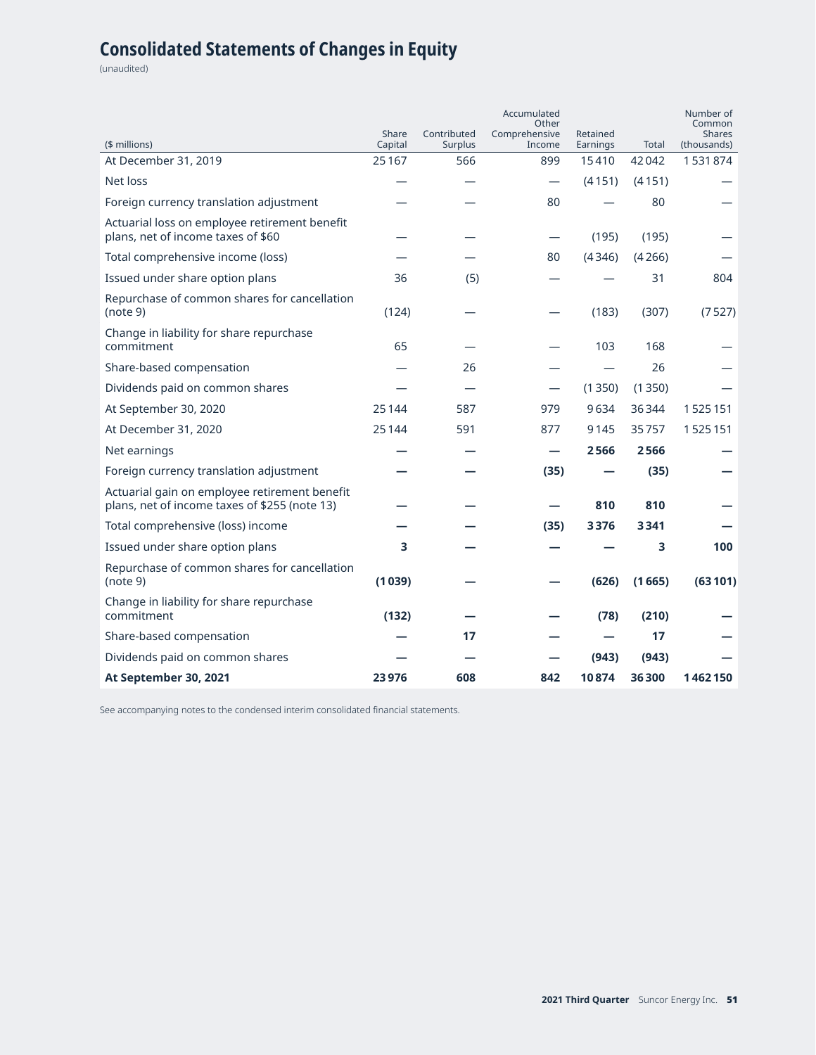# **Consolidated Statements of Changes in Equity**

(unaudited)

|                                                                                                | Share   | Contributed    | Accumulated<br>Other<br>Comprehensive | Retained |        | Number of<br>Common<br><b>Shares</b> |
|------------------------------------------------------------------------------------------------|---------|----------------|---------------------------------------|----------|--------|--------------------------------------|
| (\$ millions)                                                                                  | Capital | <b>Surplus</b> | Income                                | Earnings | Total  | (thousands)                          |
| At December 31, 2019                                                                           | 25 1 67 | 566            | 899                                   | 15410    | 42042  | 1531874                              |
| Net loss                                                                                       |         |                | $\overline{\phantom{0}}$              | (4151)   | (4151) |                                      |
| Foreign currency translation adjustment                                                        |         |                | 80                                    |          | 80     |                                      |
| Actuarial loss on employee retirement benefit<br>plans, net of income taxes of \$60            |         |                | $\overline{\phantom{0}}$              | (195)    | (195)  |                                      |
| Total comprehensive income (loss)                                                              |         |                | 80                                    | (4346)   | (4266) |                                      |
| Issued under share option plans                                                                | 36      | (5)            |                                       |          | 31     | 804                                  |
| Repurchase of common shares for cancellation<br>(note 9)                                       | (124)   |                |                                       | (183)    | (307)  | (7527)                               |
| Change in liability for share repurchase<br>commitment                                         | 65      |                |                                       | 103      | 168    |                                      |
| Share-based compensation                                                                       |         | 26             |                                       |          | 26     |                                      |
| Dividends paid on common shares                                                                |         |                | $\overline{\phantom{0}}$              | (1350)   | (1350) |                                      |
| At September 30, 2020                                                                          | 25144   | 587            | 979                                   | 9634     | 36344  | 1525151                              |
| At December 31, 2020                                                                           | 25144   | 591            | 877                                   | 9145     | 35757  | 1525151                              |
| Net earnings                                                                                   |         |                | —                                     | 2566     | 2566   |                                      |
| Foreign currency translation adjustment                                                        |         |                | (35)                                  |          | (35)   |                                      |
| Actuarial gain on employee retirement benefit<br>plans, net of income taxes of \$255 (note 13) |         |                |                                       | 810      | 810    |                                      |
| Total comprehensive (loss) income                                                              |         |                | (35)                                  | 3376     | 3341   |                                      |
| Issued under share option plans                                                                | 3       |                |                                       |          | 3      | 100                                  |
| Repurchase of common shares for cancellation<br>(note 9)                                       | (1039)  |                |                                       | (626)    | (1665) | (63101)                              |
| Change in liability for share repurchase<br>commitment                                         | (132)   |                |                                       | (78)     | (210)  |                                      |
| Share-based compensation                                                                       |         | 17             |                                       |          | 17     |                                      |
| Dividends paid on common shares                                                                |         |                |                                       | (943)    | (943)  |                                      |
| At September 30, 2021                                                                          | 23976   | 608            | 842                                   | 10874    | 36300  | 1462150                              |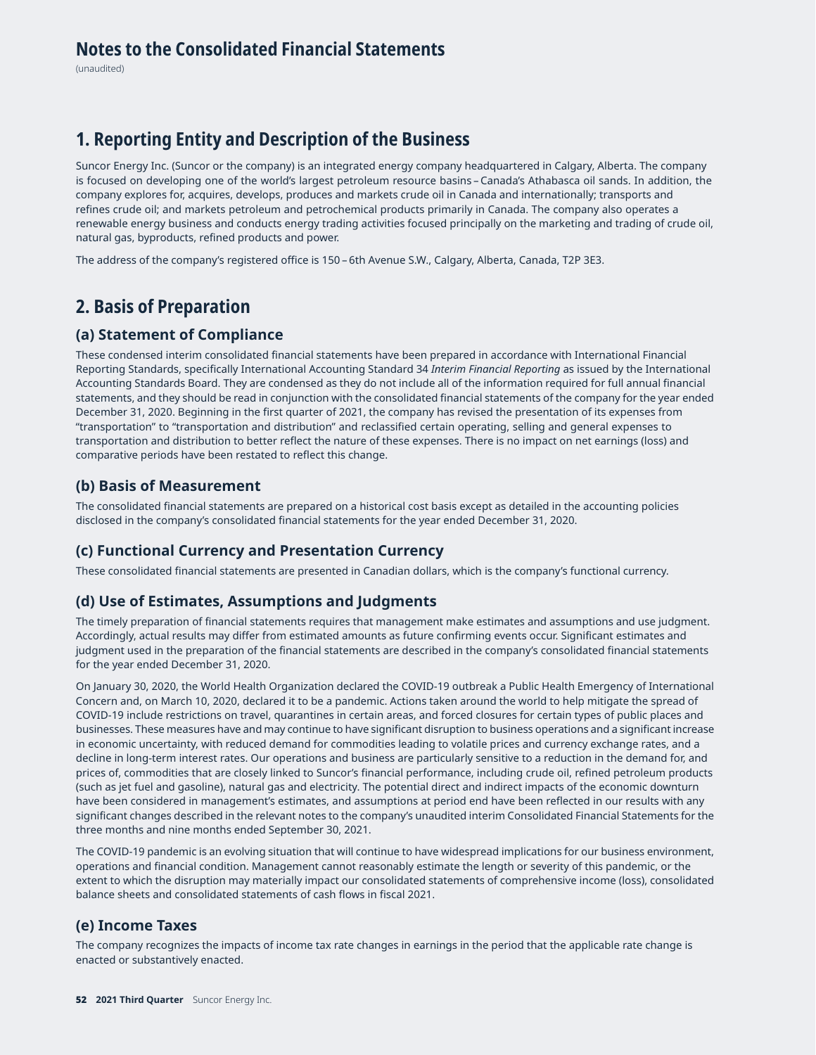(unaudited)

## **1. Reporting Entity and Description of the Business**

Suncor Energy Inc. (Suncor or the company) is an integrated energy company headquartered in Calgary, Alberta. The company is focused on developing one of the world's largest petroleum resource basins – Canada's Athabasca oil sands. In addition, the company explores for, acquires, develops, produces and markets crude oil in Canada and internationally; transports and refines crude oil; and markets petroleum and petrochemical products primarily in Canada. The company also operates a renewable energy business and conducts energy trading activities focused principally on the marketing and trading of crude oil, natural gas, byproducts, refined products and power.

The address of the company's registered office is 150 – 6th Avenue S.W., Calgary, Alberta, Canada, T2P 3E3.

## **2. Basis of Preparation**

#### **(a) Statement of Compliance**

These condensed interim consolidated financial statements have been prepared in accordance with International Financial Reporting Standards, specifically International Accounting Standard 34 *Interim Financial Reporting* as issued by the International Accounting Standards Board. They are condensed as they do not include all of the information required for full annual financial statements, and they should be read in conjunction with the consolidated financial statements of the company for the year ended December 31, 2020. Beginning in the first quarter of 2021, the company has revised the presentation of its expenses from "transportation" to "transportation and distribution" and reclassified certain operating, selling and general expenses to transportation and distribution to better reflect the nature of these expenses. There is no impact on net earnings (loss) and comparative periods have been restated to reflect this change.

#### **(b) Basis of Measurement**

The consolidated financial statements are prepared on a historical cost basis except as detailed in the accounting policies disclosed in the company's consolidated financial statements for the year ended December 31, 2020.

### **(c) Functional Currency and Presentation Currency**

These consolidated financial statements are presented in Canadian dollars, which is the company's functional currency.

### **(d) Use of Estimates, Assumptions and Judgments**

The timely preparation of financial statements requires that management make estimates and assumptions and use judgment. Accordingly, actual results may differ from estimated amounts as future confirming events occur. Significant estimates and judgment used in the preparation of the financial statements are described in the company's consolidated financial statements for the year ended December 31, 2020.

On January 30, 2020, the World Health Organization declared the COVID-19 outbreak a Public Health Emergency of International Concern and, on March 10, 2020, declared it to be a pandemic. Actions taken around the world to help mitigate the spread of COVID-19 include restrictions on travel, quarantines in certain areas, and forced closures for certain types of public places and businesses. These measures have and may continue to have significant disruption to business operations and a significant increase in economic uncertainty, with reduced demand for commodities leading to volatile prices and currency exchange rates, and a decline in long-term interest rates. Our operations and business are particularly sensitive to a reduction in the demand for, and prices of, commodities that are closely linked to Suncor's financial performance, including crude oil, refined petroleum products (such as jet fuel and gasoline), natural gas and electricity. The potential direct and indirect impacts of the economic downturn have been considered in management's estimates, and assumptions at period end have been reflected in our results with any significant changes described in the relevant notes to the company's unaudited interim Consolidated Financial Statements for the three months and nine months ended September 30, 2021.

The COVID-19 pandemic is an evolving situation that will continue to have widespread implications for our business environment, operations and financial condition. Management cannot reasonably estimate the length or severity of this pandemic, or the extent to which the disruption may materially impact our consolidated statements of comprehensive income (loss), consolidated balance sheets and consolidated statements of cash flows in fiscal 2021.

### **(e) Income Taxes**

The company recognizes the impacts of income tax rate changes in earnings in the period that the applicable rate change is enacted or substantively enacted.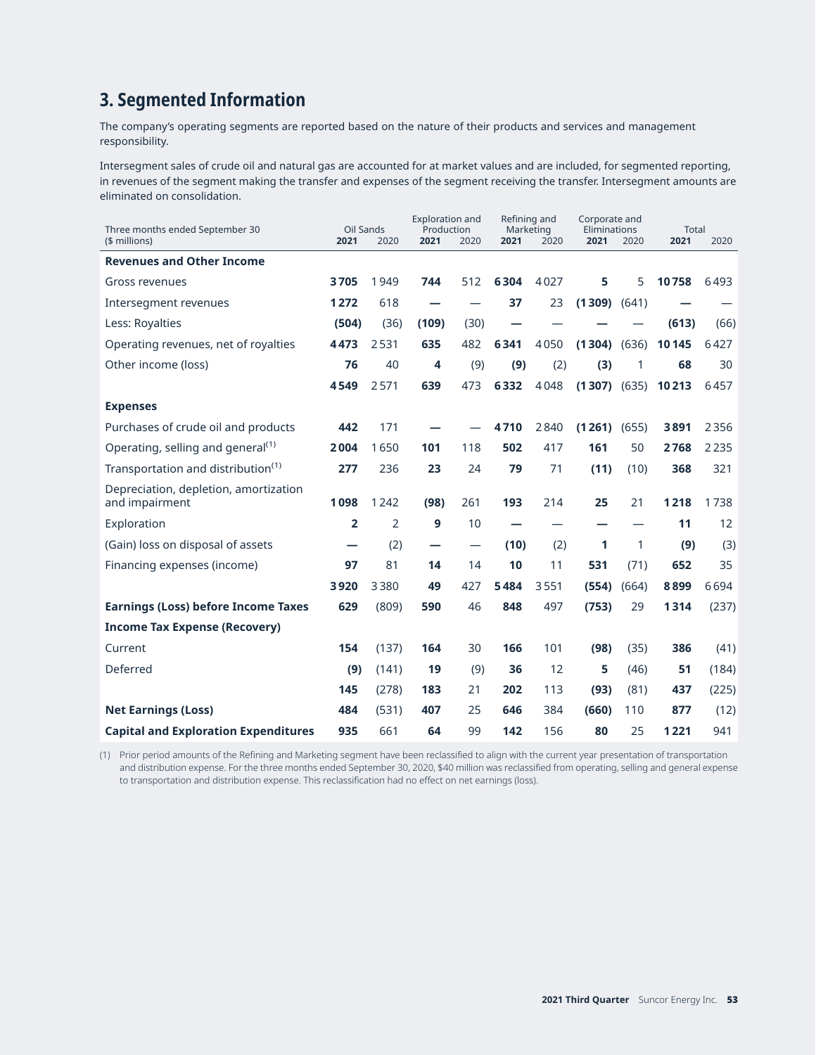# **3. Segmented Information**

The company's operating segments are reported based on the nature of their products and services and management responsibility.

Intersegment sales of crude oil and natural gas are accounted for at market values and are included, for segmented reporting, in revenues of the segment making the transfer and expenses of the segment receiving the transfer. Intersegment amounts are eliminated on consolidation.

| Three months ended September 30                         | Oil Sands      |                | <b>Exploration and</b><br>Production |      | Refining and<br>Marketing |      | Corporate and<br>Eliminations |       | <b>Total</b> |       |
|---------------------------------------------------------|----------------|----------------|--------------------------------------|------|---------------------------|------|-------------------------------|-------|--------------|-------|
| $$$ millions)                                           | 2021           | 2020           | 2021                                 | 2020 | 2021                      | 2020 | 2021                          | 2020  | 2021         | 2020  |
| <b>Revenues and Other Income</b>                        |                |                |                                      |      |                           |      |                               |       |              |       |
| Gross revenues                                          | 3705           | 1949           | 744                                  | 512  | 6304                      | 4027 | 5                             | 5     | 10758        | 6493  |
| Intersegment revenues                                   | 1272           | 618            |                                      |      | 37                        | 23   | (1309)                        | (641) |              |       |
| Less: Royalties                                         | (504)          | (36)           | (109)                                | (30) |                           |      |                               |       | (613)        | (66)  |
| Operating revenues, net of royalties                    | 4473           | 2531           | 635                                  | 482  | 6341                      | 4050 | (1304)                        | (636) | 10145        | 6427  |
| Other income (loss)                                     | 76             | 40             | 4                                    | (9)  | (9)                       | (2)  | (3)                           | 1     | 68           | 30    |
|                                                         | 4549           | 2571           | 639                                  | 473  | 6332                      | 4048 | (1307)                        | (635) | 10213        | 6457  |
| <b>Expenses</b>                                         |                |                |                                      |      |                           |      |                               |       |              |       |
| Purchases of crude oil and products                     | 442            | 171            |                                      |      | 4710                      | 2840 | (1261)                        | (655) | 3891         | 2356  |
| Operating, selling and general <sup>(1)</sup>           | 2004           | 1650           | 101                                  | 118  | 502                       | 417  | 161                           | 50    | 2768         | 2235  |
| Transportation and distribution <sup>(1)</sup>          | 277            | 236            | 23                                   | 24   | 79                        | 71   | (11)                          | (10)  | 368          | 321   |
| Depreciation, depletion, amortization<br>and impairment | 1098           | 1242           | (98)                                 | 261  | 193                       | 214  | 25                            | 21    | 1218         | 1738  |
| Exploration                                             | $\overline{2}$ | $\overline{2}$ | 9                                    | 10   |                           |      |                               |       | 11           | 12    |
| (Gain) loss on disposal of assets                       |                | (2)            |                                      |      | (10)                      | (2)  | 1                             | 1     | (9)          | (3)   |
| Financing expenses (income)                             | 97             | 81             | 14                                   | 14   | 10                        | 11   | 531                           | (71)  | 652          | 35    |
|                                                         | 3920           | 3380           | 49                                   | 427  | 5484                      | 3551 | (554)                         | (664) | 8899         | 6694  |
| <b>Earnings (Loss) before Income Taxes</b>              | 629            | (809)          | 590                                  | 46   | 848                       | 497  | (753)                         | 29    | 1314         | (237) |
| <b>Income Tax Expense (Recovery)</b>                    |                |                |                                      |      |                           |      |                               |       |              |       |
| Current                                                 | 154            | (137)          | 164                                  | 30   | 166                       | 101  | (98)                          | (35)  | 386          | (41)  |
| Deferred                                                | (9)            | (141)          | 19                                   | (9)  | 36                        | 12   | 5                             | (46)  | 51           | (184) |
|                                                         | 145            | (278)          | 183                                  | 21   | 202                       | 113  | (93)                          | (81)  | 437          | (225) |
| <b>Net Earnings (Loss)</b>                              | 484            | (531)          | 407                                  | 25   | 646                       | 384  | (660)                         | 110   | 877          | (12)  |
| <b>Capital and Exploration Expenditures</b>             | 935            | 661            | 64                                   | 99   | 142                       | 156  | 80                            | 25    | 1221         | 941   |

(1) Prior period amounts of the Refining and Marketing segment have been reclassified to align with the current year presentation of transportation and distribution expense. For the three months ended September 30, 2020, \$40 million was reclassified from operating, selling and general expense to transportation and distribution expense. This reclassification had no effect on net earnings (loss).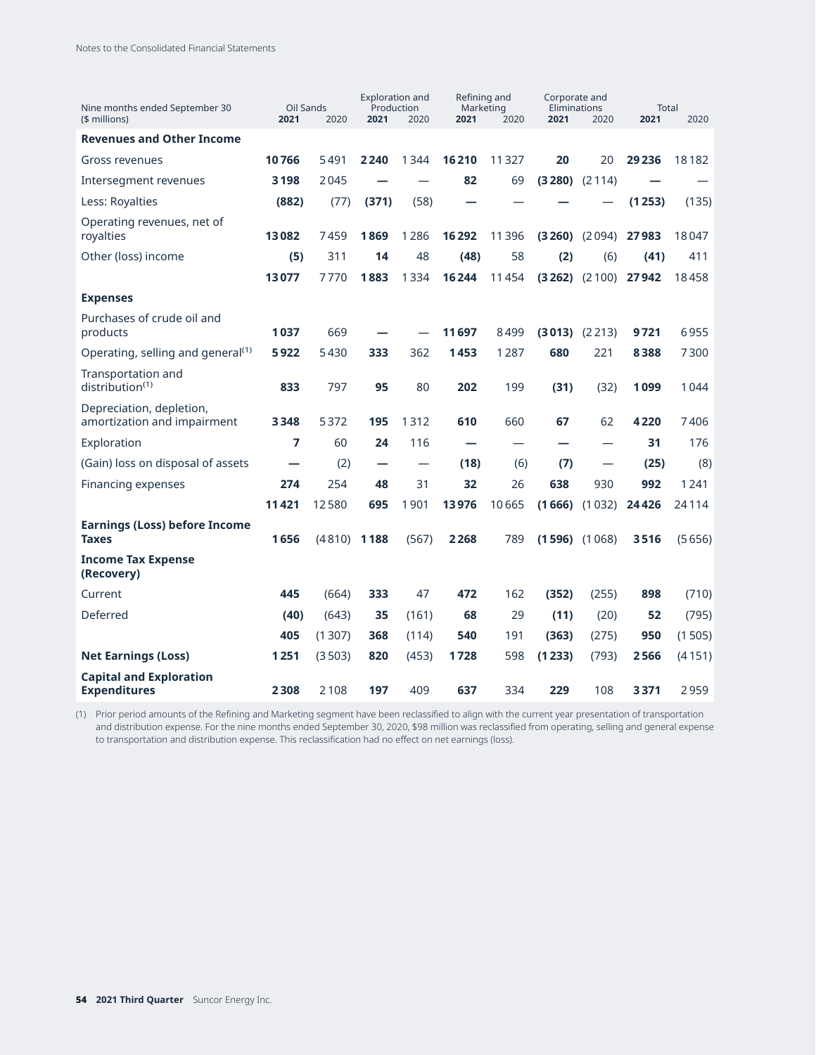| Nine months ended September 30<br>$$$ millions)         | Oil Sands<br>2021 | 2020   | <b>Exploration and</b><br>Production<br>2021 | 2020  | Refining and<br>Marketing<br>2021 | 2020  | Corporate and<br>Eliminations<br>2021 | 2020              | <b>Total</b><br>2021 | 2020   |
|---------------------------------------------------------|-------------------|--------|----------------------------------------------|-------|-----------------------------------|-------|---------------------------------------|-------------------|----------------------|--------|
| <b>Revenues and Other Income</b>                        |                   |        |                                              |       |                                   |       |                                       |                   |                      |        |
| Gross revenues                                          | 10766             | 5491   | 2240                                         | 1344  | 16210                             | 11327 | 20                                    | 20                | 29 2 36              | 18182  |
| Intersegment revenues                                   | 3198              | 2045   |                                              |       | 82                                | 69    | $(3280)$ $(2114)$                     |                   |                      |        |
| Less: Royalties                                         | (882)             | (77)   | (371)                                        | (58)  |                                   |       |                                       |                   | (1253)               | (135)  |
| Operating revenues, net of<br>royalties                 | 13082             | 7459   | 1869                                         | 1286  | 16292                             | 11396 |                                       | $(3260)$ $(2094)$ | 27983                | 18047  |
| Other (loss) income                                     | (5)               | 311    | 14                                           | 48    | (48)                              | 58    | (2)                                   | (6)               | (41)                 | 411    |
|                                                         | 13077             | 7770   | 1883                                         | 1334  | 16244                             | 11454 |                                       | $(3262)$ $(2100)$ | 27942                | 18458  |
| <b>Expenses</b>                                         |                   |        |                                              |       |                                   |       |                                       |                   |                      |        |
| Purchases of crude oil and<br>products                  | 1037              | 669    |                                              |       | 11697                             | 8499  | $(3013)$ $(2213)$                     |                   | 9721                 | 6955   |
| Operating, selling and general <sup>(1)</sup>           | 5922              | 5430   | 333                                          | 362   | 1453                              | 1287  | 680                                   | 221               | 8388                 | 7300   |
| Transportation and<br>distribution <sup>(1)</sup>       | 833               | 797    | 95                                           | 80    | 202                               | 199   | (31)                                  | (32)              | 1099                 | 1044   |
| Depreciation, depletion,<br>amortization and impairment | 3348              | 5372   | 195                                          | 1312  | 610                               | 660   | 67                                    | 62                | 4220                 | 7406   |
| Exploration                                             | 7                 | 60     | 24                                           | 116   |                                   |       |                                       |                   | 31                   | 176    |
| (Gain) loss on disposal of assets                       |                   | (2)    |                                              |       | (18)                              | (6)   | (7)                                   |                   | (25)                 | (8)    |
| Financing expenses                                      | 274               | 254    | 48                                           | 31    | 32                                | 26    | 638                                   | 930               | 992                  | 1241   |
|                                                         | 11421             | 12580  | 695                                          | 1901  | 13976                             | 10665 |                                       | $(1666)$ $(1032)$ | 24426                | 24114  |
| <b>Earnings (Loss) before Income</b><br><b>Taxes</b>    | 1656              | (4810) | 1188                                         | (567) | 2268                              | 789   | $(1596)$ $(1068)$                     |                   | 3516                 | (5656) |
| <b>Income Tax Expense</b><br>(Recovery)                 |                   |        |                                              |       |                                   |       |                                       |                   |                      |        |
| Current                                                 | 445               | (664)  | 333                                          | 47    | 472                               | 162   | (352)                                 | (255)             | 898                  | (710)  |
| Deferred                                                | (40)              | (643)  | 35                                           | (161) | 68                                | 29    | (11)                                  | (20)              | 52                   | (795)  |
|                                                         | 405               | (1307) | 368                                          | (114) | 540                               | 191   | (363)                                 | (275)             | 950                  | (1505) |
| <b>Net Earnings (Loss)</b>                              | 1251              | (3503) | 820                                          | (453) | 1728                              | 598   | (1233)                                | (793)             | 2566                 | (4151) |
| <b>Capital and Exploration</b><br><b>Expenditures</b>   | 2308              | 2108   | 197                                          | 409   | 637                               | 334   | 229                                   | 108               | 3371                 | 2959   |

(1) Prior period amounts of the Refining and Marketing segment have been reclassified to align with the current year presentation of transportation and distribution expense. For the nine months ended September 30, 2020, \$98 million was reclassified from operating, selling and general expense to transportation and distribution expense. This reclassification had no effect on net earnings (loss).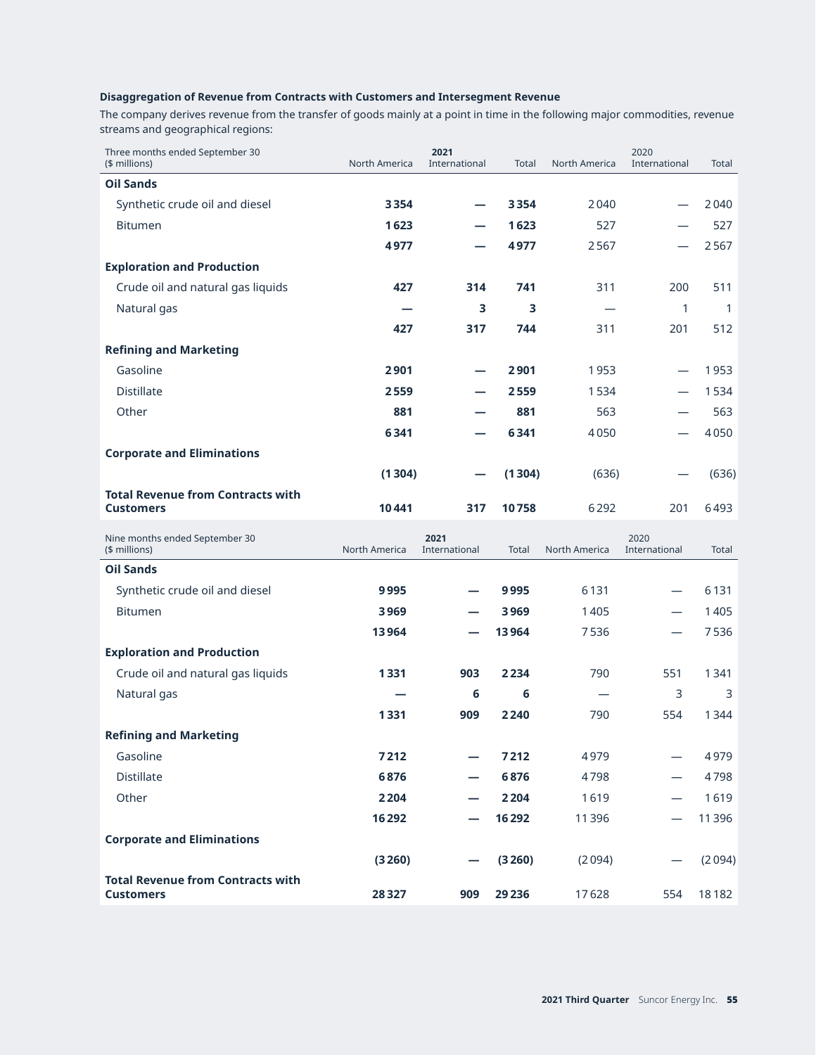#### **Disaggregation of Revenue from Contracts with Customers and Intersegment Revenue**

The company derives revenue from the transfer of goods mainly at a point in time in the following major commodities, revenue streams and geographical regions:

| Three months ended September 30<br>(\$ millions)             | <b>North America</b> | 2021<br>International | <b>Total</b> | North America | 2020<br>International    | Total        |
|--------------------------------------------------------------|----------------------|-----------------------|--------------|---------------|--------------------------|--------------|
| <b>Oil Sands</b>                                             |                      |                       |              |               |                          |              |
| Synthetic crude oil and diesel                               | 3354                 |                       | 3354         | 2040          |                          | 2040         |
| <b>Bitumen</b>                                               | 1623                 |                       | 1623         | 527           |                          | 527          |
|                                                              | 4977                 |                       | 4977         | 2567          |                          | 2567         |
| <b>Exploration and Production</b>                            |                      |                       |              |               |                          |              |
| Crude oil and natural gas liquids                            | 427                  | 314                   | 741          | 311           | 200                      | 511          |
| Natural gas                                                  |                      | 3                     | 3            |               | 1                        | 1            |
|                                                              | 427                  | 317                   | 744          | 311           | 201                      | 512          |
| <b>Refining and Marketing</b>                                |                      |                       |              |               |                          |              |
| Gasoline                                                     | 2901                 |                       | 2901         | 1953          | $\overline{\phantom{0}}$ | 1953         |
| <b>Distillate</b>                                            | 2559                 |                       | 2559         | 1534          |                          | 1534         |
| Other                                                        | 881                  |                       | 881          | 563           |                          | 563          |
|                                                              | 6341                 |                       | 6341         | 4050          |                          | 4050         |
| <b>Corporate and Eliminations</b>                            |                      |                       |              |               |                          |              |
|                                                              | (1304)               |                       | (1304)       | (636)         |                          | (636)        |
| <b>Total Revenue from Contracts with</b><br><b>Customers</b> | 10441                | 317                   | 10758        | 6292          | 201                      | 6493         |
|                                                              |                      |                       |              |               |                          |              |
| Nine months ended September 30<br>(\$ millions)              | <b>North America</b> | 2021<br>International | Total        | North America | 2020<br>International    | <b>Total</b> |
| <b>Oil Sands</b>                                             |                      |                       |              |               |                          |              |
| Synthetic crude oil and diesel                               | 9995                 |                       | 9995         | 6131          |                          | 6131         |
| <b>Bitumen</b>                                               | 3969                 |                       | 3969         | 1405          |                          | 1405         |
|                                                              | 13964                |                       | 13964        | 7536          | —                        | 7536         |
| <b>Exploration and Production</b>                            |                      |                       |              |               |                          |              |
| Crude oil and natural gas liquids                            | 1331                 | 903                   | 2234         | 790           | 551                      | 1341         |
| Natural gas                                                  |                      | 6                     | 6            |               | 3                        | 3            |
|                                                              | 1331                 | 909                   | 2240         | 790           | 554                      | 1344         |
| <b>Refining and Marketing</b>                                |                      |                       |              |               |                          |              |
| Gasoline                                                     | 7212                 |                       | 7212         | 4979          |                          | 4979         |
| <b>Distillate</b>                                            | 6876                 |                       | 6876         | 4798          |                          | 4798         |
| Other                                                        | 2 2 0 4              |                       | 2204         | 1619          |                          | 1619         |
|                                                              | 16 2 9 2             |                       | 16292        | 11396         |                          | 11396        |
| <b>Corporate and Eliminations</b>                            |                      |                       |              |               |                          |              |
| <b>Total Revenue from Contracts with</b>                     | (3260)               |                       | (3260)       | (2094)        |                          | (2094)       |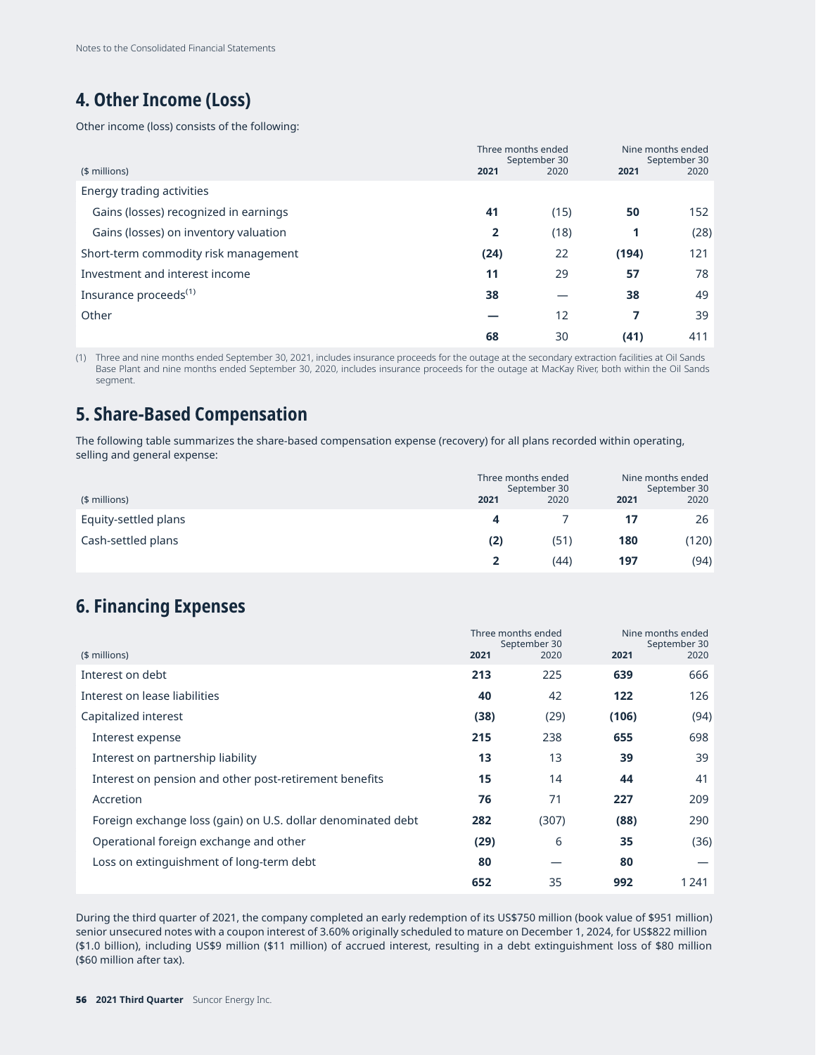# **4. Other Income (Loss)**

Other income (loss) consists of the following:

|                                       | Three months ended | September 30 |       | Nine months ended<br>September 30 |  |
|---------------------------------------|--------------------|--------------|-------|-----------------------------------|--|
| $$$ millions)                         | 2021               | 2020         | 2021  | 2020                              |  |
| Energy trading activities             |                    |              |       |                                   |  |
| Gains (losses) recognized in earnings | 41                 | (15)         | 50    | 152                               |  |
| Gains (losses) on inventory valuation | 2                  | (18)         | 1     | (28)                              |  |
| Short-term commodity risk management  | (24)               | 22           | (194) | 121                               |  |
| Investment and interest income        | 11                 | 29           | 57    | 78                                |  |
| Insurance proceeds <sup>(1)</sup>     | 38                 |              | 38    | 49                                |  |
| Other                                 |                    | 12           | 7     | 39                                |  |
|                                       | 68                 | 30           | (41)  | 411                               |  |

(1) Three and nine months ended September 30, 2021, includes insurance proceeds for the outage at the secondary extraction facilities at Oil Sands Base Plant and nine months ended September 30, 2020, includes insurance proceeds for the outage at MacKay River, both within the Oil Sands segment.

## **5. Share-Based Compensation**

The following table summarizes the share-based compensation expense (recovery) for all plans recorded within operating, selling and general expense:

|                      |      | Three months ended<br>September 30 |      | Nine months ended<br>September 30 |  |  |
|----------------------|------|------------------------------------|------|-----------------------------------|--|--|
| (\$ millions)        | 2021 |                                    | 2021 | 2020                              |  |  |
| Equity-settled plans | 4    |                                    | 17   | 26                                |  |  |
| Cash-settled plans   | (2)  | (51)                               | 180  | (120)                             |  |  |
|                      |      | (44)                               | 197  | (94)                              |  |  |

# **6. Financing Expenses**

|                                                              | Three months ended | September 30 |       | Nine months ended<br>September 30 |  |
|--------------------------------------------------------------|--------------------|--------------|-------|-----------------------------------|--|
| (\$ millions)                                                | 2021               | 2020         | 2021  | 2020                              |  |
| Interest on debt                                             | 213                | 225          | 639   | 666                               |  |
| Interest on lease liabilities                                | 40                 | 42           | 122   | 126                               |  |
| Capitalized interest                                         | (38)               | (29)         | (106) | (94)                              |  |
| Interest expense                                             | 215                | 238          | 655   | 698                               |  |
| Interest on partnership liability                            | 13                 | 13           | 39    | 39                                |  |
| Interest on pension and other post-retirement benefits       | 15                 | 14           | 44    | 41                                |  |
| Accretion                                                    | 76                 | 71           | 227   | 209                               |  |
| Foreign exchange loss (gain) on U.S. dollar denominated debt | 282                | (307)        | (88)  | 290                               |  |
| Operational foreign exchange and other                       | (29)               | 6            | 35    | (36)                              |  |
| Loss on extinguishment of long-term debt                     | 80                 |              | 80    |                                   |  |
|                                                              | 652                | 35           | 992   | 1241                              |  |
|                                                              |                    |              |       |                                   |  |

During the third quarter of 2021, the company completed an early redemption of its US\$750 million (book value of \$951 million) senior unsecured notes with a coupon interest of 3.60% originally scheduled to mature on December 1, 2024, for US\$822 million (\$1.0 billion), including US\$9 million (\$11 million) of accrued interest, resulting in a debt extinguishment loss of \$80 million (\$60 million after tax).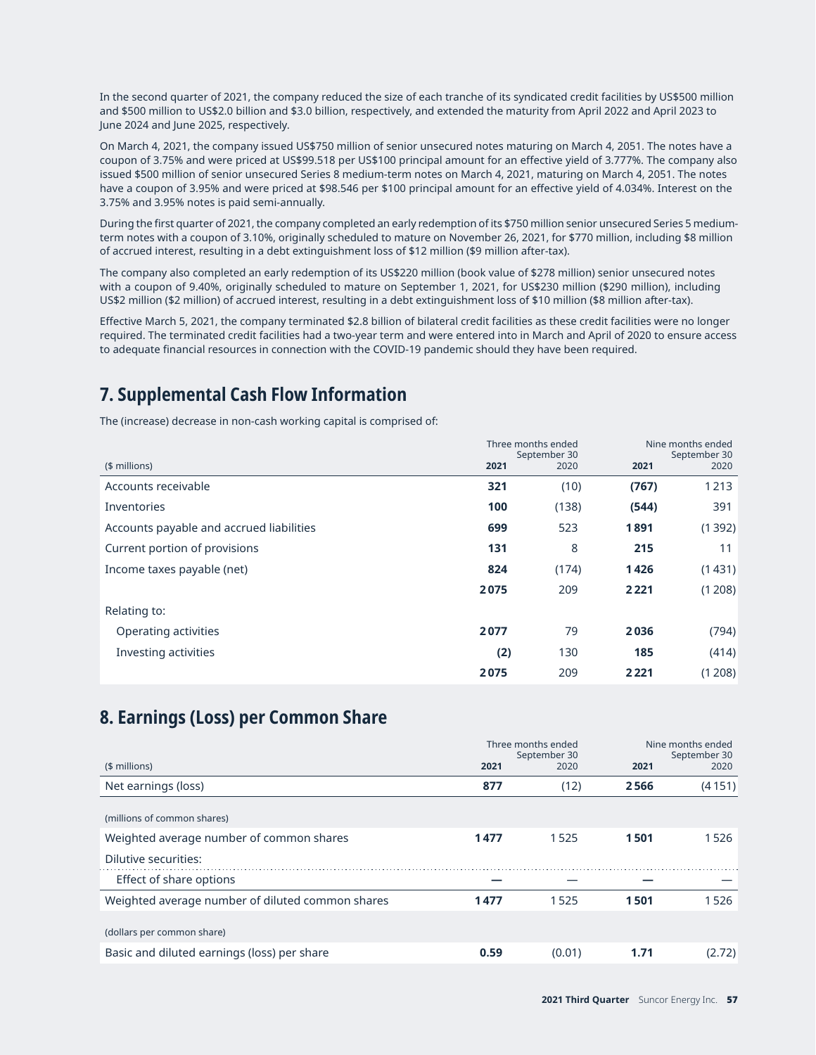In the second quarter of 2021, the company reduced the size of each tranche of its syndicated credit facilities by US\$500 million and \$500 million to US\$2.0 billion and \$3.0 billion, respectively, and extended the maturity from April 2022 and April 2023 to June 2024 and June 2025, respectively.

On March 4, 2021, the company issued US\$750 million of senior unsecured notes maturing on March 4, 2051. The notes have a coupon of 3.75% and were priced at US\$99.518 per US\$100 principal amount for an effective yield of 3.777%. The company also issued \$500 million of senior unsecured Series 8 medium-term notes on March 4, 2021, maturing on March 4, 2051. The notes have a coupon of 3.95% and were priced at \$98.546 per \$100 principal amount for an effective yield of 4.034%. Interest on the 3.75% and 3.95% notes is paid semi-annually.

During the first quarter of 2021, the company completed an early redemption of its \$750 million senior unsecured Series 5 mediumterm notes with a coupon of 3.10%, originally scheduled to mature on November 26, 2021, for \$770 million, including \$8 million of accrued interest, resulting in a debt extinguishment loss of \$12 million (\$9 million after-tax).

The company also completed an early redemption of its US\$220 million (book value of \$278 million) senior unsecured notes with a coupon of 9.40%, originally scheduled to mature on September 1, 2021, for US\$230 million (\$290 million), including US\$2 million (\$2 million) of accrued interest, resulting in a debt extinguishment loss of \$10 million (\$8 million after-tax).

Effective March 5, 2021, the company terminated \$2.8 billion of bilateral credit facilities as these credit facilities were no longer required. The terminated credit facilities had a two-year term and were entered into in March and April of 2020 to ensure access to adequate financial resources in connection with the COVID-19 pandemic should they have been required.

# **7. Supplemental Cash Flow Information**

The (increase) decrease in non-cash working capital is comprised of:

|                                          |      | Three months ended<br>September 30 | Nine months ended<br>September 30 |        |  |
|------------------------------------------|------|------------------------------------|-----------------------------------|--------|--|
| $($$ millions)                           | 2021 | 2020                               | 2021                              | 2020   |  |
| Accounts receivable                      | 321  | (10)                               | (767)                             | 1213   |  |
| Inventories                              | 100  | (138)                              | (544)                             | 391    |  |
| Accounts payable and accrued liabilities | 699  | 523                                | 1891                              | (1392) |  |
| Current portion of provisions            | 131  | 8                                  | 215                               | 11     |  |
| Income taxes payable (net)               | 824  | (174)                              | 1426                              | (1431) |  |
|                                          | 2075 | 209                                | 2 2 2 1                           | (1208) |  |
| Relating to:                             |      |                                    |                                   |        |  |
| Operating activities                     | 2077 | 79                                 | 2036                              | (794)  |  |
| Investing activities                     | (2)  | 130                                | 185                               | (414)  |  |
|                                          | 2075 | 209                                | 2221                              | (1208) |  |

# **8. Earnings (Loss) per Common Share**

|                                                  |      | Three months ended<br>September 30 |      | Nine months ended<br>September 30 |  |
|--------------------------------------------------|------|------------------------------------|------|-----------------------------------|--|
| $($$ millions)                                   | 2021 | 2020                               | 2021 | 2020                              |  |
| Net earnings (loss)                              | 877  | (12)                               | 2566 | (4151)                            |  |
| (millions of common shares)                      |      |                                    |      |                                   |  |
| Weighted average number of common shares         | 1477 | 1525                               | 1501 | 1526                              |  |
| Dilutive securities:                             |      |                                    |      |                                   |  |
| Effect of share options                          |      |                                    |      |                                   |  |
| Weighted average number of diluted common shares | 1477 | 1525                               | 1501 | 1526                              |  |
| (dollars per common share)                       |      |                                    |      |                                   |  |
| Basic and diluted earnings (loss) per share      | 0.59 | (0.01)                             | 1.71 | (2.72)                            |  |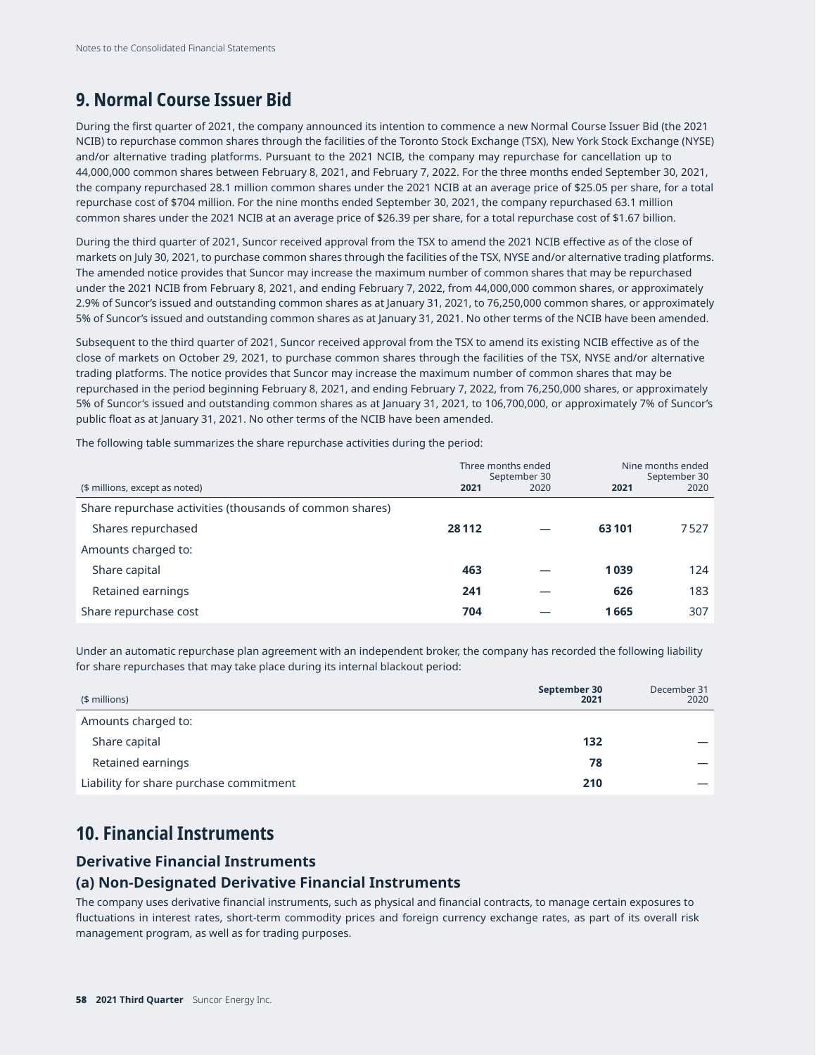## **9. Normal Course Issuer Bid**

During the first quarter of 2021, the company announced its intention to commence a new Normal Course Issuer Bid (the 2021 NCIB) to repurchase common shares through the facilities of the Toronto Stock Exchange (TSX), New York Stock Exchange (NYSE) and/or alternative trading platforms. Pursuant to the 2021 NCIB, the company may repurchase for cancellation up to 44,000,000 common shares between February 8, 2021, and February 7, 2022. For the three months ended September 30, 2021, the company repurchased 28.1 million common shares under the 2021 NCIB at an average price of \$25.05 per share, for a total repurchase cost of \$704 million. For the nine months ended September 30, 2021, the company repurchased 63.1 million common shares under the 2021 NCIB at an average price of \$26.39 per share, for a total repurchase cost of \$1.67 billion.

During the third quarter of 2021, Suncor received approval from the TSX to amend the 2021 NCIB effective as of the close of markets on July 30, 2021, to purchase common shares through the facilities of the TSX, NYSE and/or alternative trading platforms. The amended notice provides that Suncor may increase the maximum number of common shares that may be repurchased under the 2021 NCIB from February 8, 2021, and ending February 7, 2022, from 44,000,000 common shares, or approximately 2.9% of Suncor's issued and outstanding common shares as at January 31, 2021, to 76,250,000 common shares, or approximately 5% of Suncor's issued and outstanding common shares as at January 31, 2021. No other terms of the NCIB have been amended.

Subsequent to the third quarter of 2021, Suncor received approval from the TSX to amend its existing NCIB effective as of the close of markets on October 29, 2021, to purchase common shares through the facilities of the TSX, NYSE and/or alternative trading platforms. The notice provides that Suncor may increase the maximum number of common shares that may be repurchased in the period beginning February 8, 2021, and ending February 7, 2022, from 76,250,000 shares, or approximately 5% of Suncor's issued and outstanding common shares as at January 31, 2021, to 106,700,000, or approximately 7% of Suncor's public float as at January 31, 2021. No other terms of the NCIB have been amended.

The following table summarizes the share repurchase activities during the period:

|                                                          |         | Three months ended<br>September 30 | Nine months ended<br>September 30 |      |  |
|----------------------------------------------------------|---------|------------------------------------|-----------------------------------|------|--|
| (\$ millions, except as noted)                           | 2021    | 2020                               | 2021                              | 2020 |  |
| Share repurchase activities (thousands of common shares) |         |                                    |                                   |      |  |
| Shares repurchased                                       | 28 1 12 |                                    | 63101                             | 7527 |  |
| Amounts charged to:                                      |         |                                    |                                   |      |  |
| Share capital                                            | 463     |                                    | 1039                              | 124  |  |
| Retained earnings                                        | 241     |                                    | 626                               | 183  |  |
| Share repurchase cost                                    | 704     |                                    | 1665                              | 307  |  |

Under an automatic repurchase plan agreement with an independent broker, the company has recorded the following liability for share repurchases that may take place during its internal blackout period:

| (\$ millions)                           | September 30<br>2021 | December 31<br>2020 |
|-----------------------------------------|----------------------|---------------------|
| Amounts charged to:                     |                      |                     |
| Share capital                           | 132                  |                     |
| Retained earnings                       | 78                   |                     |
| Liability for share purchase commitment | 210                  |                     |

## **10. Financial Instruments**

#### **Derivative Financial Instruments**

#### **(a) Non-Designated Derivative Financial Instruments**

The company uses derivative financial instruments, such as physical and financial contracts, to manage certain exposures to fluctuations in interest rates, short-term commodity prices and foreign currency exchange rates, as part of its overall risk management program, as well as for trading purposes.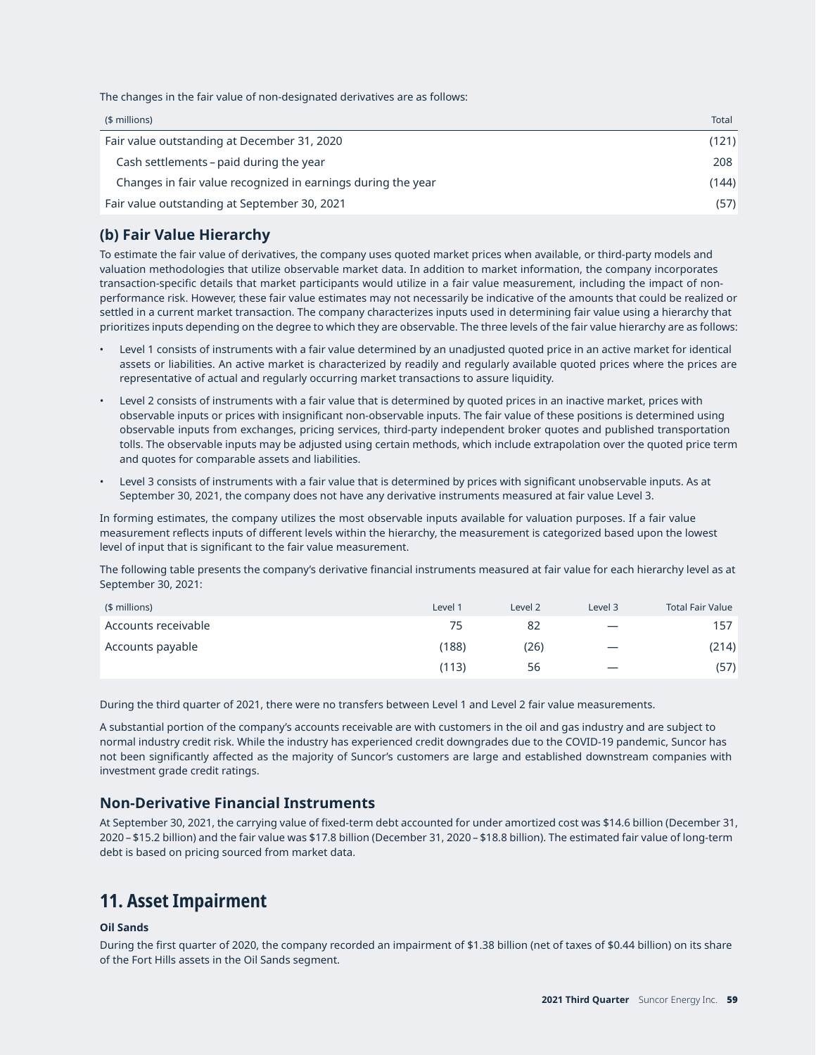The changes in the fair value of non-designated derivatives are as follows:

| $$$ millions)                                                | Total |
|--------------------------------------------------------------|-------|
| Fair value outstanding at December 31, 2020                  | (121) |
| Cash settlements – paid during the year                      | 208   |
| Changes in fair value recognized in earnings during the year | (144) |
| Fair value outstanding at September 30, 2021                 | (57)  |

### **(b) Fair Value Hierarchy**

To estimate the fair value of derivatives, the company uses quoted market prices when available, or third-party models and valuation methodologies that utilize observable market data. In addition to market information, the company incorporates transaction-specific details that market participants would utilize in a fair value measurement, including the impact of nonperformance risk. However, these fair value estimates may not necessarily be indicative of the amounts that could be realized or settled in a current market transaction. The company characterizes inputs used in determining fair value using a hierarchy that prioritizes inputs depending on the degree to which they are observable. The three levels of the fair value hierarchy are as follows:

- Level 1 consists of instruments with a fair value determined by an unadjusted quoted price in an active market for identical assets or liabilities. An active market is characterized by readily and regularly available quoted prices where the prices are representative of actual and regularly occurring market transactions to assure liquidity.
- Level 2 consists of instruments with a fair value that is determined by quoted prices in an inactive market, prices with observable inputs or prices with insignificant non-observable inputs. The fair value of these positions is determined using observable inputs from exchanges, pricing services, third-party independent broker quotes and published transportation tolls. The observable inputs may be adjusted using certain methods, which include extrapolation over the quoted price term and quotes for comparable assets and liabilities.
- Level 3 consists of instruments with a fair value that is determined by prices with significant unobservable inputs. As at September 30, 2021, the company does not have any derivative instruments measured at fair value Level 3.

In forming estimates, the company utilizes the most observable inputs available for valuation purposes. If a fair value measurement reflects inputs of different levels within the hierarchy, the measurement is categorized based upon the lowest level of input that is significant to the fair value measurement.

The following table presents the company's derivative financial instruments measured at fair value for each hierarchy level as at September 30, 2021:

| $$$ millions)       | Level 1 | Level 2 | Level 3                  | <b>Total Fair Value</b> |
|---------------------|---------|---------|--------------------------|-------------------------|
| Accounts receivable | 75      | 82      | $\overline{\phantom{m}}$ | 157                     |
| Accounts payable    | (188)   | (26)    | $\overline{\phantom{0}}$ | (214)                   |
|                     | (113)   | 56      | $\hspace{0.05cm}$        | (57)                    |

During the third quarter of 2021, there were no transfers between Level 1 and Level 2 fair value measurements.

A substantial portion of the company's accounts receivable are with customers in the oil and gas industry and are subject to normal industry credit risk. While the industry has experienced credit downgrades due to the COVID-19 pandemic, Suncor has not been significantly affected as the majority of Suncor's customers are large and established downstream companies with investment grade credit ratings.

### **Non-Derivative Financial Instruments**

At September 30, 2021, the carrying value of fixed-term debt accounted for under amortized cost was \$14.6 billion (December 31, 2020 – \$15.2 billion) and the fair value was \$17.8 billion (December 31, 2020 – \$18.8 billion). The estimated fair value of long-term debt is based on pricing sourced from market data.

## **11. Asset Impairment**

#### **Oil Sands**

During the first quarter of 2020, the company recorded an impairment of \$1.38 billion (net of taxes of \$0.44 billion) on its share of the Fort Hills assets in the Oil Sands segment.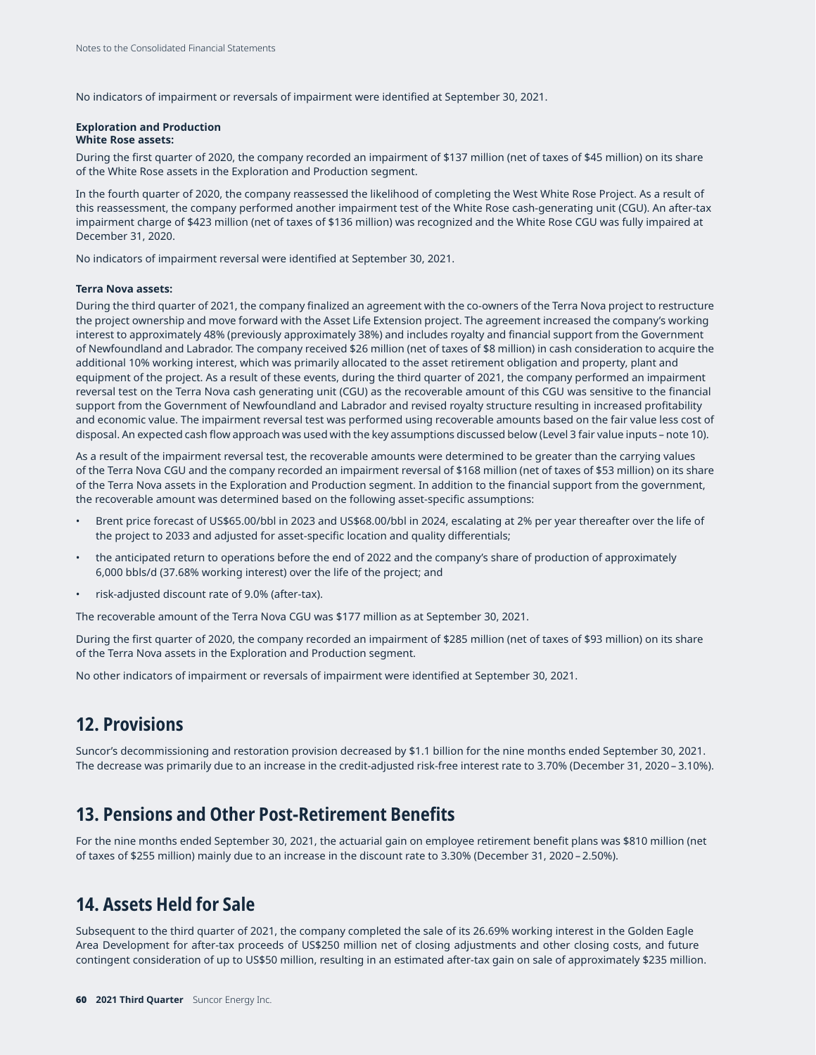No indicators of impairment or reversals of impairment were identified at September 30, 2021.

#### **Exploration and Production**

#### **White Rose assets:**

During the first quarter of 2020, the company recorded an impairment of \$137 million (net of taxes of \$45 million) on its share of the White Rose assets in the Exploration and Production segment.

In the fourth quarter of 2020, the company reassessed the likelihood of completing the West White Rose Project. As a result of this reassessment, the company performed another impairment test of the White Rose cash-generating unit (CGU). An after-tax impairment charge of \$423 million (net of taxes of \$136 million) was recognized and the White Rose CGU was fully impaired at December 31, 2020.

No indicators of impairment reversal were identified at September 30, 2021.

#### **Terra Nova assets:**

During the third quarter of 2021, the company finalized an agreement with the co-owners of the Terra Nova project to restructure the project ownership and move forward with the Asset Life Extension project. The agreement increased the company's working interest to approximately 48% (previously approximately 38%) and includes royalty and financial support from the Government of Newfoundland and Labrador. The company received \$26 million (net of taxes of \$8 million) in cash consideration to acquire the additional 10% working interest, which was primarily allocated to the asset retirement obligation and property, plant and equipment of the project. As a result of these events, during the third quarter of 2021, the company performed an impairment reversal test on the Terra Nova cash generating unit (CGU) as the recoverable amount of this CGU was sensitive to the financial support from the Government of Newfoundland and Labrador and revised royalty structure resulting in increased profitability and economic value. The impairment reversal test was performed using recoverable amounts based on the fair value less cost of disposal. An expected cash flow approach was used with the key assumptions discussed below (Level 3 fair value inputs – note 10).

As a result of the impairment reversal test, the recoverable amounts were determined to be greater than the carrying values of the Terra Nova CGU and the company recorded an impairment reversal of \$168 million (net of taxes of \$53 million) on its share of the Terra Nova assets in the Exploration and Production segment. In addition to the financial support from the government, the recoverable amount was determined based on the following asset-specific assumptions:

- Brent price forecast of US\$65.00/bbl in 2023 and US\$68.00/bbl in 2024, escalating at 2% per year thereafter over the life of the project to 2033 and adjusted for asset-specific location and quality differentials;
- the anticipated return to operations before the end of 2022 and the company's share of production of approximately 6,000 bbls/d (37.68% working interest) over the life of the project; and
- risk-adjusted discount rate of 9.0% (after-tax).

The recoverable amount of the Terra Nova CGU was \$177 million as at September 30, 2021.

During the first quarter of 2020, the company recorded an impairment of \$285 million (net of taxes of \$93 million) on its share of the Terra Nova assets in the Exploration and Production segment.

No other indicators of impairment or reversals of impairment were identified at September 30, 2021.

## **12. Provisions**

Suncor's decommissioning and restoration provision decreased by \$1.1 billion for the nine months ended September 30, 2021. The decrease was primarily due to an increase in the credit-adjusted risk-free interest rate to 3.70% (December 31, 2020 – 3.10%).

### **13. Pensions and Other Post-Retirement Benefits**

For the nine months ended September 30, 2021, the actuarial gain on employee retirement benefit plans was \$810 million (net of taxes of \$255 million) mainly due to an increase in the discount rate to 3.30% (December 31, 2020 – 2.50%).

### **14. Assets Held for Sale**

Subsequent to the third quarter of 2021, the company completed the sale of its 26.69% working interest in the Golden Eagle Area Development for after-tax proceeds of US\$250 million net of closing adjustments and other closing costs, and future contingent consideration of up to US\$50 million, resulting in an estimated after-tax gain on sale of approximately \$235 million.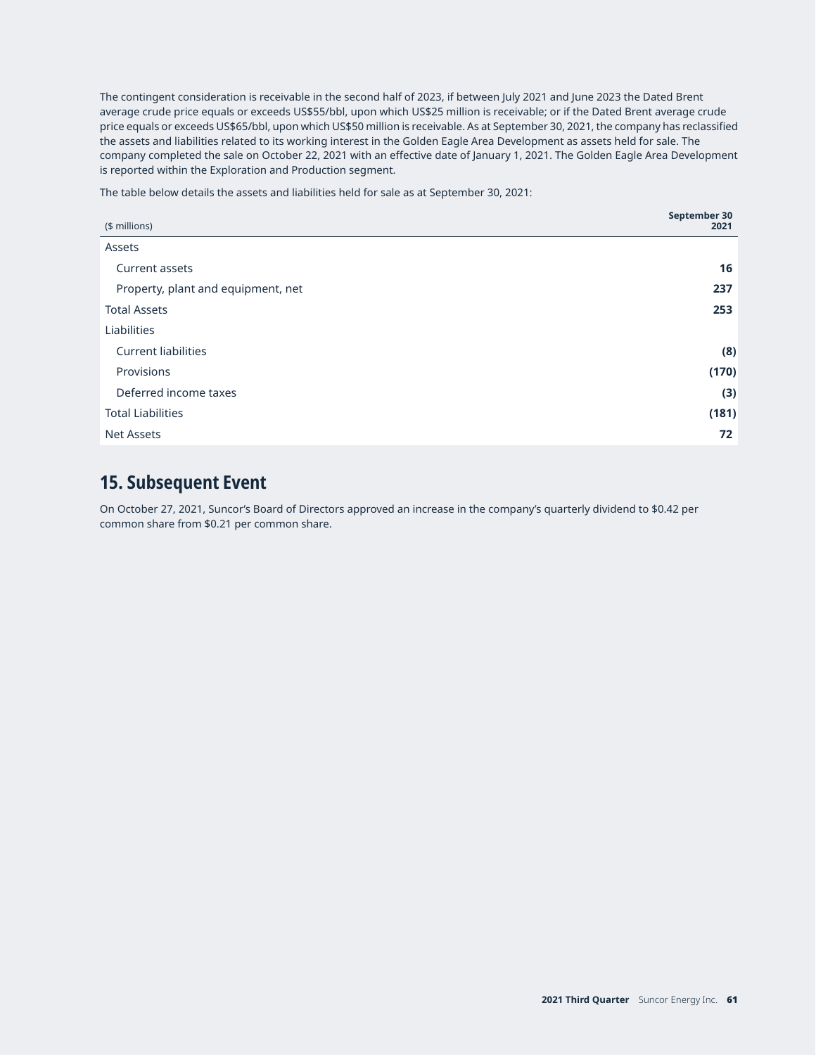The contingent consideration is receivable in the second half of 2023, if between July 2021 and June 2023 the Dated Brent average crude price equals or exceeds US\$55/bbl, upon which US\$25 million is receivable; or if the Dated Brent average crude price equals or exceeds US\$65/bbl, upon which US\$50 million is receivable. As at September 30, 2021, the company has reclassified the assets and liabilities related to its working interest in the Golden Eagle Area Development as assets held for sale. The company completed the sale on October 22, 2021 with an effective date of January 1, 2021. The Golden Eagle Area Development is reported within the Exploration and Production segment.

The table below details the assets and liabilities held for sale as at September 30, 2021:

| (\$ millions)                      | September 30<br>2021 |
|------------------------------------|----------------------|
| Assets                             |                      |
| Current assets                     | 16                   |
| Property, plant and equipment, net | 237                  |
| <b>Total Assets</b>                | 253                  |
| Liabilities                        |                      |
| <b>Current liabilities</b>         | (8)                  |
| Provisions                         | (170)                |
| Deferred income taxes              | (3)                  |
| <b>Total Liabilities</b>           | (181)                |
| <b>Net Assets</b>                  | 72                   |

## **15. Subsequent Event**

On October 27, 2021, Suncor's Board of Directors approved an increase in the company's quarterly dividend to \$0.42 per common share from \$0.21 per common share.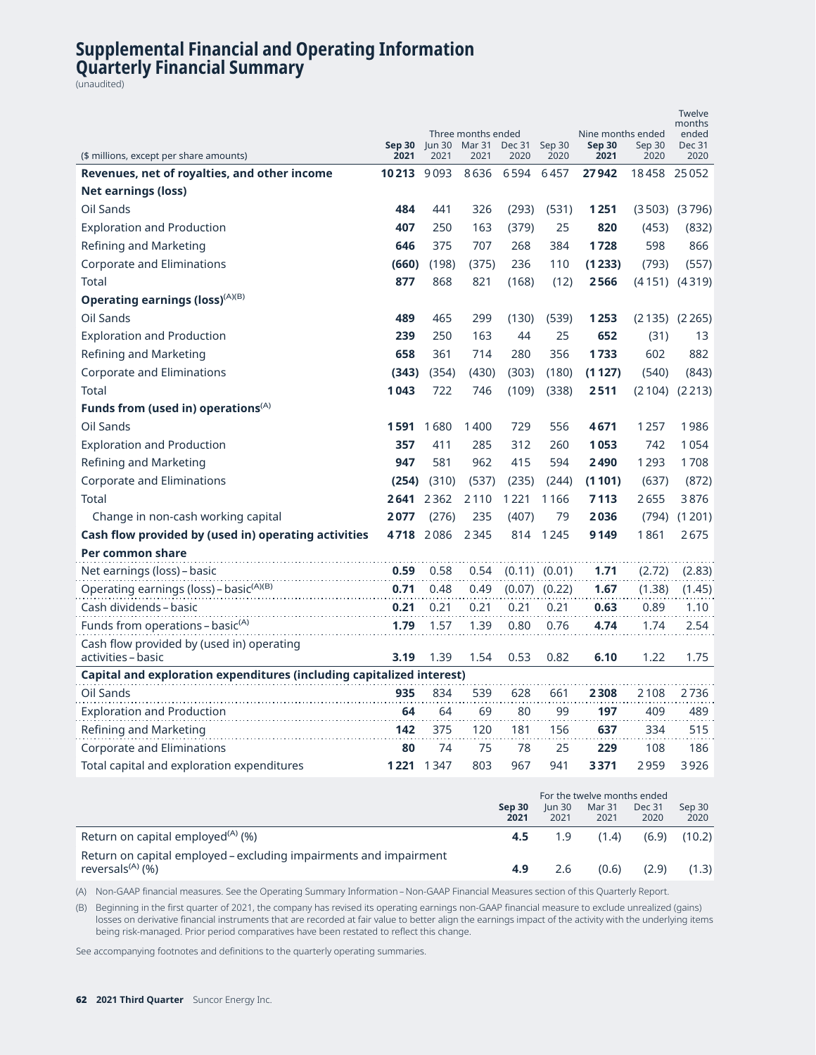## **Supplemental Financial and Operating Information Quarterly Financial Summary**

(unaudited)

| (\$ millions, except per share amounts)                                         | Sep 30<br>2021 | Jun $30$<br>2021 | Three months ended<br>Mar 31<br>2021 | Dec 31<br>2020 | Sep 30<br>2020    | Nine months ended<br><b>Sep 30</b><br>2021 | Sep 30<br>2020 | Twelve<br>months<br>ended<br><b>Dec 31</b><br>2020 |
|---------------------------------------------------------------------------------|----------------|------------------|--------------------------------------|----------------|-------------------|--------------------------------------------|----------------|----------------------------------------------------|
| Revenues, net of royalties, and other income                                    | 10213 9093     |                  | 8636                                 | 6594           | 6457              | 27942                                      | 18458          | 25052                                              |
| <b>Net earnings (loss)</b>                                                      |                |                  |                                      |                |                   |                                            |                |                                                    |
| Oil Sands                                                                       | 484            | 441              | 326                                  | (293)          | (531)             | 1251                                       |                | $(3503)$ $(3796)$                                  |
| <b>Exploration and Production</b>                                               | 407            | 250              | 163                                  | (379)          | 25                | 820                                        | (453)          | (832)                                              |
| Refining and Marketing                                                          | 646            | 375              | 707                                  | 268            | 384               | 1728                                       | 598            | 866                                                |
| <b>Corporate and Eliminations</b>                                               | (660)          | (198)            | (375)                                | 236            | 110               | (1233)                                     | (793)          | (557)                                              |
| Total                                                                           | 877            | 868              | 821                                  | (168)          | (12)              | 2566                                       |                | $(4151)$ $(4319)$                                  |
| Operating earnings (loss) <sup>(A)(B)</sup>                                     |                |                  |                                      |                |                   |                                            |                |                                                    |
| Oil Sands                                                                       | 489            | 465              | 299                                  | (130)          | (539)             | 1253                                       | (2135)         | (2265)                                             |
| <b>Exploration and Production</b>                                               | 239            | 250              | 163                                  | 44             | 25                | 652                                        | (31)           | 13                                                 |
| Refining and Marketing                                                          | 658            | 361              | 714                                  | 280            | 356               | 1733                                       | 602            | 882                                                |
| <b>Corporate and Eliminations</b>                                               | (343)          | (354)            | (430)                                | (303)          | (180)             | (1127)                                     | (540)          | (843)                                              |
| <b>Total</b>                                                                    | 1043           | 722              | 746                                  | (109)          | (338)             | 2511                                       | (2104)         | (2213)                                             |
| Funds from (used in) operations $(A)$                                           |                |                  |                                      |                |                   |                                            |                |                                                    |
| Oil Sands                                                                       | 1591 1680      |                  | 1400                                 | 729            | 556               | 4671                                       | 1257           | 1986                                               |
| <b>Exploration and Production</b>                                               | 357            | 411              | 285                                  | 312            | 260               | 1053                                       | 742            | 1054                                               |
| Refining and Marketing                                                          | 947            | 581              | 962                                  | 415            | 594               | 2490                                       | 1293           | 1708                                               |
| <b>Corporate and Eliminations</b>                                               | (254)          | (310)            | (537)                                | (235)          | (244)             | (1101)                                     | (637)          | (872)                                              |
| <b>Total</b>                                                                    | 2641           | 2362             | 2110                                 | 1221           | 1166              | 7113                                       | 2655           | 3876                                               |
| Change in non-cash working capital                                              | 2077           | (276)            | 235                                  | (407)          | 79                | 2036                                       | (794)          | (1201)                                             |
| Cash flow provided by (used in) operating activities                            | 4718           | 2086             | 2345                                 | 814            | 1245              | 9149                                       | 1861           | 2675                                               |
| Per common share                                                                |                |                  |                                      |                |                   |                                            |                |                                                    |
| Net earnings (loss) - basic                                                     | 0.59           | 0.58             | 0.54                                 |                | $(0.11)$ $(0.01)$ | 1.71                                       | (2.72)         | (2.83)                                             |
| Operating earnings (loss) - basic <sup>(A)(B)</sup>                             | 0.71           | 0.48             | 0.49                                 | (0.07)         | (0.22)            | 1.67                                       | (1.38)         | (1.45)                                             |
| Cash dividends – basic                                                          | 0.21           | 0.21             | 0.21                                 | 0.21           | 0.21              | 0.63                                       | 0.89           | 1.10                                               |
| Funds from operations - basic <sup>(A)</sup>                                    | 1.79           | 1.57             | 1.39                                 | 0.80           | 0.76              | 4.74                                       | 1.74           | 2.54                                               |
| Cash flow provided by (used in) operating                                       |                |                  |                                      |                |                   |                                            |                |                                                    |
| activities - basic                                                              | 3.19           | 1.39             | 1.54                                 | 0.53           | 0.82              | 6.10                                       | 1.22           | 1.75                                               |
| Capital and exploration expenditures (including capitalized interest)           |                |                  |                                      |                |                   |                                            |                |                                                    |
| Oil Sands                                                                       | 935            | 834              | 539                                  | 628            | 661               | 2308                                       | 2108           | 2736                                               |
| <b>Exploration and Production</b>                                               | 64             | 64               | 69                                   | 80             | 99                | 197                                        | 409            | 489                                                |
| Refining and Marketing                                                          | 142<br>80      | 375<br>74        | 120                                  | 181            | 156               | 637                                        | 334            | 515                                                |
| <b>Corporate and Eliminations</b><br>Total capital and exploration expenditures | 1221 1347      |                  | 75<br>803                            | 78<br>967      | 25<br>941         | 229<br>3371                                | 108<br>2959    | 186<br>3926                                        |
|                                                                                 |                |                  |                                      |                |                   |                                            |                |                                                    |
|                                                                                 |                |                  |                                      |                |                   | For the twelve months ended                |                |                                                    |
|                                                                                 |                |                  |                                      | <b>Sep 30</b>  | <b>Jun 30</b>     | <b>Mar 31</b>                              | Dec 31         | Sep 30                                             |

|                                                                                                   | For the twelve months ended |                            |                |                                         |                |  |
|---------------------------------------------------------------------------------------------------|-----------------------------|----------------------------|----------------|-----------------------------------------|----------------|--|
|                                                                                                   | Sep 30<br>2021              | $\mathsf{Iun}\,30$<br>2021 | Mar 31<br>2021 | <b>Dec 31</b><br>2020<br>(6.9)<br>(2.9) | Sep 30<br>2020 |  |
| Return on capital employed <sup>(A)</sup> (%)                                                     | 4.5                         | 1.9                        | (1.4)          |                                         | (10.2)         |  |
| Return on capital employed – excluding impairments and impairment<br>reversals <sup>(A)</sup> (%) | 4.9                         |                            | (0.6)          |                                         | (1.3)          |  |

(A) Non-GAAP financial measures. See the Operating Summary Information – Non-GAAP Financial Measures section of this Quarterly Report.

(B) Beginning in the first quarter of 2021, the company has revised its operating earnings non-GAAP financial measure to exclude unrealized (gains) losses on derivative financial instruments that are recorded at fair value to better align the earnings impact of the activity with the underlying items being risk-managed. Prior period comparatives have been restated to reflect this change.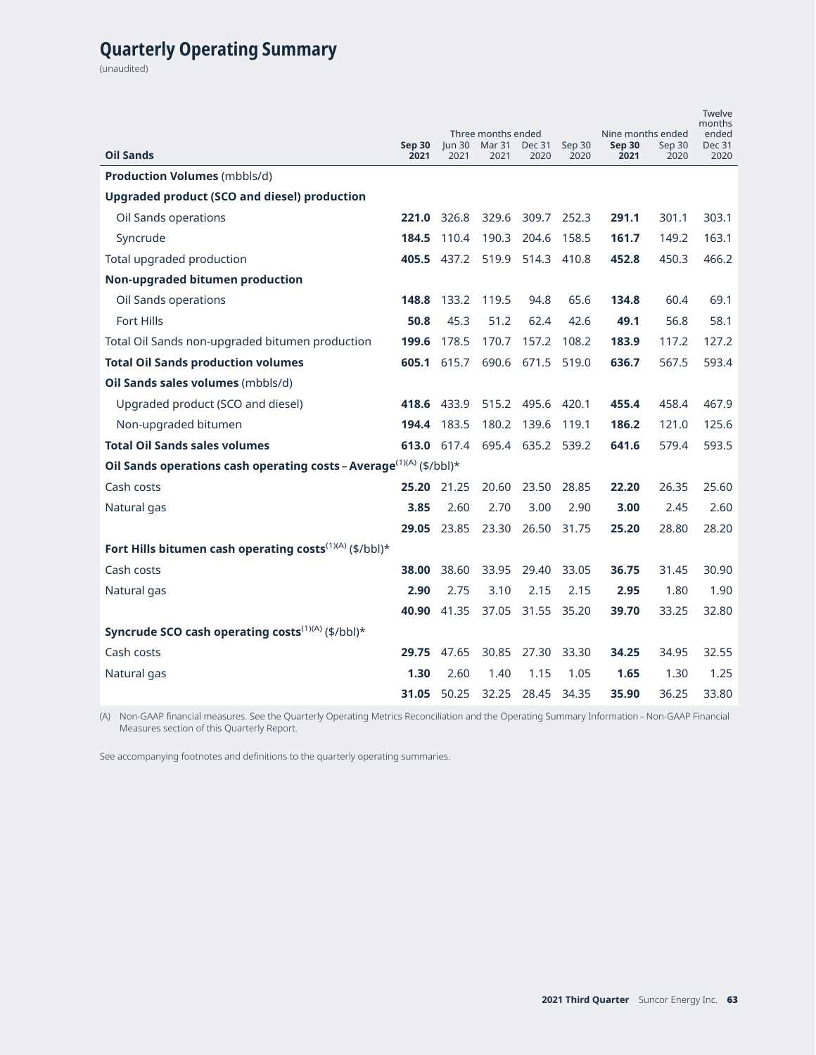# **Quarterly Operating Summary**

(unaudited)

| <b>Oil Sands</b>                                                                | Sep 30<br>2021 | un 30<br>2021      | Three months ended<br>Mar 31<br>2021 | <b>Dec 31</b><br>2020 | Sep 30<br>2020 | Nine months ended<br><b>Sep 30</b><br>2021 | Sep 30<br>2020 | Twelve<br>months<br>ended<br><b>Dec 31</b><br>2020 |
|---------------------------------------------------------------------------------|----------------|--------------------|--------------------------------------|-----------------------|----------------|--------------------------------------------|----------------|----------------------------------------------------|
| <b>Production Volumes (mbbls/d)</b>                                             |                |                    |                                      |                       |                |                                            |                |                                                    |
| Upgraded product (SCO and diesel) production                                    |                |                    |                                      |                       |                |                                            |                |                                                    |
| Oil Sands operations                                                            |                | 221.0 326.8        |                                      | 329.6 309.7 252.3     |                | 291.1                                      | 301.1          | 303.1                                              |
| Syncrude                                                                        | 184.5          | 110.4              | 190.3                                | 204.6                 | 158.5          | 161.7                                      | 149.2          | 163.1                                              |
| Total upgraded production                                                       |                | 405.5 437.2        |                                      | 519.9 514.3 410.8     |                | 452.8                                      | 450.3          | 466.2                                              |
| Non-upgraded bitumen production                                                 |                |                    |                                      |                       |                |                                            |                |                                                    |
| Oil Sands operations                                                            | 148.8          | 133.2              | 119.5                                | 94.8                  | 65.6           | 134.8                                      | 60.4           | 69.1                                               |
| <b>Fort Hills</b>                                                               | 50.8           | 45.3               | 51.2                                 | 62.4                  | 42.6           | 49.1                                       | 56.8           | 58.1                                               |
| Total Oil Sands non-upgraded bitumen production                                 | 199.6          | 178.5              | 170.7                                | 157.2                 | 108.2          | 183.9                                      | 117.2          | 127.2                                              |
| <b>Total Oil Sands production volumes</b>                                       |                | <b>605.1</b> 615.7 | 690.6                                | 671.5                 | 519.0          | 636.7                                      | 567.5          | 593.4                                              |
| Oil Sands sales volumes (mbbls/d)                                               |                |                    |                                      |                       |                |                                            |                |                                                    |
| Upgraded product (SCO and diesel)                                               |                | 418.6 433.9        |                                      | 515.2 495.6           | 420.1          | 455.4                                      | 458.4          | 467.9                                              |
| Non-upgraded bitumen                                                            |                | 194.4 183.5        | 180.2                                | 139.6                 | 119.1          | 186.2                                      | 121.0          | 125.6                                              |
| <b>Total Oil Sands sales volumes</b>                                            |                | 613.0 617.4        |                                      | 695.4 635.2 539.2     |                | 641.6                                      | 579.4          | 593.5                                              |
| Oil Sands operations cash operating costs - Average <sup>(1)(A)</sup> (\$/bbl)* |                |                    |                                      |                       |                |                                            |                |                                                    |
| Cash costs                                                                      | 25.20          | 21.25              | 20.60                                | 23.50                 | 28.85          | 22.20                                      | 26.35          | 25.60                                              |
| Natural gas                                                                     | 3.85           | 2.60               | 2.70                                 | 3.00                  | 2.90           | 3.00                                       | 2.45           | 2.60                                               |
|                                                                                 | 29.05          | 23.85              | 23.30                                | 26.50                 | 31.75          | 25.20                                      | 28.80          | 28.20                                              |
| Fort Hills bitumen cash operating costs <sup>(1)(A)</sup> (\$/bbl)*             |                |                    |                                      |                       |                |                                            |                |                                                    |
| Cash costs                                                                      | 38.00          | 38.60              | 33.95                                | 29.40                 | 33.05          | 36.75                                      | 31.45          | 30.90                                              |
| Natural gas                                                                     | 2.90           | 2.75               | 3.10                                 | 2.15                  | 2.15           | 2.95                                       | 1.80           | 1.90                                               |
|                                                                                 |                | 40.90 41.35        | 37.05                                | 31.55 35.20           |                | 39.70                                      | 33.25          | 32.80                                              |
| Syncrude SCO cash operating costs <sup>(1)(A)</sup> (\$/bbl)*                   |                |                    |                                      |                       |                |                                            |                |                                                    |
| Cash costs                                                                      |                | 29.75 47.65        | 30.85                                | 27.30 33.30           |                | 34.25                                      | 34.95          | 32.55                                              |
| Natural gas                                                                     | 1.30           | 2.60               | 1.40                                 | 1.15                  | 1.05           | 1.65                                       | 1.30           | 1.25                                               |
|                                                                                 |                | 31.05 50.25        | 32.25                                | 28.45                 | 34.35          | 35.90                                      | 36.25          | 33.80                                              |

(A) Non-GAAP financial measures. See the Quarterly Operating Metrics Reconciliation and the Operating Summary Information – Non-GAAP Financial Measures section of this Quarterly Report.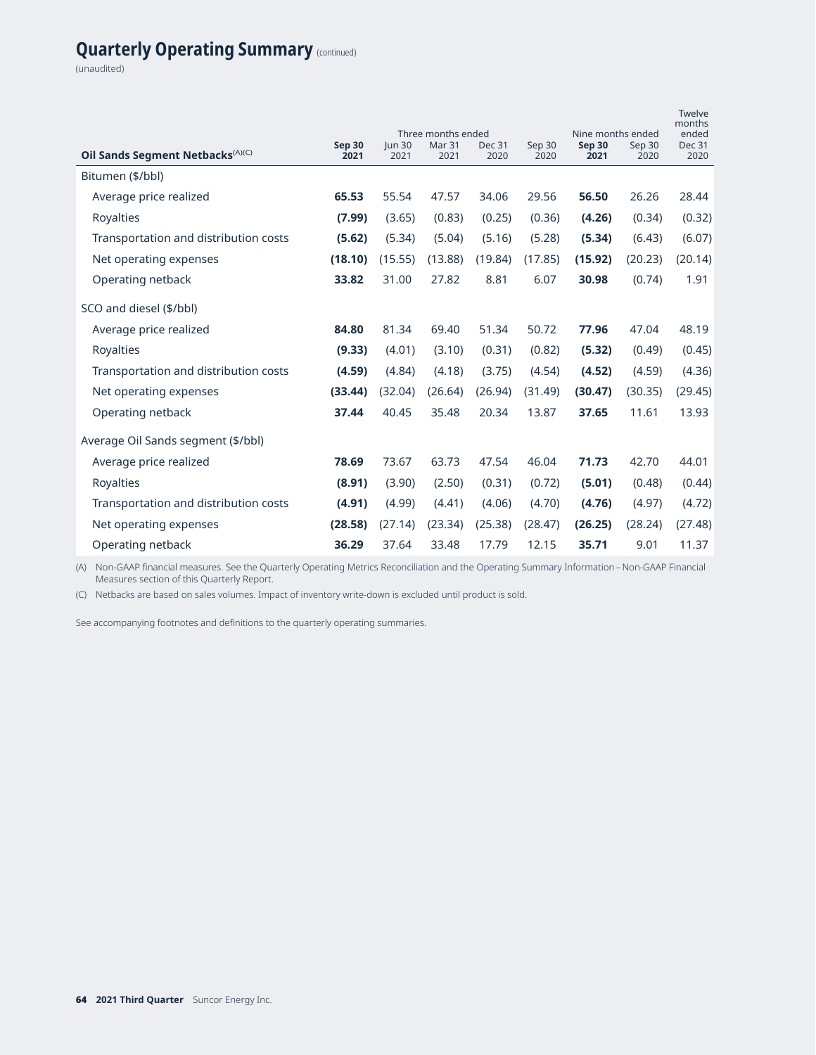# **Quarterly Operating Summary** (continued)

(unaudited)

| Oil Sands Segment Netbacks <sup>(A)(C)</sup> | Sep 30<br>2021 | un 30<br>2021 | Three months ended<br>Mar <sub>31</sub><br>2021 | <b>Dec 31</b><br>2020 | Sep 30<br>2020 | Nine months ended<br>Sep 30<br>2021 | Sep 30<br>2020 | Twelve<br>months<br>ended<br><b>Dec 31</b><br>2020 |
|----------------------------------------------|----------------|---------------|-------------------------------------------------|-----------------------|----------------|-------------------------------------|----------------|----------------------------------------------------|
| Bitumen (\$/bbl)                             |                |               |                                                 |                       |                |                                     |                |                                                    |
| Average price realized                       | 65.53          | 55.54         | 47.57                                           | 34.06                 | 29.56          | 56.50                               | 26.26          | 28.44                                              |
| Royalties                                    | (7.99)         | (3.65)        | (0.83)                                          | (0.25)                | (0.36)         | (4.26)                              | (0.34)         | (0.32)                                             |
| Transportation and distribution costs        | (5.62)         | (5.34)        | (5.04)                                          | (5.16)                | (5.28)         | (5.34)                              | (6.43)         | (6.07)                                             |
| Net operating expenses                       | (18.10)        | (15.55)       | (13.88)                                         | (19.84)               | (17.85)        | (15.92)                             | (20.23)        | (20.14)                                            |
| Operating netback                            | 33.82          | 31.00         | 27.82                                           | 8.81                  | 6.07           | 30.98                               | (0.74)         | 1.91                                               |
| SCO and diesel (\$/bbl)                      |                |               |                                                 |                       |                |                                     |                |                                                    |
| Average price realized                       | 84.80          | 81.34         | 69.40                                           | 51.34                 | 50.72          | 77.96                               | 47.04          | 48.19                                              |
| <b>Royalties</b>                             | (9.33)         | (4.01)        | (3.10)                                          | (0.31)                | (0.82)         | (5.32)                              | (0.49)         | (0.45)                                             |
| Transportation and distribution costs        | (4.59)         | (4.84)        | (4.18)                                          | (3.75)                | (4.54)         | (4.52)                              | (4.59)         | (4.36)                                             |
| Net operating expenses                       | (33.44)        | (32.04)       | (26.64)                                         | (26.94)               | (31.49)        | (30.47)                             | (30.35)        | (29.45)                                            |
| Operating netback                            | 37.44          | 40.45         | 35.48                                           | 20.34                 | 13.87          | 37.65                               | 11.61          | 13.93                                              |
| Average Oil Sands segment (\$/bbl)           |                |               |                                                 |                       |                |                                     |                |                                                    |
| Average price realized                       | 78.69          | 73.67         | 63.73                                           | 47.54                 | 46.04          | 71.73                               | 42.70          | 44.01                                              |
| Royalties                                    | (8.91)         | (3.90)        | (2.50)                                          | (0.31)                | (0.72)         | (5.01)                              | (0.48)         | (0.44)                                             |
| Transportation and distribution costs        | (4.91)         | (4.99)        | (4.41)                                          | (4.06)                | (4.70)         | (4.76)                              | (4.97)         | (4.72)                                             |
| Net operating expenses                       | (28.58)        | (27.14)       | (23.34)                                         | (25.38)               | (28.47)        | (26.25)                             | (28.24)        | (27.48)                                            |
| Operating netback                            | 36.29          | 37.64         | 33.48                                           | 17.79                 | 12.15          | 35.71                               | 9.01           | 11.37                                              |

(A) Non-GAAP financial measures. See the Quarterly Operating Metrics Reconciliation and the Operating Summary Information – Non-GAAP Financial Measures section of this Quarterly Report.

(C) Netbacks are based on sales volumes. Impact of inventory write-down is excluded until product is sold.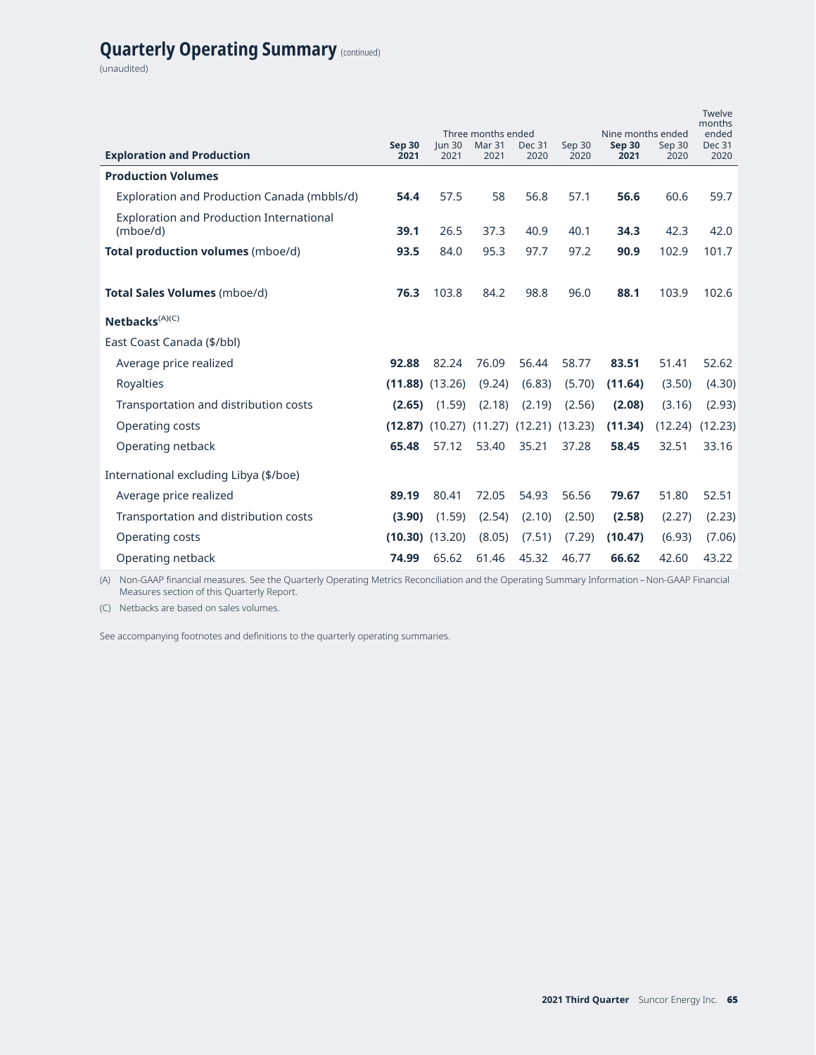# **Quarterly Operating Summary** (continued)

(unaudited)

| <b>Exploration and Production</b>                           | Sep 30<br>2021      | <b>Jun 30</b><br>2021 | Three months ended<br>Mar 31<br>2021              | <b>Dec 31</b><br>2020 | Sep 30<br>2020 | Nine months ended<br>Sep 30<br>2021 | Sep 30<br>2020 | Twelve<br>months<br>ended<br><b>Dec 31</b><br>2020 |
|-------------------------------------------------------------|---------------------|-----------------------|---------------------------------------------------|-----------------------|----------------|-------------------------------------|----------------|----------------------------------------------------|
| <b>Production Volumes</b>                                   |                     |                       |                                                   |                       |                |                                     |                |                                                    |
| Exploration and Production Canada (mbbls/d)                 | 54.4                | 57.5                  | 58                                                | 56.8                  | 57.1           | 56.6                                | 60.6           | 59.7                                               |
| <b>Exploration and Production International</b><br>(mboe/d) | 39.1                | 26.5                  | 37.3                                              | 40.9                  | 40.1           | 34.3                                | 42.3           | 42.0                                               |
| Total production volumes (mboe/d)                           | 93.5                | 84.0                  | 95.3                                              | 97.7                  | 97.2           | 90.9                                | 102.9          | 101.7                                              |
|                                                             |                     |                       |                                                   |                       |                |                                     |                |                                                    |
| <b>Total Sales Volumes (mboe/d)</b>                         | 76.3                | 103.8                 | 84.2                                              | 98.8                  | 96.0           | 88.1                                | 103.9          | 102.6                                              |
| Netbacks <sup>(A)(C)</sup>                                  |                     |                       |                                                   |                       |                |                                     |                |                                                    |
| East Coast Canada (\$/bbl)                                  |                     |                       |                                                   |                       |                |                                     |                |                                                    |
| Average price realized                                      | 92.88               | 82.24                 | 76.09                                             | 56.44                 | 58.77          | 83.51                               | 51.41          | 52.62                                              |
| Royalties                                                   |                     | $(11.88)$ $(13.26)$   | (9.24)                                            | (6.83)                | (5.70)         | (11.64)                             | (3.50)         | (4.30)                                             |
| Transportation and distribution costs                       | (2.65)              | (1.59)                | (2.18)                                            | (2.19)                | (2.56)         | (2.08)                              | (3.16)         | (2.93)                                             |
| <b>Operating costs</b>                                      |                     |                       | $(12.87)$ $(10.27)$ $(11.27)$ $(12.21)$ $(13.23)$ |                       |                | (11.34)                             | (12.24)        | (12.23)                                            |
| Operating netback                                           | 65.48               | 57.12                 | 53.40                                             | 35.21                 | 37.28          | 58.45                               | 32.51          | 33.16                                              |
| International excluding Libya (\$/boe)                      |                     |                       |                                                   |                       |                |                                     |                |                                                    |
| Average price realized                                      | 89.19               | 80.41                 | 72.05                                             | 54.93                 | 56.56          | 79.67                               | 51.80          | 52.51                                              |
| Transportation and distribution costs                       | (3.90)              | (1.59)                | (2.54)                                            | (2.10)                | (2.50)         | (2.58)                              | (2.27)         | (2.23)                                             |
| Operating costs                                             | $(10.30)$ $(13.20)$ |                       | (8.05)                                            | (7.51)                | (7.29)         | (10.47)                             | (6.93)         | (7.06)                                             |
| Operating netback                                           | 74.99               | 65.62                 | 61.46                                             | 45.32                 | 46.77          | 66.62                               | 42.60          | 43.22                                              |

(A) Non-GAAP financial measures. See the Quarterly Operating Metrics Reconciliation and the Operating Summary Information – Non-GAAP Financial Measures section of this Quarterly Report.

(C) Netbacks are based on sales volumes.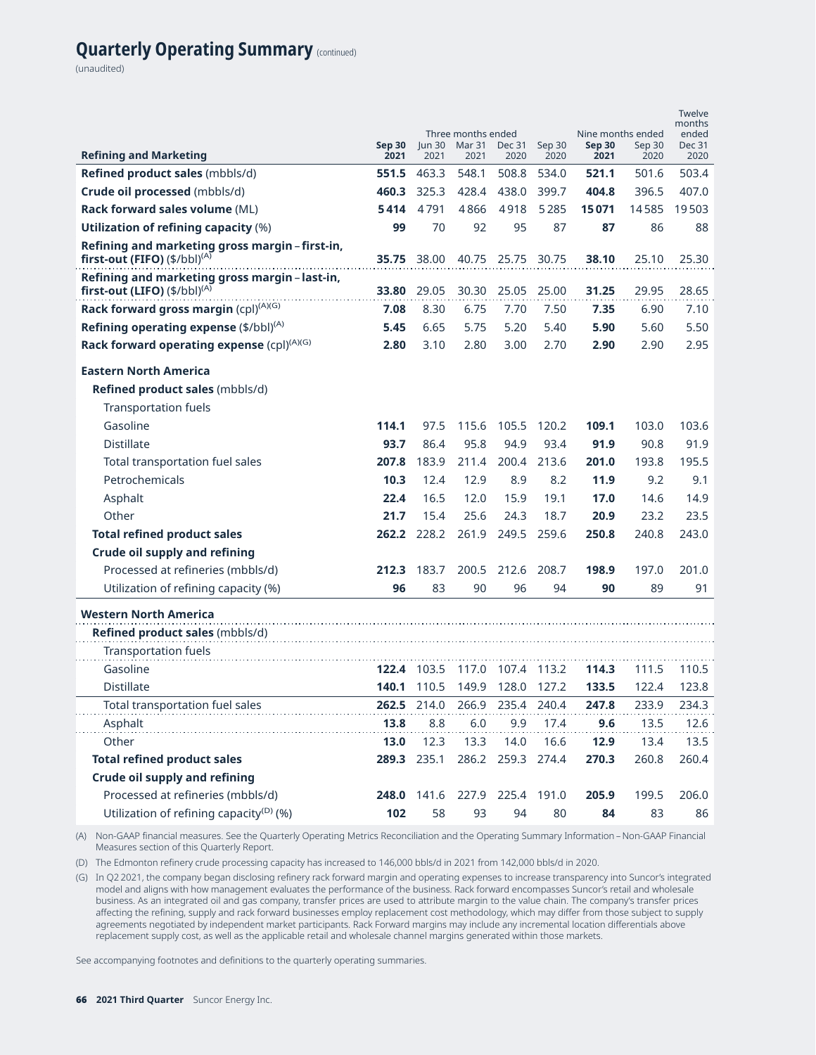## **Quarterly Operating Summary** (continued)

(unaudited)

| <b>Refining and Marketing</b>                                                              | <b>Sep 30</b><br>2021 | un 30<br>2021 | Three months ended<br>Mar 31<br>2021 | Dec 31<br>2020 | Sep 30<br>2020 | Nine months ended<br><b>Sep 30</b><br>2021 | Sep 30<br>2020 | <b>Twelve</b><br>months<br>ended<br><b>Dec 31</b><br>2020 |
|--------------------------------------------------------------------------------------------|-----------------------|---------------|--------------------------------------|----------------|----------------|--------------------------------------------|----------------|-----------------------------------------------------------|
| Refined product sales (mbbls/d)                                                            | 551.5                 | 463.3         | 548.1                                | 508.8          | 534.0          | 521.1                                      | 501.6          | 503.4                                                     |
| Crude oil processed (mbbls/d)                                                              | 460.3                 | 325.3         | 428.4                                | 438.0          | 399.7          | 404.8                                      | 396.5          | 407.0                                                     |
| Rack forward sales volume (ML)                                                             | 5414                  | 4791          | 4866                                 | 4918           | 5285           | 15071                                      | 14585          | 19503                                                     |
| <b>Utilization of refining capacity (%)</b>                                                | 99                    | 70            | 92                                   | 95             | 87             | 87                                         | 86             | 88                                                        |
| Refining and marketing gross margin - first-in,<br>first-out (FIFO) $(\frac{4}{bb})^{(A)}$ | 35.75                 | 38.00         | 40.75                                | 25.75          | 30.75          | 38.10                                      | 25.10          | 25.30                                                     |
| Refining and marketing gross margin - last-in,<br>first-out (LIFO) $(\frac{4}{10})^{(A)}$  | 33.80                 | 29.05         | 30.30                                | 25.05          | 25.00          | 31.25                                      | 29.95          | 28.65                                                     |
| Rack forward gross margin (cpl) <sup>(A)(G)</sup>                                          | 7.08                  | 8.30          | 6.75                                 | 7.70           | 7.50           | 7.35                                       | 6.90           | 7.10                                                      |
| Refining operating expense (\$/bbl) <sup>(A)</sup>                                         | 5.45                  | 6.65          | 5.75                                 | 5.20           | 5.40           | 5.90                                       | 5.60           | 5.50                                                      |
| Rack forward operating expense $(cpl)^{(A)(G)}$                                            | 2.80                  | 3.10          | 2.80                                 | 3.00           | 2.70           | 2.90                                       | 2.90           | 2.95                                                      |
| <b>Eastern North America</b>                                                               |                       |               |                                      |                |                |                                            |                |                                                           |
| Refined product sales (mbbls/d)                                                            |                       |               |                                      |                |                |                                            |                |                                                           |
| <b>Transportation fuels</b>                                                                |                       |               |                                      |                |                |                                            |                |                                                           |
| Gasoline                                                                                   | 114.1                 | 97.5          | 115.6                                | 105.5          | 120.2          | 109.1                                      | 103.0          | 103.6                                                     |
| <b>Distillate</b>                                                                          | 93.7                  | 86.4          | 95.8                                 | 94.9           | 93.4           | 91.9                                       | 90.8           | 91.9                                                      |
| Total transportation fuel sales                                                            | 207.8                 | 183.9         | 211.4                                | 200.4          | 213.6          | 201.0                                      | 193.8          | 195.5                                                     |
| Petrochemicals                                                                             | 10.3                  | 12.4          | 12.9                                 | 8.9            | 8.2            | 11.9                                       | 9.2            | 9.1                                                       |
| Asphalt                                                                                    | 22.4                  | 16.5          | 12.0                                 | 15.9           | 19.1           | 17.0                                       | 14.6           | 14.9                                                      |
| Other                                                                                      | 21.7                  | 15.4          | 25.6                                 | 24.3           | 18.7           | 20.9                                       | 23.2           | 23.5                                                      |
| <b>Total refined product sales</b>                                                         | 262.2                 | 228.2         | 261.9                                |                | 249.5 259.6    | 250.8                                      | 240.8          | 243.0                                                     |
| <b>Crude oil supply and refining</b>                                                       |                       |               |                                      |                |                |                                            |                |                                                           |
| Processed at refineries (mbbls/d)                                                          | 212.3                 | 183.7         | 200.5                                | 212.6          | 208.7          | 198.9                                      | 197.0          | 201.0                                                     |
| Utilization of refining capacity (%)                                                       | 96                    | 83            | 90                                   | 96             | 94             | 90                                         | 89             | 91                                                        |
| <b>Western North America</b>                                                               |                       |               |                                      |                |                |                                            |                |                                                           |
| <b>Refined product sales (mbbls/d)</b>                                                     |                       |               |                                      |                |                |                                            |                |                                                           |
| <b>Transportation fuels</b>                                                                |                       |               |                                      |                |                |                                            |                |                                                           |
| Gasoline                                                                                   | 122.4                 | 103.5         | 117.0                                | 107.4          | 113.2          | 114.3                                      | 111.5          | 110.5                                                     |
| <b>Distillate</b>                                                                          | 140.1                 | 110.5         | 149.9                                | 128.0          | 127.2          | 133.5                                      | 122.4          | 123.8                                                     |
| Total transportation fuel sales                                                            | 262.5                 | 214.0         | 266.9                                | 235.4          | 240.4          | 247.8                                      | 233.9          | 234.3                                                     |
| Asphalt                                                                                    | 13.8                  | 8.8           | 6.0                                  | 9.9            | 17.4           | 9.6                                        | 13.5           | 12.6                                                      |
| Other                                                                                      | 13.0                  | 12.3          | 13.3                                 | 14.0           | 16.6           | 12.9                                       | 13.4           | 13.5                                                      |
| <b>Total refined product sales</b>                                                         | 289.3                 | 235.1         | 286.2                                | 259.3          | 274.4          | 270.3                                      | 260.8          | 260.4                                                     |
| <b>Crude oil supply and refining</b>                                                       |                       |               |                                      |                |                |                                            |                |                                                           |
| Processed at refineries (mbbls/d)                                                          | 248.0                 | 141.6         | 227.9                                | 225.4          | 191.0          | 205.9                                      | 199.5          | 206.0                                                     |
| Utilization of refining capacity <sup>(D)</sup> (%)                                        | 102                   | 58            | 93                                   | 94             | 80             | 84                                         | 83             | 86                                                        |

(A) Non-GAAP financial measures. See the Quarterly Operating Metrics Reconciliation and the Operating Summary Information – Non-GAAP Financial Measures section of this Quarterly Report.

(D) The Edmonton refinery crude processing capacity has increased to 146,000 bbls/d in 2021 from 142,000 bbls/d in 2020.

(G) In Q2 2021, the company began disclosing refinery rack forward margin and operating expenses to increase transparency into Suncor's integrated model and aligns with how management evaluates the performance of the business. Rack forward encompasses Suncor's retail and wholesale business. As an integrated oil and gas company, transfer prices are used to attribute margin to the value chain. The company's transfer prices affecting the refining, supply and rack forward businesses employ replacement cost methodology, which may differ from those subject to supply agreements negotiated by independent market participants. Rack Forward margins may include any incremental location differentials above replacement supply cost, as well as the applicable retail and wholesale channel margins generated within those markets.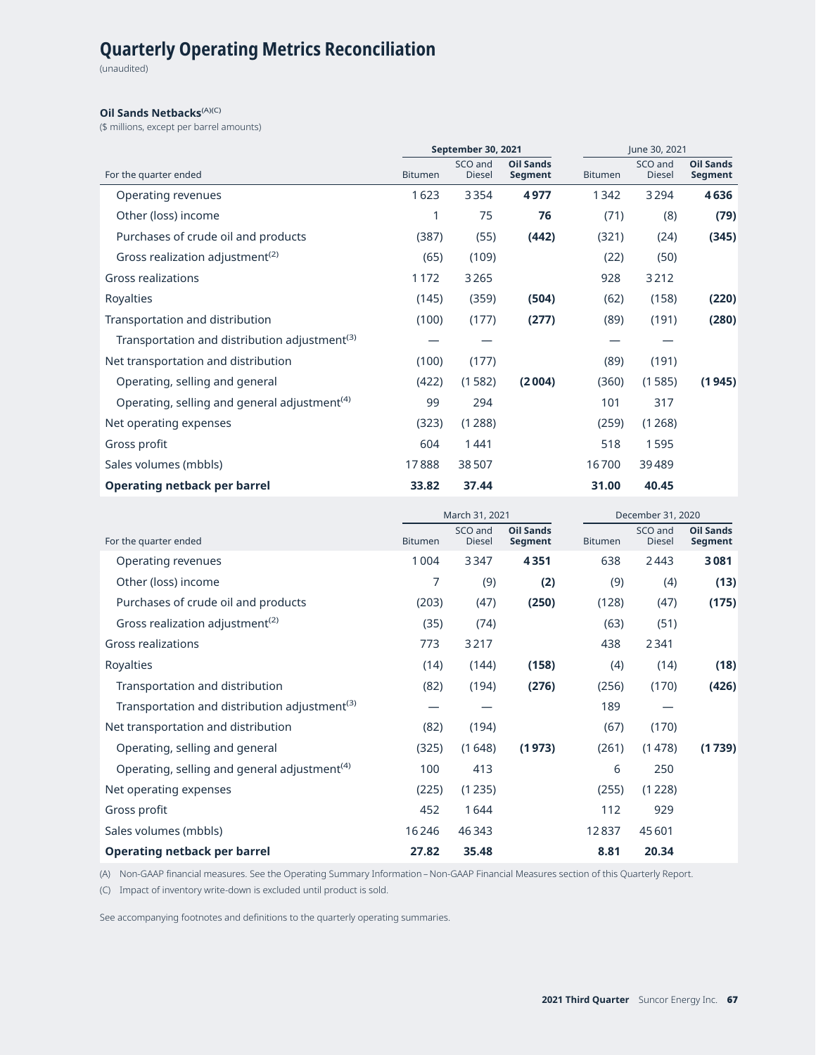# **Quarterly Operating Metrics Reconciliation**

(unaudited)

#### **Oil Sands Netbacks**<sup>(A)(C)</sup>

(\$ millions, except per barrel amounts)

|                                                           |                | September 30, 2021       |                             |                | June 30, 2021            |                                    |
|-----------------------------------------------------------|----------------|--------------------------|-----------------------------|----------------|--------------------------|------------------------------------|
| For the quarter ended                                     | <b>Bitumen</b> | SCO and<br><b>Diesel</b> | <b>Oil Sands</b><br>Segment | <b>Bitumen</b> | SCO and<br><b>Diesel</b> | <b>Oil Sands</b><br><b>Segment</b> |
| Operating revenues                                        | 1623           | 3354                     | 4977                        | 1342           | 3 2 9 4                  | 4636                               |
| Other (loss) income                                       |                | 75                       | 76                          | (71)           | (8)                      | (79)                               |
| Purchases of crude oil and products                       | (387)          | (55)                     | (442)                       | (321)          | (24)                     | (345)                              |
| Gross realization adjustment <sup>(2)</sup>               | (65)           | (109)                    |                             | (22)           | (50)                     |                                    |
| <b>Gross realizations</b>                                 | 1172           | 3265                     |                             | 928            | 3212                     |                                    |
| Royalties                                                 | (145)          | (359)                    | (504)                       | (62)           | (158)                    | (220)                              |
| Transportation and distribution                           | (100)          | (177)                    | (277)                       | (89)           | (191)                    | (280)                              |
| Transportation and distribution adjustment <sup>(3)</sup> |                |                          |                             |                |                          |                                    |
| Net transportation and distribution                       | (100)          | (177)                    |                             | (89)           | (191)                    |                                    |
| Operating, selling and general                            | (422)          | (1582)                   | (2004)                      | (360)          | (1585)                   | (1945)                             |
| Operating, selling and general adjustment <sup>(4)</sup>  | 99             | 294                      |                             | 101            | 317                      |                                    |
| Net operating expenses                                    | (323)          | (1288)                   |                             | (259)          | (1268)                   |                                    |
| Gross profit                                              | 604            | 1441                     |                             | 518            | 1595                     |                                    |
| Sales volumes (mbbls)                                     | 17888          | 38507                    |                             | 16700          | 39489                    |                                    |
| Operating netback per barrel                              | 33.82          | 37.44                    |                             | 31.00          | 40.45                    |                                    |

|                                                           |                | March 31, 2021           |                                    |                | December 31, 2020        |                                    |
|-----------------------------------------------------------|----------------|--------------------------|------------------------------------|----------------|--------------------------|------------------------------------|
| For the quarter ended                                     | <b>Bitumen</b> | SCO and<br><b>Diesel</b> | <b>Oil Sands</b><br><b>Segment</b> | <b>Bitumen</b> | SCO and<br><b>Diesel</b> | <b>Oil Sands</b><br><b>Segment</b> |
| Operating revenues                                        | 1004           | 3347                     | 4351                               | 638            | 2443                     | 3081                               |
| Other (loss) income                                       | 7              | (9)                      | (2)                                | (9)            | (4)                      | (13)                               |
| Purchases of crude oil and products                       | (203)          | (47)                     | (250)                              | (128)          | (47)                     | (175)                              |
| Gross realization adjustment <sup>(2)</sup>               | (35)           | (74)                     |                                    | (63)           | (51)                     |                                    |
| Gross realizations                                        | 773            | 3217                     |                                    | 438            | 2341                     |                                    |
| Royalties                                                 | (14)           | (144)                    | (158)                              | (4)            | (14)                     | (18)                               |
| Transportation and distribution                           | (82)           | (194)                    | (276)                              | (256)          | (170)                    | (426)                              |
| Transportation and distribution adjustment <sup>(3)</sup> |                |                          |                                    | 189            |                          |                                    |
| Net transportation and distribution                       | (82)           | (194)                    |                                    | (67)           | (170)                    |                                    |
| Operating, selling and general                            | (325)          | (1648)                   | (1973)                             | (261)          | (1478)                   | (1739)                             |
| Operating, selling and general adjustment <sup>(4)</sup>  | 100            | 413                      |                                    | 6              | 250                      |                                    |
| Net operating expenses                                    | (225)          | (1235)                   |                                    | (255)          | (1228)                   |                                    |
| Gross profit                                              | 452            | 1644                     |                                    | 112            | 929                      |                                    |
| Sales volumes (mbbls)                                     | 16246          | 46343                    |                                    | 12837          | 45601                    |                                    |
| <b>Operating netback per barrel</b>                       | 27.82          | 35.48                    |                                    | 8.81           | 20.34                    |                                    |

(A) Non-GAAP financial measures. See the Operating Summary Information – Non-GAAP Financial Measures section of this Quarterly Report.

(C) Impact of inventory write-down is excluded until product is sold.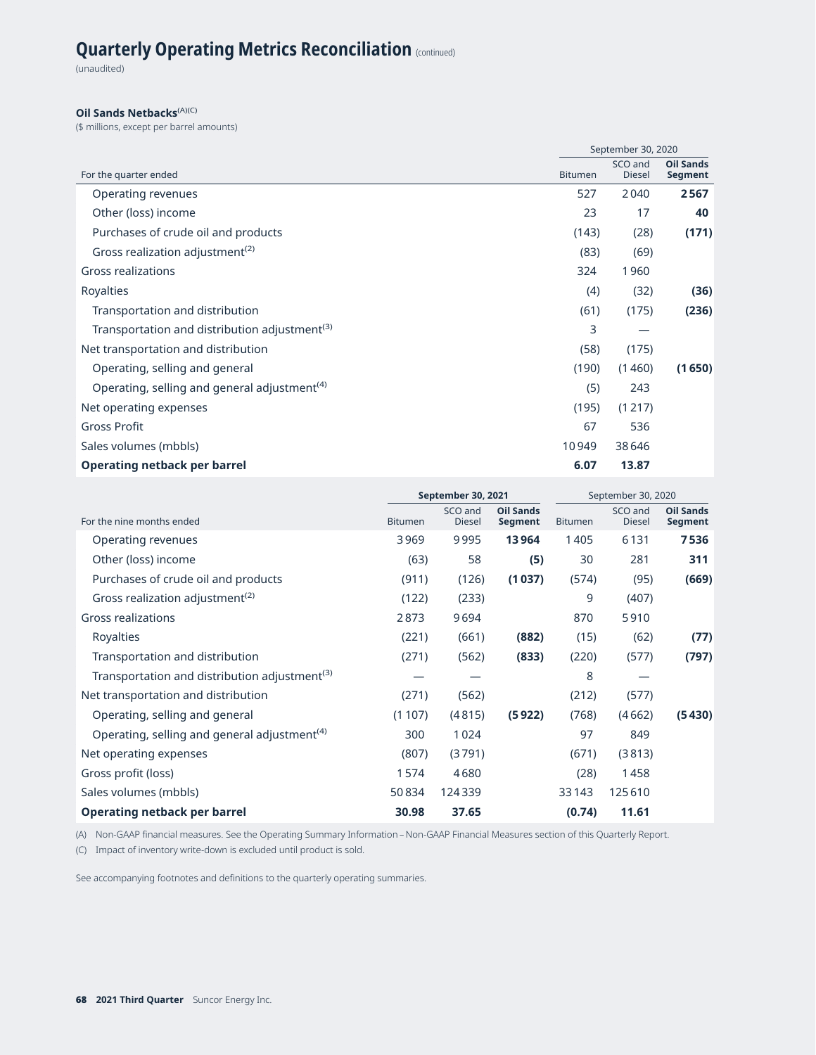(unaudited)

#### **Oil Sands Netbacks**<sup>(A)(C)</sup>

(\$ millions, except per barrel amounts)

|                                                           |                | September 30, 2020       |                             |
|-----------------------------------------------------------|----------------|--------------------------|-----------------------------|
| For the quarter ended                                     | <b>Bitumen</b> | SCO and<br><b>Diesel</b> | <b>Oil Sands</b><br>Segment |
| Operating revenues                                        | 527            | 2040                     | 2567                        |
| Other (loss) income                                       | 23             | 17                       | 40                          |
| Purchases of crude oil and products                       | (143)          | (28)                     | (171)                       |
| Gross realization adjustment <sup>(2)</sup>               | (83)           | (69)                     |                             |
| <b>Gross realizations</b>                                 | 324            | 1960                     |                             |
| Royalties                                                 | (4)            | (32)                     | (36)                        |
| Transportation and distribution                           | (61)           | (175)                    | (236)                       |
| Transportation and distribution adjustment <sup>(3)</sup> | 3              |                          |                             |
| Net transportation and distribution                       | (58)           | (175)                    |                             |
| Operating, selling and general                            | (190)          | (1460)                   | (1650)                      |
| Operating, selling and general adjustment <sup>(4)</sup>  | (5)            | 243                      |                             |
| Net operating expenses                                    | (195)          | (1217)                   |                             |
| <b>Gross Profit</b>                                       | 67             | 536                      |                             |
| Sales volumes (mbbls)                                     | 10949          | 38646                    |                             |
| Operating netback per barrel                              | 6.07           | 13.87                    |                             |

|                                                           | September 30, 2021 |                          |                             | September 30, 2020 |                          |                             |
|-----------------------------------------------------------|--------------------|--------------------------|-----------------------------|--------------------|--------------------------|-----------------------------|
| For the nine months ended                                 | <b>Bitumen</b>     | SCO and<br><b>Diesel</b> | <b>Oil Sands</b><br>Segment | <b>Bitumen</b>     | SCO and<br><b>Diesel</b> | <b>Oil Sands</b><br>Segment |
| Operating revenues                                        | 3969               | 9995                     | 13964                       | 1405               | 6131                     | 7536                        |
| Other (loss) income                                       | (63)               | 58                       | (5)                         | 30                 | 281                      | 311                         |
| Purchases of crude oil and products                       | (911)              | (126)                    | (1037)                      | (574)              | (95)                     | (669)                       |
| Gross realization adjustment <sup>(2)</sup>               | (122)              | (233)                    |                             | 9                  | (407)                    |                             |
| <b>Gross realizations</b>                                 | 2873               | 9694                     |                             | 870                | 5910                     |                             |
| Royalties                                                 | (221)              | (661)                    | (882)                       | (15)               | (62)                     | (77)                        |
| Transportation and distribution                           | (271)              | (562)                    | (833)                       | (220)              | (577)                    | (797)                       |
| Transportation and distribution adjustment <sup>(3)</sup> |                    |                          |                             | 8                  |                          |                             |
| Net transportation and distribution                       | (271)              | (562)                    |                             | (212)              | (577)                    |                             |
| Operating, selling and general                            | (1107)             | (4815)                   | (5922)                      | (768)              | (4662)                   | (5430)                      |
| Operating, selling and general adjustment <sup>(4)</sup>  | 300                | 1024                     |                             | 97                 | 849                      |                             |
| Net operating expenses                                    | (807)              | (3791)                   |                             | (671)              | (3813)                   |                             |
| Gross profit (loss)                                       | 1574               | 4680                     |                             | (28)               | 1458                     |                             |
| Sales volumes (mbbls)                                     | 50834              | 124339                   |                             | 33143              | 125610                   |                             |
| <b>Operating netback per barrel</b>                       | 30.98              | 37.65                    |                             | (0.74)             | 11.61                    |                             |

(A) Non-GAAP financial measures. See the Operating Summary Information – Non-GAAP Financial Measures section of this Quarterly Report.

(C) Impact of inventory write-down is excluded until product is sold.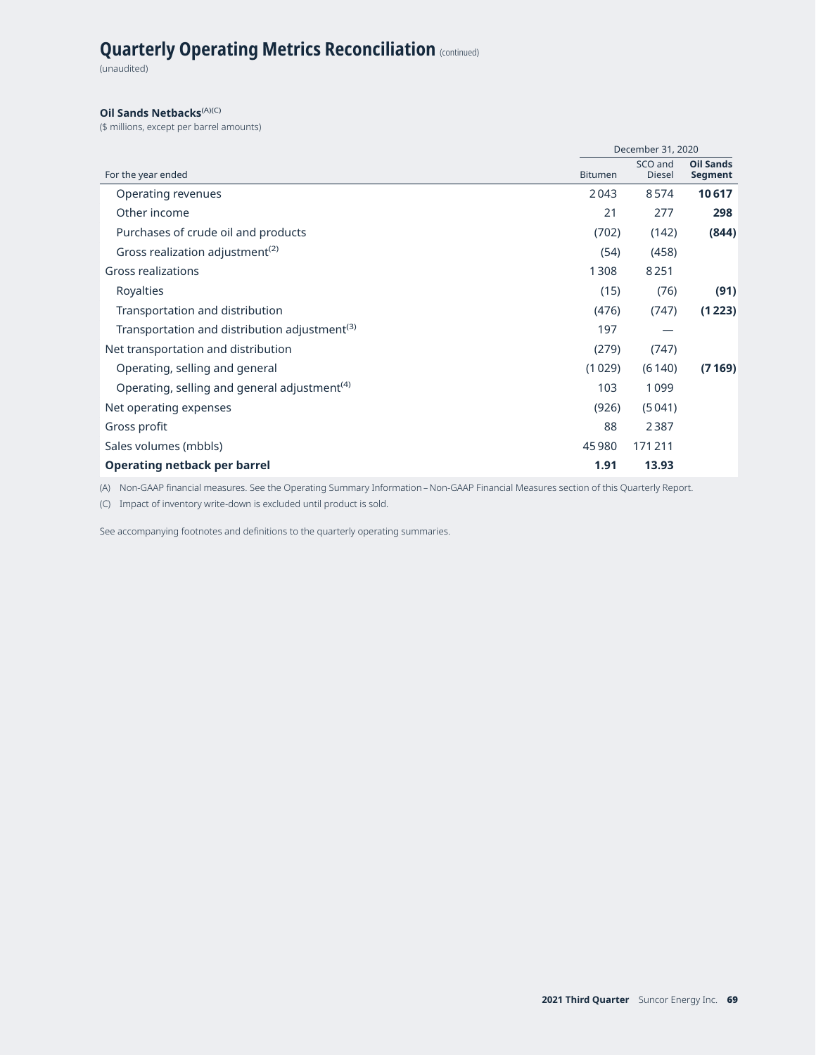(unaudited)

#### **Oil Sands Netbacks**<sup>(A)(C)</sup>

(\$ millions, except per barrel amounts)

|                                                           |                | December 31, 2020        |                             |
|-----------------------------------------------------------|----------------|--------------------------|-----------------------------|
| For the year ended                                        | <b>Bitumen</b> | SCO and<br><b>Diesel</b> | <b>Oil Sands</b><br>Segment |
| Operating revenues                                        | 2043           | 8574                     | 10617                       |
| Other income                                              | 21             | 277                      | 298                         |
| Purchases of crude oil and products                       | (702)          | (142)                    | (844)                       |
| Gross realization adjustment <sup>(2)</sup>               | (54)           | (458)                    |                             |
| <b>Gross realizations</b>                                 | 1308           | 8251                     |                             |
| Royalties                                                 | (15)           | (76)                     | (91)                        |
| Transportation and distribution                           | (476)          | (747)                    | (1223)                      |
| Transportation and distribution adjustment <sup>(3)</sup> | 197            |                          |                             |
| Net transportation and distribution                       | (279)          | (747)                    |                             |
| Operating, selling and general                            | (1029)         | (6140)                   | (7169)                      |
| Operating, selling and general adjustment <sup>(4)</sup>  | 103            | 1099                     |                             |
| Net operating expenses                                    | (926)          | (5041)                   |                             |
| Gross profit                                              | 88             | 2387                     |                             |
| Sales volumes (mbbls)                                     | 45 980         | 171211                   |                             |
| Operating netback per barrel                              | 1.91           | 13.93                    |                             |

(A) Non-GAAP financial measures. See the Operating Summary Information – Non-GAAP Financial Measures section of this Quarterly Report.

(C) Impact of inventory write-down is excluded until product is sold.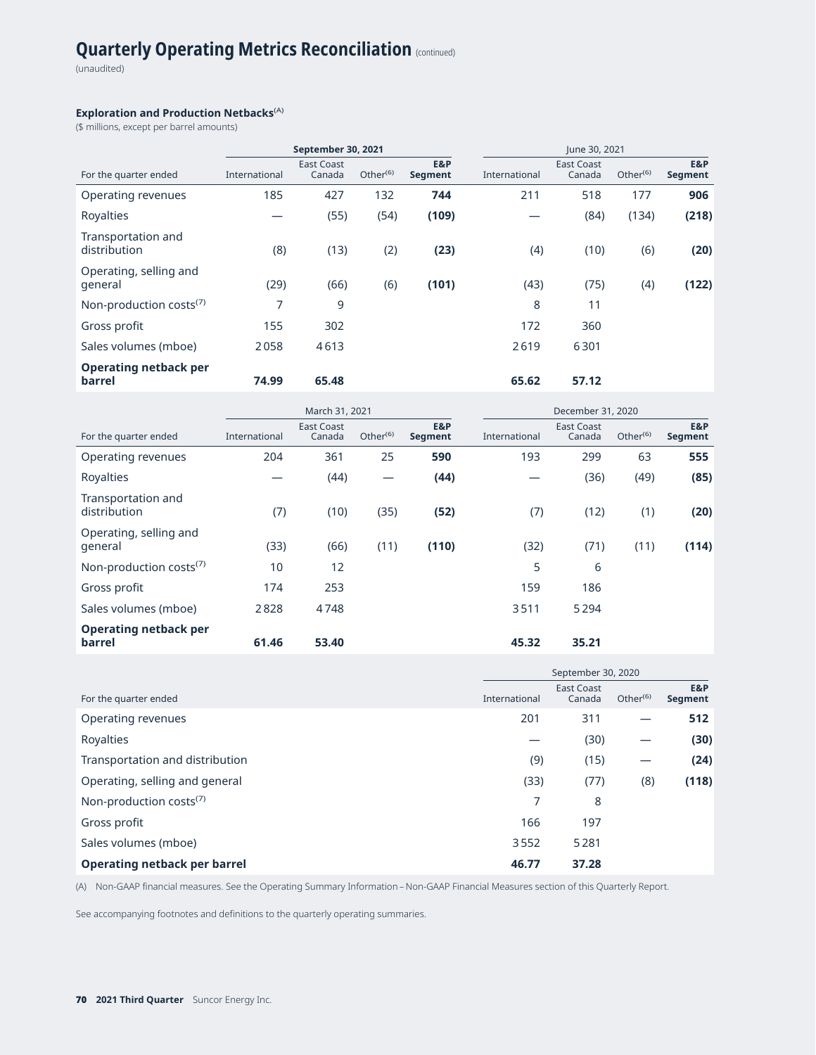(unaudited)

#### **Exploration and Production Netbacks**(A)

(\$ millions, except per barrel amounts)

|                                        |               | September 30, 2021          |                      |                | June 30, 2021 |                             |                      |                       |
|----------------------------------------|---------------|-----------------------------|----------------------|----------------|---------------|-----------------------------|----------------------|-----------------------|
| For the quarter ended                  | International | <b>East Coast</b><br>Canada | Other <sup>(6)</sup> | E&P<br>Segment | International | <b>East Coast</b><br>Canada | Other <sup>(6)</sup> | E&P<br><b>Segment</b> |
| Operating revenues                     | 185           | 427                         | 132                  | 744            | 211           | 518                         | 177                  | 906                   |
| Royalties                              |               | (55)                        | (54)                 | (109)          |               | (84)                        | (134)                | (218)                 |
| Transportation and<br>distribution     | (8)           | (13)                        | (2)                  | (23)           | (4)           | (10)                        | (6)                  | (20)                  |
| Operating, selling and<br>general      | (29)          | (66)                        | (6)                  | (101)          | (43)          | (75)                        | (4)                  | (122)                 |
| Non-production costs <sup>(7)</sup>    | 7             | 9                           |                      |                | 8             | 11                          |                      |                       |
| Gross profit                           | 155           | 302                         |                      |                | 172           | 360                         |                      |                       |
| Sales volumes (mboe)                   | 2058          | 4613                        |                      |                | 2619          | 6301                        |                      |                       |
| <b>Operating netback per</b><br>barrel | 74.99         | 65.48                       |                      |                | 65.62         | 57.12                       |                      |                       |

|                                        |               | March 31, 2021              |                      |                       | December 31, 2020 |                             |                      |                       |  |  |
|----------------------------------------|---------------|-----------------------------|----------------------|-----------------------|-------------------|-----------------------------|----------------------|-----------------------|--|--|
| For the quarter ended                  | International | <b>East Coast</b><br>Canada | Other <sup>(6)</sup> | E&P<br><b>Segment</b> | International     | <b>East Coast</b><br>Canada | Other <sup>(6)</sup> | E&P<br><b>Segment</b> |  |  |
| Operating revenues                     | 204           | 361                         | 25                   | 590                   | 193               | 299                         | 63                   | 555                   |  |  |
| Royalties                              |               | (44)                        | —                    | (44)                  |                   | (36)                        | (49)                 | (85)                  |  |  |
| Transportation and<br>distribution     | (7)           | (10)                        | (35)                 | (52)                  | (7)               | (12)                        | (1)                  | (20)                  |  |  |
| Operating, selling and<br>general      | (33)          | (66)                        | (11)                 | (110)                 | (32)              | (71)                        | (11)                 | (114)                 |  |  |
| Non-production costs <sup>(7)</sup>    | 10            | 12                          |                      |                       | 5                 | 6                           |                      |                       |  |  |
| Gross profit                           | 174           | 253                         |                      |                       | 159               | 186                         |                      |                       |  |  |
| Sales volumes (mboe)                   | 2828          | 4748                        |                      |                       | 3511              | 5294                        |                      |                       |  |  |
| <b>Operating netback per</b><br>barrel | 61.46         | 53.40                       |                      |                       | 45.32             | 35.21                       |                      |                       |  |  |

|                                     | September 30, 2020 |                             |             |                |  |
|-------------------------------------|--------------------|-----------------------------|-------------|----------------|--|
| For the quarter ended               | International      | <b>East Coast</b><br>Canada | Other $(6)$ | E&P<br>Segment |  |
| Operating revenues                  | 201                | 311                         |             | 512            |  |
| Royalties                           |                    | (30)                        |             | (30)           |  |
| Transportation and distribution     | (9)                | (15)                        |             | (24)           |  |
| Operating, selling and general      | (33)               | (77)                        | (8)         | (118)          |  |
| Non-production costs <sup>(7)</sup> | 7                  | 8                           |             |                |  |
| Gross profit                        | 166                | 197                         |             |                |  |
| Sales volumes (mboe)                | 3552               | 5281                        |             |                |  |
| Operating netback per barrel        | 46.77              | 37.28                       |             |                |  |

(A) Non-GAAP financial measures. See the Operating Summary Information – Non-GAAP Financial Measures section of this Quarterly Report.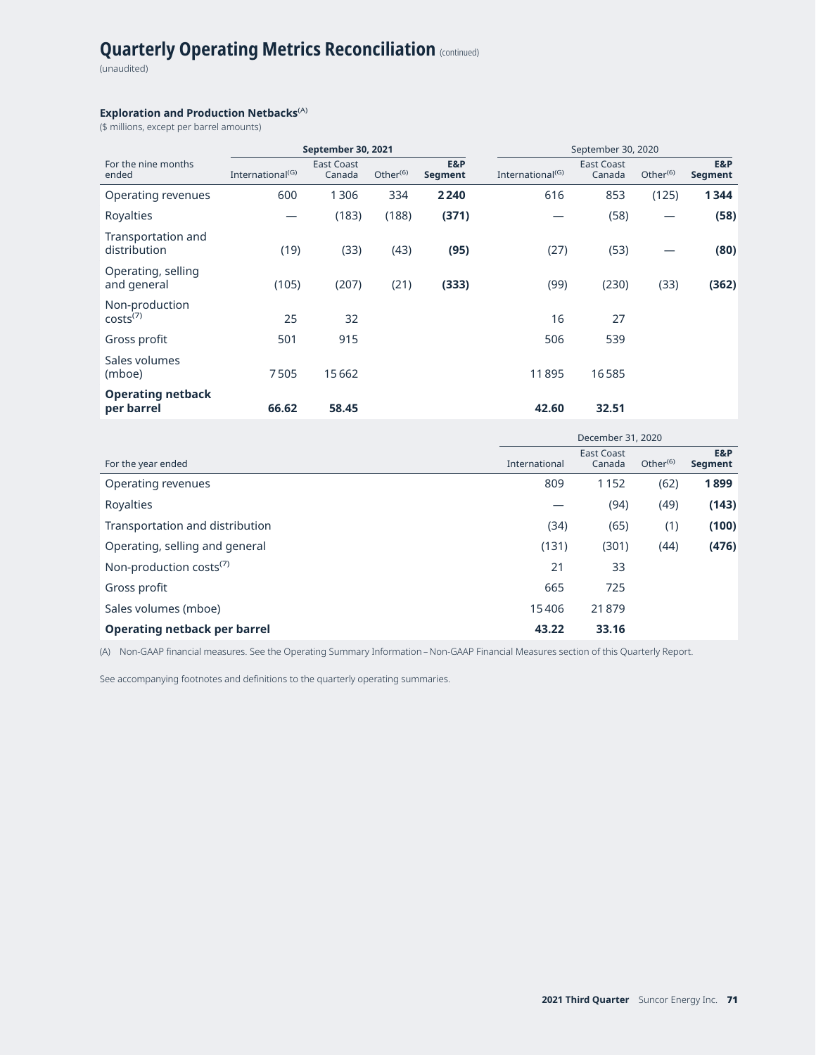(unaudited)

#### **Exploration and Production Netbacks<sup>(A)</sup>**

(\$ millions, except per barrel amounts)

|                                        | September 30, 2021           |                             |             |                | September 30, 2020           |                             |                      |                       |
|----------------------------------------|------------------------------|-----------------------------|-------------|----------------|------------------------------|-----------------------------|----------------------|-----------------------|
| For the nine months<br>ended           | International <sup>(G)</sup> | <b>East Coast</b><br>Canada | Other $(6)$ | E&P<br>Segment | International <sup>(G)</sup> | <b>East Coast</b><br>Canada | Other <sup>(6)</sup> | E&P<br><b>Segment</b> |
| Operating revenues                     | 600                          | 1306                        | 334         | 2240           | 616                          | 853                         | (125)                | 1344                  |
| Royalties                              |                              | (183)                       | (188)       | (371)          |                              | (58)                        |                      | (58)                  |
| Transportation and<br>distribution     | (19)                         | (33)                        | (43)        | (95)           | (27)                         | (53)                        |                      | (80)                  |
| Operating, selling<br>and general      | (105)                        | (207)                       | (21)        | (333)          | (99)                         | (230)                       | (33)                 | (362)                 |
| Non-production<br>costs <sup>(7)</sup> | 25                           | 32                          |             |                | 16                           | 27                          |                      |                       |
| Gross profit                           | 501                          | 915                         |             |                | 506                          | 539                         |                      |                       |
| Sales volumes<br>(mboe)                | 7505                         | 15662                       |             |                | 11895                        | 16585                       |                      |                       |
| <b>Operating netback</b><br>per barrel | 66.62                        | 58.45                       |             |                | 42.60                        | 32.51                       |                      |                       |

|                                     | December 31, 2020 |                             |             |                |
|-------------------------------------|-------------------|-----------------------------|-------------|----------------|
| For the year ended                  | International     | <b>East Coast</b><br>Canada | Other $(6)$ | E&P<br>Segment |
| Operating revenues                  | 809               | 1152                        | (62)        | 1899           |
| Royalties                           |                   | (94)                        | (49)        | (143)          |
| Transportation and distribution     | (34)              | (65)                        | (1)         | (100)          |
| Operating, selling and general      | (131)             | (301)                       | (44)        | (476)          |
| Non-production costs <sup>(7)</sup> | 21                | 33                          |             |                |
| Gross profit                        | 665               | 725                         |             |                |
| Sales volumes (mboe)                | 15406             | 21879                       |             |                |
| <b>Operating netback per barrel</b> | 43.22             | 33.16                       |             |                |

(A) Non-GAAP financial measures. See the Operating Summary Information – Non-GAAP Financial Measures section of this Quarterly Report.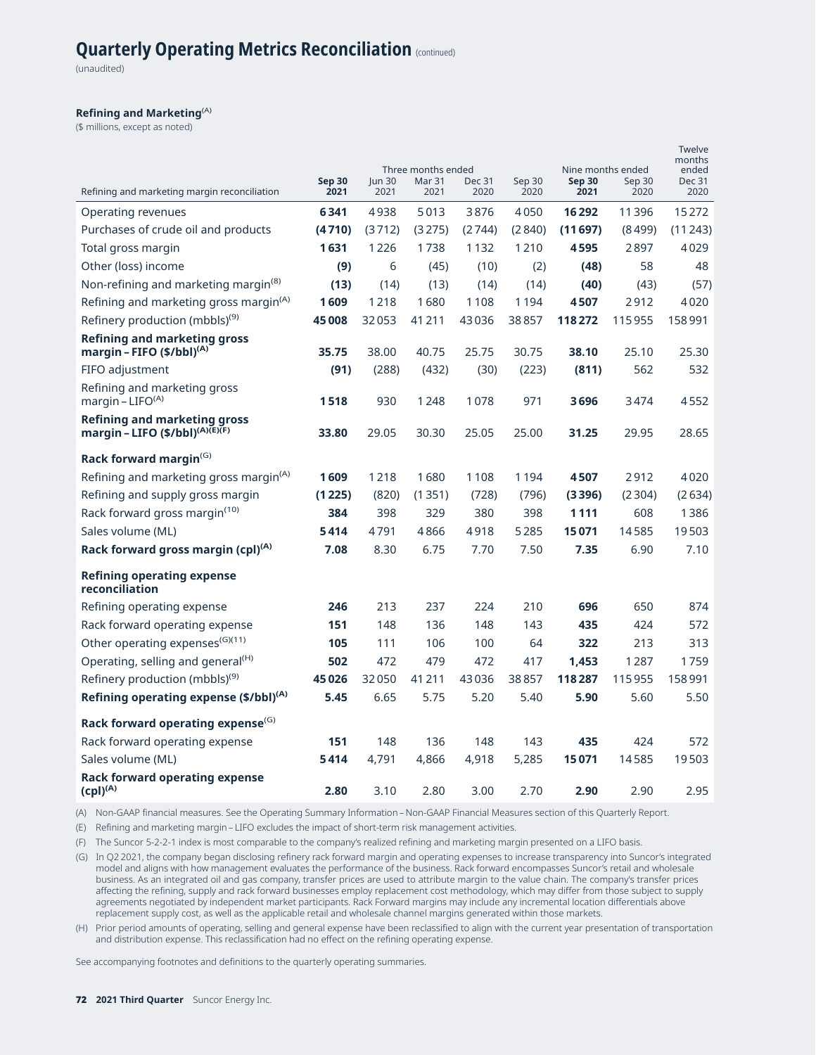(unaudited)

#### **Refining and Marketing**(A)

(\$ millions, except as noted)

|                                                                              |                       |                | Three months ended    |                       |                | Nine months ended     |                | Twelve<br>months<br>ended |
|------------------------------------------------------------------------------|-----------------------|----------------|-----------------------|-----------------------|----------------|-----------------------|----------------|---------------------------|
| Refining and marketing margin reconciliation                                 | <b>Sep 30</b><br>2021 | Jun 30<br>2021 | <b>Mar 31</b><br>2021 | <b>Dec 31</b><br>2020 | Sep 30<br>2020 | <b>Sep 30</b><br>2021 | Sep 30<br>2020 | <b>Dec 31</b><br>2020     |
| Operating revenues                                                           | 6341                  | 4938           | 5013                  | 3876                  | 4050           | 16292                 | 11396          | 15272                     |
| Purchases of crude oil and products                                          | (4710)                | (3712)         | (3275)                | (2744)                | (2840)         | (11697)               | (8499)         | (11243)                   |
| Total gross margin                                                           | 1631                  | 1226           | 1738                  | 1132                  | 1210           | 4595                  | 2897           | 4029                      |
| Other (loss) income                                                          | (9)                   | 6              | (45)                  | (10)                  | (2)            | (48)                  | 58             | 48                        |
| Non-refining and marketing margin <sup>(8)</sup>                             | (13)                  | (14)           | (13)                  | (14)                  | (14)           | (40)                  | (43)           | (57)                      |
| Refining and marketing gross margin <sup>(A)</sup>                           | 1609                  | 1218           | 1680                  | 1108                  | 1194           | 4507                  | 2912           | 4020                      |
| Refinery production (mbbls) <sup>(9)</sup>                                   | 45008                 | 32053          | 41211                 | 43036                 | 38857          | 118272                | 115955         | 158991                    |
| <b>Refining and marketing gross</b><br>margin - FIFO (\$/bbl) <sup>(A)</sup> | 35.75                 | 38.00          | 40.75                 | 25.75                 | 30.75          | 38.10                 | 25.10          | 25.30                     |
| FIFO adjustment                                                              | (91)                  | (288)          | (432)                 | (30)                  | (223)          | (811)                 | 562            | 532                       |
| Refining and marketing gross<br>margin - $LIFO(A)$                           | 1518                  | 930            | 1248                  | 1078                  | 971            | 3696                  | 3474           | 4552                      |
| Refining and marketing gross<br>margin - LIFO (\$/bbl) <sup>(A)(E)(F)</sup>  | 33.80                 | 29.05          | 30.30                 | 25.05                 | 25.00          | 31.25                 | 29.95          | 28.65                     |
| Rack forward margin $($                                                      |                       |                |                       |                       |                |                       |                |                           |
| Refining and marketing gross margin <sup>(A)</sup>                           | 1609                  | 1218           | 1680                  | 1108                  | 1194           | 4507                  | 2912           | 4020                      |
| Refining and supply gross margin                                             | (1225)                | (820)          | (1351)                | (728)                 | (796)          | (3396)                | (2304)         | (2634)                    |
| Rack forward gross margin <sup>(10)</sup>                                    | 384                   | 398            | 329                   | 380                   | 398            | 1111                  | 608            | 1386                      |
| Sales volume (ML)                                                            | 5414                  | 4791           | 4866                  | 4918                  | 5285           | 15071                 | 14585          | 19503                     |
| Rack forward gross margin (cpl) <sup>(A)</sup>                               | 7.08                  | 8.30           | 6.75                  | 7.70                  | 7.50           | 7.35                  | 6.90           | 7.10                      |
| Refining operating expense<br>reconciliation                                 |                       |                |                       |                       |                |                       |                |                           |
| Refining operating expense                                                   | 246                   | 213            | 237                   | 224                   | 210            | 696                   | 650            | 874                       |
| Rack forward operating expense                                               | 151                   | 148            | 136                   | 148                   | 143            | 435                   | 424            | 572                       |
| Other operating expenses <sup>(G)(11)</sup>                                  | 105                   | 111            | 106                   | 100                   | 64             | 322                   | 213            | 313                       |
| Operating, selling and general <sup>(H)</sup>                                | 502                   | 472            | 479                   | 472                   | 417            | 1.453                 | 1287           | 1759                      |
| Refinery production (mbbls) <sup>(9)</sup>                                   | 45026                 | 32050          | 41211                 | 43036                 | 38857          | 118287                | 115955         | 158991                    |
| Refining operating expense (\$/bbl) <sup>(A)</sup>                           | 5.45                  | 6.65           | 5.75                  | 5.20                  | 5.40           | 5.90                  | 5.60           | 5.50                      |
| Rack forward operating expense <sup>(G)</sup>                                |                       |                |                       |                       |                |                       |                |                           |
| Rack forward operating expense                                               | 151                   | 148            | 136                   | 148                   | 143            | 435                   | 424            | 572                       |
| Sales volume (ML)                                                            | 5414                  | 4,791          | 4,866                 | 4,918                 | 5,285          | 15071                 | 14585          | 19503                     |
| Rack forward operating expense<br>$(cpl)^{(A)}$                              | 2.80                  | 3.10           | 2.80                  | 3.00                  | 2.70           | 2.90                  | 2.90           | 2.95                      |

(A) Non-GAAP financial measures. See the Operating Summary Information – Non-GAAP Financial Measures section of this Quarterly Report.

(E) Refining and marketing margin – LIFO excludes the impact of short-term risk management activities.

(F) The Suncor 5-2-2-1 index is most comparable to the company's realized refining and marketing margin presented on a LIFO basis.

(G) In Q2 2021, the company began disclosing refinery rack forward margin and operating expenses to increase transparency into Suncor's integrated model and aligns with how management evaluates the performance of the business. Rack forward encompasses Suncor's retail and wholesale business. As an integrated oil and gas company, transfer prices are used to attribute margin to the value chain. The company's transfer prices affecting the refining, supply and rack forward businesses employ replacement cost methodology, which may differ from those subject to supply agreements negotiated by independent market participants. Rack Forward margins may include any incremental location differentials above replacement supply cost, as well as the applicable retail and wholesale channel margins generated within those markets.

(H) Prior period amounts of operating, selling and general expense have been reclassified to align with the current year presentation of transportation and distribution expense. This reclassification had no effect on the refining operating expense.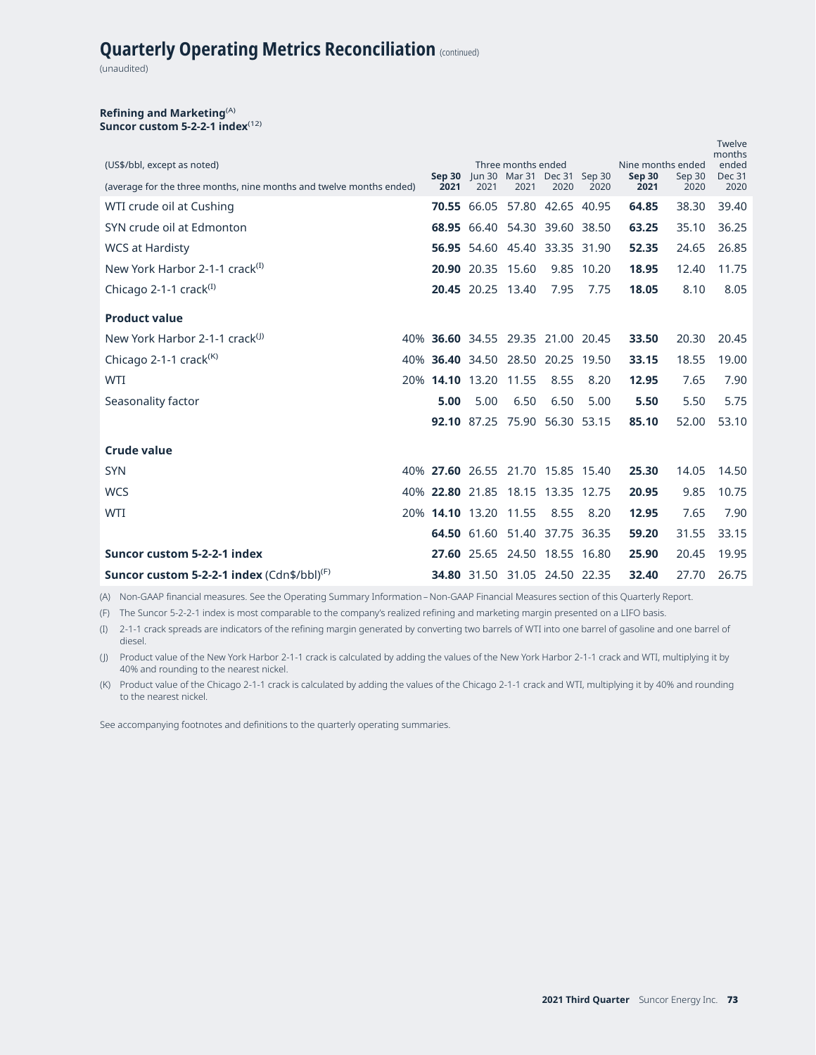# **Quarterly Operating Metrics Reconciliation** (continued)

(unaudited)

### **Refining and Marketing**(A) Suncor custom 5-2-2-1 index<sup>(12)</sup>

| (US\$/bbl, except as noted)                                         |                |                       | Three months ended                  |      |            | Nine months ended |                | Twelve<br>months<br>ended |
|---------------------------------------------------------------------|----------------|-----------------------|-------------------------------------|------|------------|-------------------|----------------|---------------------------|
| (average for the three months, nine months and twelve months ended) | Sep 30<br>2021 | 2021                  | Jun 30 Mar 31 Dec 31 Sep 30<br>2021 | 2020 | 2020       | Sep 30<br>2021    | Sep 30<br>2020 | <b>Dec 31</b><br>2020     |
| WTI crude oil at Cushing                                            |                |                       | 70.55 66.05 57.80 42.65 40.95       |      |            | 64.85             | 38.30          | 39.40                     |
| SYN crude oil at Edmonton                                           |                |                       | 68.95 66.40 54.30 39.60 38.50       |      |            | 63.25             | 35.10          | 36.25                     |
| <b>WCS at Hardisty</b>                                              |                |                       | 56.95 54.60 45.40 33.35 31.90       |      |            | 52.35             | 24.65          | 26.85                     |
| New York Harbor 2-1-1 crack <sup>(I)</sup>                          |                |                       | 20.90 20.35 15.60                   |      | 9.85 10.20 | 18.95             | 12.40          | 11.75                     |
| Chicago 2-1-1 crack <sup>(I)</sup>                                  |                |                       | 20.45 20.25 13.40                   | 7.95 | 7.75       | 18.05             | 8.10           | 8.05                      |
| <b>Product value</b>                                                |                |                       |                                     |      |            |                   |                |                           |
| New York Harbor 2-1-1 crack <sup>(J)</sup>                          |                |                       | 40% 36.60 34.55 29.35 21.00 20.45   |      |            | 33.50             | 20.30          | 20.45                     |
| Chicago 2-1-1 crack <sup><math>(K)</math></sup>                     |                |                       | 40% 36.40 34.50 28.50 20.25 19.50   |      |            | 33.15             | 18.55          | 19.00                     |
| <b>WTI</b>                                                          |                | 20% 14.10 13.20 11.55 |                                     | 8.55 | 8.20       | 12.95             | 7.65           | 7.90                      |
| Seasonality factor                                                  | 5.00           | 5.00                  | 6.50                                | 6.50 | 5.00       | 5.50              | 5.50           | 5.75                      |
|                                                                     |                |                       | 92.10 87.25 75.90 56.30 53.15       |      |            | 85.10             | 52.00          | 53.10                     |
| <b>Crude value</b>                                                  |                |                       |                                     |      |            |                   |                |                           |
| <b>SYN</b>                                                          |                |                       | 40% 27.60 26.55 21.70 15.85 15.40   |      |            | 25.30             | 14.05          | 14.50                     |
| <b>WCS</b>                                                          |                |                       | 40% 22.80 21.85 18.15 13.35 12.75   |      |            | 20.95             | 9.85           | 10.75                     |
| <b>WTI</b>                                                          |                | 20% 14.10 13.20 11.55 |                                     | 8.55 | 8.20       | 12.95             | 7.65           | 7.90                      |
|                                                                     |                |                       | 64.50 61.60 51.40 37.75 36.35       |      |            | 59.20             | 31.55          | 33.15                     |
| Suncor custom 5-2-2-1 index                                         |                | 27.60 25.65           | 24.50 18.55 16.80                   |      |            | 25.90             | 20.45          | 19.95                     |
| Suncor custom 5-2-2-1 index $(Cdn$/bbI)^{(F)}$                      |                |                       | 34.80 31.50 31.05 24.50 22.35       |      |            | 32.40             | 27.70          | 26.75                     |

(A) Non-GAAP financial measures. See the Operating Summary Information – Non-GAAP Financial Measures section of this Quarterly Report.

(F) The Suncor 5-2-2-1 index is most comparable to the company's realized refining and marketing margin presented on a LIFO basis.

(I) 2-1-1 crack spreads are indicators of the refining margin generated by converting two barrels of WTI into one barrel of gasoline and one barrel of diesel.

(J) Product value of the New York Harbor 2-1-1 crack is calculated by adding the values of the New York Harbor 2-1-1 crack and WTI, multiplying it by 40% and rounding to the nearest nickel.

(K) Product value of the Chicago 2-1-1 crack is calculated by adding the values of the Chicago 2-1-1 crack and WTI, multiplying it by 40% and rounding to the nearest nickel.

See accompanying footnotes and definitions to the quarterly operating summaries.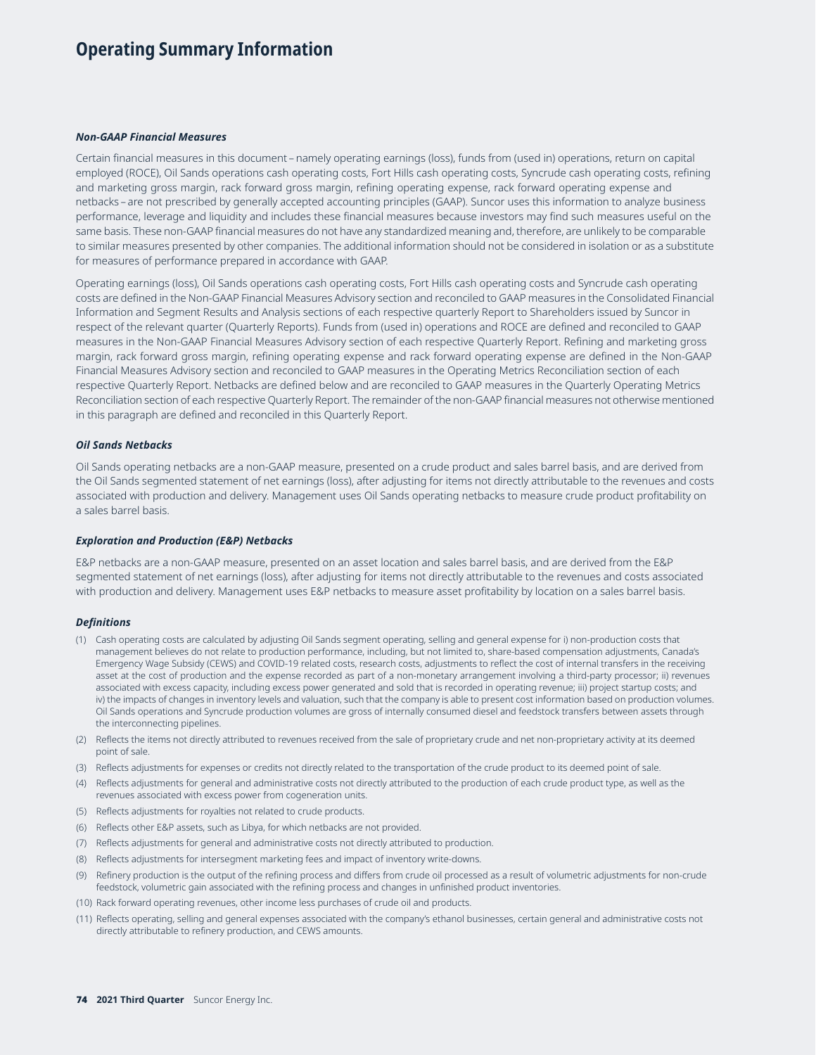# **Operating Summary Information**

## *Non-GAAP Financial Measures*

Certain financial measures in this document – namely operating earnings (loss), funds from (used in) operations, return on capital employed (ROCE), Oil Sands operations cash operating costs, Fort Hills cash operating costs, Syncrude cash operating costs, refining and marketing gross margin, rack forward gross margin, refining operating expense, rack forward operating expense and netbacks – are not prescribed by generally accepted accounting principles (GAAP). Suncor uses this information to analyze business performance, leverage and liquidity and includes these financial measures because investors may find such measures useful on the same basis. These non-GAAP financial measures do not have any standardized meaning and, therefore, are unlikely to be comparable to similar measures presented by other companies. The additional information should not be considered in isolation or as a substitute for measures of performance prepared in accordance with GAAP.

Operating earnings (loss), Oil Sands operations cash operating costs, Fort Hills cash operating costs and Syncrude cash operating costs are defined in the Non-GAAP Financial Measures Advisory section and reconciled to GAAP measures in the Consolidated Financial Information and Segment Results and Analysis sections of each respective quarterly Report to Shareholders issued by Suncor in respect of the relevant quarter (Quarterly Reports). Funds from (used in) operations and ROCE are defined and reconciled to GAAP measures in the Non-GAAP Financial Measures Advisory section of each respective Quarterly Report. Refining and marketing gross margin, rack forward gross margin, refining operating expense and rack forward operating expense are defined in the Non-GAAP Financial Measures Advisory section and reconciled to GAAP measures in the Operating Metrics Reconciliation section of each respective Quarterly Report. Netbacks are defined below and are reconciled to GAAP measures in the Quarterly Operating Metrics Reconciliation section of each respective Quarterly Report. The remainder of the non-GAAP financial measures not otherwise mentioned in this paragraph are defined and reconciled in this Quarterly Report.

#### *Oil Sands Netbacks*

Oil Sands operating netbacks are a non-GAAP measure, presented on a crude product and sales barrel basis, and are derived from the Oil Sands segmented statement of net earnings (loss), after adjusting for items not directly attributable to the revenues and costs associated with production and delivery. Management uses Oil Sands operating netbacks to measure crude product profitability on a sales barrel basis.

#### *Exploration and Production (E&P) Netbacks*

E&P netbacks are a non-GAAP measure, presented on an asset location and sales barrel basis, and are derived from the E&P segmented statement of net earnings (loss), after adjusting for items not directly attributable to the revenues and costs associated with production and delivery. Management uses E&P netbacks to measure asset profitability by location on a sales barrel basis.

#### *Definitions*

- (1) Cash operating costs are calculated by adjusting Oil Sands segment operating, selling and general expense for i) non-production costs that management believes do not relate to production performance, including, but not limited to, share-based compensation adjustments, Canada's Emergency Wage Subsidy (CEWS) and COVID-19 related costs, research costs, adjustments to reflect the cost of internal transfers in the receiving asset at the cost of production and the expense recorded as part of a non-monetary arrangement involving a third-party processor; ii) revenues associated with excess capacity, including excess power generated and sold that is recorded in operating revenue; iii) project startup costs; and iv) the impacts of changes in inventory levels and valuation, such that the company is able to present cost information based on production volumes. Oil Sands operations and Syncrude production volumes are gross of internally consumed diesel and feedstock transfers between assets through the interconnecting pipelines.
- (2) Reflects the items not directly attributed to revenues received from the sale of proprietary crude and net non-proprietary activity at its deemed point of sale.
- (3) Reflects adjustments for expenses or credits not directly related to the transportation of the crude product to its deemed point of sale.
- (4) Reflects adjustments for general and administrative costs not directly attributed to the production of each crude product type, as well as the revenues associated with excess power from cogeneration units.
- (5) Reflects adjustments for royalties not related to crude products.
- (6) Reflects other E&P assets, such as Libya, for which netbacks are not provided.
- (7) Reflects adjustments for general and administrative costs not directly attributed to production.
- (8) Reflects adjustments for intersegment marketing fees and impact of inventory write-downs.
- (9) Refinery production is the output of the refining process and differs from crude oil processed as a result of volumetric adjustments for non-crude feedstock, volumetric gain associated with the refining process and changes in unfinished product inventories.
- (10) Rack forward operating revenues, other income less purchases of crude oil and products.
- (11) Reflects operating, selling and general expenses associated with the company's ethanol businesses, certain general and administrative costs not directly attributable to refinery production, and CEWS amounts.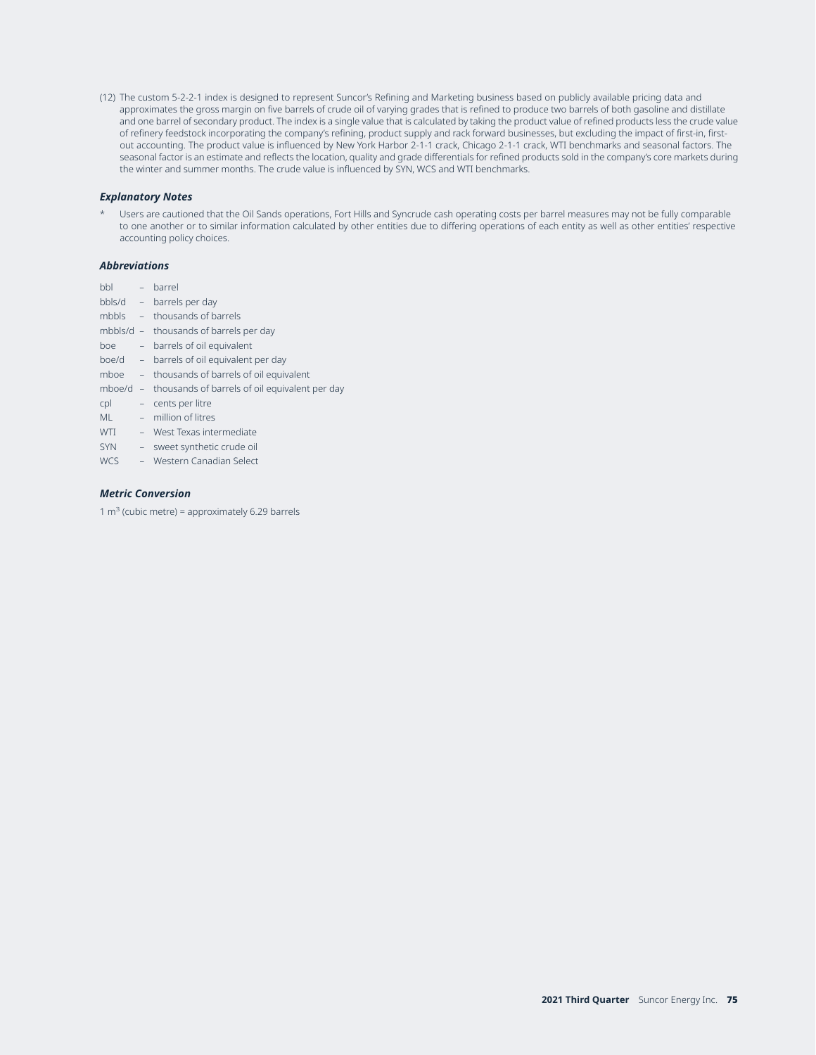(12) The custom 5-2-2-1 index is designed to represent Suncor's Refining and Marketing business based on publicly available pricing data and approximates the gross margin on five barrels of crude oil of varying grades that is refined to produce two barrels of both gasoline and distillate and one barrel of secondary product. The index is a single value that is calculated by taking the product value of refined products less the crude value of refinery feedstock incorporating the company's refining, product supply and rack forward businesses, but excluding the impact of first-in, firstout accounting. The product value is influenced by New York Harbor 2-1-1 crack, Chicago 2-1-1 crack, WTI benchmarks and seasonal factors. The seasonal factor is an estimate and reflects the location, quality and grade differentials for refined products sold in the company's core markets during the winter and summer months. The crude value is influenced by SYN, WCS and WTI benchmarks.

### *Explanatory Notes*

Users are cautioned that the Oil Sands operations, Fort Hills and Syncrude cash operating costs per barrel measures may not be fully comparable to one another or to similar information calculated by other entities due to differing operations of each entity as well as other entities' respective accounting policy choices.

#### *Abbreviations*

- bbl barrel
- bbls/d barrels per day
- mbbls thousands of barrels
- mbbls/d thousands of barrels per day boe – barrels of oil equivalent
- boe/d barrels of oil equivalent per day
- mboe thousands of barrels of oil equivalent
- mboe/d thousands of barrels of oil equivalent per day
- cpl cents per litre
- ML million of litres
- WTI West Texas intermediate
- SYN sweet synthetic crude oil
- WCS Western Canadian Select

## *Metric Conversion*

1  $m<sup>3</sup>$  (cubic metre) = approximately 6.29 barrels